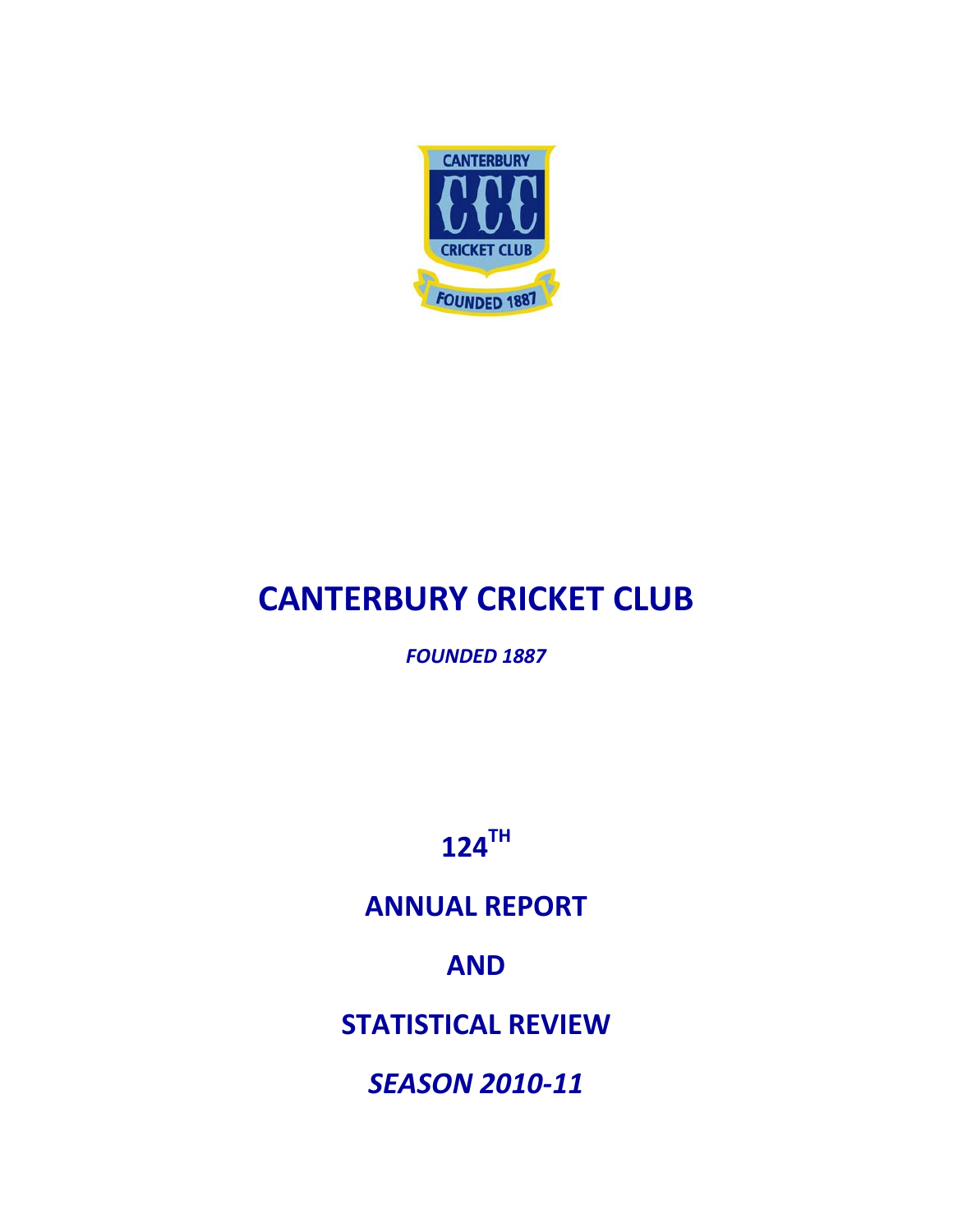

# **CANTERBURY CRICKET CLUB**

*FOUNDED 1887*

**124TH** 

# **ANNUAL REPORT**

**AND**

**STATISTICAL REVIEW**

*SEASON 2010‐11*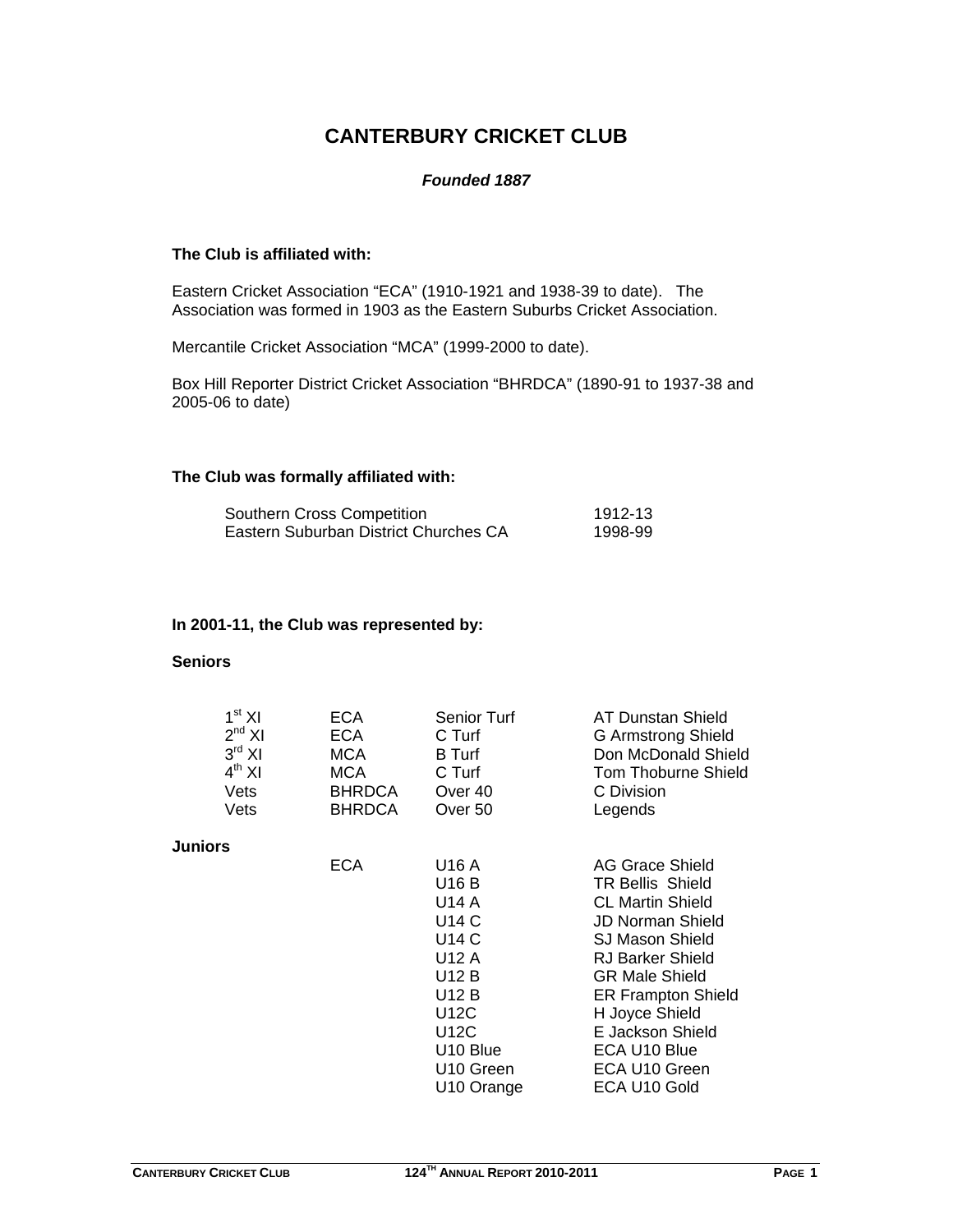### **CANTERBURY CRICKET CLUB**

#### *Founded 1887*

#### **The Club is affiliated with:**

Eastern Cricket Association "ECA" (1910-1921 and 1938-39 to date). The Association was formed in 1903 as the Eastern Suburbs Cricket Association.

Mercantile Cricket Association "MCA" (1999-2000 to date).

Box Hill Reporter District Cricket Association "BHRDCA" (1890-91 to 1937-38 and 2005-06 to date)

#### **The Club was formally affiliated with:**

| Southern Cross Competition            | 1912-13 |
|---------------------------------------|---------|
| Eastern Suburban District Churches CA | 1998-99 |

#### **In 2001-11, the Club was represented by:**

#### **Seniors**

| 1 <sup>st</sup> XI<br>$2^{nd}$ XI<br>$3^{\text{rd}}$ XI<br>$4^{th}$ XI<br>Vets<br>Vets | ECA<br><b>ECA</b><br><b>MCA</b><br><b>MCA</b><br><b>BHRDCA</b><br><b>BHRDCA</b> | Senior Turf<br>C Turf<br><b>B</b> Turf<br>C Turf<br>Over 40<br>Over 50                                                                  | <b>AT Dunstan Shield</b><br><b>G Armstrong Shield</b><br>Don McDonald Shield<br>Tom Thoburne Shield<br>C Division<br>Legends                                                                                                                                                                       |
|----------------------------------------------------------------------------------------|---------------------------------------------------------------------------------|-----------------------------------------------------------------------------------------------------------------------------------------|----------------------------------------------------------------------------------------------------------------------------------------------------------------------------------------------------------------------------------------------------------------------------------------------------|
| Juniors                                                                                |                                                                                 |                                                                                                                                         |                                                                                                                                                                                                                                                                                                    |
|                                                                                        | ECA                                                                             | U16 A<br>U16 B<br>U14 A<br>U14 C<br>U14 C<br>U12 A<br>U12 B<br>U12 B<br>U12C<br>U12C<br>U <sub>10</sub> Blue<br>U10 Green<br>U10 Orange | AG Grace Shield<br><b>TR Bellis Shield</b><br><b>CL Martin Shield</b><br><b>JD Norman Shield</b><br><b>SJ Mason Shield</b><br><b>RJ Barker Shield</b><br><b>GR Male Shield</b><br><b>ER Frampton Shield</b><br>H Joyce Shield<br>E Jackson Shield<br>ECA U10 Blue<br>ECA U10 Green<br>ECA U10 Gold |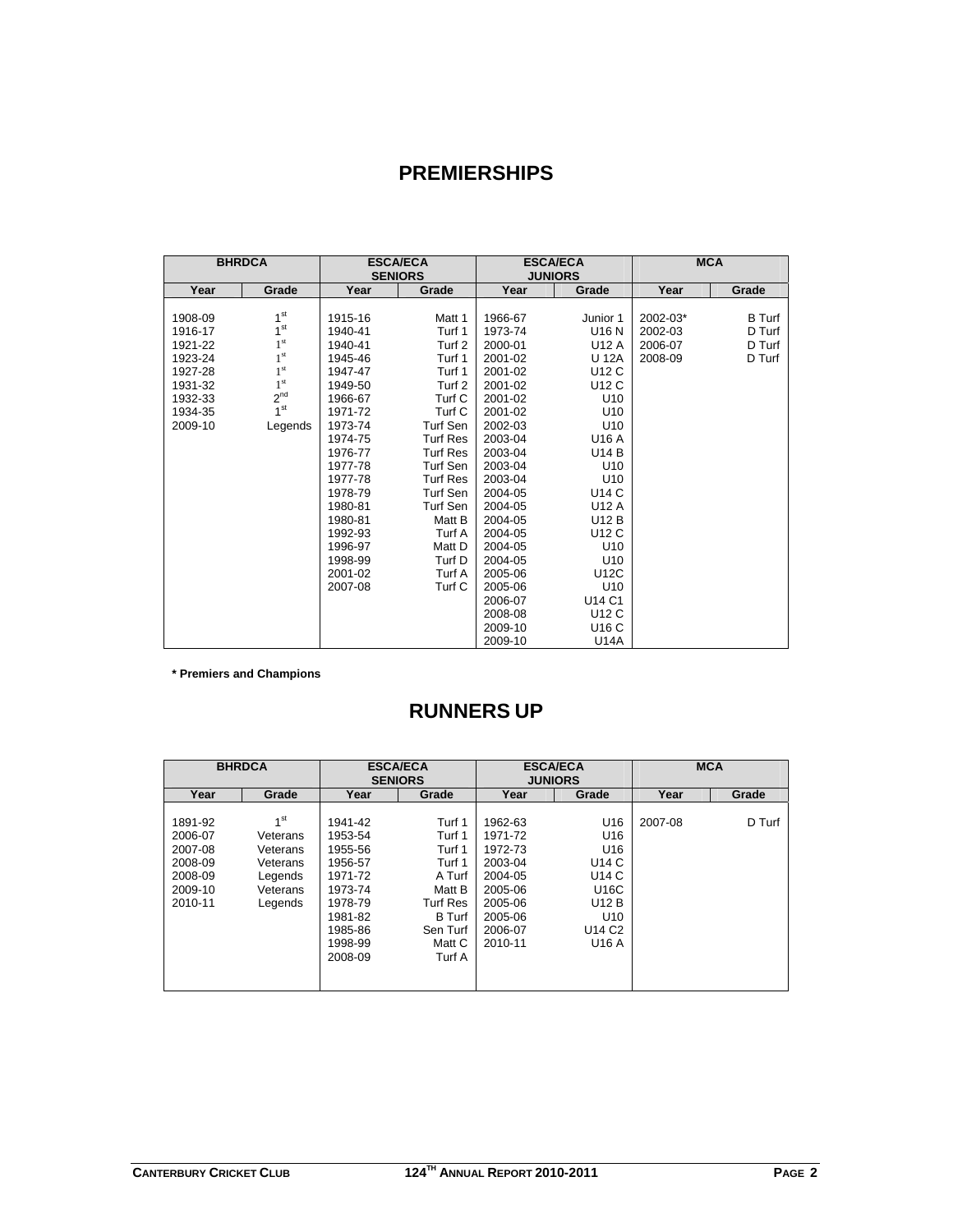## **PREMIERSHIPS**

| <b>BHRDCA</b> |                 | <b>ESCA/ECA</b><br><b>SENIORS</b> |                 | <b>ESCA/ECA</b><br><b>JUNIORS</b> |                   |          | <b>MCA</b>    |
|---------------|-----------------|-----------------------------------|-----------------|-----------------------------------|-------------------|----------|---------------|
| Year          | Grade           | Year                              | Grade           | Year                              | Grade             | Year     | Grade         |
|               |                 |                                   |                 |                                   |                   |          |               |
| 1908-09       | 1 <sup>st</sup> | 1915-16                           | Matt 1          | 1966-67                           | Junior 1          | 2002-03* | <b>B</b> Turf |
| 1916-17       | 1 <sup>st</sup> | 1940-41                           | Turf 1          | 1973-74                           | U <sub>16</sub> N | 2002-03  | D Turf        |
| 1921-22       | 1 <sup>st</sup> | 1940-41                           | Turf 2          | 2000-01                           | U12 A             | 2006-07  | D Turf        |
| 1923-24       | 1 <sup>st</sup> | 1945-46                           | Turf 1          | 2001-02                           | U 12A             | 2008-09  | D Turf        |
| 1927-28       | 1 <sup>st</sup> | 1947-47                           | Turf 1          | 2001-02                           | U12 C             |          |               |
| 1931-32       | 1 <sup>st</sup> | 1949-50                           | Turf 2          | 2001-02                           | U12 C             |          |               |
| 1932-33       | $2^{nd}$        | 1966-67                           | Turf C          | 2001-02                           | U <sub>10</sub>   |          |               |
| 1934-35       | 1 <sup>st</sup> | 1971-72                           | Turf C          | 2001-02                           | U10               |          |               |
| 2009-10       | Legends         | 1973-74                           | Turf Sen        | 2002-03                           | U10               |          |               |
|               |                 | 1974-75                           | Turf Res        | 2003-04                           | U <sub>16</sub> A |          |               |
|               |                 | 1976-77                           | <b>Turf Res</b> | 2003-04                           | <b>U14 B</b>      |          |               |
|               |                 | 1977-78                           | Turf Sen        | 2003-04                           | U <sub>10</sub>   |          |               |
|               |                 | 1977-78                           | <b>Turf Res</b> | 2003-04                           | U <sub>10</sub>   |          |               |
|               |                 | 1978-79                           | Turf Sen        | 2004-05                           | U14 C             |          |               |
|               |                 | 1980-81                           | Turf Sen        | 2004-05                           | U12 A             |          |               |
|               |                 | 1980-81                           | Matt B          | 2004-05                           | U12 B             |          |               |
|               |                 | 1992-93                           | Turf A          | 2004-05                           | U12 C             |          |               |
|               |                 | 1996-97                           | Matt D          | 2004-05                           | U <sub>10</sub>   |          |               |
|               |                 | 1998-99                           | Turf D          | 2004-05                           | U10               |          |               |
|               |                 | 2001-02                           | Turf A          | 2005-06                           | U12C              |          |               |
|               |                 | 2007-08                           | Turf C          | 2005-06                           | U <sub>10</sub>   |          |               |
|               |                 |                                   |                 | 2006-07                           | U14 C1            |          |               |
|               |                 |                                   |                 | 2008-08                           | U12 C             |          |               |
|               |                 |                                   |                 | 2009-10                           | U16 C             |          |               |
|               |                 |                                   |                 | 2009-10                           | U14A              |          |               |

**\* Premiers and Champions** 

### **RUNNERS UP**

|         | <b>BHRDCA</b>   |         | <b>ESCA/ECA</b><br><b>SENIORS</b> |         | <b>ESCA/ECA</b><br><b>JUNIORS</b> |         | <b>MCA</b> |
|---------|-----------------|---------|-----------------------------------|---------|-----------------------------------|---------|------------|
| Year    | Grade           | Year    | Grade                             | Year    | Grade                             | Year    | Grade      |
|         |                 |         |                                   |         |                                   |         |            |
| 1891-92 | 1 <sup>st</sup> | 1941-42 | Turf 1                            | 1962-63 | U16                               | 2007-08 | D Turf     |
| 2006-07 | Veterans        | 1953-54 | Turf 1                            | 1971-72 | U16                               |         |            |
| 2007-08 | Veterans        | 1955-56 | Turf 1                            | 1972-73 | U16                               |         |            |
| 2008-09 | Veterans        | 1956-57 | Turf 1                            | 2003-04 | U14 C                             |         |            |
| 2008-09 | Legends         | 1971-72 | A Turf                            | 2004-05 | U14 C                             |         |            |
| 2009-10 | Veterans        | 1973-74 | Matt B                            | 2005-06 | U16C                              |         |            |
| 2010-11 | Legends         | 1978-79 | <b>Turf Res</b>                   | 2005-06 | <b>U12 B</b>                      |         |            |
|         |                 | 1981-82 | B Turf                            | 2005-06 | U <sub>10</sub>                   |         |            |
|         |                 | 1985-86 | Sen Turf                          | 2006-07 | U14 C <sub>2</sub>                |         |            |
|         |                 | 1998-99 | Matt C                            | 2010-11 | U16 A                             |         |            |
|         |                 | 2008-09 | Turf A                            |         |                                   |         |            |
|         |                 |         |                                   |         |                                   |         |            |
|         |                 |         |                                   |         |                                   |         |            |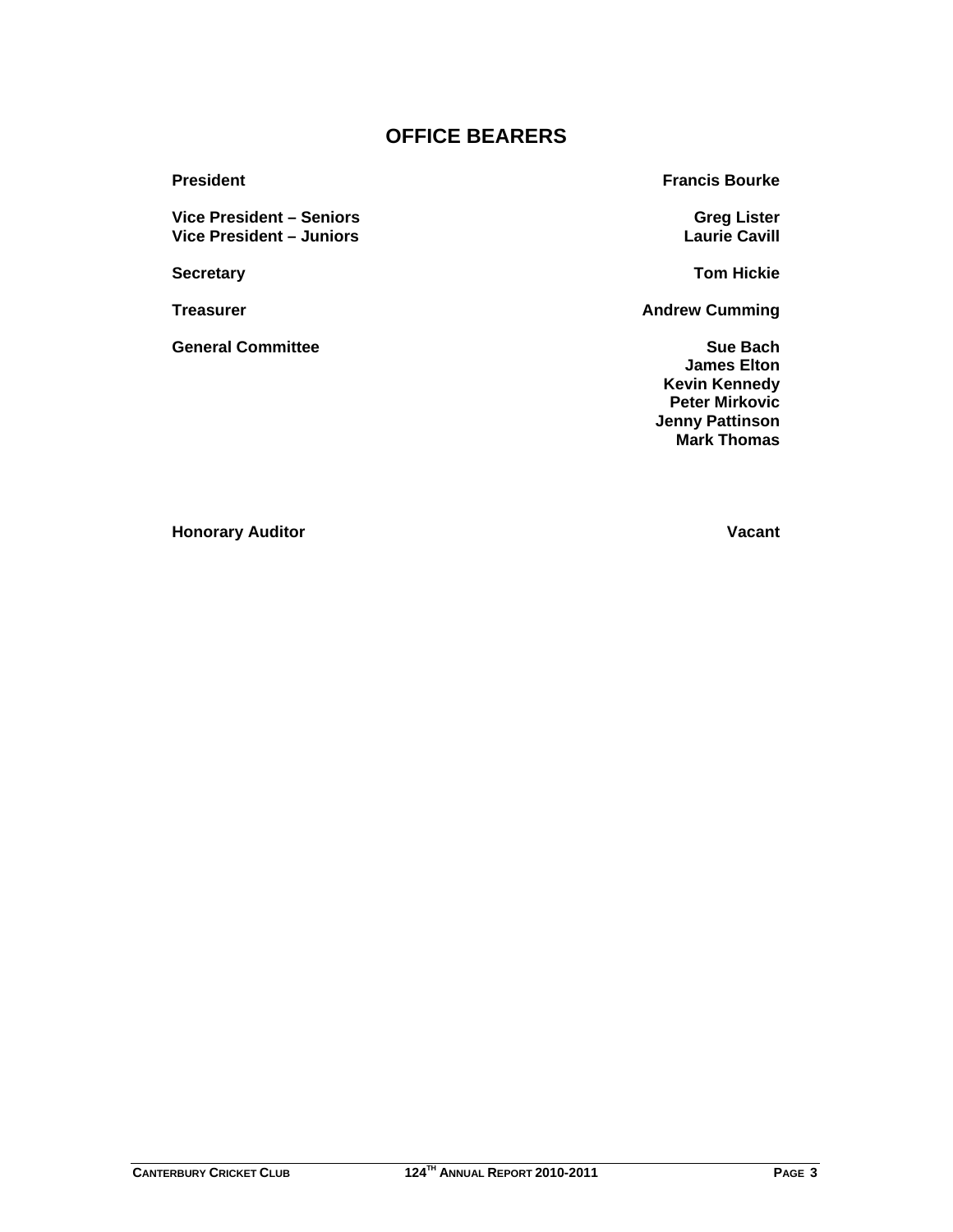### **OFFICE BEARERS**

Vice President – Seniors **Greg Lister**<br>
Vice President – Juniors **Greg Lister**<br>
Laurie Cavill **Vice President – Juniors** 

**General Committee Sue Bach** Sue Bach

**President** Francis Bourke

**Secretary Tom Hickie**

**Treasurer Andrew Cumming Construction Cumming Andrew Cumming** 

**James Elton Kevin Kennedy Peter Mirkovic Jenny Pattinson Mark Thomas** 

**Honorary Auditor Community Auditor Community Auditor** Community Audit Community Audit Community Audit Community Audit Community Audit Community Audit Community Audit Community Audit Community Audit Community Audit Communi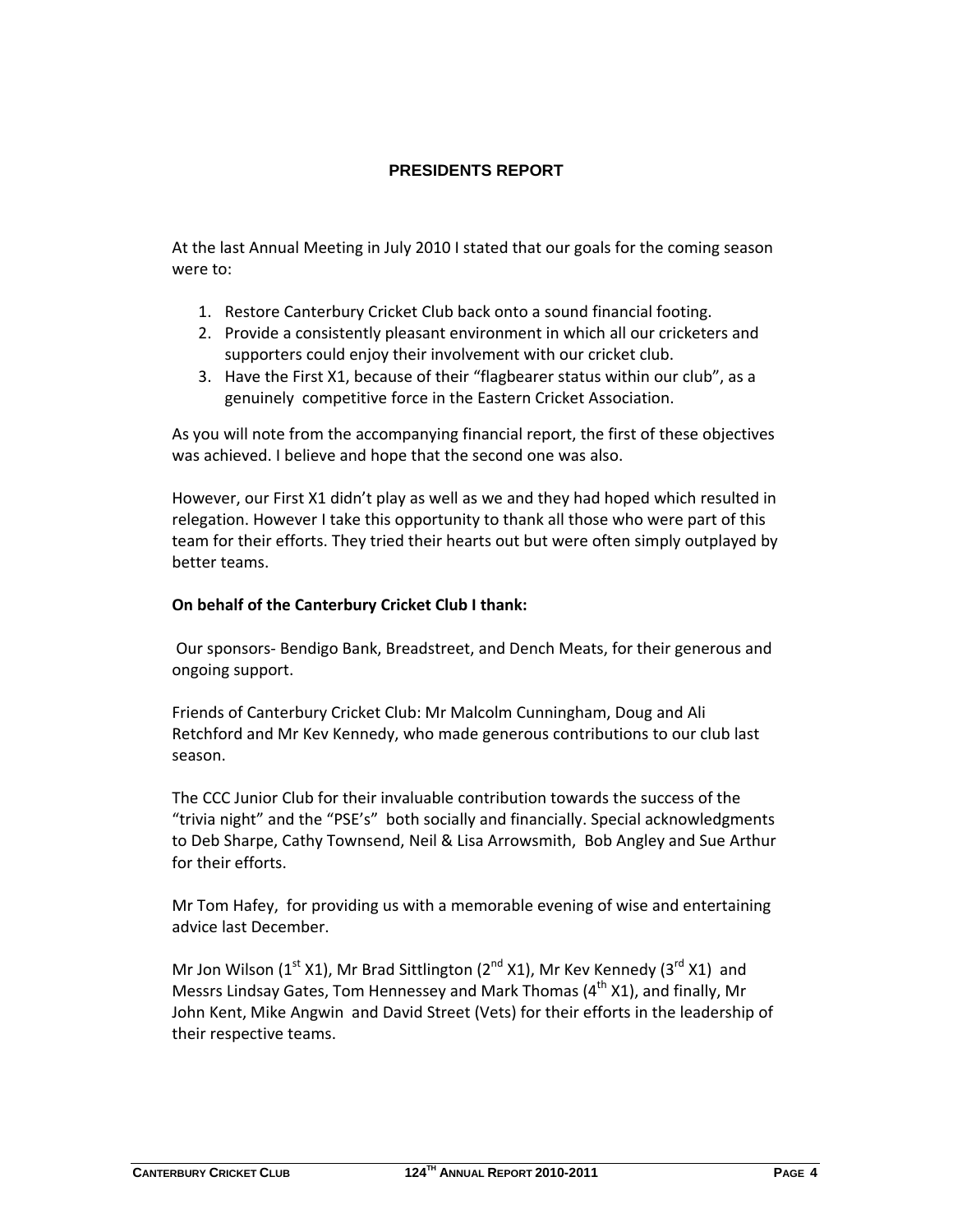### **PRESIDENTS REPORT**

At the last Annual Meeting in July 2010 I stated that our goals for the coming season were to:

- 1. Restore Canterbury Cricket Club back onto a sound financial footing.
- 2. Provide a consistently pleasant environment in which all our cricketers and supporters could enjoy their involvement with our cricket club.
- 3. Have the First X1, because of their "flagbearer status within our club", as a genuinely competitive force in the Eastern Cricket Association.

As you will note from the accompanying financial report, the first of these objectives was achieved. I believe and hope that the second one was also.

However, our First X1 didn't play as well as we and they had hoped which resulted in relegation. However I take this opportunity to thank all those who were part of this team for their efforts. They tried their hearts out but were often simply outplayed by better teams.

#### **On behalf of the Canterbury Cricket Club I thank:**

Our sponsors‐ Bendigo Bank, Breadstreet, and Dench Meats, for their generous and ongoing support.

Friends of Canterbury Cricket Club: Mr Malcolm Cunningham, Doug and Ali Retchford and Mr Kev Kennedy, who made generous contributions to our club last season.

The CCC Junior Club for their invaluable contribution towards the success of the "trivia night" and the "PSE's" both socially and financially. Special acknowledgments to Deb Sharpe, Cathy Townsend, Neil & Lisa Arrowsmith, Bob Angley and Sue Arthur for their efforts.

Mr Tom Hafey, for providing us with a memorable evening of wise and entertaining advice last December.

Mr Jon Wilson ( $1^{st}$  X1), Mr Brad Sittlington ( $2^{nd}$  X1), Mr Kev Kennedy ( $3^{rd}$  X1) and Messrs Lindsay Gates, Tom Hennessey and Mark Thomas  $(4^{th} X1)$ , and finally, Mr John Kent, Mike Angwin and David Street (Vets) for their efforts in the leadership of their respective teams.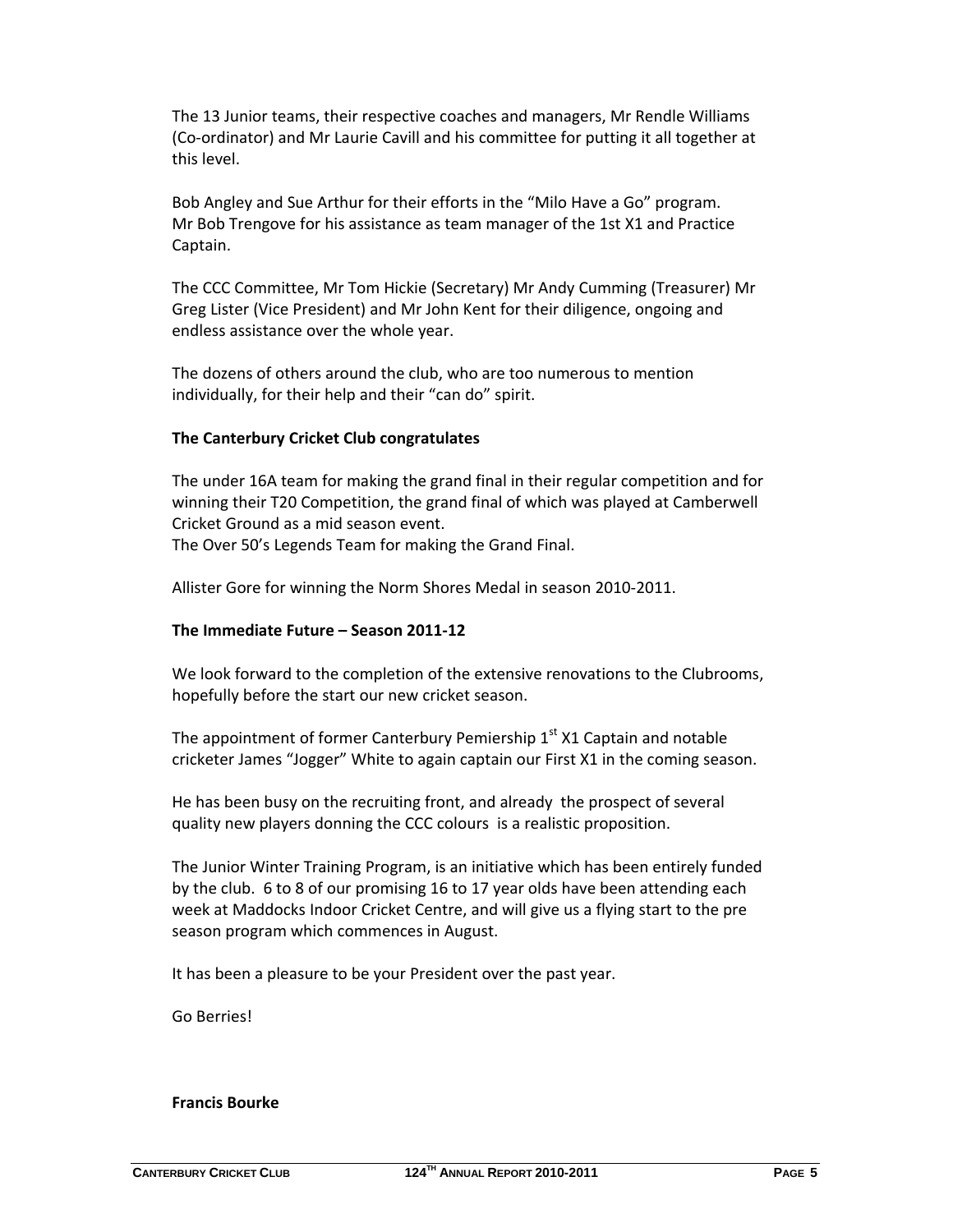The 13 Junior teams, their respective coaches and managers, Mr Rendle Williams (Co‐ordinator) and Mr Laurie Cavill and his committee for putting it all together at this level.

Bob Angley and Sue Arthur for their efforts in the "Milo Have a Go" program. Mr Bob Trengove for his assistance as team manager of the 1st X1 and Practice Captain.

The CCC Committee, Mr Tom Hickie (Secretary) Mr Andy Cumming (Treasurer) Mr Greg Lister (Vice President) and Mr John Kent for their diligence, ongoing and endless assistance over the whole year.

The dozens of others around the club, who are too numerous to mention individually, for their help and their "can do" spirit.

#### **The Canterbury Cricket Club congratulates**

The under 16A team for making the grand final in their regular competition and for winning their T20 Competition, the grand final of which was played at Camberwell Cricket Ground as a mid season event. The Over 50's Legends Team for making the Grand Final.

Allister Gore for winning the Norm Shores Medal in season 2010‐2011.

#### **The Immediate Future – Season 2011‐12**

We look forward to the completion of the extensive renovations to the Clubrooms, hopefully before the start our new cricket season.

The appointment of former Canterbury Pemiership  $1<sup>st</sup>$  X1 Captain and notable cricketer James "Jogger" White to again captain our First X1 in the coming season.

He has been busy on the recruiting front, and already the prospect of several quality new players donning the CCC colours is a realistic proposition.

The Junior Winter Training Program, is an initiative which has been entirely funded by the club. 6 to 8 of our promising 16 to 17 year olds have been attending each week at Maddocks Indoor Cricket Centre, and will give us a flying start to the pre season program which commences in August.

It has been a pleasure to be your President over the past year.

Go Berries!

#### **Francis Bourke**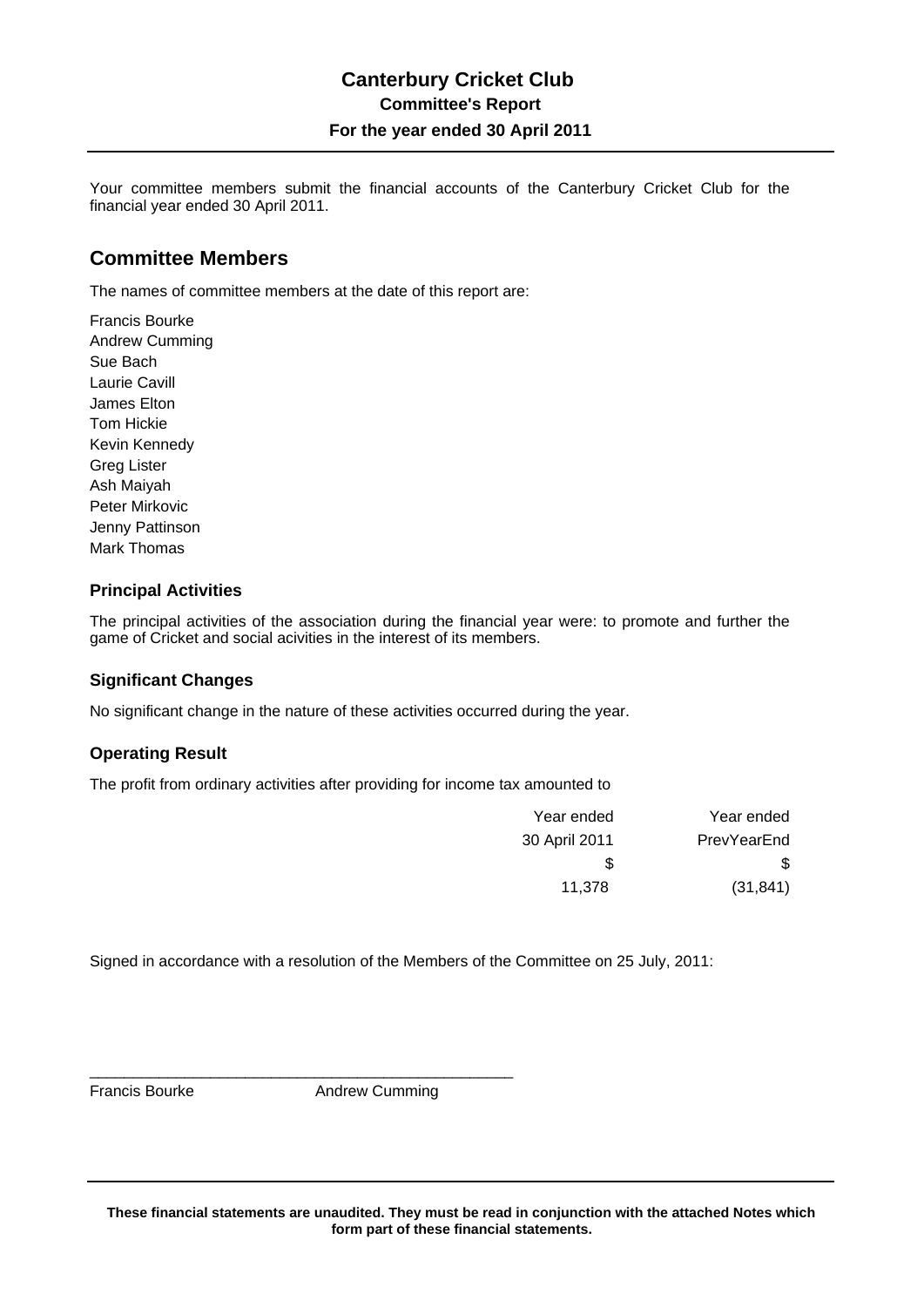Your committee members submit the financial accounts of the Canterbury Cricket Club for the financial year ended 30 April 2011.

### **Committee Members**

The names of committee members at the date of this report are:

Francis Bourke Andrew Cumming Sue Bach Laurie Cavill James Elton Tom Hickie Kevin Kennedy Greg Lister Ash Maiyah Peter Mirkovic Jenny Pattinson Mark Thomas

#### **Principal Activities**

The principal activities of the association during the financial year were: to promote and further the game of Cricket and social acivities in the interest of its members.

#### **Significant Changes**

No significant change in the nature of these activities occurred during the year.

#### **Operating Result**

The profit from ordinary activities after providing for income tax amounted to

| Year ended  | Year ended    |
|-------------|---------------|
| PrevYearEnd | 30 April 2011 |
| S           | \$.           |
| (31, 841)   | 11.378        |

Signed in accordance with a resolution of the Members of the Committee on 25 July, 2011:

Francis Bourke **Andrew Cumming** 

\_\_\_\_\_\_\_\_\_\_\_\_\_\_\_\_\_\_\_\_\_\_\_\_\_\_\_\_\_\_\_\_\_\_\_\_\_\_\_\_\_\_\_\_\_\_\_\_\_

**These financial statements are unaudited. They must be read in conjunction with the attached Notes which form part of these financial statements.**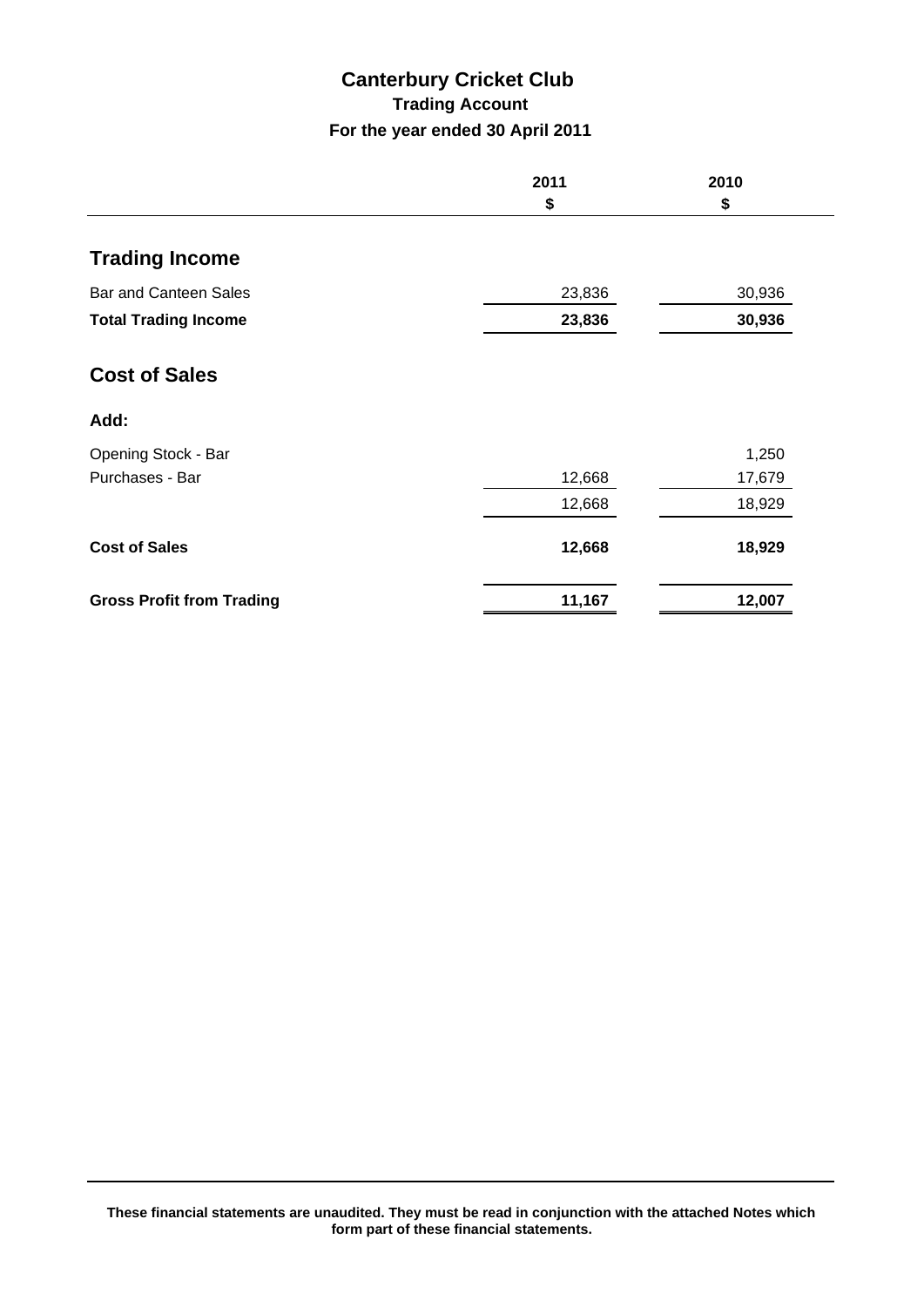### **Canterbury Cricket Club Trading Account For the year ended 30 April 2011**

|                                  | 2011   | 2010   |
|----------------------------------|--------|--------|
|                                  | \$     | \$     |
| <b>Trading Income</b>            |        |        |
| <b>Bar and Canteen Sales</b>     | 23,836 | 30,936 |
| <b>Total Trading Income</b>      | 23,836 | 30,936 |
| <b>Cost of Sales</b>             |        |        |
| Add:                             |        |        |
| Opening Stock - Bar              |        | 1,250  |
| Purchases - Bar                  | 12,668 | 17,679 |
|                                  | 12,668 | 18,929 |
| <b>Cost of Sales</b>             | 12,668 | 18,929 |
| <b>Gross Profit from Trading</b> | 11,167 | 12,007 |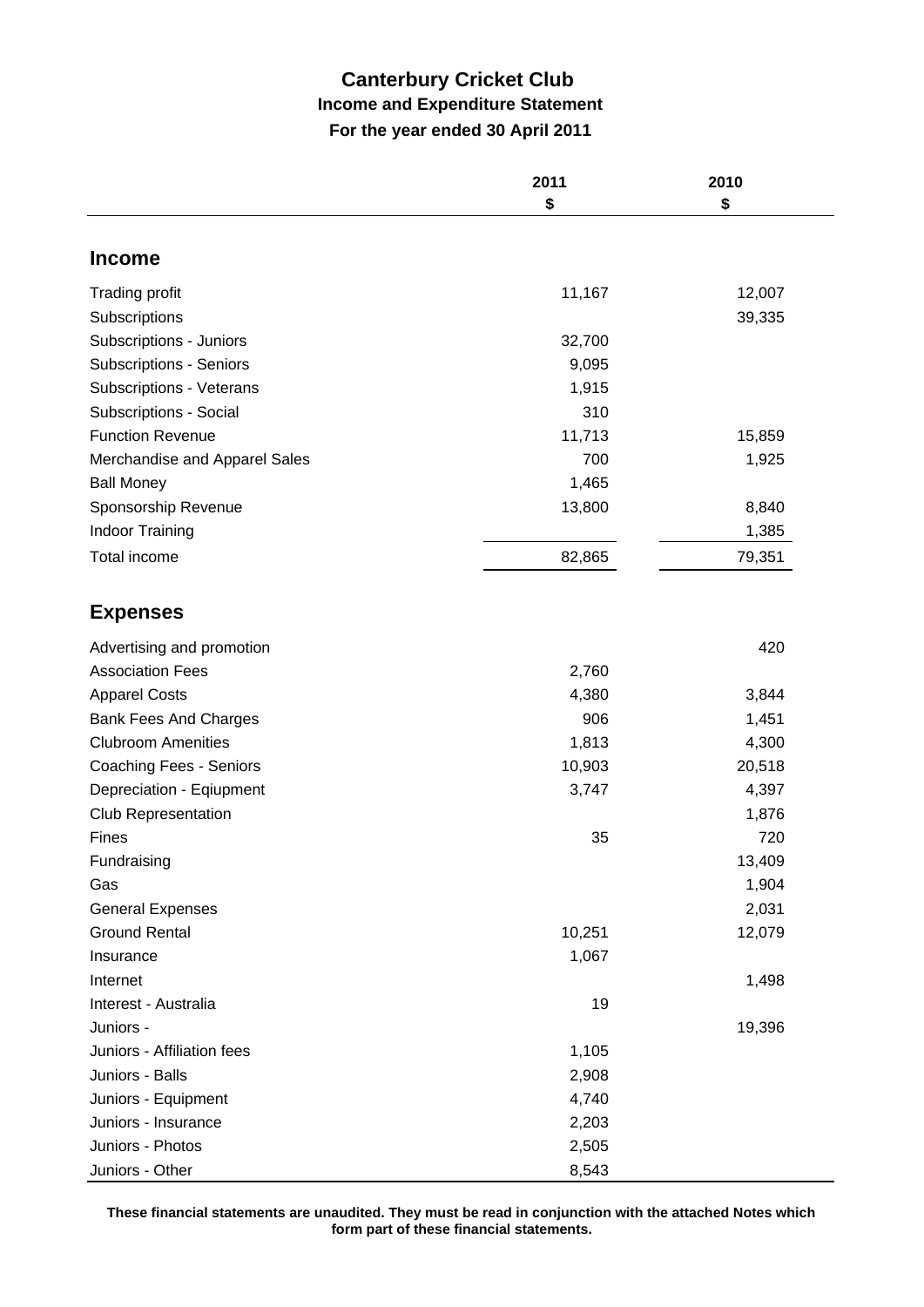### **Canterbury Cricket Club Income and Expenditure Statement For the year ended 30 April 2011**

|                                | 2011   | 2010   |
|--------------------------------|--------|--------|
|                                | \$     | \$     |
| <b>Income</b>                  |        |        |
|                                |        |        |
| Trading profit                 | 11,167 | 12,007 |
| Subscriptions                  |        | 39,335 |
| Subscriptions - Juniors        | 32,700 |        |
| <b>Subscriptions - Seniors</b> | 9,095  |        |
| Subscriptions - Veterans       | 1,915  |        |
| Subscriptions - Social         | 310    |        |
| <b>Function Revenue</b>        | 11,713 | 15,859 |
| Merchandise and Apparel Sales  | 700    | 1,925  |
| <b>Ball Money</b>              | 1,465  |        |
| Sponsorship Revenue            | 13,800 | 8,840  |
| <b>Indoor Training</b>         |        | 1,385  |
| Total income                   | 82,865 | 79,351 |
| <b>Expenses</b>                |        |        |
| Advertising and promotion      |        | 420    |
| <b>Association Fees</b>        | 2,760  |        |
| <b>Apparel Costs</b>           | 4,380  | 3,844  |
| <b>Bank Fees And Charges</b>   | 906    | 1,451  |
| <b>Clubroom Amenities</b>      | 1,813  | 4,300  |
| <b>Coaching Fees - Seniors</b> | 10,903 | 20,518 |
| Depreciation - Eqiupment       | 3,747  | 4,397  |
| <b>Club Representation</b>     |        | 1,876  |
| <b>Fines</b>                   | 35     | 720    |
| Fundraising                    |        | 13,409 |
| Gas                            |        | 1,904  |
| <b>General Expenses</b>        |        | 2,031  |
| <b>Ground Rental</b>           | 10,251 | 12,079 |
| Insurance                      | 1,067  |        |
| Internet                       |        | 1,498  |
| Interest - Australia           | 19     |        |
| Juniors -                      |        | 19,396 |
| Juniors - Affiliation fees     | 1,105  |        |
| Juniors - Balls                | 2,908  |        |
| Juniors - Equipment            | 4,740  |        |
| Juniors - Insurance            | 2,203  |        |
| Juniors - Photos               | 2,505  |        |
| Juniors - Other                | 8,543  |        |

**These financial statements are unaudited. They must be read in conjunction with the attached Notes which form part of these financial statements.**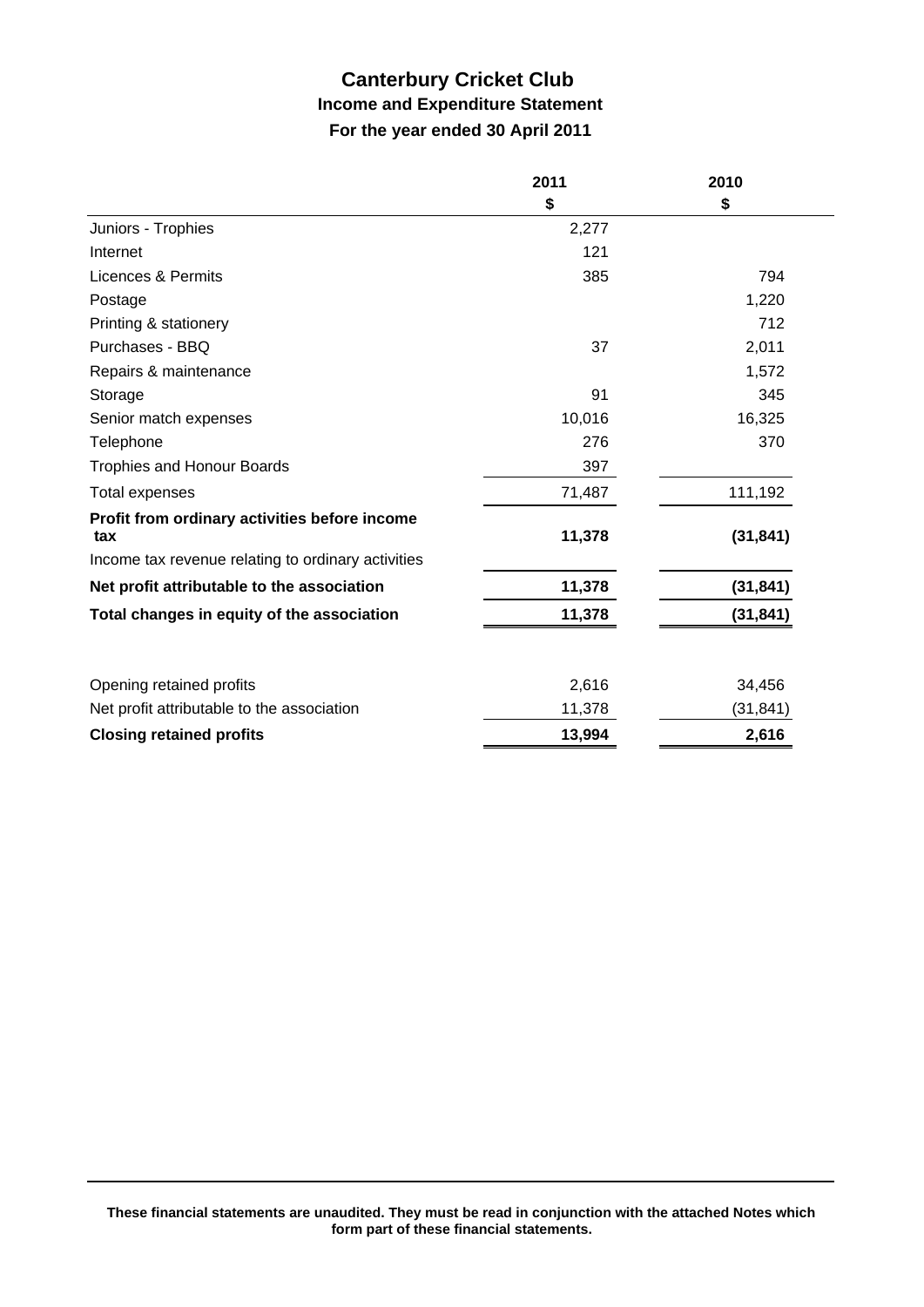### **Canterbury Cricket Club Income and Expenditure Statement For the year ended 30 April 2011**

|                                                      | 2011   | 2010      |
|------------------------------------------------------|--------|-----------|
|                                                      | \$     | \$        |
| Juniors - Trophies                                   | 2,277  |           |
| Internet                                             | 121    |           |
| Licences & Permits                                   | 385    | 794       |
| Postage                                              |        | 1,220     |
| Printing & stationery                                |        | 712       |
| Purchases - BBQ                                      | 37     | 2,011     |
| Repairs & maintenance                                |        | 1,572     |
| Storage                                              | 91     | 345       |
| Senior match expenses                                | 10,016 | 16,325    |
| Telephone                                            | 276    | 370       |
| <b>Trophies and Honour Boards</b>                    | 397    |           |
| <b>Total expenses</b>                                | 71,487 | 111,192   |
| Profit from ordinary activities before income<br>tax | 11,378 | (31, 841) |
| Income tax revenue relating to ordinary activities   |        |           |
| Net profit attributable to the association           | 11,378 | (31, 841) |
| Total changes in equity of the association           | 11,378 | (31, 841) |
| Opening retained profits                             | 2,616  | 34,456    |
| Net profit attributable to the association           | 11,378 | (31, 841) |
| <b>Closing retained profits</b>                      | 13,994 | 2,616     |
|                                                      |        |           |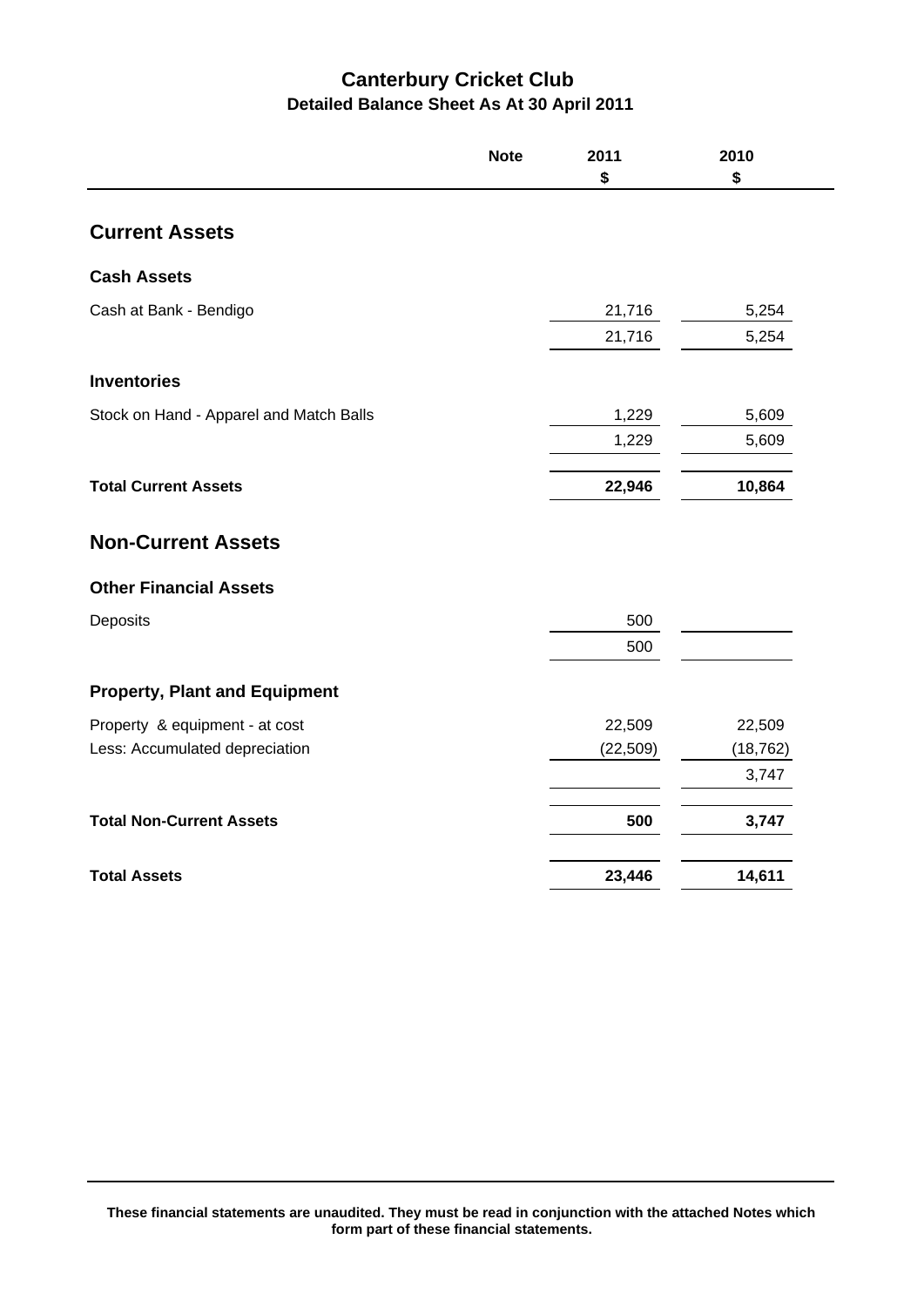### **Canterbury Cricket Club Detailed Balance Sheet As At 30 April 2011**

|                                         | <b>Note</b> | 2011<br>\$ | 2010<br>\$ |
|-----------------------------------------|-------------|------------|------------|
| <b>Current Assets</b>                   |             |            |            |
| <b>Cash Assets</b>                      |             |            |            |
| Cash at Bank - Bendigo                  |             | 21,716     | 5,254      |
|                                         |             | 21,716     | 5,254      |
| <b>Inventories</b>                      |             |            |            |
| Stock on Hand - Apparel and Match Balls |             | 1,229      | 5,609      |
|                                         |             | 1,229      | 5,609      |
| <b>Total Current Assets</b>             |             | 22,946     | 10,864     |
| <b>Non-Current Assets</b>               |             |            |            |
| <b>Other Financial Assets</b>           |             |            |            |
| Deposits                                |             | 500        |            |
|                                         |             | 500        |            |
| <b>Property, Plant and Equipment</b>    |             |            |            |
| Property & equipment - at cost          |             | 22,509     | 22,509     |
| Less: Accumulated depreciation          |             | (22, 509)  | (18, 762)  |
|                                         |             |            | 3,747      |
| <b>Total Non-Current Assets</b>         |             | 500        | 3,747      |
| <b>Total Assets</b>                     |             | 23,446     | 14,611     |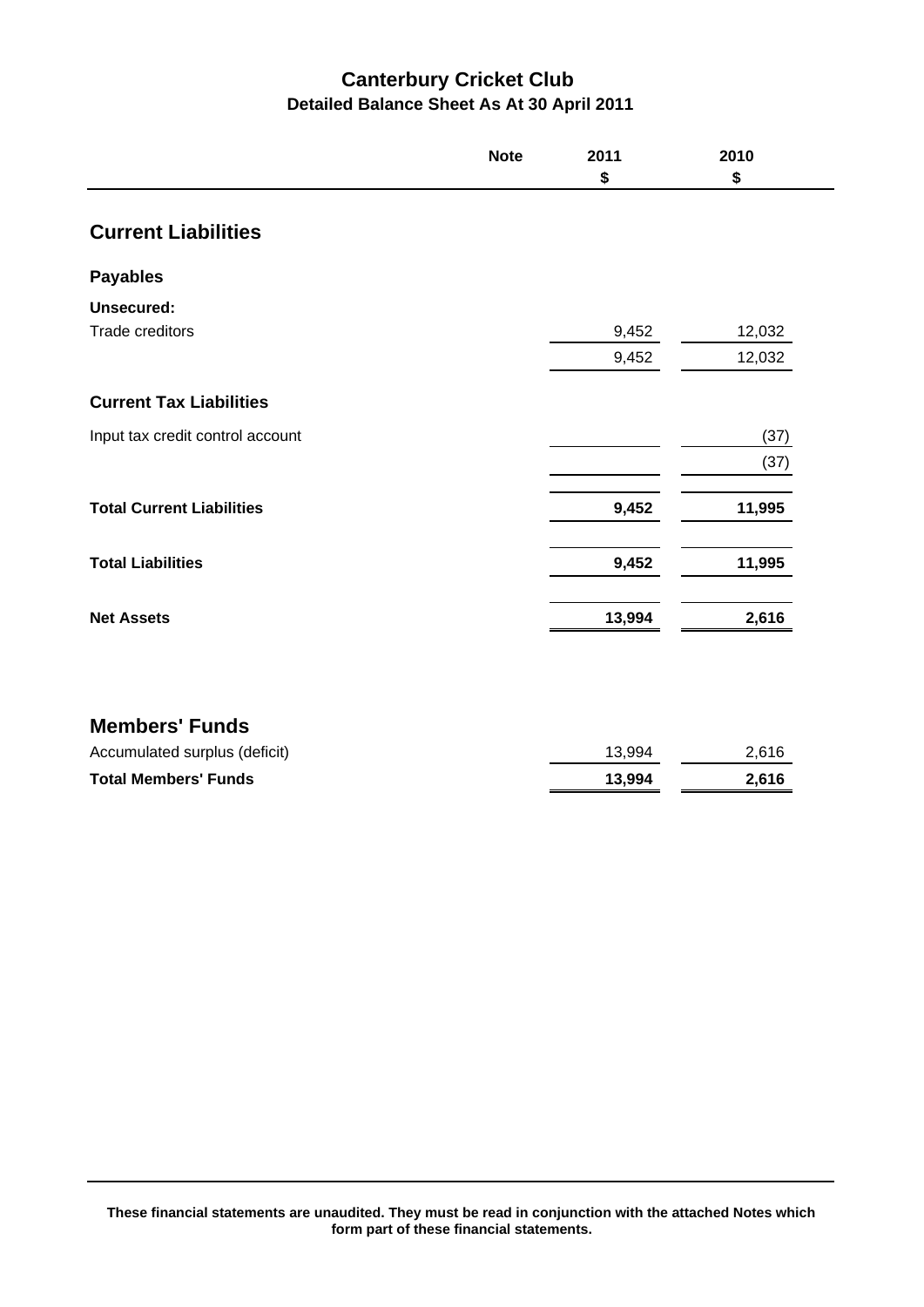### **Canterbury Cricket Club Detailed Balance Sheet As At 30 April 2011**

|                                  | <b>Note</b> | 2011<br>\$ | 2010<br>\$ |
|----------------------------------|-------------|------------|------------|
| <b>Current Liabilities</b>       |             |            |            |
| <b>Payables</b>                  |             |            |            |
| <b>Unsecured:</b>                |             |            |            |
| <b>Trade creditors</b>           |             | 9,452      | 12,032     |
|                                  |             | 9,452      | 12,032     |
| <b>Current Tax Liabilities</b>   |             |            |            |
| Input tax credit control account |             |            | (37)       |
|                                  |             |            | (37)       |
| <b>Total Current Liabilities</b> |             | 9,452      | 11,995     |
| <b>Total Liabilities</b>         |             | 9,452      | 11,995     |
| <b>Net Assets</b>                |             | 13,994     | 2,616      |
|                                  |             |            |            |
| <b>Members' Funds</b>            |             |            |            |
| Accumulated surplus (deficit)    |             | 13,994     | 2,616      |

**Total Members' Funds 13,994 2,616**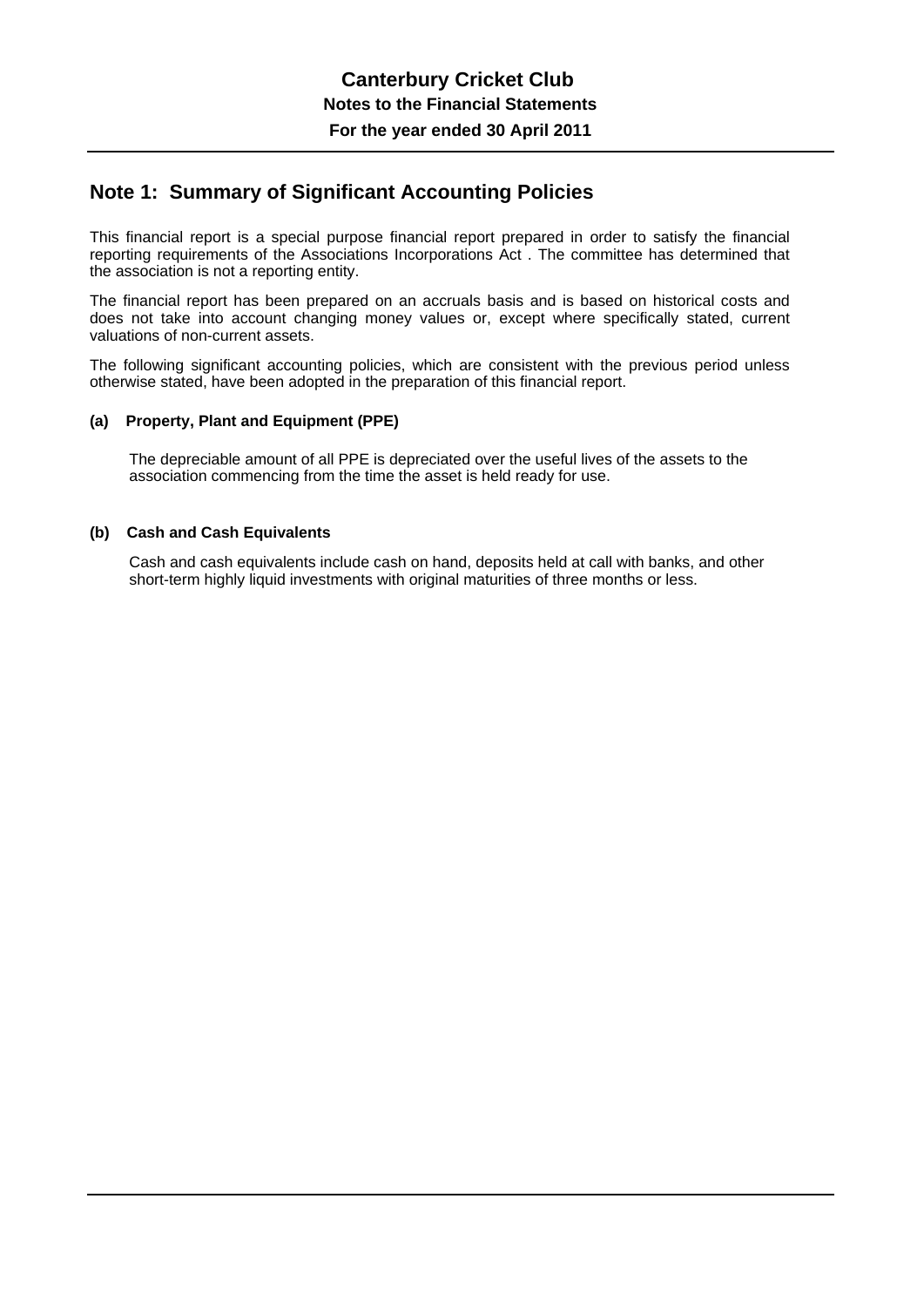### **Note 1: Summary of Significant Accounting Policies**

This financial report is a special purpose financial report prepared in order to satisfy the financial reporting requirements of the Associations Incorporations Act . The committee has determined that the association is not a reporting entity.

The financial report has been prepared on an accruals basis and is based on historical costs and does not take into account changing money values or, except where specifically stated, current valuations of non-current assets.

The following significant accounting policies, which are consistent with the previous period unless otherwise stated, have been adopted in the preparation of this financial report.

#### **(a) Property, Plant and Equipment (PPE)**

 The depreciable amount of all PPE is depreciated over the useful lives of the assets to the association commencing from the time the asset is held ready for use.

#### **(b) Cash and Cash Equivalents**

 Cash and cash equivalents include cash on hand, deposits held at call with banks, and other short-term highly liquid investments with original maturities of three months or less.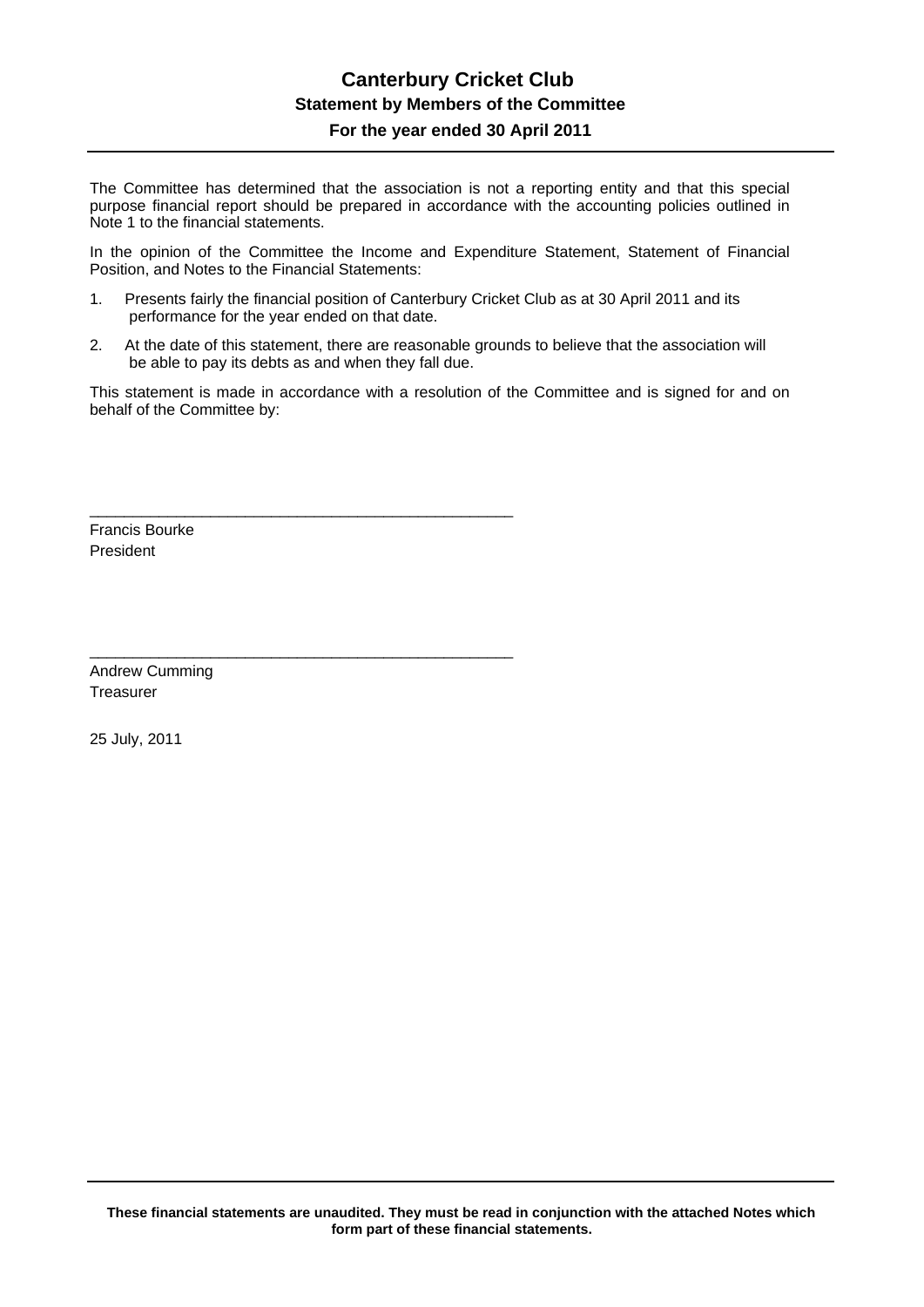### **Canterbury Cricket Club Statement by Members of the Committee For the year ended 30 April 2011**

The Committee has determined that the association is not a reporting entity and that this special purpose financial report should be prepared in accordance with the accounting policies outlined in Note 1 to the financial statements.

In the opinion of the Committee the Income and Expenditure Statement, Statement of Financial Position, and Notes to the Financial Statements:

1. Presents fairly the financial position of Canterbury Cricket Club as at 30 April 2011 and its performance for the year ended on that date.

\_\_\_\_\_\_\_\_\_\_\_\_\_\_\_\_\_\_\_\_\_\_\_\_\_\_\_\_\_\_\_\_\_\_\_\_\_\_\_\_\_\_\_\_\_\_\_\_\_

\_\_\_\_\_\_\_\_\_\_\_\_\_\_\_\_\_\_\_\_\_\_\_\_\_\_\_\_\_\_\_\_\_\_\_\_\_\_\_\_\_\_\_\_\_\_\_\_\_

2. At the date of this statement, there are reasonable grounds to believe that the association will be able to pay its debts as and when they fall due.

This statement is made in accordance with a resolution of the Committee and is signed for and on behalf of the Committee by:

Francis Bourke President

Andrew Cumming **Treasurer** 

25 July, 2011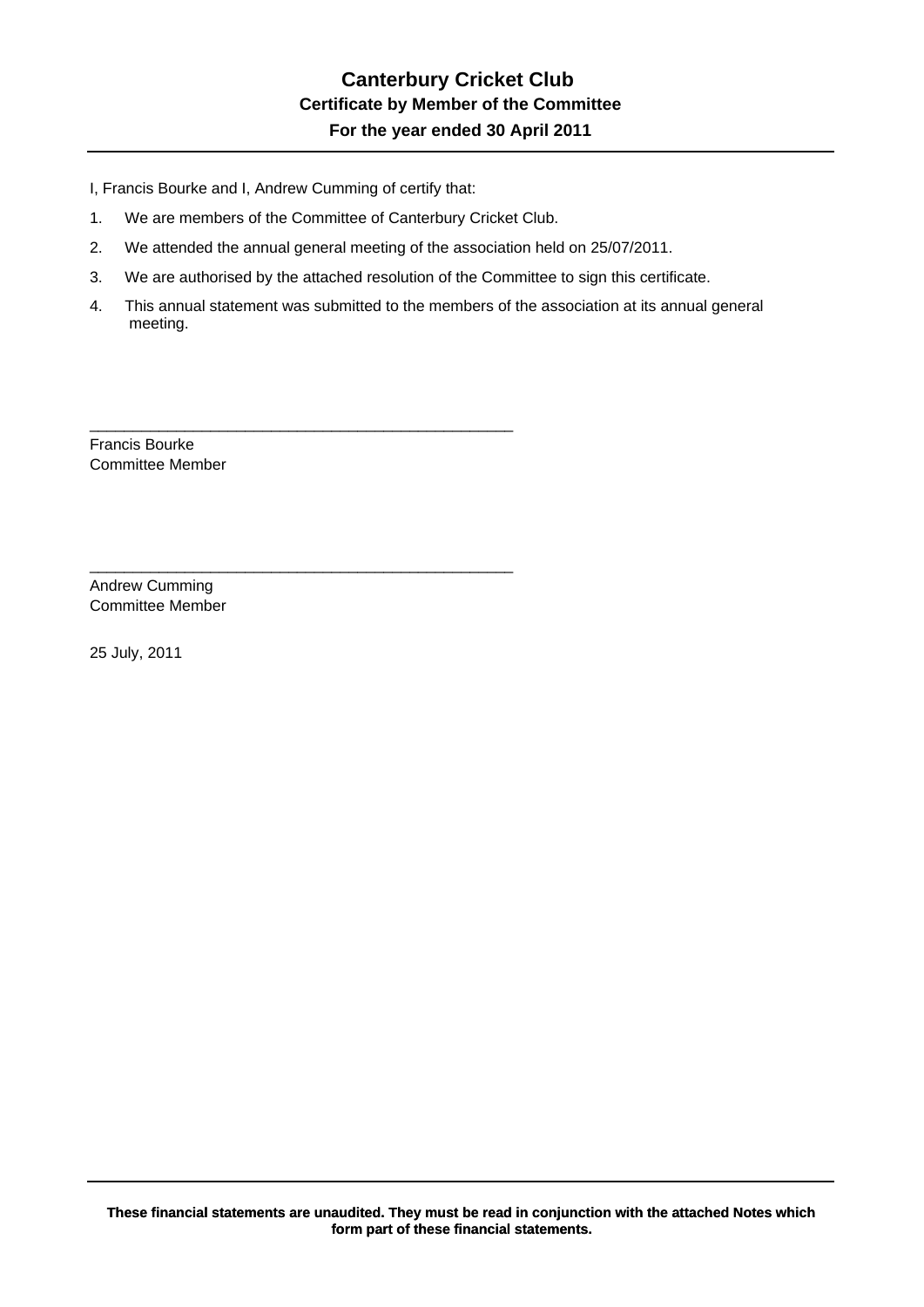I, Francis Bourke and I, Andrew Cumming of certify that:

1. We are members of the Committee of Canterbury Cricket Club.

\_\_\_\_\_\_\_\_\_\_\_\_\_\_\_\_\_\_\_\_\_\_\_\_\_\_\_\_\_\_\_\_\_\_\_\_\_\_\_\_\_\_\_\_\_\_\_\_\_

\_\_\_\_\_\_\_\_\_\_\_\_\_\_\_\_\_\_\_\_\_\_\_\_\_\_\_\_\_\_\_\_\_\_\_\_\_\_\_\_\_\_\_\_\_\_\_\_\_

- 2. We attended the annual general meeting of the association held on 25/07/2011.
- 3. We are authorised by the attached resolution of the Committee to sign this certificate.
- 4. This annual statement was submitted to the members of the association at its annual general meeting.

Francis Bourke Committee Member

Andrew Cumming Committee Member

25 July, 2011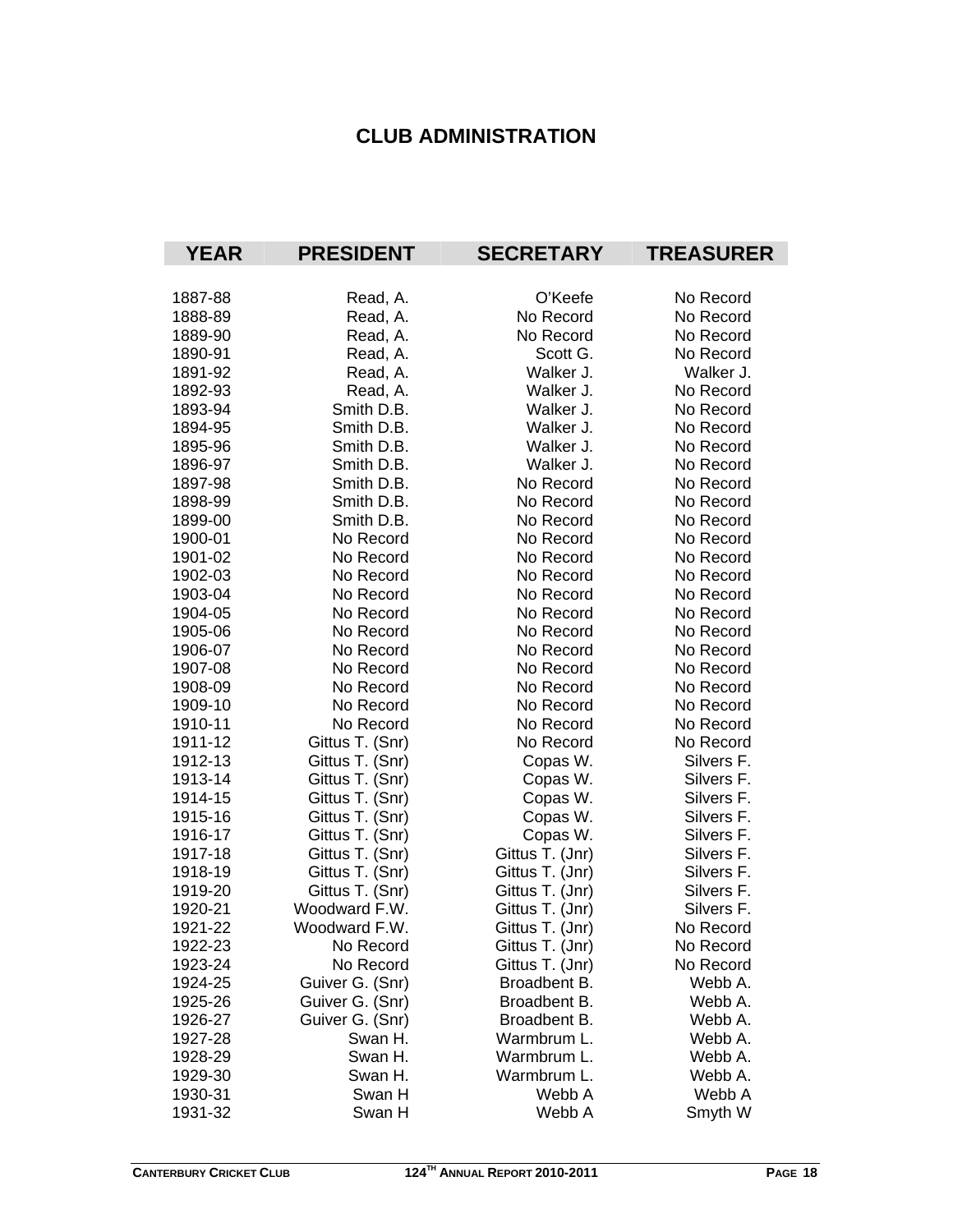### **CLUB ADMINISTRATION**

| <b>YEAR</b> | <b>PRESIDENT</b> | <b>SECRETARY</b> | <b>TREASURER</b> |
|-------------|------------------|------------------|------------------|
|             |                  |                  |                  |
| 1887-88     | Read, A.         | O'Keefe          | No Record        |
| 1888-89     | Read, A.         | No Record        | No Record        |
| 1889-90     | Read, A.         | No Record        | No Record        |
| 1890-91     | Read, A.         | Scott G.         | No Record        |
| 1891-92     | Read, A.         | Walker J.        | Walker J.        |
| 1892-93     | Read, A.         | Walker J.        | No Record        |
| 1893-94     | Smith D.B.       | Walker J.        | No Record        |
| 1894-95     | Smith D.B.       | Walker J.        | No Record        |
| 1895-96     | Smith D.B.       | Walker J.        | No Record        |
| 1896-97     | Smith D.B.       | Walker J.        | No Record        |
| 1897-98     | Smith D.B.       | No Record        | No Record        |
| 1898-99     | Smith D.B.       | No Record        | No Record        |
| 1899-00     | Smith D.B.       | No Record        | No Record        |
| 1900-01     | No Record        | No Record        | No Record        |
| 1901-02     | No Record        | No Record        | No Record        |
| 1902-03     | No Record        | No Record        | No Record        |
| 1903-04     | No Record        | No Record        | No Record        |
| 1904-05     | No Record        | No Record        | No Record        |
| 1905-06     | No Record        | No Record        | No Record        |
| 1906-07     | No Record        | No Record        | No Record        |
| 1907-08     | No Record        | No Record        | No Record        |
| 1908-09     | No Record        | No Record        | No Record        |
| 1909-10     | No Record        | No Record        | No Record        |
| 1910-11     | No Record        | No Record        | No Record        |
| 1911-12     | Gittus T. (Snr)  | No Record        | No Record        |
| 1912-13     | Gittus T. (Snr)  | Copas W.         | Silvers F.       |
| 1913-14     | Gittus T. (Snr)  | Copas W.         | Silvers F.       |
| 1914-15     | Gittus T. (Snr)  | Copas W.         | Silvers F.       |
| 1915-16     | Gittus T. (Snr)  | Copas W.         | Silvers F.       |
| 1916-17     | Gittus T. (Snr)  | Copas W.         | Silvers F.       |
| 1917-18     | Gittus T. (Snr)  | Gittus T. (Jnr)  | Silvers F.       |
| 1918-19     | Gittus T. (Snr)  | Gittus T. (Jnr)  | Silvers F.       |
| 1919-20     | Gittus T. (Snr)  | Gittus T. (Jnr)  | Silvers F.       |
| 1920-21     | Woodward F.W.    | Gittus T. (Jnr)  | Silvers F.       |
| 1921-22     | Woodward F.W.    | Gittus T. (Jnr)  | No Record        |
| 1922-23     | No Record        | Gittus T. (Jnr)  | No Record        |
| 1923-24     | No Record        | Gittus T. (Jnr)  | No Record        |
| 1924-25     | Guiver G. (Snr)  | Broadbent B.     | Webb A.          |
| 1925-26     | Guiver G. (Snr)  | Broadbent B.     | Webb A.          |
| 1926-27     | Guiver G. (Snr)  | Broadbent B.     | Webb A.          |
| 1927-28     | Swan H.          | Warmbrum L.      | Webb A.          |
| 1928-29     | Swan H.          | Warmbrum L.      | Webb A.          |
| 1929-30     | Swan H.          | Warmbrum L.      | Webb A.          |
| 1930-31     | Swan H           | Webb A           | Webb A           |
| 1931-32     | Swan H           | Webb A           | Smyth W          |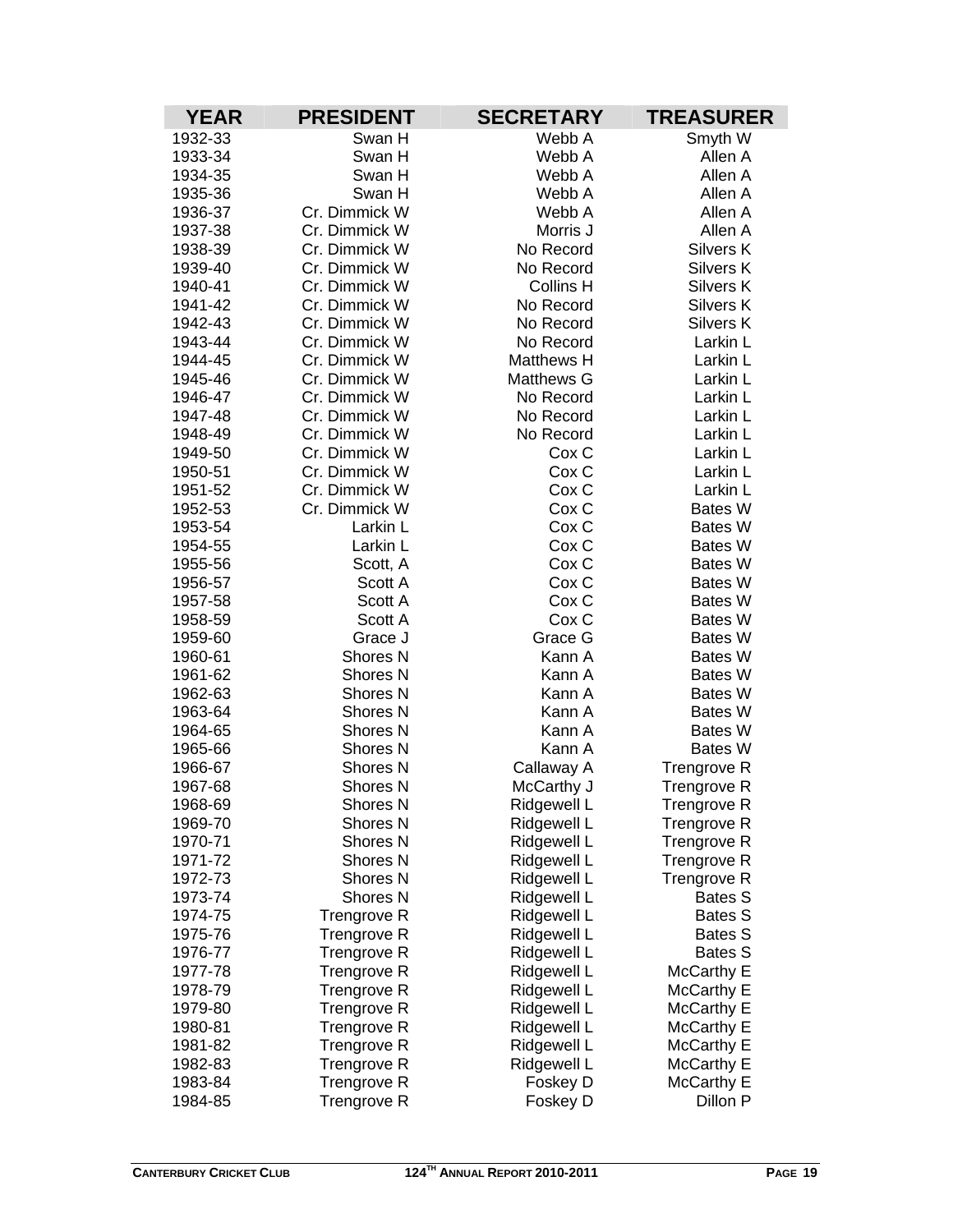| <b>YEAR</b> | <b>PRESIDENT</b>    | <b>SECRETARY</b>  | <b>TREASURER</b>   |
|-------------|---------------------|-------------------|--------------------|
| 1932-33     | Swan H              | Webb A            | Smyth W            |
| 1933-34     | Swan H              | Webb A            | Allen A            |
| 1934-35     | Swan H              | Webb A            | Allen A            |
| 1935-36     | Swan H              | Webb A            | Allen A            |
| 1936-37     | Cr. Dimmick W       | Webb A            | Allen A            |
| 1937-38     | Cr. Dimmick W       | Morris J          | Allen A            |
| 1938-39     | Cr. Dimmick W       | No Record         | Silvers K          |
| 1939-40     | Cr. Dimmick W       | No Record         | Silvers K          |
| 1940-41     | Cr. Dimmick W       | Collins H         | Silvers K          |
| 1941-42     | Cr. Dimmick W       | No Record         | Silvers K          |
| 1942-43     | Cr. Dimmick W       | No Record         | Silvers K          |
| 1943-44     | Cr. Dimmick W       | No Record         | Larkin L           |
| 1944-45     | Cr. Dimmick W       | Matthews H        | Larkin L           |
| 1945-46     | Cr. Dimmick W       | <b>Matthews G</b> | Larkin L           |
| 1946-47     | Cr. Dimmick W       | No Record         | Larkin L           |
| 1947-48     | Cr. Dimmick W       | No Record         | Larkin L           |
| 1948-49     | Cr. Dimmick W       | No Record         | Larkin L           |
| 1949-50     | Cr. Dimmick W       | Cox C             | Larkin L           |
| 1950-51     | Cr. Dimmick W       | Cox C             | Larkin L           |
| 1951-52     | Cr. Dimmick W       | Cox C             | Larkin L           |
| 1952-53     | Cr. Dimmick W       | Cox C             | Bates W            |
| 1953-54     | Larkin L            | Cox C             | <b>Bates W</b>     |
| 1954-55     | Larkin L            | Cox C             | <b>Bates W</b>     |
| 1955-56     | Scott, A            | Cox C             | Bates W            |
| 1956-57     | Scott A             | Cox C             | <b>Bates W</b>     |
| 1957-58     | Scott A             | Cox C             | <b>Bates W</b>     |
| 1958-59     | Scott A             | Cox C             | <b>Bates W</b>     |
| 1959-60     | Grace J             | Grace G           | Bates W            |
| 1960-61     | <b>Shores N</b>     | Kann A            | Bates W            |
| 1961-62     | <b>Shores N</b>     | Kann A            | Bates W            |
| 1962-63     | <b>Shores N</b>     | Kann A            | <b>Bates W</b>     |
| 1963-64     | <b>Shores N</b>     | Kann A            | <b>Bates W</b>     |
| 1964-65     | <b>Shores N</b>     | Kann A            | <b>Bates W</b>     |
| 1965-66     | <b>Shores N</b>     | Kann A            | Bates W            |
| 1966-67     | <b>Shores N</b>     | Callaway A        | Trengrove R        |
| 1967-68     | <b>Shores N</b>     | McCarthy J        | Trengrove R        |
| 1968-69     | Shores <sub>N</sub> | Ridgewell L       | <b>Trengrove R</b> |
| 1969-70     | Shores N            | Ridgewell L       | Trengrove R        |
| 1970-71     | Shores <sub>N</sub> | Ridgewell L       | Trengrove R        |
| 1971-72     | <b>Shores N</b>     | Ridgewell L       | <b>Trengrove R</b> |
| 1972-73     | <b>Shores N</b>     | Ridgewell L       | Trengrove R        |
| 1973-74     | <b>Shores N</b>     | Ridgewell L       | <b>Bates S</b>     |
| 1974-75     | <b>Trengrove R</b>  | Ridgewell L       | Bates S            |
| 1975-76     | Trengrove R         | Ridgewell L       | Bates S            |
| 1976-77     | Trengrove R         | Ridgewell L       | Bates S            |
| 1977-78     | Trengrove R         | Ridgewell L       | McCarthy E         |
| 1978-79     | Trengrove R         | Ridgewell L       | McCarthy E         |
| 1979-80     | Trengrove R         | Ridgewell L       | McCarthy E         |
| 1980-81     | Trengrove R         | Ridgewell L       | McCarthy E         |
| 1981-82     | Trengrove R         | Ridgewell L       | McCarthy E         |
| 1982-83     | Trengrove R         | Ridgewell L       | McCarthy E         |
| 1983-84     | Trengrove R         | Foskey D          | McCarthy E         |
| 1984-85     | Trengrove R         | Foskey D          | Dillon P           |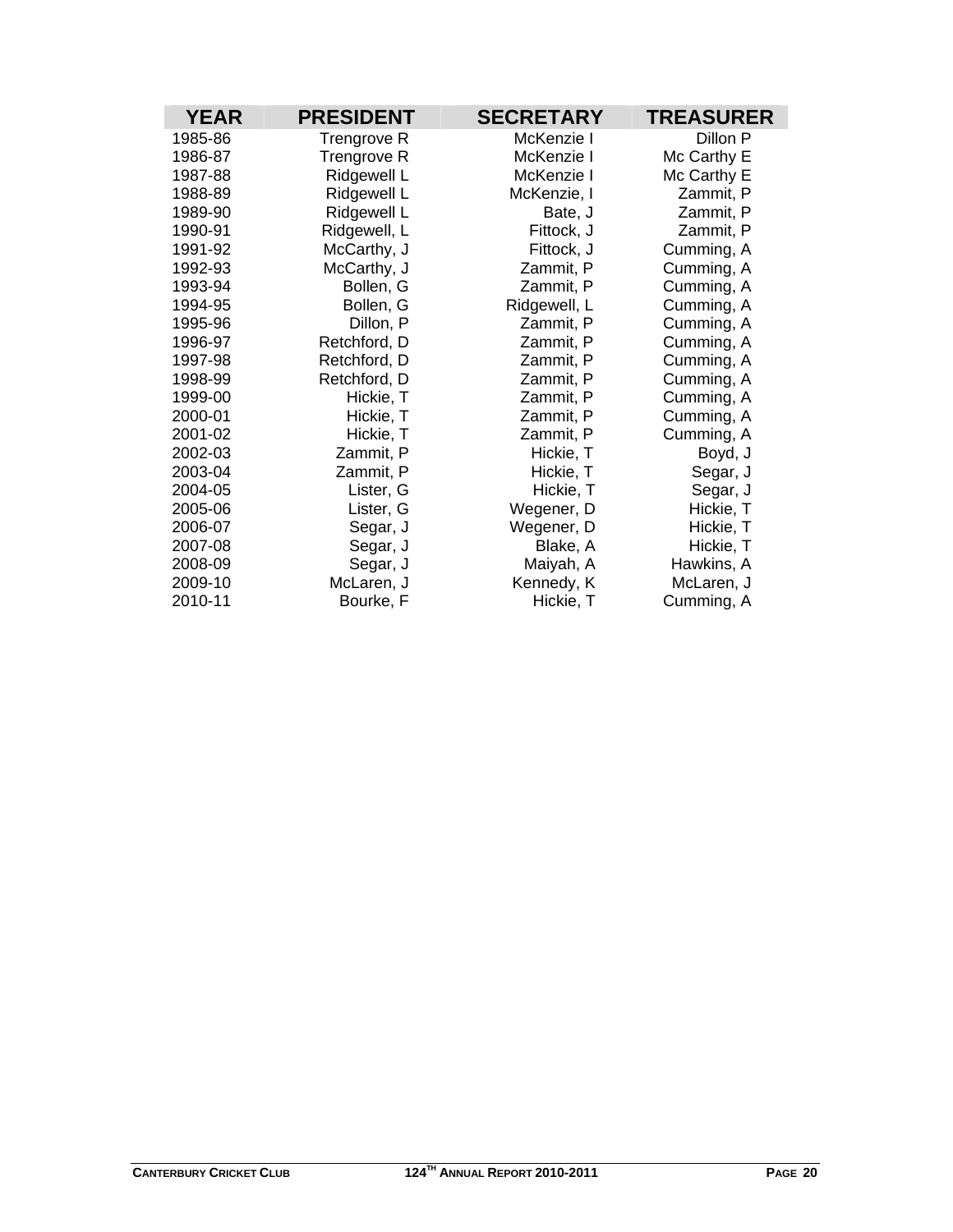| <b>YEAR</b> | <b>PRESIDENT</b> | <b>SECRETARY</b> | <b>TREASURER</b> |
|-------------|------------------|------------------|------------------|
| 1985-86     | Trengrove R      | McKenzie I       | Dillon P         |
| 1986-87     | Trengrove R      | McKenzie I       | Mc Carthy E      |
| 1987-88     | Ridgewell L      | McKenzie I       | Mc Carthy E      |
| 1988-89     | Ridgewell L      | McKenzie, I      | Zammit, P        |
| 1989-90     | Ridgewell L      | Bate, J          | Zammit, P        |
| 1990-91     | Ridgewell, L     | Fittock, J       | Zammit, P        |
| 1991-92     | McCarthy, J      | Fittock, J       | Cumming, A       |
| 1992-93     | McCarthy, J      | Zammit, P        | Cumming, A       |
| 1993-94     | Bollen, G        | Zammit, P        | Cumming, A       |
| 1994-95     | Bollen, G        | Ridgewell, L     | Cumming, A       |
| 1995-96     | Dillon, P        | Zammit, P        | Cumming, A       |
| 1996-97     | Retchford, D     | Zammit, P        | Cumming, A       |
| 1997-98     | Retchford, D     | Zammit, P        | Cumming, A       |
| 1998-99     | Retchford, D     | Zammit, P        | Cumming, A       |
| 1999-00     | Hickie, T        | Zammit, P        | Cumming, A       |
| 2000-01     | Hickie, T        | Zammit, P        | Cumming, A       |
| 2001-02     | Hickie, T        | Zammit, P        | Cumming, A       |
| 2002-03     | Zammit, P        | Hickie, T        | Boyd, J          |
| 2003-04     | Zammit, P        | Hickie, T        | Segar, J         |
| 2004-05     | Lister, G        | Hickie, T        | Segar, J         |
| 2005-06     | Lister, G        | Wegener, D       | Hickie, T        |
| 2006-07     | Segar, J         | Wegener, D       | Hickie, T        |
| 2007-08     | Segar, J         | Blake, A         | Hickie, T        |
| 2008-09     | Segar, J         | Maiyah, A        | Hawkins, A       |
| 2009-10     | McLaren, J       | Kennedy, K       | McLaren, J       |
| 2010-11     | Bourke, F        | Hickie, T        | Cumming, A       |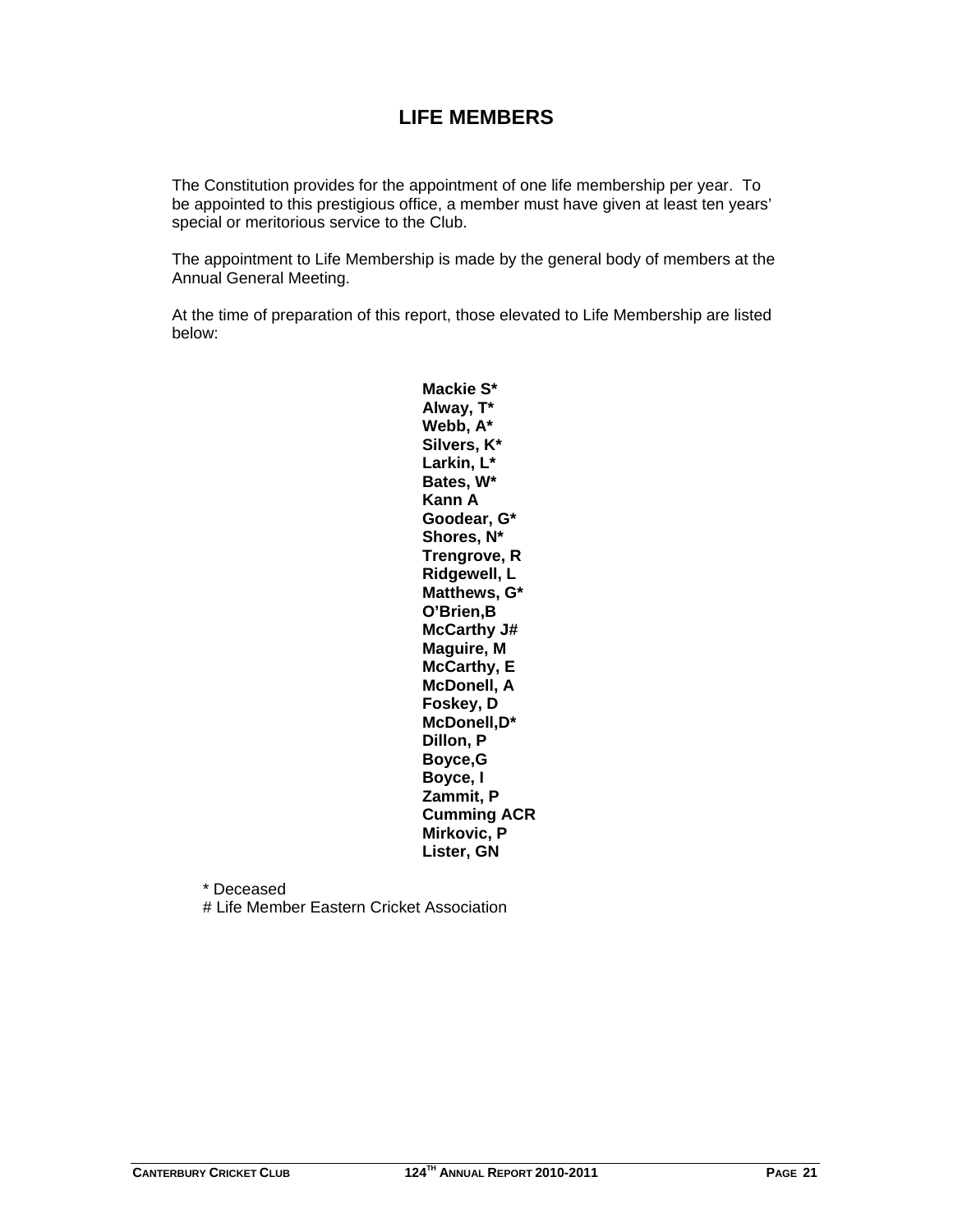### **LIFE MEMBERS**

The Constitution provides for the appointment of one life membership per year. To be appointed to this prestigious office, a member must have given at least ten years' special or meritorious service to the Club.

The appointment to Life Membership is made by the general body of members at the Annual General Meeting.

At the time of preparation of this report, those elevated to Life Membership are listed below:

> **Mackie S\* Alway, T\* Webb, A\* Silvers, K\* Larkin, L\* Bates, W\* Kann A Goodear, G\* Shores, N\* Trengrove, R Ridgewell, L Matthews, G\* O'Brien,B McCarthy J# Maguire, M McCarthy, E McDonell, A Foskey, D McDonell,D\* Dillon, P Boyce,G Boyce, I Zammit, P Cumming ACR Mirkovic, P Lister, GN**

 \* Deceased # Life Member Eastern Cricket Association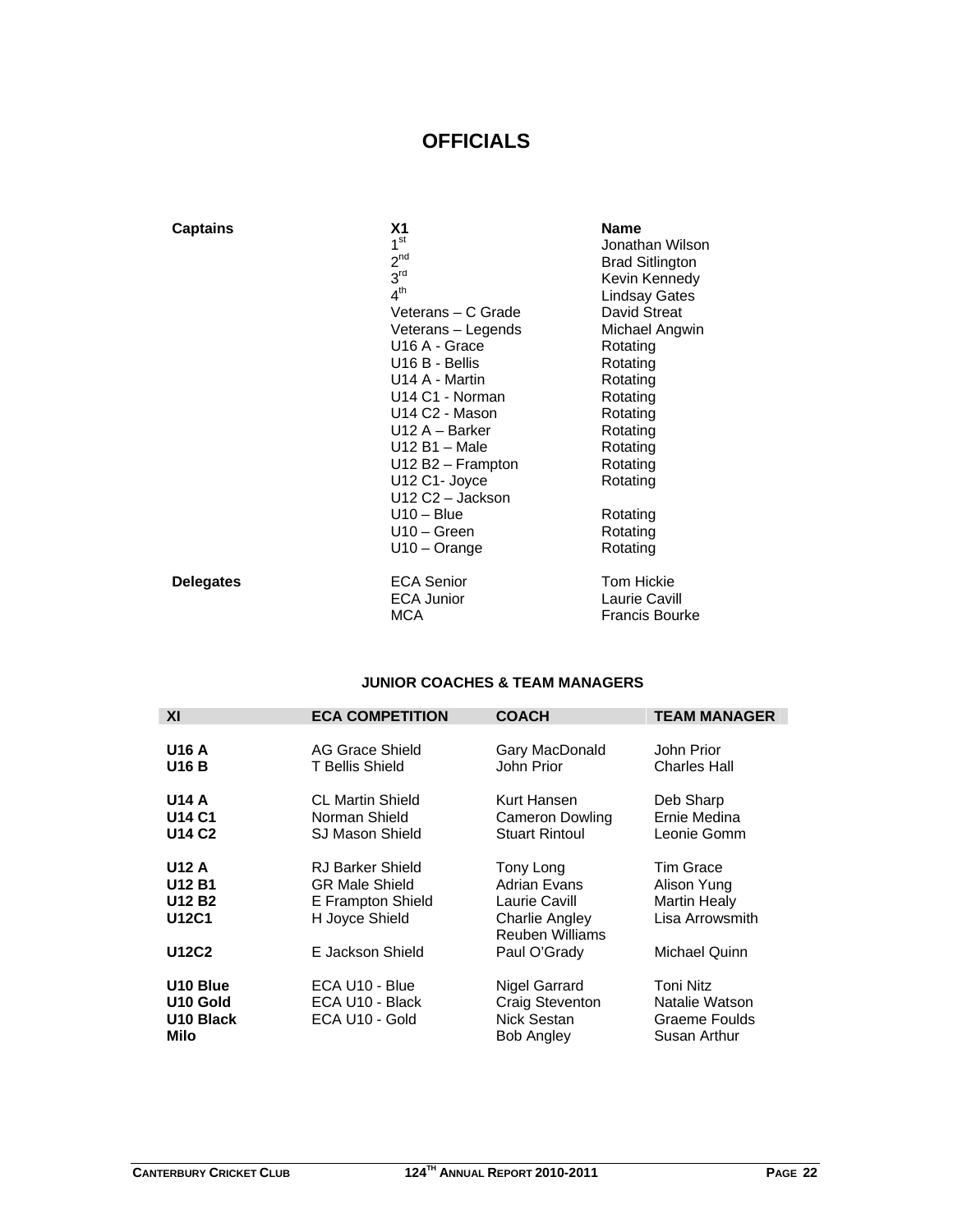### **OFFICIALS**

| <b>Captains</b>  | X1<br>1 <sup>st</sup><br>$2^{nd}$<br>3 <sup>rd</sup><br>4 <sup>th</sup><br>Veterans – C Grade<br>Veterans - Legends<br>U <sub>16</sub> A - Grace<br>U <sub>16</sub> B - Bellis<br>U14 A - Martin<br>U14 C1 - Norman<br>U14 C2 - Mason<br>$U12 A - Barker$<br>$U12 B1 - Male$<br>$U12B2 - Frampton$<br>U12 C1- Joyce<br>U12 C2 - Jackson<br>$U10 - Blue$<br>$U10 - Green$<br>$U10 - Orange$ | <b>Name</b><br>Jonathan Wilson<br><b>Brad Sitlington</b><br>Kevin Kennedy<br><b>Lindsay Gates</b><br>David Streat<br>Michael Angwin<br>Rotating<br>Rotating<br>Rotating<br>Rotating<br>Rotating<br>Rotating<br>Rotating<br>Rotating<br>Rotating<br>Rotating<br>Rotating<br>Rotating |
|------------------|--------------------------------------------------------------------------------------------------------------------------------------------------------------------------------------------------------------------------------------------------------------------------------------------------------------------------------------------------------------------------------------------|-------------------------------------------------------------------------------------------------------------------------------------------------------------------------------------------------------------------------------------------------------------------------------------|
| <b>Delegates</b> | <b>ECA Senior</b><br><b>ECA Junior</b><br><b>MCA</b>                                                                                                                                                                                                                                                                                                                                       | Tom Hickie<br>Laurie Cavill<br><b>Francis Bourke</b>                                                                                                                                                                                                                                |

#### **JUNIOR COACHES & TEAM MANAGERS**

| XI                                                                | <b>ECA COMPETITION</b>                                                                  | <b>COACH</b>                                                                    | <b>TEAM MANAGER</b>                                                       |
|-------------------------------------------------------------------|-----------------------------------------------------------------------------------------|---------------------------------------------------------------------------------|---------------------------------------------------------------------------|
| <b>U16 A</b><br><b>U16 B</b>                                      | AG Grace Shield<br>T Bellis Shield                                                      | Gary MacDonald<br>John Prior                                                    | John Prior<br>Charles Hall                                                |
| <b>U14 A</b><br><b>U14 C1</b><br><b>U14 C2</b>                    | <b>CL Martin Shield</b><br>Norman Shield<br>SJ Mason Shield                             | Kurt Hansen<br><b>Cameron Dowling</b><br><b>Stuart Rintoul</b>                  | Deb Sharp<br>Ernie Medina<br>Leonie Gomm                                  |
| <b>U12 A</b><br><b>U12 B1</b><br><b>U12 B2</b><br><b>U12C1</b>    | <b>RJ Barker Shield</b><br><b>GR Male Shield</b><br>E Frampton Shield<br>H Joyce Shield | Tony Long<br>Adrian Evans<br>Laurie Cavill<br>Charlie Angley<br>Reuben Williams | <b>Tim Grace</b><br>Alison Yung<br><b>Martin Healy</b><br>Lisa Arrowsmith |
| U12C2                                                             | E Jackson Shield                                                                        | Paul O'Grady                                                                    | Michael Quinn                                                             |
| U <sub>10</sub> Blue<br>U <sub>10</sub> Gold<br>U10 Black<br>Milo | ECA U10 - Blue<br>ECA U10 - Black<br>ECA U10 - Gold                                     | Nigel Garrard<br>Craig Steventon<br>Nick Sestan<br><b>Bob Angley</b>            | Toni Nitz<br>Natalie Watson<br>Graeme Foulds<br>Susan Arthur              |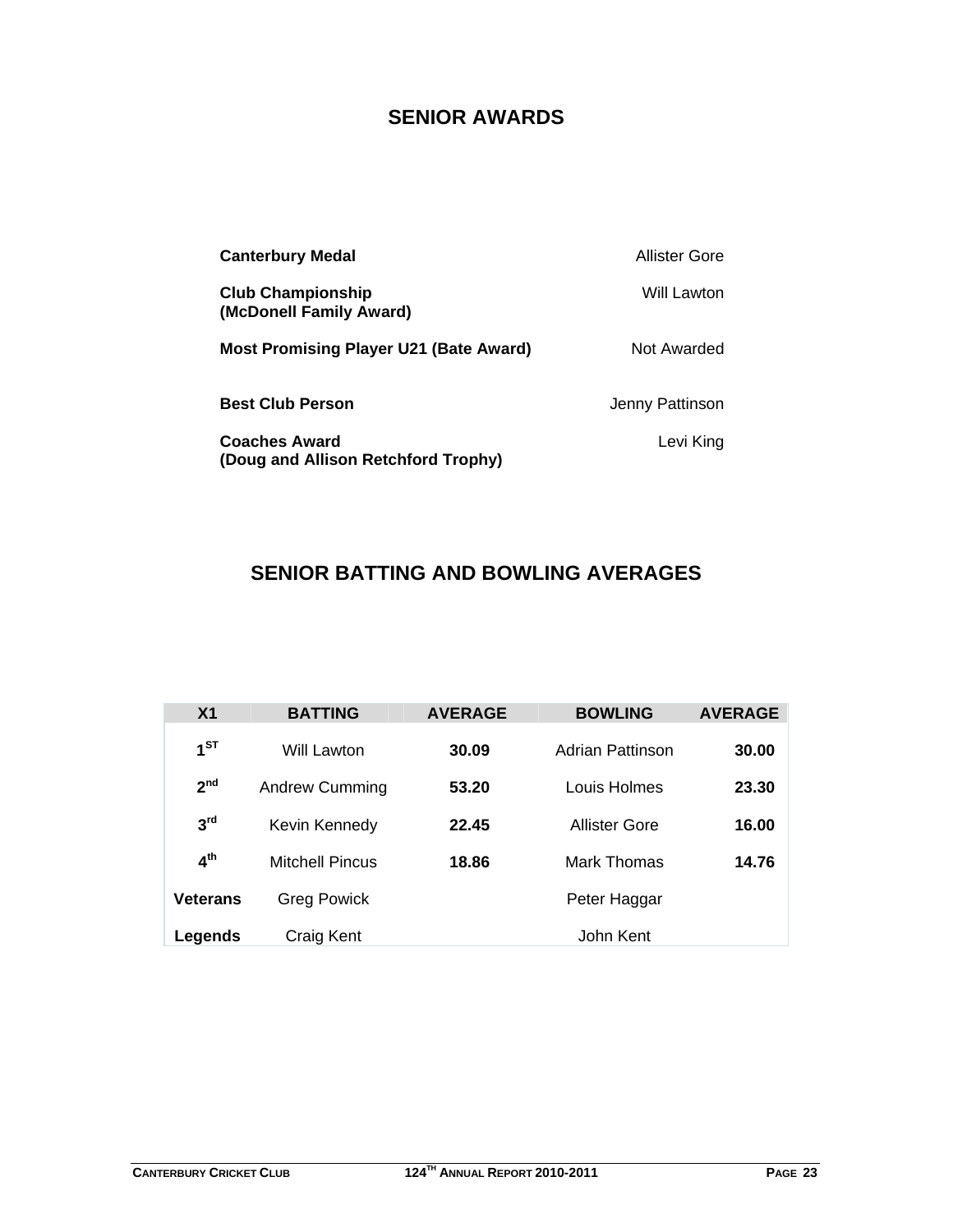### **SENIOR AWARDS**

| <b>Canterbury Medal</b>                                     | Allister Gore   |
|-------------------------------------------------------------|-----------------|
| <b>Club Championship</b><br>(McDonell Family Award)         | Will Lawton     |
| <b>Most Promising Player U21 (Bate Award)</b>               | Not Awarded     |
| <b>Best Club Person</b>                                     | Jenny Pattinson |
| <b>Coaches Award</b><br>(Doug and Allison Retchford Trophy) | Levi King       |

### **SENIOR BATTING AND BOWLING AVERAGES**

| X <sub>1</sub>  | <b>BATTING</b>         | <b>AVERAGE</b> | <b>BOWLING</b>   | <b>AVERAGE</b> |
|-----------------|------------------------|----------------|------------------|----------------|
| $1^{ST}$        | Will Lawton            | 30.09          | Adrian Pattinson | 30.00          |
| 2 <sup>nd</sup> | <b>Andrew Cumming</b>  | 53.20          | Louis Holmes     | 23.30          |
| 3 <sup>rd</sup> | Kevin Kennedy          | 22.45          | Allister Gore    | 16.00          |
| 4 <sup>th</sup> | <b>Mitchell Pincus</b> | 18.86          | Mark Thomas      | 14.76          |
| <b>Veterans</b> | <b>Greg Powick</b>     |                | Peter Haggar     |                |
| Legends         | Craig Kent             |                | John Kent        |                |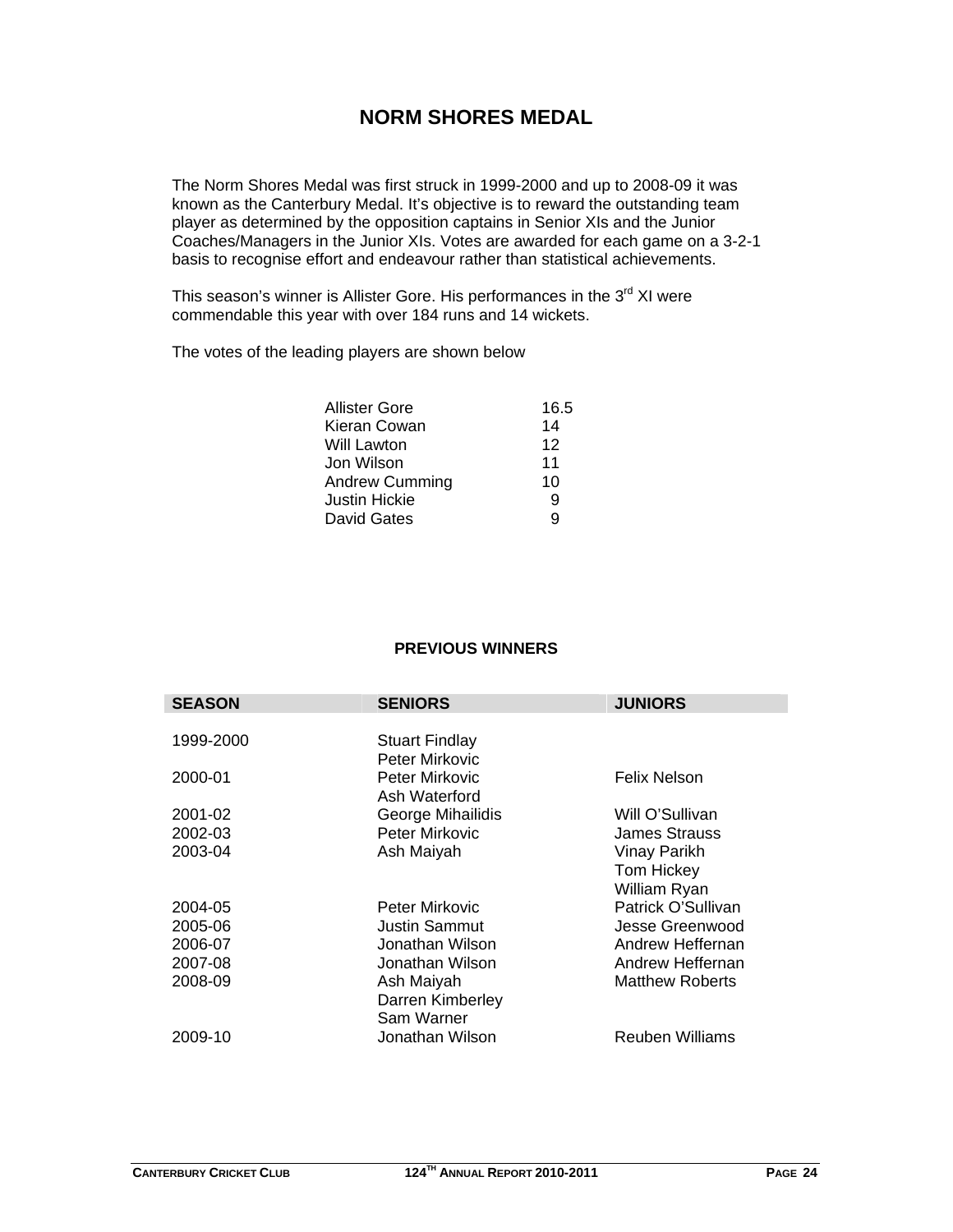### **NORM SHORES MEDAL**

The Norm Shores Medal was first struck in 1999-2000 and up to 2008-09 it was known as the Canterbury Medal. It's objective is to reward the outstanding team player as determined by the opposition captains in Senior XIs and the Junior Coaches/Managers in the Junior XIs. Votes are awarded for each game on a 3-2-1 basis to recognise effort and endeavour rather than statistical achievements.

This season's winner is Allister Gore. His performances in the  $3<sup>rd</sup>$  XI were commendable this year with over 184 runs and 14 wickets.

The votes of the leading players are shown below

| Allister Gore  | 16.5 |
|----------------|------|
| Kieran Cowan   | 14   |
| Will Lawton    | 12   |
| Jon Wilson     | 11   |
| Andrew Cumming | 10   |
| Justin Hickie  | 9    |
| David Gates    | 9    |
|                |      |

#### **PREVIOUS WINNERS**

| <b>SEASON</b> | <b>SENIORS</b>                          | <b>JUNIORS</b>         |
|---------------|-----------------------------------------|------------------------|
| 1999-2000     | <b>Stuart Findlay</b><br>Peter Mirkovic |                        |
| 2000-01       | Peter Mirkovic<br>Ash Waterford         | Felix Nelson           |
| 2001-02       | George Mihailidis                       | Will O'Sullivan        |
| 2002-03       | Peter Mirkovic                          | James Strauss          |
| 2003-04       | Ash Maiyah                              | Vinay Parikh           |
|               |                                         | Tom Hickey             |
|               |                                         | William Ryan           |
| 2004-05       | Peter Mirkovic                          | Patrick O'Sullivan     |
| 2005-06       | Justin Sammut                           | Jesse Greenwood        |
| 2006-07       | Jonathan Wilson                         | Andrew Heffernan       |
| 2007-08       | Jonathan Wilson                         | Andrew Heffernan       |
| 2008-09       | Ash Maiyah                              | <b>Matthew Roberts</b> |
|               | Darren Kimberley                        |                        |
|               | Sam Warner                              |                        |
| 2009-10       | Jonathan Wilson                         | Reuben Williams        |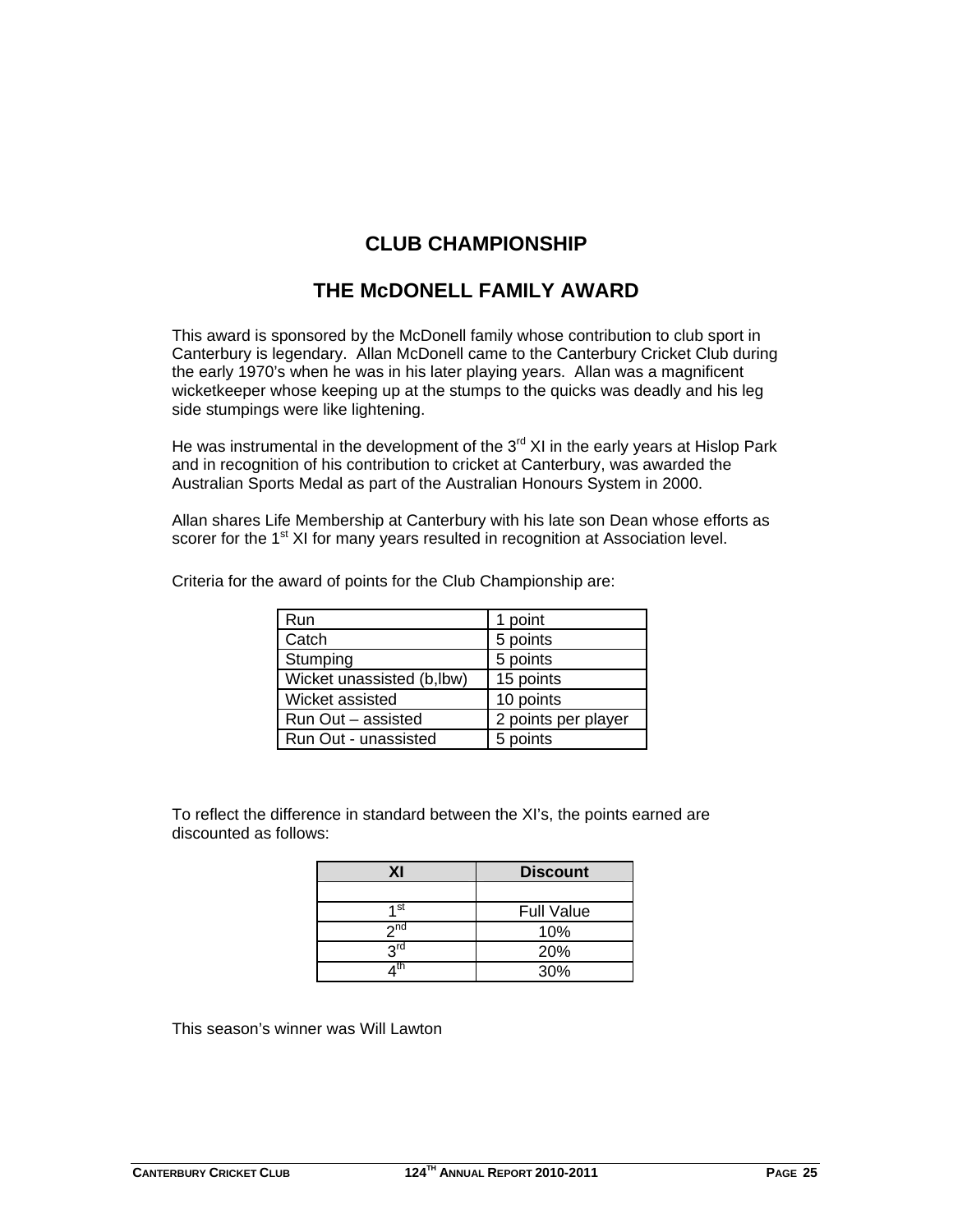### **CLUB CHAMPIONSHIP**

### **THE McDONELL FAMILY AWARD**

This award is sponsored by the McDonell family whose contribution to club sport in Canterbury is legendary. Allan McDonell came to the Canterbury Cricket Club during the early 1970's when he was in his later playing years. Allan was a magnificent wicketkeeper whose keeping up at the stumps to the quicks was deadly and his leg side stumpings were like lightening.

He was instrumental in the development of the  $3<sup>rd</sup>$  XI in the early years at Hislop Park and in recognition of his contribution to cricket at Canterbury, was awarded the Australian Sports Medal as part of the Australian Honours System in 2000.

Allan shares Life Membership at Canterbury with his late son Dean whose efforts as scorer for the 1<sup>st</sup> XI for many years resulted in recognition at Association level.

| Run                        | 1 point             |
|----------------------------|---------------------|
| Catch                      | 5 points            |
| Stumping                   | 5 points            |
| Wicket unassisted (b, lbw) | 15 points           |
| <b>Wicket assisted</b>     | 10 points           |
| Run Out - assisted         | 2 points per player |
| Run Out - unassisted       | 5 points            |

Criteria for the award of points for the Club Championship are:

To reflect the difference in standard between the XI's, the points earned are discounted as follows:

| ΧI                  | <b>Discount</b>   |
|---------------------|-------------------|
|                     |                   |
| 4 St                | <b>Full Value</b> |
| $2^{\overline{nd}}$ | 10%               |
| <b>2rd</b>          | 20%               |
|                     | 30%               |

This season's winner was Will Lawton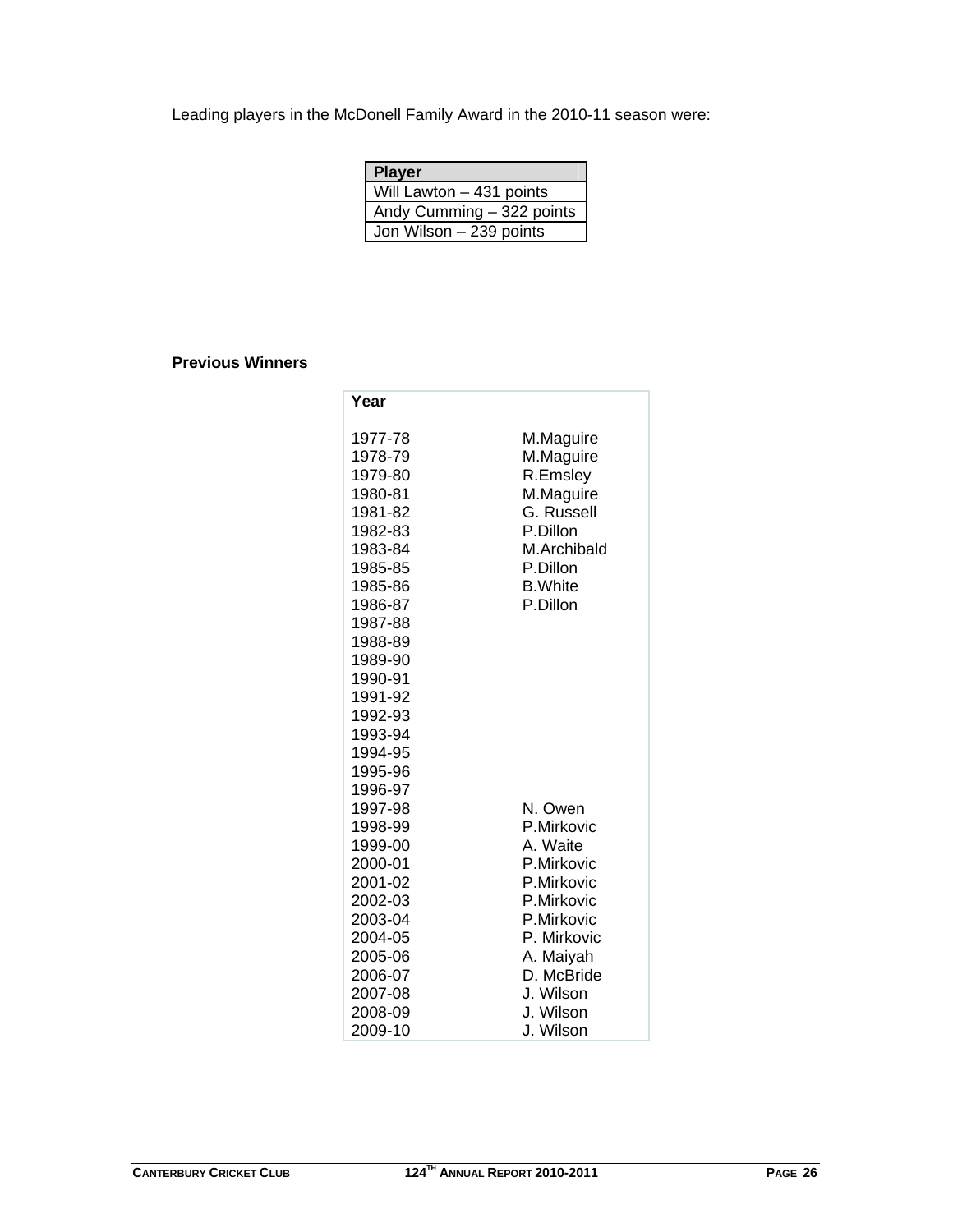Leading players in the McDonell Family Award in the 2010-11 season were:

| <b>Player</b>             |
|---------------------------|
| Will Lawton - 431 points  |
| Andy Cumming - 322 points |
| Jon Wilson - 239 points   |

#### **Previous Winners**

| Year                                                                                                                                                                                                          |                                                                                                                                                                            |
|---------------------------------------------------------------------------------------------------------------------------------------------------------------------------------------------------------------|----------------------------------------------------------------------------------------------------------------------------------------------------------------------------|
| 1977-78<br>1978-79<br>1979-80<br>1980-81<br>1981-82<br>1982-83<br>1983-84<br>1985-85<br>1985-86<br>1986-87<br>1987-88<br>1988-89<br>1989-90<br>1990-91<br>1991-92<br>1992-93<br>1993-94<br>1994-95<br>1995-96 | M.Maguire<br>M.Maguire<br>R.Emsley<br>M.Maguire<br>G. Russell<br>P.Dillon<br>M.Archibald<br>P.Dillon<br><b>B.</b> White<br>P.Dillon                                        |
| 1996-97<br>1997-98<br>1998-99<br>1999-00<br>2000-01<br>2001-02<br>2002-03<br>2003-04<br>2004-05<br>2005-06<br>2006-07<br>2007-08<br>2008-09<br>2009-10                                                        | N. Owen<br>P.Mirkovic<br>A. Waite<br>P.Mirkovic<br>P.Mirkovic<br>P.Mirkovic<br>P.Mirkovic<br>P. Mirkovic<br>A. Maiyah<br>D. McBride<br>J. Wilson<br>J. Wilson<br>J. Wilson |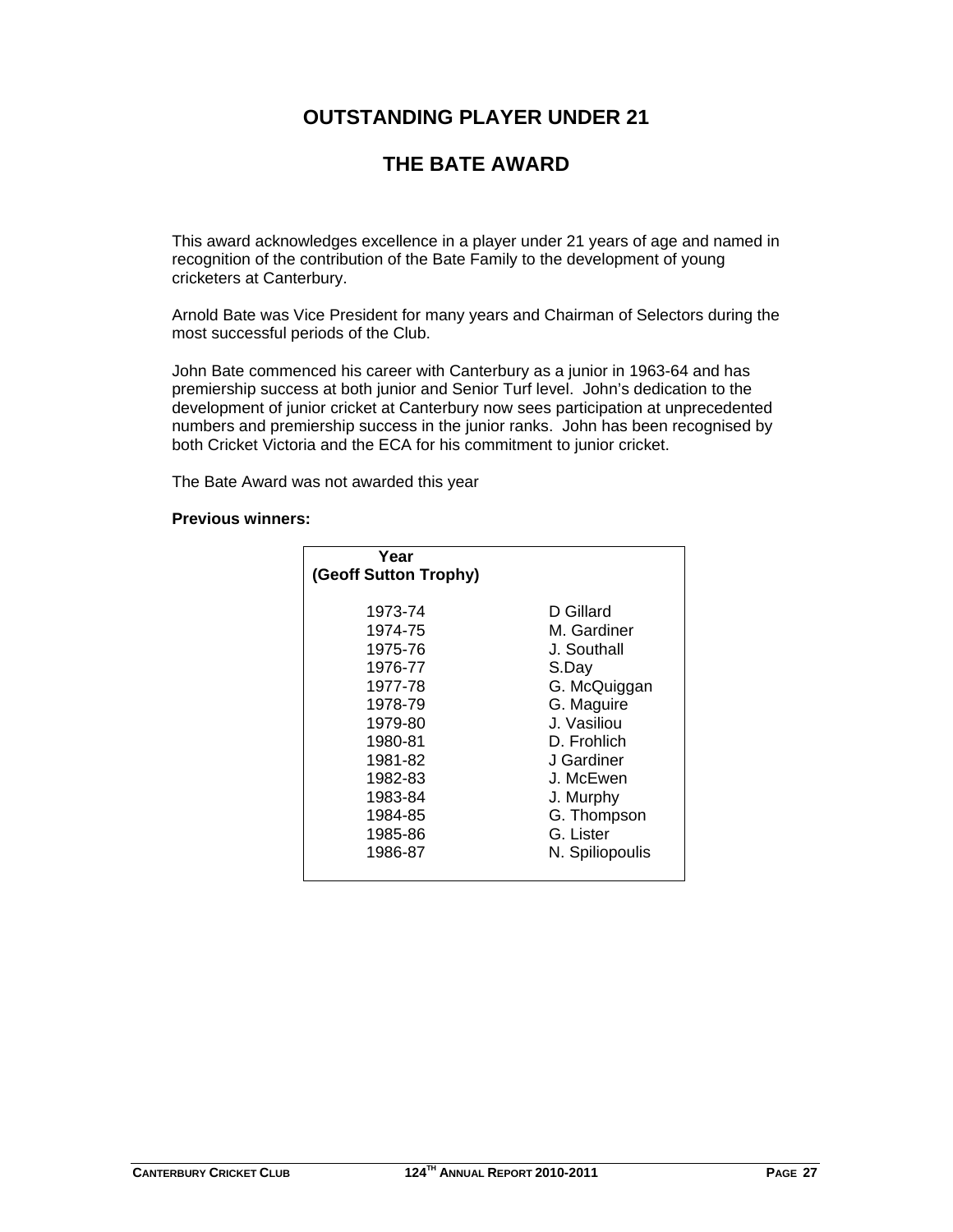### **OUTSTANDING PLAYER UNDER 21**

### **THE BATE AWARD**

This award acknowledges excellence in a player under 21 years of age and named in recognition of the contribution of the Bate Family to the development of young cricketers at Canterbury.

Arnold Bate was Vice President for many years and Chairman of Selectors during the most successful periods of the Club.

John Bate commenced his career with Canterbury as a junior in 1963-64 and has premiership success at both junior and Senior Turf level. John's dedication to the development of junior cricket at Canterbury now sees participation at unprecedented numbers and premiership success in the junior ranks. John has been recognised by both Cricket Victoria and the ECA for his commitment to junior cricket.

The Bate Award was not awarded this year

#### **Previous winners:**

| Year<br>(Geoff Sutton Trophy) |                 |
|-------------------------------|-----------------|
| 1973-74                       | D Gillard       |
| 1974-75                       | M. Gardiner     |
| 1975-76                       | J. Southall     |
| 1976-77                       | S.Day           |
| 1977-78                       | G. McQuiggan    |
| 1978-79                       | G. Maguire      |
| 1979-80                       | J. Vasiliou     |
| 1980-81                       | D. Frohlich     |
| 1981-82                       | J Gardiner      |
| 1982-83                       | J. McEwen       |
| 1983-84                       | J. Murphy       |
| 1984-85                       | G. Thompson     |
| 1985-86                       | G. Lister       |
| 1986-87                       | N. Spiliopoulis |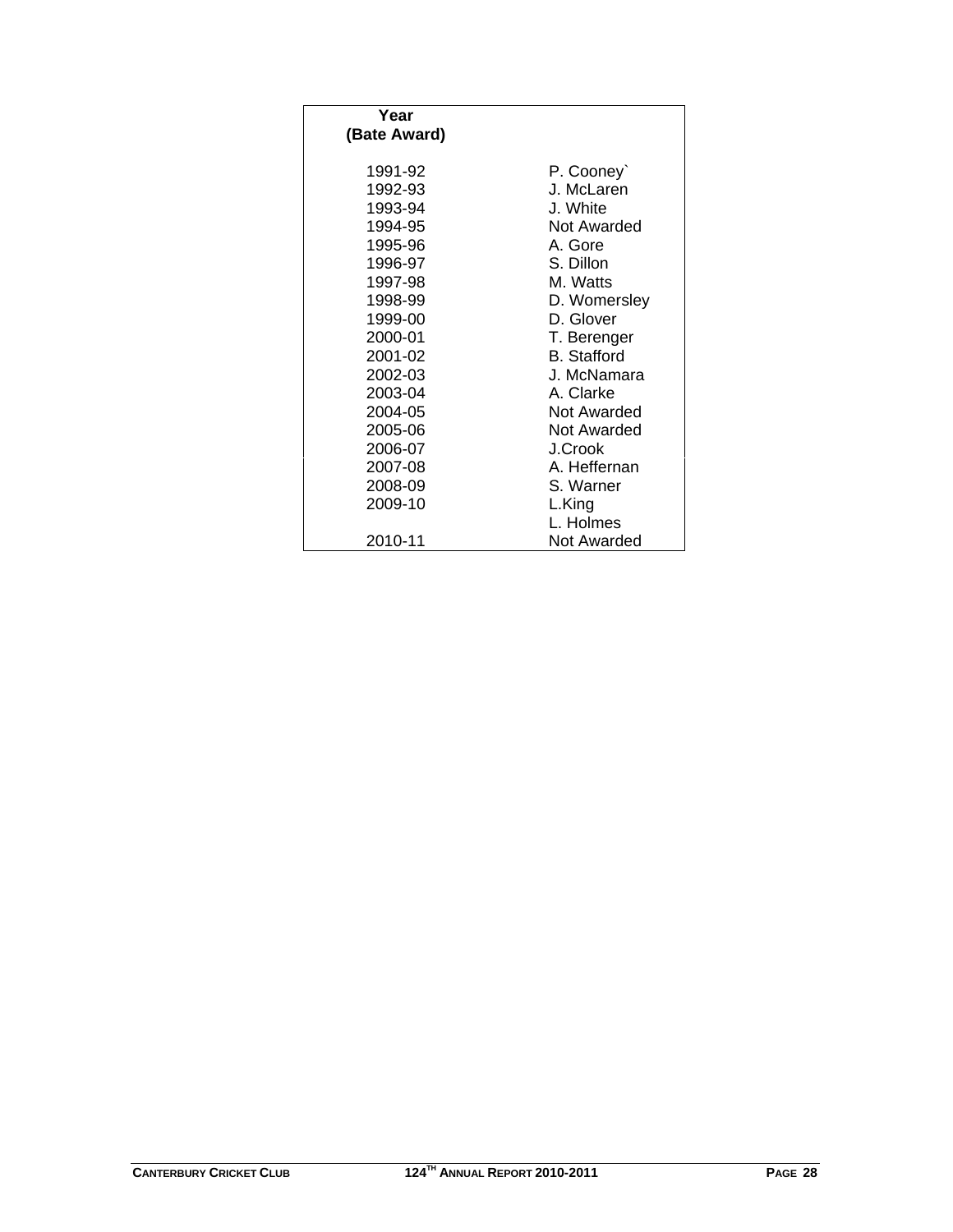| Year         |                    |
|--------------|--------------------|
| (Bate Award) |                    |
| 1991-92      | P. Cooney          |
| 1992-93      | J. McLaren         |
| 1993-94      | J. White           |
| 1994-95      | Not Awarded        |
| 1995-96      | A. Gore            |
| 1996-97      | S. Dillon          |
| 1997-98      | M. Watts           |
| 1998-99      | D. Womersley       |
| 1999-00      | D. Glover          |
| 2000-01      | T. Berenger        |
| 2001-02      | <b>B.</b> Stafford |
| 2002-03      | J. McNamara        |
| 2003-04      | A. Clarke          |
| 2004-05      | Not Awarded        |
| 2005-06      | Not Awarded        |
| 2006-07      | J.Crook            |
| 2007-08      | A. Heffernan       |
| 2008-09      | S. Warner          |
| 2009-10      | L.King             |
|              | L. Holmes          |
| 2010-11      | Not Awarded        |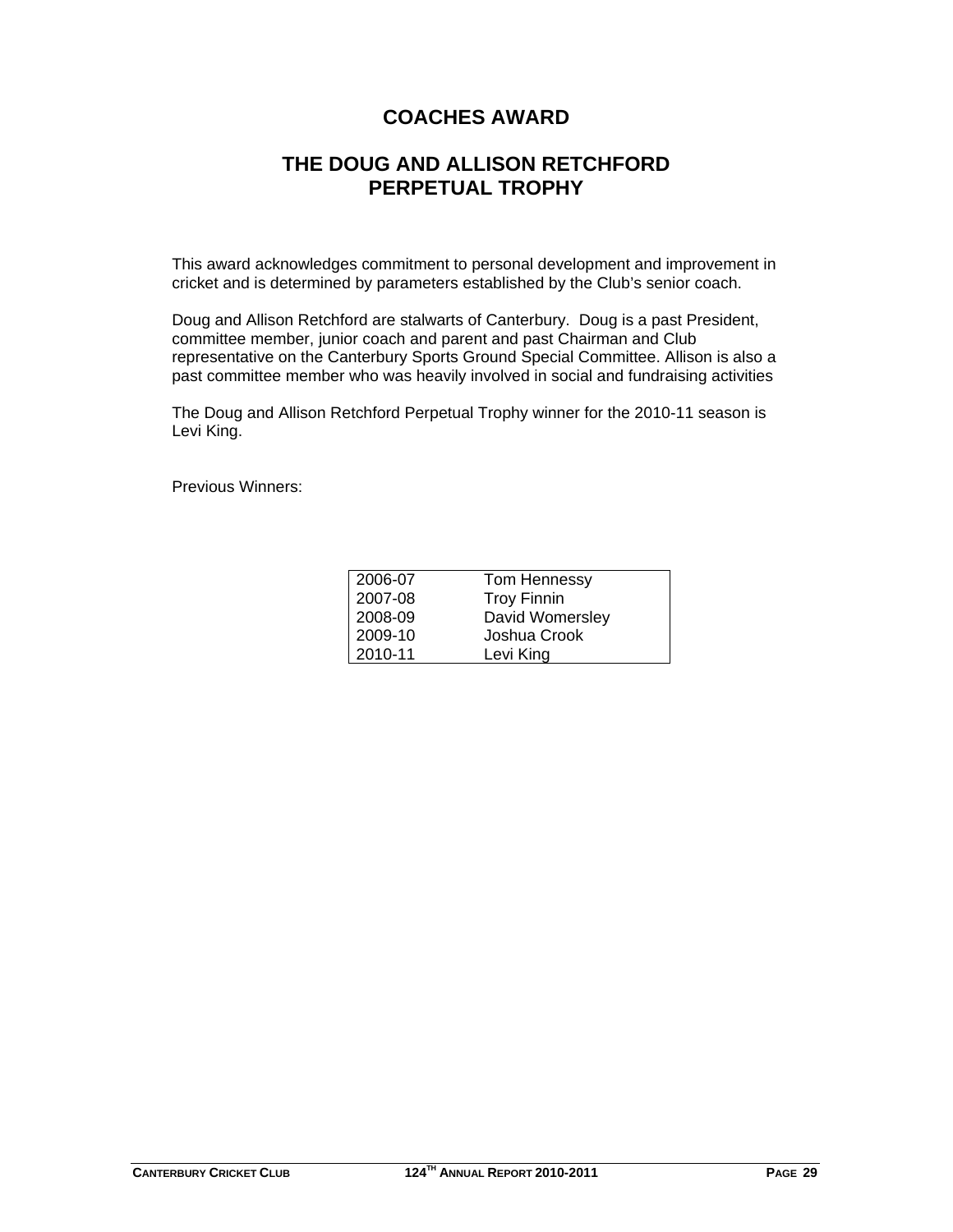### **COACHES AWARD**

### **THE DOUG AND ALLISON RETCHFORD PERPETUAL TROPHY**

This award acknowledges commitment to personal development and improvement in cricket and is determined by parameters established by the Club's senior coach.

Doug and Allison Retchford are stalwarts of Canterbury. Doug is a past President, committee member, junior coach and parent and past Chairman and Club representative on the Canterbury Sports Ground Special Committee. Allison is also a past committee member who was heavily involved in social and fundraising activities

The Doug and Allison Retchford Perpetual Trophy winner for the 2010-11 season is Levi King.

Previous Winners:

| 2006-07 | Tom Hennessy       |
|---------|--------------------|
| 2007-08 | <b>Troy Finnin</b> |
| 2008-09 | David Womersley    |
| 2009-10 | Joshua Crook       |
| 2010-11 | Levi King          |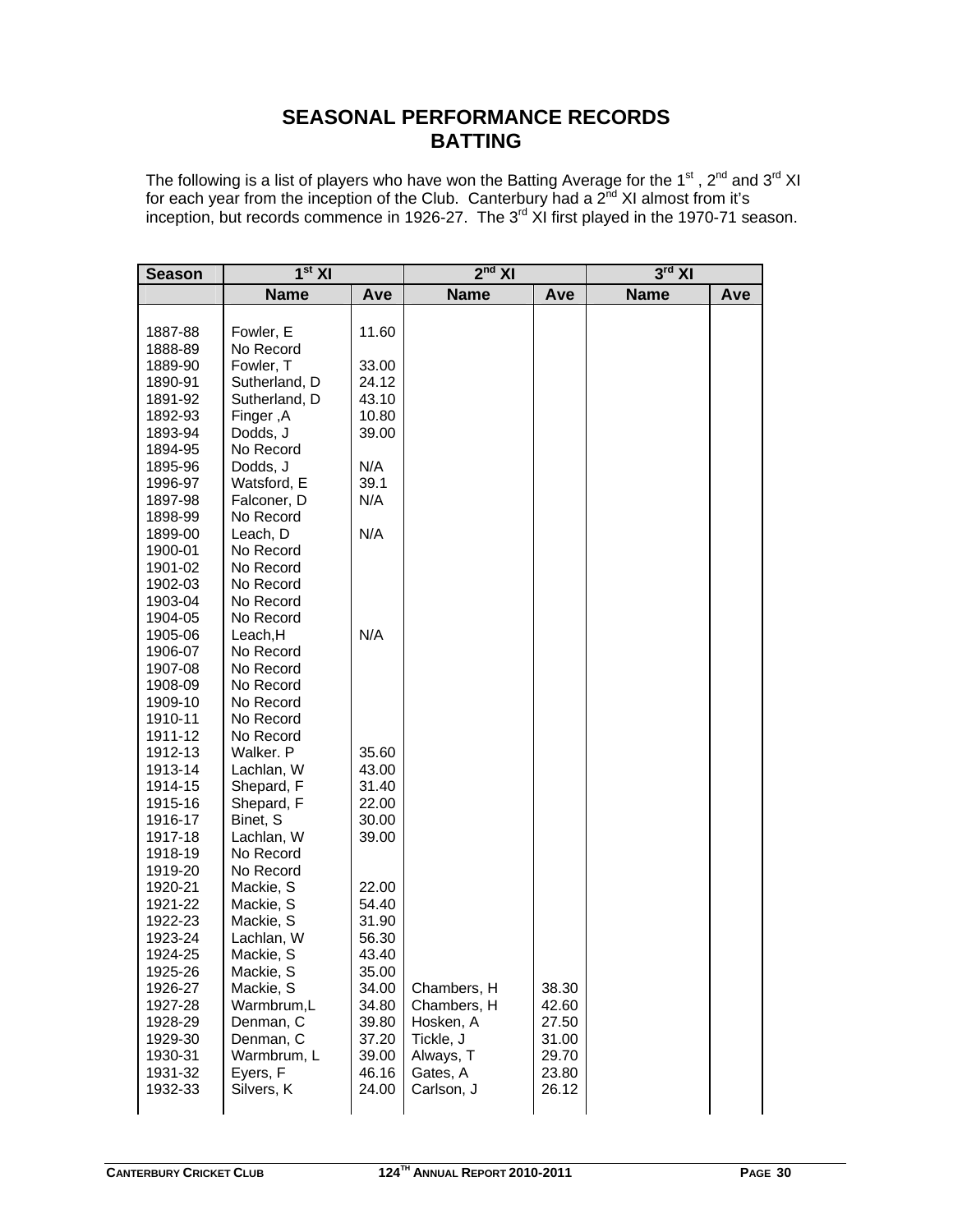### **SEASONAL PERFORMANCE RECORDS BATTING**

The following is a list of players who have won the Batting Average for the 1<sup>st</sup>, 2<sup>nd</sup> and 3<sup>rd</sup> XI for each year from the inception of the Club. Canterbury had a  $2^{\overline{n}d}$  XI almost from it's inception, but records commence in 1926-27. The 3<sup>rd</sup> XI first played in the 1970-71 season.

| <b>Season</b>      | $\overline{1}$ <sup>st</sup> XI |                | $2^{nd}$ XI              |                | $3^{\rm rd}$ XI |     |  |
|--------------------|---------------------------------|----------------|--------------------------|----------------|-----------------|-----|--|
|                    | <b>Name</b>                     | Ave            | <b>Name</b>              | Ave            | <b>Name</b>     | Ave |  |
|                    |                                 |                |                          |                |                 |     |  |
| 1887-88            | Fowler, E                       | 11.60          |                          |                |                 |     |  |
| 1888-89            | No Record                       |                |                          |                |                 |     |  |
| 1889-90            | Fowler, T                       | 33.00          |                          |                |                 |     |  |
| 1890-91            | Sutherland, D                   | 24.12          |                          |                |                 |     |  |
| 1891-92            | Sutherland, D                   | 43.10          |                          |                |                 |     |  |
| 1892-93            | Finger, A                       | 10.80          |                          |                |                 |     |  |
| 1893-94            | Dodds, J                        | 39.00          |                          |                |                 |     |  |
| 1894-95            | No Record                       |                |                          |                |                 |     |  |
| 1895-96            | Dodds, J                        | N/A            |                          |                |                 |     |  |
| 1996-97            | Watsford, E                     | 39.1           |                          |                |                 |     |  |
| 1897-98            | Falconer, D                     | N/A            |                          |                |                 |     |  |
| 1898-99            | No Record                       |                |                          |                |                 |     |  |
| 1899-00            | Leach, D                        | N/A            |                          |                |                 |     |  |
| 1900-01            | No Record                       |                |                          |                |                 |     |  |
| 1901-02            | No Record                       |                |                          |                |                 |     |  |
| 1902-03            | No Record                       |                |                          |                |                 |     |  |
| 1903-04            | No Record                       |                |                          |                |                 |     |  |
| 1904-05            | No Record                       |                |                          |                |                 |     |  |
| 1905-06            | Leach,H                         | N/A            |                          |                |                 |     |  |
| 1906-07            | No Record                       |                |                          |                |                 |     |  |
| 1907-08            | No Record                       |                |                          |                |                 |     |  |
| 1908-09            | No Record                       |                |                          |                |                 |     |  |
| 1909-10            | No Record                       |                |                          |                |                 |     |  |
| 1910-11            | No Record                       |                |                          |                |                 |     |  |
| 1911-12            | No Record                       |                |                          |                |                 |     |  |
| 1912-13            | Walker. P                       | 35.60          |                          |                |                 |     |  |
| 1913-14            | Lachlan, W                      | 43.00          |                          |                |                 |     |  |
| 1914-15            | Shepard, F                      | 31.40          |                          |                |                 |     |  |
| 1915-16            | Shepard, F                      | 22.00          |                          |                |                 |     |  |
| 1916-17            | Binet, S                        | 30.00          |                          |                |                 |     |  |
| 1917-18            | Lachlan, W                      | 39.00          |                          |                |                 |     |  |
| 1918-19            | No Record                       |                |                          |                |                 |     |  |
| 1919-20            | No Record                       |                |                          |                |                 |     |  |
| 1920-21            | Mackie, S                       | 22.00          |                          |                |                 |     |  |
| 1921-22            | Mackie, S                       | 54.40          |                          |                |                 |     |  |
| 1922-23            | Mackie, S                       | 31.90          |                          |                |                 |     |  |
| 1923-24            | Lachlan, W                      | 56.30          |                          |                |                 |     |  |
| 1924-25            | Mackie, S                       | 43.40<br>35.00 |                          |                |                 |     |  |
| 1925-26            | Mackie, S                       |                |                          |                |                 |     |  |
| 1926-27            | Mackie, S<br>Warmbrum,L         | 34.00          | Chambers, H              | 38.30          |                 |     |  |
| 1927-28<br>1928-29 | Denman, C                       | 34.80<br>39.80 | Chambers, H<br>Hosken, A | 42.60<br>27.50 |                 |     |  |
| 1929-30            | Denman, C                       | 37.20          | Tickle, J                |                |                 |     |  |
| 1930-31            | Warmbrum, L                     | 39.00          | Always, T                | 31.00<br>29.70 |                 |     |  |
| 1931-32            | Eyers, F                        | 46.16          | Gates, A                 | 23.80          |                 |     |  |
| 1932-33            | Silvers, K                      | 24.00          | Carlson, J               | 26.12          |                 |     |  |
|                    |                                 |                |                          |                |                 |     |  |
|                    |                                 |                |                          |                |                 |     |  |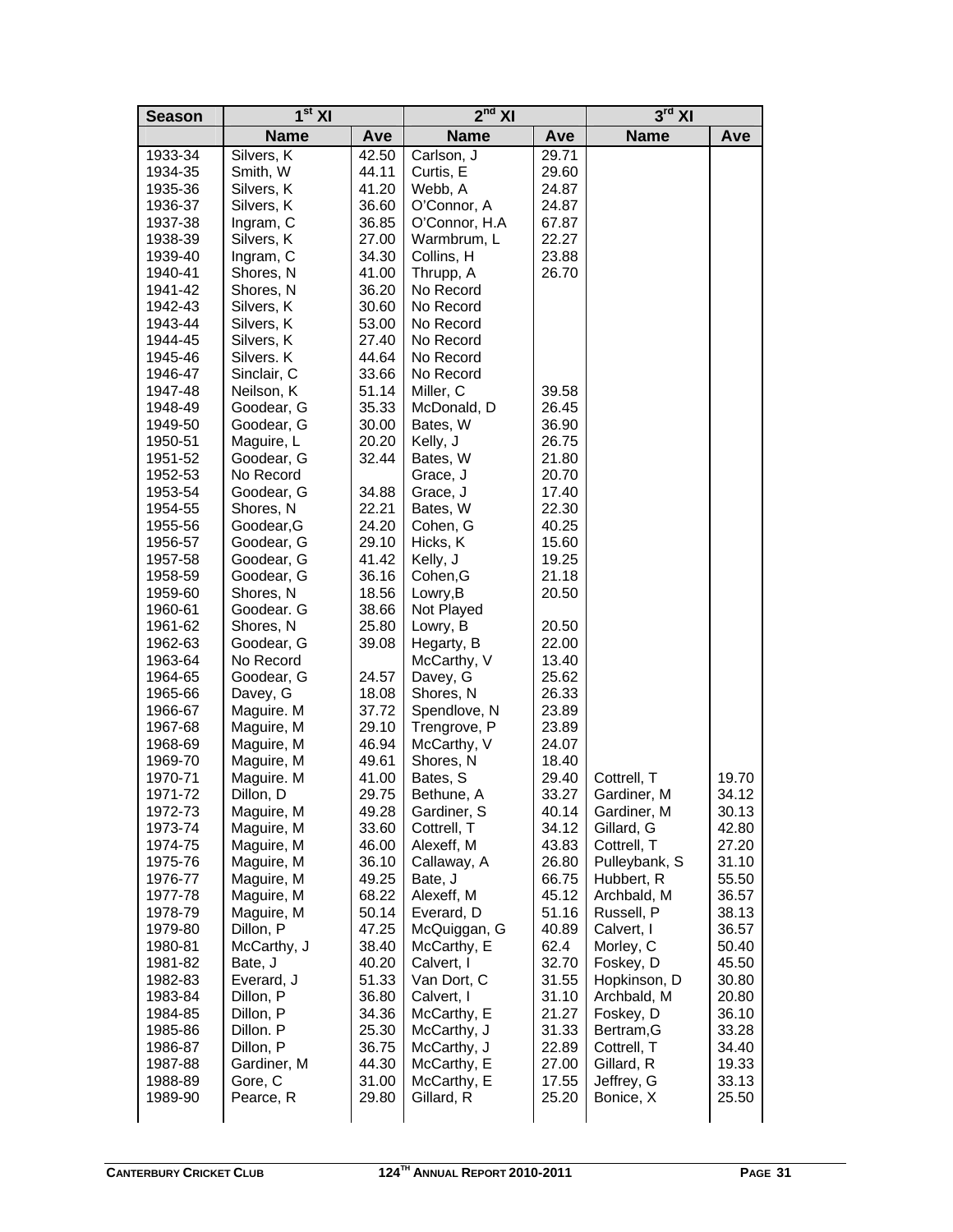| <b>Name</b><br><b>Name</b><br><b>Name</b><br>Ave<br>Ave                                                       | Ave            |
|---------------------------------------------------------------------------------------------------------------|----------------|
|                                                                                                               |                |
| Silvers, K<br>42.50<br>Carlson, J<br>29.71<br>1933-34                                                         |                |
| 1934-35<br>Smith, W<br>44.11<br>Curtis, E<br>29.60                                                            |                |
| 41.20<br>Webb, A<br>1935-36<br>Silvers, K<br>24.87                                                            |                |
| Silvers, K<br>36.60<br>O'Connor, A<br>24.87<br>1936-37                                                        |                |
| 36.85<br>O'Connor, H.A<br>67.87<br>1937-38<br>Ingram, C                                                       |                |
| Silvers, K<br>27.00<br>22.27<br>1938-39<br>Warmbrum, L                                                        |                |
| Ingram, C<br>34.30<br>23.88<br>1939-40<br>Collins, H                                                          |                |
| Shores, N<br>26.70<br>1940-41<br>41.00<br>Thrupp, A                                                           |                |
| Shores, N<br>36.20<br>No Record<br>1941-42                                                                    |                |
| 1942-43<br>Silvers, K<br>30.60<br>No Record                                                                   |                |
| Silvers, K<br>53.00<br>No Record<br>1943-44                                                                   |                |
| 27.40<br>No Record<br>1944-45<br>Silvers, K                                                                   |                |
| 44.64<br>1945-46<br>Silvers. K<br>No Record                                                                   |                |
| Sinclair, C<br>33.66<br>No Record<br>1946-47                                                                  |                |
| Neilson, K<br>51.14<br>Miller, C<br>39.58<br>1947-48                                                          |                |
| Goodear, G<br>35.33<br>McDonald, D<br>26.45<br>1948-49                                                        |                |
| 1949-50<br>Goodear, G<br>30.00<br>36.90<br>Bates, W                                                           |                |
| Maguire, L<br>1950-51<br>20.20<br>Kelly, J<br>26.75                                                           |                |
| Goodear, G<br>32.44<br>21.80<br>1951-52<br>Bates, W                                                           |                |
| 1952-53<br>No Record<br>20.70<br>Grace, J                                                                     |                |
| Goodear, G<br>34.88<br>1953-54<br>Grace, J<br>17.40                                                           |                |
| Shores, N<br>22.21<br>22.30<br>1954-55<br>Bates, W                                                            |                |
| Goodear, G<br>24.20<br>40.25<br>1955-56<br>Cohen, G                                                           |                |
| Goodear, G<br>29.10<br>Hicks, K<br>15.60<br>1956-57                                                           |                |
| 41.42<br>19.25<br>1957-58<br>Goodear, G<br>Kelly, J                                                           |                |
| 36.16<br>21.18<br>Goodear, G<br>Cohen, G<br>1958-59                                                           |                |
| 20.50<br>Shores, N<br>18.56<br>1959-60<br>Lowry, B                                                            |                |
| Goodear. G<br>38.66<br>Not Played<br>1960-61                                                                  |                |
| Shores, N<br>25.80<br>Lowry, B<br>1961-62<br>20.50                                                            |                |
| 1962-63<br>Goodear, G<br>39.08<br>Hegarty, B<br>22.00                                                         |                |
| No Record<br>1963-64<br>McCarthy, V<br>13.40                                                                  |                |
| 25.62<br>1964-65<br>Goodear, G<br>24.57<br>Davey, G                                                           |                |
| Davey, G<br>18.08<br>26.33<br>1965-66<br>Shores, N                                                            |                |
| Maguire. M<br>37.72<br>Spendlove, N<br>23.89<br>1966-67                                                       |                |
| Maguire, M<br>29.10<br>Trengrove, P<br>23.89<br>1967-68                                                       |                |
| Maguire, M<br>46.94<br>McCarthy, V<br>24.07<br>1968-69                                                        |                |
| Maguire, M<br>49.61<br>Shores, N<br>18.40<br>1969-70<br>Cottrell, T                                           | 19.70          |
| 29.40<br>1970-71<br>Maguire. M<br>41.00<br>Bates, S                                                           |                |
| 33.27<br>29.75<br>1971-72<br>Dillon, D<br>Gardiner, M<br>Bethune, A<br>49.28<br>40.14                         | 34.12          |
| Maguire, M<br>Gardiner, S<br>Gardiner, M<br>1972-73<br>1973-74<br>33.60<br>Cottrell, T<br>34.12<br>Gillard, G | 30.13<br>42.80 |
| Maguire, M<br>Maguire, M<br>Alexeff, M<br>43.83<br>Cottrell, T<br>1974-75<br>46.00                            | 27.20          |
| Callaway, A<br>Pulleybank, S<br>1975-76<br>Maguire, M<br>36.10<br>26.80                                       | 31.10          |
| Maguire, M<br>49.25<br>Bate, J<br>Hubbert, R<br>1976-77<br>66.75                                              | 55.50          |
| 68.22<br>Maguire, M<br>Alexeff, M<br>45.12<br>Archbald, M<br>1977-78                                          | 36.57          |
| 51.16<br>1978-79<br>Maguire, M<br>50.14<br>Everard, D<br>Russell, P                                           | 38.13          |
| Dillon, P<br>McQuiggan, G<br>40.89<br>Calvert, I<br>1979-80<br>47.25                                          | 36.57          |
| 62.4<br>Morley, C<br>1980-81<br>McCarthy, J<br>38.40<br>McCarthy, E                                           | 50.40          |
| Calvert, I<br>32.70<br>Foskey, D<br>1981-82<br>Bate, J<br>40.20                                               | 45.50          |
| Everard, J<br>51.33<br>Van Dort, C<br>31.55<br>Hopkinson, D<br>1982-83                                        | 30.80          |
| 36.80<br>31.10<br>Archbald, M<br>1983-84<br>Dillon, P<br>Calvert, I                                           | 20.80          |
| 34.36<br>McCarthy, E<br>21.27<br>Dillon, P<br>Foskey, D<br>1984-85                                            | 36.10          |
| 25.30<br>McCarthy, J<br>31.33<br>1985-86<br>Dillon. P<br>Bertram, G                                           | 33.28          |
| McCarthy, J<br>1986-87<br>Dillon, P<br>36.75<br>22.89<br>Cottrell, T                                          | 34.40          |
| Gardiner, M<br>44.30<br>McCarthy, E<br>Gillard, R<br>1987-88<br>27.00                                         | 19.33          |
| Gore, C<br>31.00<br>McCarthy, E<br>17.55<br>Jeffrey, G<br>1988-89                                             | 33.13          |
| Pearce, R<br>29.80<br>Gillard, R<br>25.20<br>Bonice, X<br>1989-90                                             | 25.50          |
|                                                                                                               |                |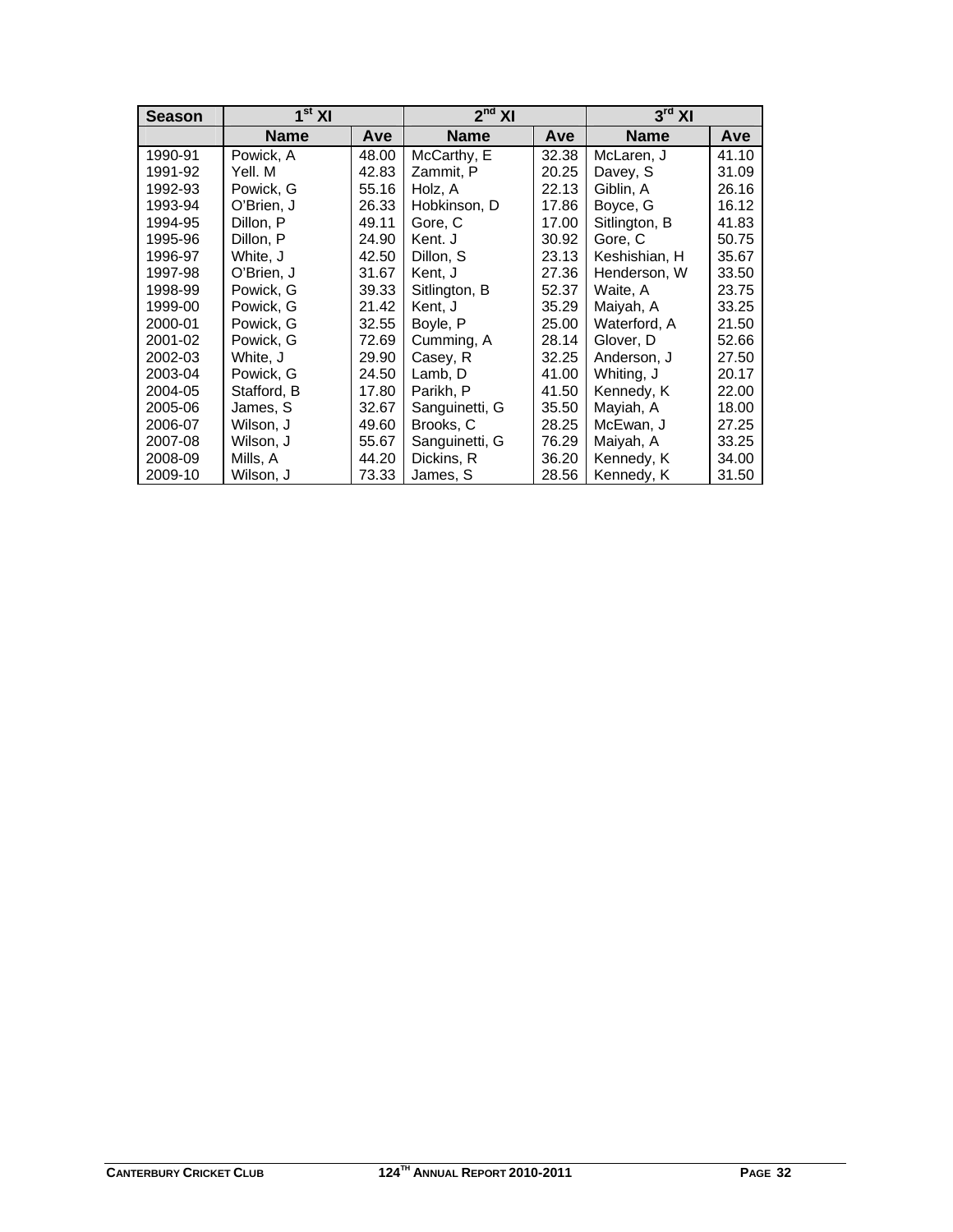| <b>Season</b> | $\overline{1}^{\rm st}$ XI |                           | $2nd$ XI       |       | $3^{\text{rd}}$ XI |       |  |
|---------------|----------------------------|---------------------------|----------------|-------|--------------------|-------|--|
|               | <b>Name</b>                | Ave<br><b>Name</b><br>Ave |                |       | <b>Name</b>        | Ave   |  |
| 1990-91       | Powick, A                  | 48.00                     | McCarthy, E    | 32.38 | McLaren, J         | 41.10 |  |
| 1991-92       | Yell. M                    | 42.83                     | Zammit, P      | 20.25 | Davey, S           | 31.09 |  |
| 1992-93       | Powick, G                  | 55.16                     | Holz, A        | 22.13 | Giblin, A          | 26.16 |  |
| 1993-94       | O'Brien, J                 | 26.33                     | Hobkinson, D   | 17.86 | Boyce, G           | 16.12 |  |
| 1994-95       | Dillon, P                  | 49.11                     | Gore, C        | 17.00 | Sitlington, B      | 41.83 |  |
| 1995-96       | Dillon, P                  | 24.90                     | Kent. J        | 30.92 | Gore, C            | 50.75 |  |
| 1996-97       | White, J                   | 42.50                     | Dillon, S      | 23.13 | Keshishian, H      | 35.67 |  |
| 1997-98       | O'Brien, J                 | 31.67                     | Kent, J        | 27.36 | Henderson, W       | 33.50 |  |
| 1998-99       | Powick, G                  | 39.33                     | Sitlington, B  | 52.37 | Waite, A           | 23.75 |  |
| 1999-00       | Powick, G                  | 21.42                     | Kent, J        | 35.29 | Maiyah, A          | 33.25 |  |
| 2000-01       | Powick, G                  | 32.55                     | Boyle, P       | 25.00 | Waterford, A       | 21.50 |  |
| 2001-02       | Powick, G                  | 72.69                     | Cumming, A     | 28.14 | Glover, D          | 52.66 |  |
| 2002-03       | White, J                   | 29.90                     | Casey, R       | 32.25 | Anderson, J        | 27.50 |  |
| 2003-04       | Powick, G                  | 24.50                     | Lamb, D        | 41.00 | Whiting, J         | 20.17 |  |
| 2004-05       | Stafford, B                | 17.80                     | Parikh, P      | 41.50 | Kennedy, K         | 22.00 |  |
| 2005-06       | James, S                   | 32.67                     | Sanguinetti, G | 35.50 | Mayiah, A          | 18.00 |  |
| 2006-07       | Wilson, J                  | 49.60                     | Brooks, C      | 28.25 | McEwan, J          | 27.25 |  |
| 2007-08       | Wilson, J                  | 55.67                     | Sanguinetti, G | 76.29 | Maiyah, A          | 33.25 |  |
| 2008-09       | Mills, A                   | 44.20                     | Dickins, R     | 36.20 | Kennedy, K         | 34.00 |  |
| 2009-10       | Wilson, J                  | 73.33                     | James, S       | 28.56 | Kennedy, K         | 31.50 |  |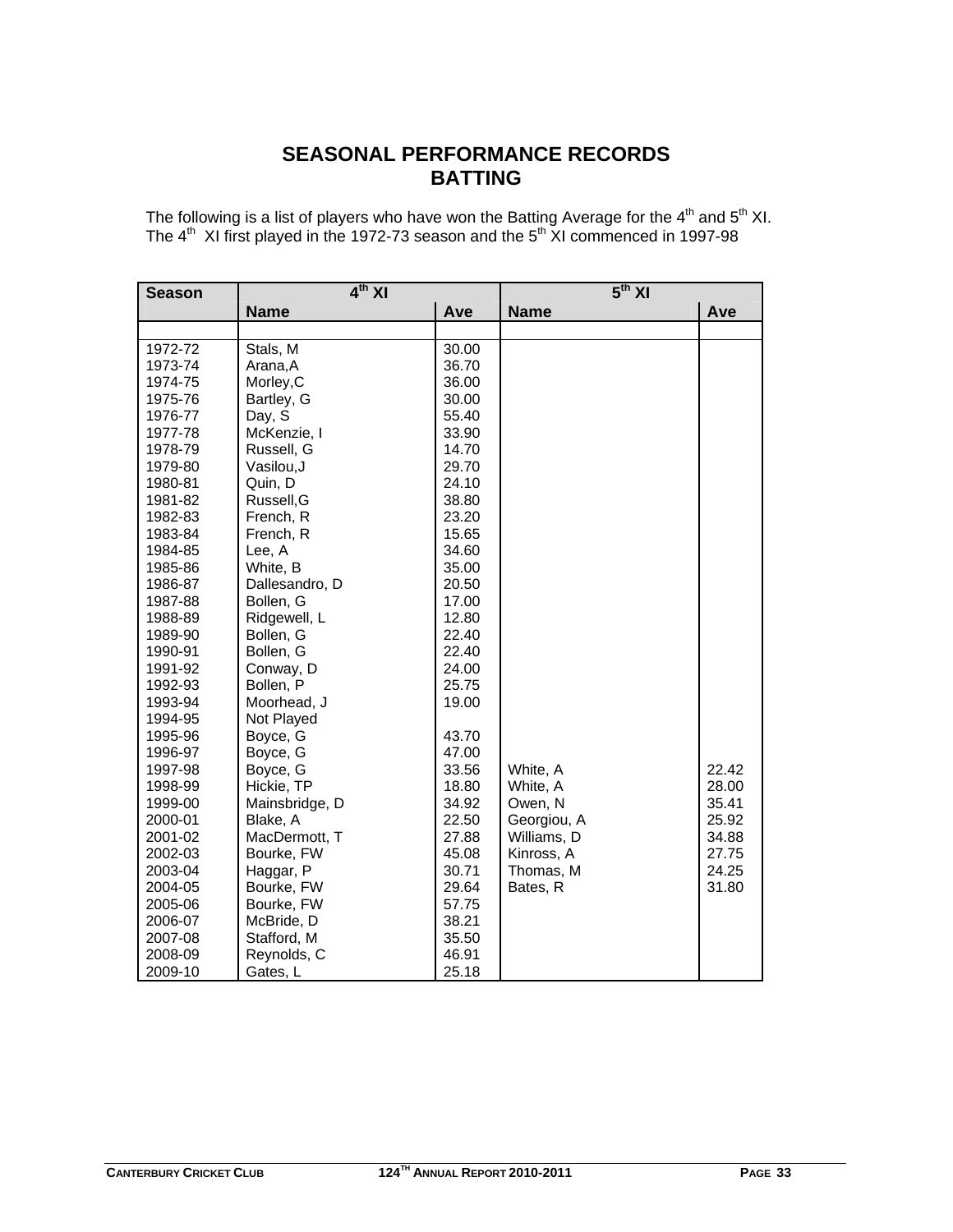### **SEASONAL PERFORMANCE RECORDS BATTING**

The following is a list of players who have won the Batting Average for the  $4^{\text{th}}$  and  $5^{\text{th}}$  XI. The  $4^{\text{th}}$  XI first played in the 1972-73 season and the  $5^{\text{th}}$  XI commenced in 1997-98

| <b>Season</b> | $4th$ XI       |       | 5 <sup>th</sup> XI |       |  |  |
|---------------|----------------|-------|--------------------|-------|--|--|
|               | <b>Name</b>    | Ave   | <b>Name</b>        | Ave   |  |  |
|               |                |       |                    |       |  |  |
| 1972-72       | Stals, M       | 30.00 |                    |       |  |  |
| 1973-74       | Arana, A       | 36.70 |                    |       |  |  |
| 1974-75       | Morley, C      | 36.00 |                    |       |  |  |
| 1975-76       | Bartley, G     | 30.00 |                    |       |  |  |
| 1976-77       | Day, S         | 55.40 |                    |       |  |  |
| 1977-78       | McKenzie, I    | 33.90 |                    |       |  |  |
| 1978-79       | Russell, G     | 14.70 |                    |       |  |  |
| 1979-80       | Vasilou, J     | 29.70 |                    |       |  |  |
| 1980-81       | Quin, D        | 24.10 |                    |       |  |  |
| 1981-82       | Russell, G     | 38.80 |                    |       |  |  |
| 1982-83       | French, R      | 23.20 |                    |       |  |  |
| 1983-84       | French, R      | 15.65 |                    |       |  |  |
| 1984-85       | Lee, A         | 34.60 |                    |       |  |  |
| 1985-86       | White, B       | 35.00 |                    |       |  |  |
| 1986-87       | Dallesandro, D | 20.50 |                    |       |  |  |
| 1987-88       | Bollen, G      | 17.00 |                    |       |  |  |
| 1988-89       | Ridgewell, L   | 12.80 |                    |       |  |  |
| 1989-90       | Bollen, G      | 22.40 |                    |       |  |  |
| 1990-91       | Bollen, G      | 22.40 |                    |       |  |  |
| 1991-92       | Conway, D      | 24.00 |                    |       |  |  |
| 1992-93       | Bollen, P      | 25.75 |                    |       |  |  |
| 1993-94       | Moorhead, J    | 19.00 |                    |       |  |  |
| 1994-95       | Not Played     |       |                    |       |  |  |
| 1995-96       | Boyce, G       | 43.70 |                    |       |  |  |
| 1996-97       | Boyce, G       | 47.00 |                    |       |  |  |
| 1997-98       | Boyce, G       | 33.56 | White, A           | 22.42 |  |  |
| 1998-99       | Hickie, TP     | 18.80 | White, A           | 28.00 |  |  |
| 1999-00       | Mainsbridge, D | 34.92 | Owen, N            | 35.41 |  |  |
| 2000-01       | Blake, A       | 22.50 | Georgiou, A        | 25.92 |  |  |
| 2001-02       | MacDermott, T  | 27.88 | Williams, D        | 34.88 |  |  |
| 2002-03       | Bourke, FW     | 45.08 | Kinross, A         | 27.75 |  |  |
| 2003-04       | Haggar, P      | 30.71 | Thomas, M          | 24.25 |  |  |
| 2004-05       | Bourke, FW     | 29.64 | Bates, R           | 31.80 |  |  |
| 2005-06       | Bourke, FW     | 57.75 |                    |       |  |  |
| 2006-07       | McBride, D     | 38.21 |                    |       |  |  |
| 2007-08       | Stafford, M    | 35.50 |                    |       |  |  |
| 2008-09       | Reynolds, C    | 46.91 |                    |       |  |  |
| 2009-10       | Gates, L       | 25.18 |                    |       |  |  |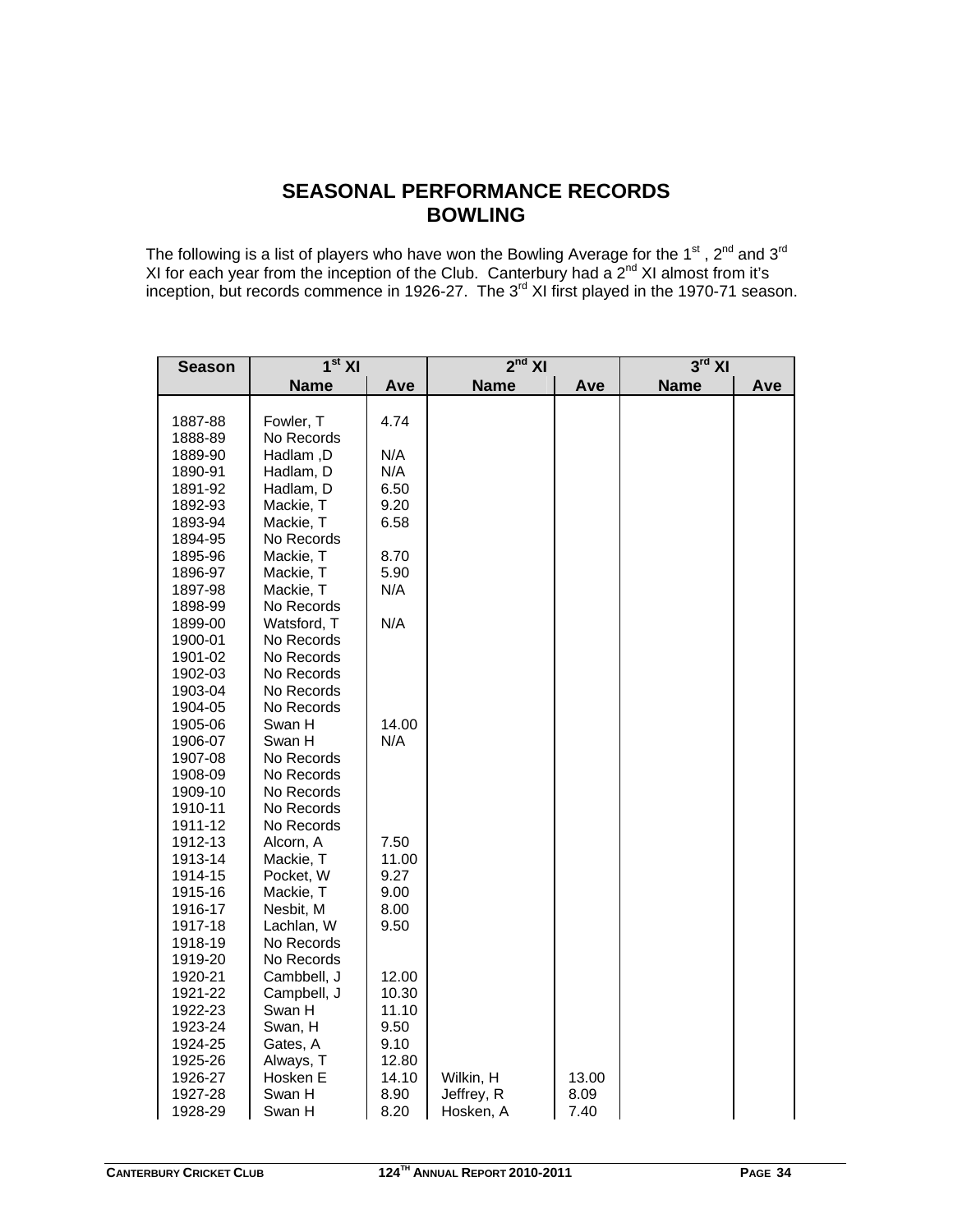### **SEASONAL PERFORMANCE RECORDS BOWLING**

The following is a list of players who have won the Bowling Average for the 1<sup>st</sup> , 2<sup>nd</sup> and 3<sup>rd</sup> XI for each year from the inception of the Club. Canterbury had a  $2^{nd}$  XI almost from it's inception, but records commence in 1926-27. The 3<sup>rd</sup> XI first played in the 1970-71 season.

| <b>Season</b>      | $1st$ XI         |              | $2nd$ XI                |              | $3rd$ XI    |     |
|--------------------|------------------|--------------|-------------------------|--------------|-------------|-----|
|                    | <b>Name</b>      | Ave          | <b>Name</b>             | Ave          | <b>Name</b> | Ave |
|                    |                  |              |                         |              |             |     |
| 1887-88            | Fowler, T        | 4.74         |                         |              |             |     |
| 1888-89            | No Records       |              |                         |              |             |     |
| 1889-90            | Hadlam, D        | N/A          |                         |              |             |     |
| 1890-91            | Hadlam, D        | N/A          |                         |              |             |     |
| 1891-92            | Hadlam, D        | 6.50         |                         |              |             |     |
| 1892-93            | Mackie, T        | 9.20         |                         |              |             |     |
| 1893-94            | Mackie, T        | 6.58         |                         |              |             |     |
| 1894-95            | No Records       |              |                         |              |             |     |
| 1895-96            | Mackie, T        | 8.70         |                         |              |             |     |
| 1896-97            | Mackie, T        | 5.90         |                         |              |             |     |
| 1897-98            | Mackie, T        | N/A          |                         |              |             |     |
| 1898-99            | No Records       |              |                         |              |             |     |
| 1899-00            | Watsford, T      | N/A          |                         |              |             |     |
| 1900-01            | No Records       |              |                         |              |             |     |
| 1901-02            | No Records       |              |                         |              |             |     |
| 1902-03            | No Records       |              |                         |              |             |     |
| 1903-04            | No Records       |              |                         |              |             |     |
| 1904-05            | No Records       |              |                         |              |             |     |
| 1905-06            | Swan H           | 14.00        |                         |              |             |     |
| 1906-07            | Swan H           | N/A          |                         |              |             |     |
| 1907-08            | No Records       |              |                         |              |             |     |
| 1908-09            | No Records       |              |                         |              |             |     |
| 1909-10            | No Records       |              |                         |              |             |     |
| 1910-11            | No Records       |              |                         |              |             |     |
| 1911-12            | No Records       |              |                         |              |             |     |
| 1912-13            | Alcorn, A        | 7.50         |                         |              |             |     |
| 1913-14            | Mackie, T        | 11.00        |                         |              |             |     |
| 1914-15            | Pocket, W        | 9.27         |                         |              |             |     |
| 1915-16            | Mackie, T        | 9.00         |                         |              |             |     |
| 1916-17            | Nesbit, M        | 8.00         |                         |              |             |     |
| 1917-18            | Lachlan, W       | 9.50         |                         |              |             |     |
| 1918-19            | No Records       |              |                         |              |             |     |
| 1919-20            | No Records       |              |                         |              |             |     |
| 1920-21            | Cambbell, J      | 12.00        |                         |              |             |     |
| 1921-22            | Campbell, J      | 10.30        |                         |              |             |     |
| 1922-23            | Swan H           | 11.10        |                         |              |             |     |
| 1923-24            | Swan, H          | 9.50         |                         |              |             |     |
| 1924-25            | Gates, A         | 9.10         |                         |              |             |     |
| 1925-26            | Always, T        | 12.80        |                         |              |             |     |
| 1926-27            | Hosken E         | 14.10        | Wilkin, H               | 13.00        |             |     |
|                    |                  |              |                         |              |             |     |
| 1927-28<br>1928-29 | Swan H<br>Swan H | 8.90<br>8.20 | Jeffrey, R<br>Hosken, A | 8.09<br>7.40 |             |     |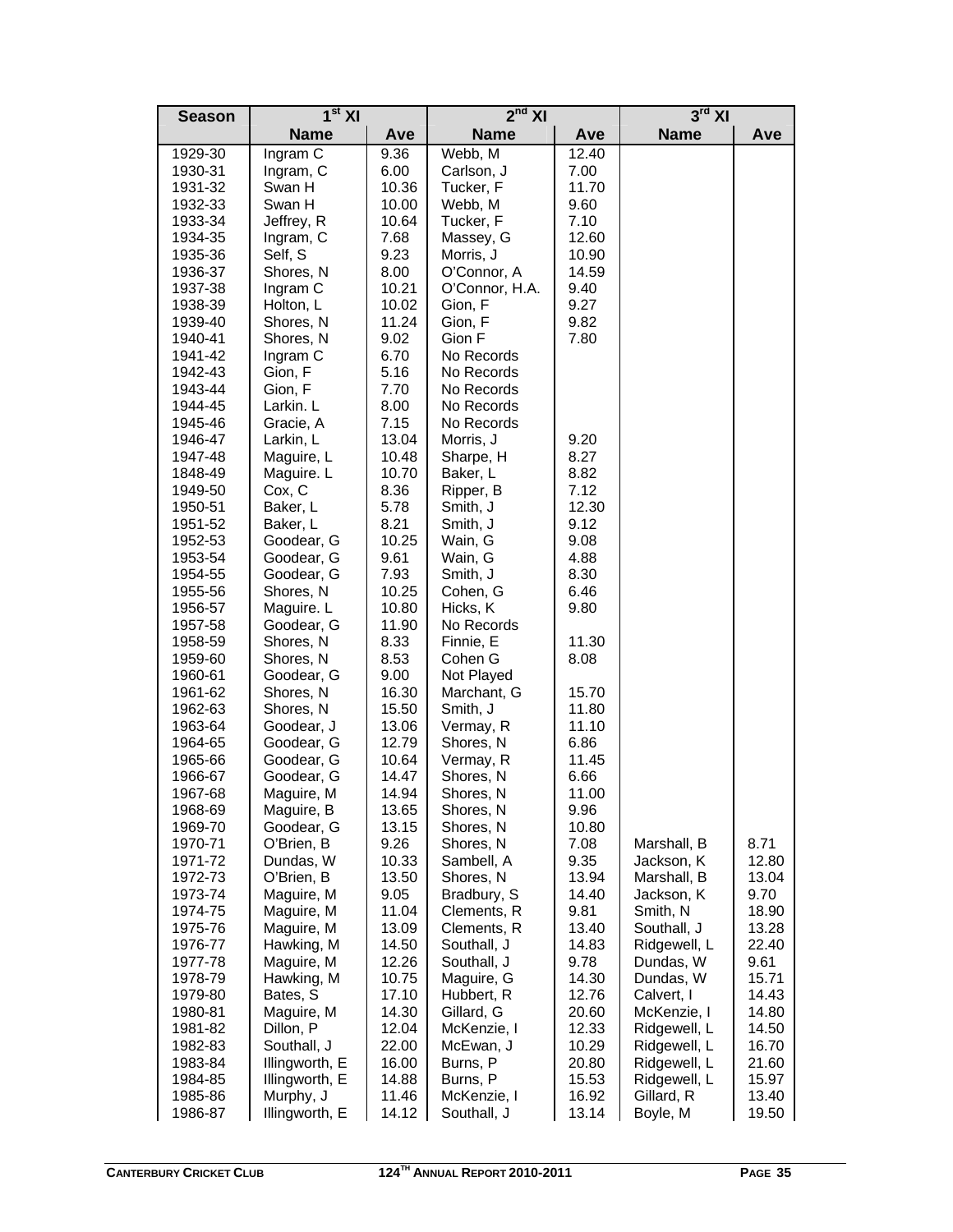| <b>Season</b>      | 1 <sup>st</sup> XI       |                | $2nd$ XI                          | $3^{\text{rd}}$ XI |                        |                |  |  |
|--------------------|--------------------------|----------------|-----------------------------------|--------------------|------------------------|----------------|--|--|
|                    | <b>Name</b>              | Ave            | <b>Name</b><br><b>Name</b><br>Ave |                    | Ave                    |                |  |  |
| 1929-30            | Ingram C                 | 9.36           | Webb, M                           | 12.40              |                        |                |  |  |
| 1930-31            | Ingram, C                | 6.00           | Carlson, J                        | 7.00               |                        |                |  |  |
| 1931-32            | Swan H                   | 10.36          | Tucker, F                         | 11.70              |                        |                |  |  |
| 1932-33            | Swan H                   | 10.00          | Webb, M                           | 9.60               |                        |                |  |  |
| 1933-34            | Jeffrey, R               | 10.64          | Tucker, F                         | 7.10               |                        |                |  |  |
| 1934-35            | Ingram, C                | 7.68           | Massey, G                         | 12.60              |                        |                |  |  |
| 1935-36            | Self, S                  | 9.23           | Morris, J                         | 10.90              |                        |                |  |  |
| 1936-37            | Shores, N                | 8.00           | O'Connor, A                       | 14.59              |                        |                |  |  |
| 1937-38            | Ingram C                 | 10.21          | O'Connor, H.A.                    | 9.40               |                        |                |  |  |
| 1938-39            | Holton, L                | 10.02          | Gion, F                           | 9.27               |                        |                |  |  |
| 1939-40            | Shores, N                | 11.24          | Gion, F                           | 9.82<br>7.80       |                        |                |  |  |
| 1940-41<br>1941-42 | Shores, N<br>Ingram C    | 9.02<br>6.70   | Gion F<br>No Records              |                    |                        |                |  |  |
| 1942-43            | Gion, F                  | 5.16           | No Records                        |                    |                        |                |  |  |
| 1943-44            | Gion, F                  | 7.70           | No Records                        |                    |                        |                |  |  |
| 1944-45            | Larkin. L                | 8.00           | No Records                        |                    |                        |                |  |  |
| 1945-46            | Gracie, A                | 7.15           | No Records                        |                    |                        |                |  |  |
| 1946-47            | Larkin, L                | 13.04          | Morris, J                         | 9.20               |                        |                |  |  |
| 1947-48            | Maguire, L               | 10.48          | Sharpe, H                         | 8.27               |                        |                |  |  |
| 1848-49            | Maguire. L               | 10.70          | Baker, L                          | 8.82               |                        |                |  |  |
| 1949-50            | Cox, C                   | 8.36           | Ripper, B                         | 7.12               |                        |                |  |  |
| 1950-51            | Baker, L                 | 5.78           | Smith, J                          | 12.30              |                        |                |  |  |
| 1951-52            | Baker, L                 | 8.21           | Smith, J                          | 9.12               |                        |                |  |  |
| 1952-53            | Goodear, G               | 10.25          | Wain, G                           | 9.08               |                        |                |  |  |
| 1953-54            | Goodear, G               | 9.61           | Wain, G                           | 4.88               |                        |                |  |  |
| 1954-55            | Goodear, G               | 7.93           | Smith, J                          | 8.30               |                        |                |  |  |
| 1955-56            | Shores, N                | 10.25          | Cohen, G                          | 6.46               |                        |                |  |  |
| 1956-57            | Maguire. L               | 10.80          | Hicks, K                          | 9.80               |                        |                |  |  |
| 1957-58            | Goodear, G               | 11.90          | No Records                        |                    |                        |                |  |  |
| 1958-59            | Shores, N                | 8.33           | Finnie, E                         | 11.30              |                        |                |  |  |
| 1959-60            | Shores, N                | 8.53           | Cohen G                           | 8.08               |                        |                |  |  |
| 1960-61            | Goodear, G               | 9.00           | Not Played                        |                    |                        |                |  |  |
| 1961-62<br>1962-63 | Shores, N<br>Shores, N   | 16.30<br>15.50 | Marchant, G<br>Smith, J           | 15.70<br>11.80     |                        |                |  |  |
| 1963-64            | Goodear, J               | 13.06          | Vermay, R                         | 11.10              |                        |                |  |  |
| 1964-65            | Goodear, G               | 12.79          | Shores, N                         | 6.86               |                        |                |  |  |
| 1965-66            | Goodear, G               | 10.64          | Vermay, R                         | 11.45              |                        |                |  |  |
| 1966-67            | Goodear, G               | 14.47          | Shores, N                         | 6.66               |                        |                |  |  |
| 1967-68            | Maguire, M               | 14.94          | Shores, N                         | 11.00              |                        |                |  |  |
| 1968-69            | Maguire, B               | 13.65          | Shores, N                         | 9.96               |                        |                |  |  |
| 1969-70            | Goodear, G               | 13.15          | Shores, N                         | 10.80              |                        |                |  |  |
| 1970-71            | O'Brien, B               | 9.26           | Shores, N                         | 7.08               | Marshall, B            | 8.71           |  |  |
| 1971-72            | Dundas, W                | 10.33          | Sambell, A                        | 9.35               | Jackson, K             | 12.80          |  |  |
| 1972-73            | O'Brien, B               | 13.50          | Shores, N                         | 13.94              | Marshall, B            | 13.04          |  |  |
| 1973-74            | Maguire, M               | 9.05           | Bradbury, S                       | 14.40              | Jackson, K             | 9.70           |  |  |
| 1974-75            | Maguire, M               | 11.04          | Clements, R                       | 9.81               | Smith, N               | 18.90          |  |  |
| 1975-76            | Maguire, M               | 13.09          | Clements, R                       | 13.40              | Southall, J            | 13.28          |  |  |
| 1976-77            | Hawking, M               | 14.50          | Southall, J                       | 14.83              | Ridgewell, L           | 22.40          |  |  |
| 1977-78            | Maguire, M<br>Hawking, M | 12.26          | Southall, J<br>Maguire, G         | 9.78<br>14.30      | Dundas, W<br>Dundas, W | 9.61           |  |  |
| 1978-79<br>1979-80 | Bates, S                 | 10.75<br>17.10 | Hubbert, R                        | 12.76              | Calvert, I             | 15.71<br>14.43 |  |  |
| 1980-81            | Maguire, M               | 14.30          | Gillard, G                        | 20.60              | McKenzie, I            | 14.80          |  |  |
| 1981-82            | Dillon, P                | 12.04          | McKenzie, I                       | 12.33              | Ridgewell, L           | 14.50          |  |  |
| 1982-83            | Southall, J              | 22.00          | McEwan, J                         | 10.29              | Ridgewell, L           | 16.70          |  |  |
| 1983-84            | Illingworth, E           | 16.00          | Burns, P                          | 20.80              | Ridgewell, L           | 21.60          |  |  |
| 1984-85            | Illingworth, E           | 14.88          | Burns, P                          | 15.53              | Ridgewell, L           | 15.97          |  |  |
| 1985-86            | Murphy, J                | 11.46          | McKenzie, I                       | 16.92              | Gillard, R             | 13.40          |  |  |
| 1986-87            | Illingworth, E           | 14.12          | Southall, J                       | 13.14              | Boyle, M               | 19.50          |  |  |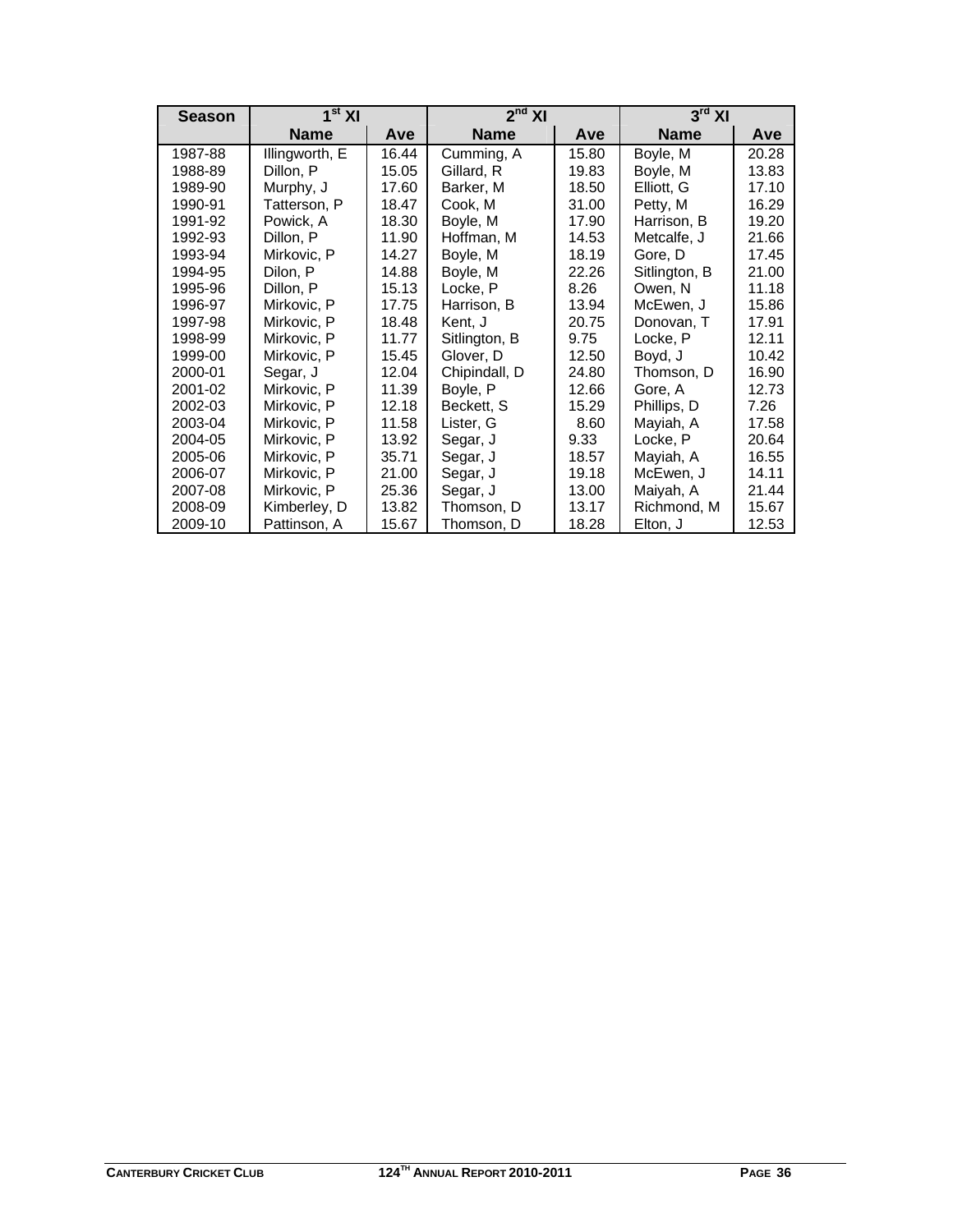| <b>Season</b> | 1 <sup>st</sup> XI |       | $2^{nd}$ XI          |       | $3^{\text{rd}}$ XI |       |  |
|---------------|--------------------|-------|----------------------|-------|--------------------|-------|--|
|               | <b>Name</b>        | Ave   | <b>Name</b>          | Ave   | <b>Name</b>        | Ave   |  |
| 1987-88       | Illingworth, E     | 16.44 | Cumming, A           | 15.80 | Boyle, M           | 20.28 |  |
| 1988-89       | Dillon, P          | 15.05 | Gillard, R           | 19.83 | Boyle, M           | 13.83 |  |
| 1989-90       | Murphy, J          | 17.60 | Barker, M            | 18.50 | Elliott, G         | 17.10 |  |
| 1990-91       | Tatterson, P       | 18.47 | Cook, M              | 31.00 | Petty, M           | 16.29 |  |
| 1991-92       | Powick, A          | 18.30 | Boyle, M             | 17.90 | Harrison, B        | 19.20 |  |
| 1992-93       | Dillon, P          | 11.90 | Hoffman, M           | 14.53 | Metcalfe, J        | 21.66 |  |
| 1993-94       | Mirkovic, P        | 14.27 | Boyle, M             | 18.19 | Gore, D            | 17.45 |  |
| 1994-95       | Dilon, P           | 14.88 | Boyle, M             | 22.26 | Sitlington, B      | 21.00 |  |
| 1995-96       | Dillon, P          | 15.13 | Locke, P             | 8.26  | Owen, N            | 11.18 |  |
| 1996-97       | Mirkovic, P        | 17.75 | 13.94<br>Harrison, B |       | McEwen, J          | 15.86 |  |
| 1997-98       | Mirkovic, P        | 18.48 | Kent. J              | 20.75 | Donovan, T         | 17.91 |  |
| 1998-99       | Mirkovic, P        | 11.77 | Sitlington, B        | 9.75  | Locke, P           | 12.11 |  |
| 1999-00       | Mirkovic, P        | 15.45 | Glover, D            | 12.50 | Boyd, J            | 10.42 |  |
| 2000-01       | Segar, J           | 12.04 | Chipindall, D        | 24.80 | Thomson, D         | 16.90 |  |
| 2001-02       | Mirkovic, P        | 11.39 | Boyle, P             | 12.66 | Gore, A            | 12.73 |  |
| 2002-03       | Mirkovic, P        | 12.18 | Beckett, S           | 15.29 | Phillips, D        | 7.26  |  |
| 2003-04       | Mirkovic, P        | 11.58 | Lister, G            | 8.60  | Mayiah, A          | 17.58 |  |
| 2004-05       | Mirkovic, P        | 13.92 | Segar, J             | 9.33  | Locke, P           | 20.64 |  |
| 2005-06       | Mirkovic, P        | 35.71 | Segar, J             | 18.57 | Mayiah, A          | 16.55 |  |
| 2006-07       | Mirkovic, P        | 21.00 | Segar, J             | 19.18 | McEwen, J          | 14.11 |  |
| 2007-08       | Mirkovic, P        | 25.36 | Segar, J             | 13.00 | Maiyah, A          | 21.44 |  |
| 2008-09       | Kimberley, D       | 13.82 | Thomson, D           | 13.17 | Richmond, M        | 15.67 |  |
| 2009-10       | Pattinson, A       | 15.67 | Thomson, D           | 18.28 | Elton, J           | 12.53 |  |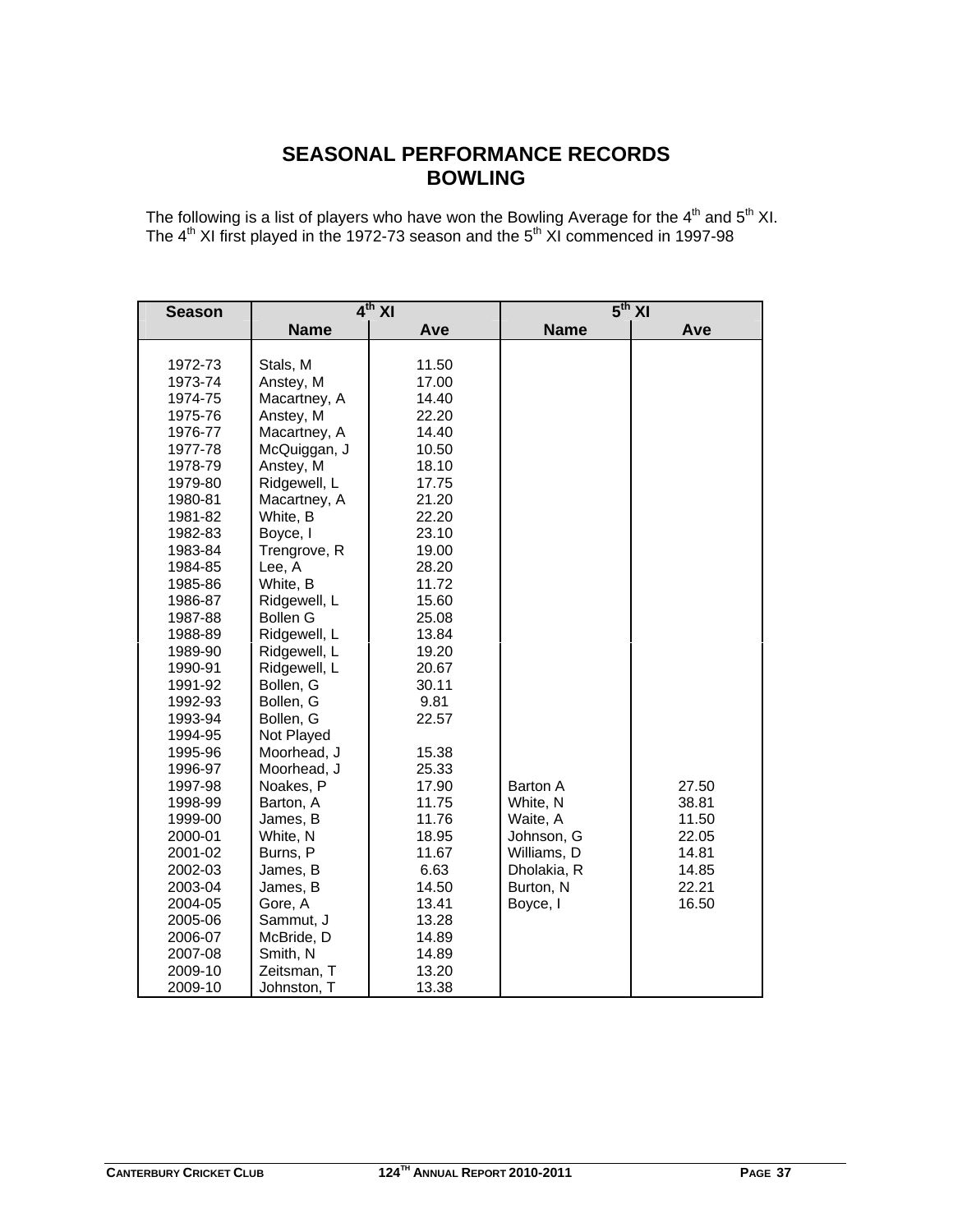### **SEASONAL PERFORMANCE RECORDS BOWLING**

The following is a list of players who have won the Bowling Average for the  $4^{\text{th}}$  and  $5^{\text{th}}$  XI. The  $4<sup>th</sup>$  XI first played in the 1972-73 season and the  $5<sup>th</sup>$  XI commenced in 1997-98

| <b>Season</b> |                 | $4^{th}$ XI | $5th$ XI        |       |  |  |
|---------------|-----------------|-------------|-----------------|-------|--|--|
|               | <b>Name</b>     | Ave         | <b>Name</b>     | Ave   |  |  |
|               |                 |             |                 |       |  |  |
| 1972-73       | Stals, M        | 11.50       |                 |       |  |  |
| 1973-74       | Anstey, M       | 17.00       |                 |       |  |  |
| 1974-75       | Macartney, A    | 14.40       |                 |       |  |  |
| 1975-76       | Anstey, M       | 22.20       |                 |       |  |  |
| 1976-77       | Macartney, A    | 14.40       |                 |       |  |  |
| 1977-78       | McQuiggan, J    | 10.50       |                 |       |  |  |
| 1978-79       | Anstey, M       | 18.10       |                 |       |  |  |
| 1979-80       | Ridgewell, L    | 17.75       |                 |       |  |  |
| 1980-81       | Macartney, A    | 21.20       |                 |       |  |  |
| 1981-82       | White, B        | 22.20       |                 |       |  |  |
| 1982-83       | Boyce, I        | 23.10       |                 |       |  |  |
| 1983-84       | Trengrove, R    | 19.00       |                 |       |  |  |
| 1984-85       | Lee, A          | 28.20       |                 |       |  |  |
| 1985-86       | White, B        | 11.72       |                 |       |  |  |
| 1986-87       | Ridgewell, L    | 15.60       |                 |       |  |  |
| 1987-88       | <b>Bollen G</b> | 25.08       |                 |       |  |  |
| 1988-89       | Ridgewell, L    | 13.84       |                 |       |  |  |
| 1989-90       | Ridgewell, L    | 19.20       |                 |       |  |  |
| 1990-91       | Ridgewell, L    | 20.67       |                 |       |  |  |
| 1991-92       | Bollen, G       | 30.11       |                 |       |  |  |
| 1992-93       | Bollen, G       | 9.81        |                 |       |  |  |
| 1993-94       | Bollen, G       | 22.57       |                 |       |  |  |
| 1994-95       | Not Played      |             |                 |       |  |  |
| 1995-96       | Moorhead, J     | 15.38       |                 |       |  |  |
| 1996-97       | Moorhead, J     | 25.33       |                 |       |  |  |
| 1997-98       | Noakes, P       | 17.90       | <b>Barton A</b> | 27.50 |  |  |
| 1998-99       | Barton, A       | 11.75       | White, N        | 38.81 |  |  |
| 1999-00       | James, B        | 11.76       | Waite, A        | 11.50 |  |  |
| 2000-01       | White, N        | 18.95       | Johnson, G      | 22.05 |  |  |
| 2001-02       | Burns, P        | 11.67       | Williams, D     | 14.81 |  |  |
| 2002-03       | James, B        | 6.63        | Dholakia, R     | 14.85 |  |  |
| 2003-04       | James, B        | 14.50       | Burton, N       | 22.21 |  |  |
| 2004-05       | Gore, A         | 13.41       | Boyce, I        | 16.50 |  |  |
| 2005-06       | Sammut, J       | 13.28       |                 |       |  |  |
| 2006-07       | McBride, D      | 14.89       |                 |       |  |  |
| 2007-08       | Smith, N        | 14.89       |                 |       |  |  |
| 2009-10       | Zeitsman, T     | 13.20       |                 |       |  |  |
| 2009-10       | Johnston, T     | 13.38       |                 |       |  |  |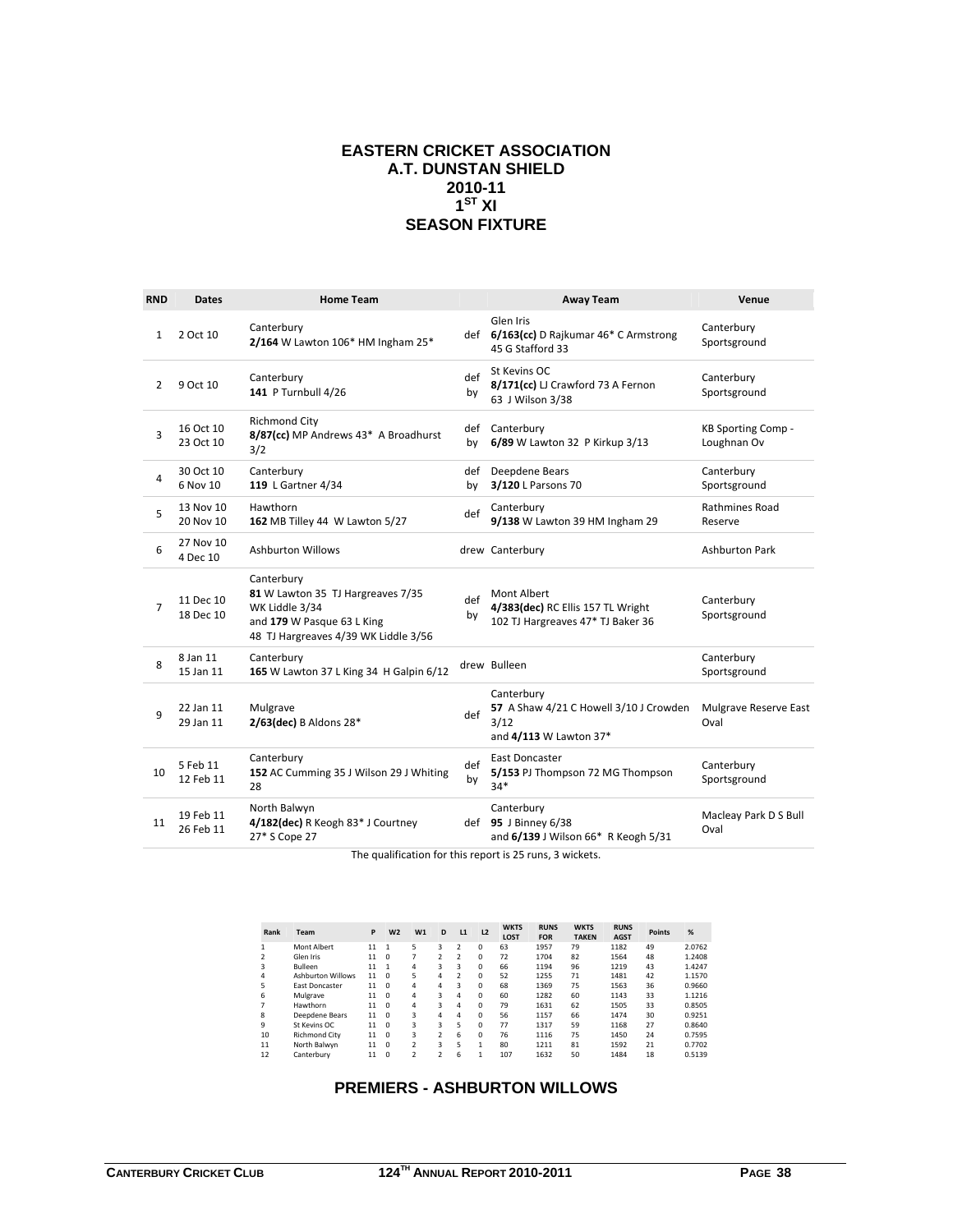#### **EASTERN CRICKET ASSOCIATION A.T. DUNSTAN SHIELD 2010-11**   $1^{\text{ST}}$  XI **SEASON FIXTURE**

| <b>RND</b>     | <b>Dates</b>           | <b>Home Team</b>                                                                                                                        |           | <b>Away Team</b>                                                                       | Venue                             |
|----------------|------------------------|-----------------------------------------------------------------------------------------------------------------------------------------|-----------|----------------------------------------------------------------------------------------|-----------------------------------|
| $\mathbf{1}$   | 2 Oct 10               | Canterbury<br>2/164 W Lawton 106* HM Ingham 25*                                                                                         |           | Glen Iris<br>def 6/163(cc) D Rajkumar 46* C Armstrong<br>45 G Stafford 33              | Canterbury<br>Sportsground        |
| 2              | 9 Oct 10               | Canterbury<br>141 P Turnbull 4/26                                                                                                       | def<br>by | St Kevins OC<br>8/171(cc) LJ Crawford 73 A Fernon<br>63 J Wilson 3/38                  | Canterbury<br>Sportsground        |
| 3              | 16 Oct 10<br>23 Oct 10 | <b>Richmond City</b><br>8/87(cc) MP Andrews 43* A Broadhurst<br>3/2                                                                     | def<br>by | Canterbury<br>6/89 W Lawton 32 P Kirkup 3/13                                           | KB Sporting Comp -<br>Loughnan Ov |
| 4              | 30 Oct 10<br>6 Nov 10  | Canterbury<br>119 L Gartner 4/34                                                                                                        | def<br>bv | Deepdene Bears<br>3/120 L Parsons 70                                                   | Canterbury<br>Sportsground        |
| 5              | 13 Nov 10<br>20 Nov 10 | Hawthorn<br>162 MB Tilley 44 W Lawton 5/27                                                                                              | def       | Canterbury<br>9/138 W Lawton 39 HM Ingham 29                                           | Rathmines Road<br>Reserve         |
| 6              | 27 Nov 10<br>4 Dec 10  | <b>Ashburton Willows</b>                                                                                                                |           | drew Canterbury                                                                        | <b>Ashburton Park</b>             |
| $\overline{7}$ | 11 Dec 10<br>18 Dec 10 | Canterbury<br>81 W Lawton 35 TJ Hargreaves 7/35<br>WK Liddle 3/34<br>and 179 W Pasque 63 L King<br>48 TJ Hargreaves 4/39 WK Liddle 3/56 | def<br>by | Mont Albert<br>4/383(dec) RC Ellis 157 TL Wright<br>102 TJ Hargreaves 47* TJ Baker 36  | Canterbury<br>Sportsground        |
| 8              | 8 Jan 11<br>15 Jan 11  | Canterbury<br>165 W Lawton 37 L King 34 H Galpin 6/12                                                                                   |           | drew Bulleen                                                                           | Canterbury<br>Sportsground        |
| q              | 22 Jan 11<br>29 Jan 11 | Mulgrave<br>$2/63$ (dec) B Aldons 28*                                                                                                   | def       | Canterbury<br>57 A Shaw 4/21 C Howell 3/10 J Crowden<br>3/12<br>and 4/113 W Lawton 37* | Mulgrave Reserve East<br>Oval     |
| 10             | 5 Feb 11<br>12 Feb 11  | Canterbury<br>152 AC Cumming 35 J Wilson 29 J Whiting<br>28                                                                             | def<br>by | <b>East Doncaster</b><br>5/153 PJ Thompson 72 MG Thompson<br>$34*$                     | Canterbury<br>Sportsground        |
| 11             | 19 Feb 11<br>26 Feb 11 | North Balwyn<br>4/182(dec) R Keogh 83* J Courtney<br>27* S Cope 27                                                                      |           | Canterbury<br>def 95 J Binney 6/38<br>and 6/139 J Wilson 66* R Keogh 5/31              | Macleay Park D S Bull<br>Oval     |
|                |                        |                                                                                                                                         |           |                                                                                        |                                   |

The qualification for this report is 25 runs, 3 wickets.

| Rank           | Team                     | P  | W <sub>2</sub> | W1                       | D                        | L1                      | L <sub>2</sub> | <b>WKTS</b><br><b>LOST</b> | <b>RUNS</b><br><b>FOR</b> | <b>WKTS</b><br><b>TAKEN</b> | <b>RUNS</b><br><b>AGST</b> | <b>Points</b> | %      |
|----------------|--------------------------|----|----------------|--------------------------|--------------------------|-------------------------|----------------|----------------------------|---------------------------|-----------------------------|----------------------------|---------------|--------|
| 1              | Mont Albert              | 11 | 1              | 5                        | 3                        |                         | $\Omega$       | 63                         | 1957                      | 79                          | 1182                       | 49            | 2.0762 |
| $\overline{2}$ | Glen Iris                | 11 | $\Omega$       |                          | $\mathfrak z$            | $\overline{\mathbf{c}}$ | 0              | 72                         | 1704                      | 82                          | 1564                       | 48            | 1.2408 |
| 3              | <b>Bulleen</b>           | 11 | 1              | 4                        | 3                        | 3                       | $\Omega$       | 66                         | 1194                      | 96                          | 1219                       | 43            | 1.4247 |
| 4              | <b>Ashburton Willows</b> | 11 | $\Omega$       | 5                        | 4                        | 2                       | $\Omega$       | 52                         | 1255                      | 71                          | 1481                       | 42            | 1.1570 |
| 5              | East Doncaster           | 11 | $\Omega$       | 4                        | 4                        | 3                       | 0              | 68                         | 1369                      | 75                          | 1563                       | 36            | 0.9660 |
| 6              | Mulgrave                 | 11 | $\Omega$       | 4                        | 3                        | 4                       | $\Omega$       | 60                         | 1282                      | 60                          | 1143                       | 33            | 1.1216 |
| $\overline{7}$ | Hawthorn                 | 11 | $\Omega$       | 4                        | 3                        | 4                       | $\Omega$       | 79                         | 1631                      | 62                          | 1505                       | 33            | 0.8505 |
| 8              | Deepdene Bears           | 11 | $\Omega$       | 3                        | 4                        | 4                       | $\Omega$       | 56                         | 1157                      | 66                          | 1474                       | 30            | 0.9251 |
| 9              | St Kevins OC             | 11 | $\Omega$       | 3                        | 3                        | 5                       | $\Omega$       | 77                         | 1317                      | 59                          | 1168                       | 27            | 0.8640 |
| 10             | <b>Richmond City</b>     | 11 | $\Omega$       | 3                        | $\overline{\phantom{a}}$ | 6                       | $\Omega$       | 76                         | 1116                      | 75                          | 1450                       | 24            | 0.7595 |
| 11             | North Balwyn             | 11 | $\Omega$       | $\overline{2}$           | 3                        | 5                       | 1              | 80                         | 1211                      | 81                          | 1592                       | 21            | 0.7702 |
| 12             | Canterbury               | 11 | $\Omega$       | $\overline{\phantom{a}}$ | $\overline{2}$           | 6                       | 1              | 107                        | 1632                      | 50                          | 1484                       | 18            | 0.5139 |

#### **PREMIERS - ASHBURTON WILLOWS**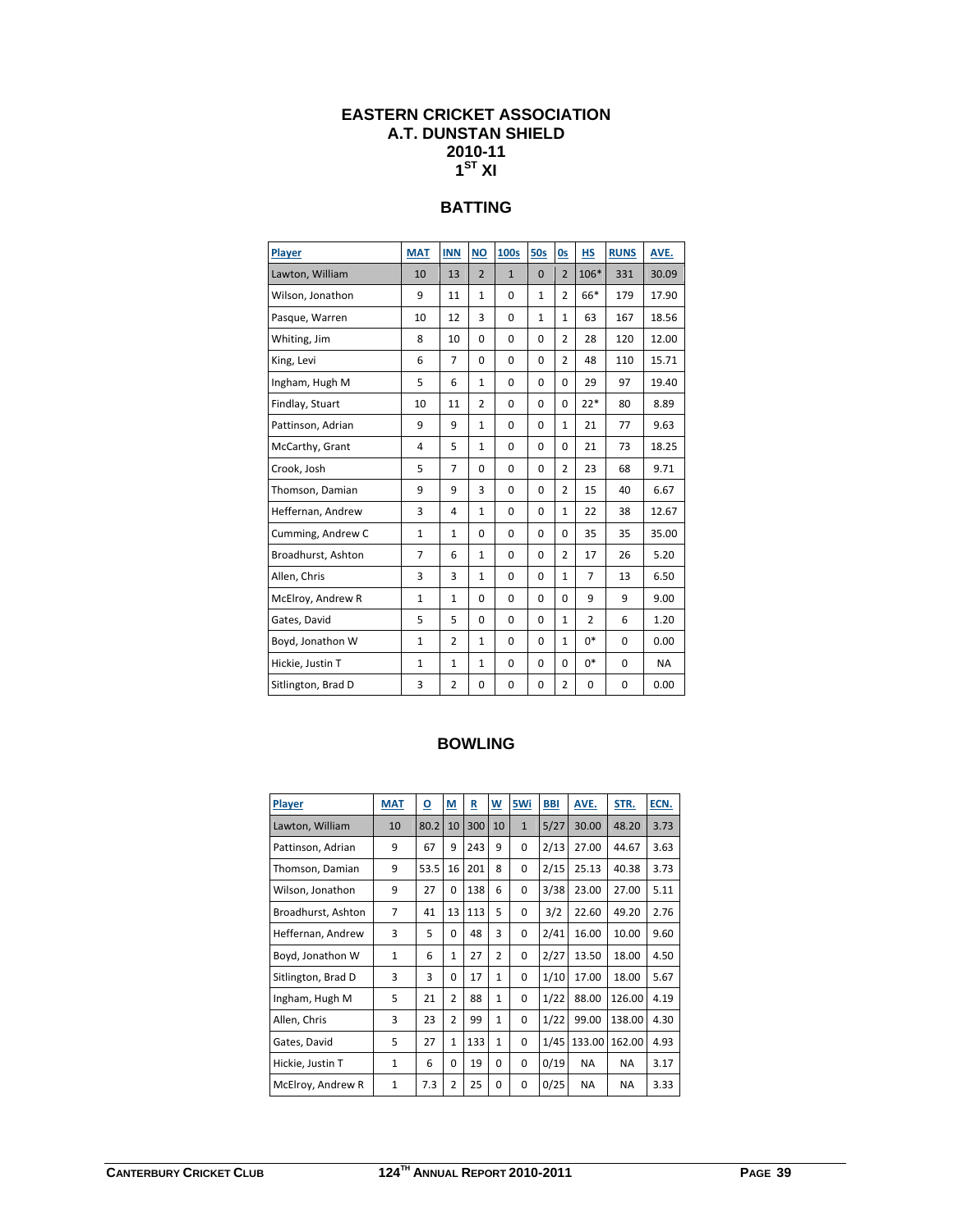## **EASTERN CRICKET ASSOCIATION A.T. DUNSTAN SHIELD 2010-11**   $1^{\text{ST}}$  XI

# **BATTING**

| Player             | <b>MAT</b>     | <b>INN</b>     | <b>NO</b>      | <b>100s</b>  | <b>50s</b>   | <b>Os</b>      | <b>HS</b>      | <b>RUNS</b> | AVE.  |
|--------------------|----------------|----------------|----------------|--------------|--------------|----------------|----------------|-------------|-------|
| Lawton, William    | 10             | 13             | $\overline{2}$ | $\mathbf{1}$ | $\Omega$     | $\overline{2}$ | 106*           | 331         | 30.09 |
| Wilson, Jonathon   | 9              | 11             | 1              | 0            | $\mathbf{1}$ | 2              | 66*            | 179         | 17.90 |
| Pasque, Warren     | 10             | 12             | 3              | 0            | $\mathbf{1}$ | $\mathbf{1}$   | 63             | 167         | 18.56 |
| Whiting, Jim       | 8              | 10             | 0              | 0            | 0            | $\overline{2}$ | 28             | 120         | 12.00 |
| King, Levi         | 6              | $\overline{7}$ | 0              | 0            | 0            | $\overline{2}$ | 48             | 110         | 15.71 |
| Ingham, Hugh M     | 5              | 6              | 1              | 0            | $\Omega$     | $\Omega$       | 29             | 97          | 19.40 |
| Findlay, Stuart    | 10             | 11             | 2              | 0            | 0            | $\Omega$       | $22*$          | 80          | 8.89  |
| Pattinson, Adrian  | 9              | 9              | 1              | 0            | 0            | $\mathbf{1}$   | 21             | 77          | 9.63  |
| McCarthy, Grant    | 4              | 5              | $\mathbf{1}$   | $\Omega$     | $\Omega$     | $\Omega$       | 21             | 73          | 18.25 |
| Crook, Josh        | 5              | $\overline{7}$ | $\Omega$       | $\Omega$     | $\Omega$     | $\overline{2}$ | 23             | 68          | 9.71  |
| Thomson, Damian    | 9              | 9              | 3              | 0            | 0            | $\overline{2}$ | 15             | 40          | 6.67  |
| Heffernan, Andrew  | 3              | $\overline{4}$ | $\mathbf{1}$   | 0            | 0            | $\mathbf{1}$   | 22             | 38          | 12.67 |
| Cumming, Andrew C  | $\mathbf{1}$   | $\mathbf{1}$   | 0              | 0            | 0            | $\Omega$       | 35             | 35          | 35.00 |
| Broadhurst, Ashton | $\overline{7}$ | 6              | $\mathbf{1}$   | 0            | 0            | $\overline{2}$ | 17             | 26          | 5.20  |
| Allen, Chris       | 3              | 3              | 1              | 0            | $\Omega$     | $\mathbf{1}$   | $\overline{7}$ | 13          | 6.50  |
| McElroy, Andrew R  | $\mathbf{1}$   | $\mathbf{1}$   | 0              | 0            | 0            | $\Omega$       | 9              | 9           | 9.00  |
| Gates, David       | 5              | 5              | 0              | $\Omega$     | $\Omega$     | $\mathbf{1}$   | $\overline{2}$ | 6           | 1.20  |
| Boyd, Jonathon W   | $\mathbf{1}$   | $\overline{2}$ | $\mathbf{1}$   | 0            | 0            | $\mathbf{1}$   | $0*$           | $\mathbf 0$ | 0.00  |
| Hickie, Justin T   | $\mathbf{1}$   | 1              | $\mathbf{1}$   | 0            | 0            | $\Omega$       | $0*$           | 0           | NA    |
| Sitlington, Brad D | 3              | $\overline{2}$ | 0              | 0            | 0            | $\overline{2}$ | $\mathbf 0$    | $\mathbf 0$ | 0.00  |

| Player             | <b>MAT</b>     | ₫    | $M$            | R   | W              | 5Wi          | <b>BBI</b> | AVE.      | STR.      | ECN. |
|--------------------|----------------|------|----------------|-----|----------------|--------------|------------|-----------|-----------|------|
| Lawton, William    | 10             | 80.2 | 10             | 300 | 10             | $\mathbf{1}$ | 5/27       | 30.00     | 48.20     | 3.73 |
| Pattinson, Adrian  | 9              | 67   | 9              | 243 | 9              | 0            | 2/13       | 27.00     | 44.67     | 3.63 |
| Thomson, Damian    | 9              | 53.5 | 16             | 201 | 8              | 0            | 2/15       | 25.13     | 40.38     | 3.73 |
| Wilson, Jonathon   | 9              | 27   | $\Omega$       | 138 | 6              | 0            | 3/38       | 23.00     | 27.00     | 5.11 |
| Broadhurst, Ashton | $\overline{7}$ | 41   | 13             | 113 | 5              | $\Omega$     | 3/2        | 22.60     | 49.20     | 2.76 |
| Heffernan, Andrew  | 3              | 5    | $\Omega$       | 48  | 3              | 0            | 2/41       | 16.00     | 10.00     | 9.60 |
| Boyd, Jonathon W   | $\mathbf{1}$   | 6    | $\mathbf{1}$   | 27  | $\overline{2}$ | $\Omega$     | 2/27       | 13.50     | 18.00     | 4.50 |
| Sitlington, Brad D | 3              | 3    | $\Omega$       | 17  | $\mathbf{1}$   | 0            | 1/10       | 17.00     | 18.00     | 5.67 |
| Ingham, Hugh M     | 5              | 21   | $\overline{2}$ | 88  | $\mathbf{1}$   | 0            | 1/22       | 88.00     | 126.00    | 4.19 |
| Allen, Chris       | 3              | 23   | $\overline{2}$ | 99  | $\mathbf{1}$   | $\Omega$     | 1/22       | 99.00     | 138.00    | 4.30 |
| Gates, David       | 5              | 27   | $\mathbf{1}$   | 133 | $\mathbf{1}$   | 0            | 1/45       | 133.00    | 162.00    | 4.93 |
| Hickie, Justin T   | $\mathbf{1}$   | 6    | $\Omega$       | 19  | 0              | $\Omega$     | 0/19       | <b>NA</b> | <b>NA</b> | 3.17 |
| McElroy, Andrew R  | $\mathbf{1}$   | 7.3  | $\overline{2}$ | 25  | 0              | 0            | 0/25       | NA        | <b>NA</b> | 3.33 |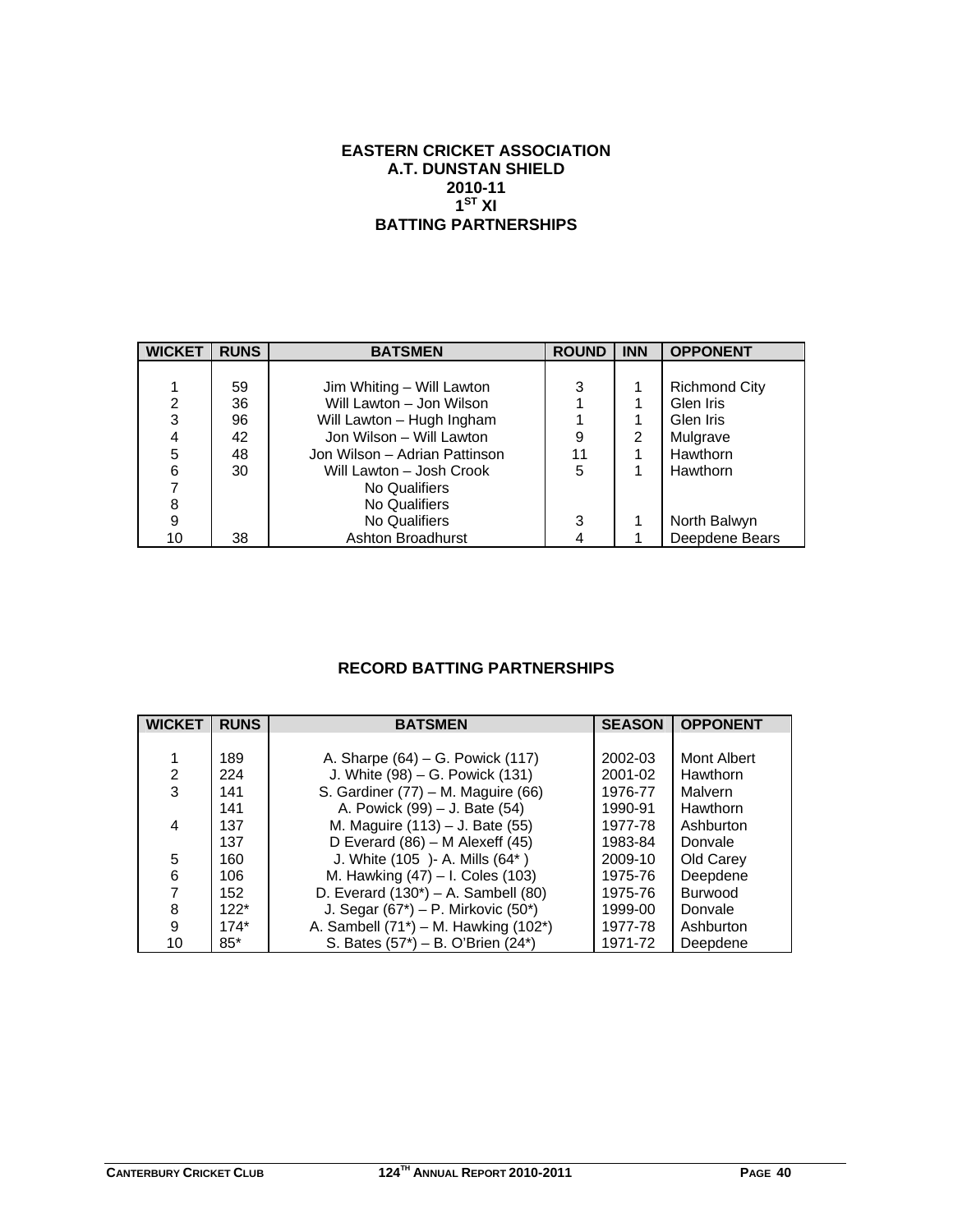#### **EASTERN CRICKET ASSOCIATION A.T. DUNSTAN SHIELD 2010-11 1ST XI BATTING PARTNERSHIPS**

| <b>WICKET</b> | <b>RUNS</b> | <b>BATSMEN</b>                | <b>ROUND</b> | <b>INN</b> | <b>OPPONENT</b>      |
|---------------|-------------|-------------------------------|--------------|------------|----------------------|
|               |             |                               |              |            |                      |
|               | 59          | Jim Whiting – Will Lawton     | 3            |            | <b>Richmond City</b> |
| 2             | 36          | Will Lawton - Jon Wilson      |              |            | Glen Iris            |
| 3             | 96          | Will Lawton - Hugh Ingham     |              |            | Glen Iris            |
| 4             | 42          | Jon Wilson - Will Lawton      | 9            | 2          | Mulgrave             |
| 5             | 48          | Jon Wilson - Adrian Pattinson | 11           |            | Hawthorn             |
| 6             | 30          | Will Lawton – Josh Crook      | 5            |            | Hawthorn             |
| 7             |             | No Qualifiers                 |              |            |                      |
| 8             |             | No Qualifiers                 |              |            |                      |
| 9             |             | No Qualifiers                 | 3            |            | North Balwyn         |
| 10            | 38          | <b>Ashton Broadhurst</b>      |              |            | Deepdene Bears       |

# **RECORD BATTING PARTNERSHIPS**

| <b>WICKET</b>  | <b>RUNS</b> | <b>BATSMEN</b>                             | <b>SEASON</b> | <b>OPPONENT</b> |
|----------------|-------------|--------------------------------------------|---------------|-----------------|
|                |             |                                            |               |                 |
|                | 189         | A. Sharpe (64) – G. Powick (117)           | 2002-03       | Mont Albert     |
| $\overline{2}$ | 224         | J. White (98) – G. Powick (131)            | 2001-02       | Hawthorn        |
| 3              | 141         | S. Gardiner (77) – M. Maguire (66)         | 1976-77       | Malvern         |
|                | 141         | A. Powick (99) – J. Bate (54)              | 1990-91       | Hawthorn        |
| 4              | 137         | M. Maguire (113) - J. Bate (55)            | 1977-78       | Ashburton       |
|                | 137         | D Everard $(86)$ – M Alexeff $(45)$        | 1983-84       | Donvale         |
| 5              | 160         | J. White (105) - A. Mills (64*)            | 2009-10       | Old Carey       |
| 6              | 106         | M. Hawking (47) - I. Coles (103)           | 1975-76       | Deepdene        |
| $\overline{7}$ | 152         | D. Everard $(130^*)$ – A. Sambell $(80)$   | 1975-76       | <b>Burwood</b>  |
| 8              | $122*$      | J. Segar $(67^*)$ – P. Mirkovic $(50^*)$   | 1999-00       | Donvale         |
| 9              | $174*$      | A. Sambell $(71^*)$ – M. Hawking $(102^*)$ | 1977-78       | Ashburton       |
| 10             | $85*$       | S. Bates (57*) - B. O'Brien (24*)          | 1971-72       | Deepdene        |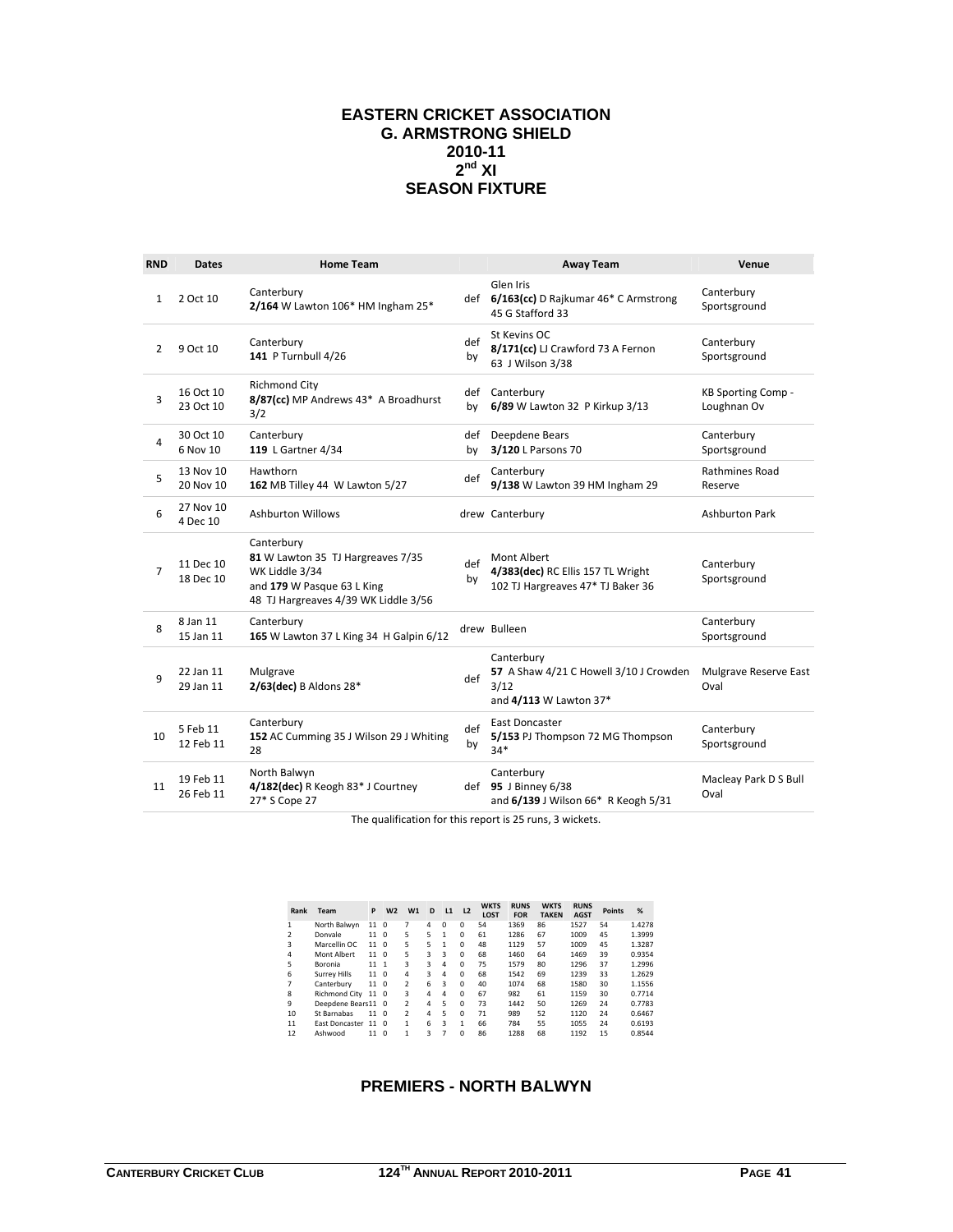#### **EASTERN CRICKET ASSOCIATION G. ARMSTRONG SHIELD 2010-11**   $2^{nd}$  XI **SEASON FIXTURE**

| <b>RND</b>     | <b>Dates</b>           | <b>Home Team</b>                                                                                                                        |           | <b>Away Team</b>                                                                       | Venue                             |
|----------------|------------------------|-----------------------------------------------------------------------------------------------------------------------------------------|-----------|----------------------------------------------------------------------------------------|-----------------------------------|
| $\mathbf{1}$   | 2 Oct 10               | Canterbury<br>2/164 W Lawton 106* HM Ingham 25*                                                                                         |           | Glen Iris<br>def 6/163(cc) D Rajkumar 46* C Armstrong<br>45 G Stafford 33              | Canterbury<br>Sportsground        |
| 2              | 9 Oct 10               | Canterbury<br>141 P Turnbull 4/26                                                                                                       | def<br>by | St Kevins OC<br>8/171(cc) LJ Crawford 73 A Fernon<br>63 J Wilson 3/38                  | Canterbury<br>Sportsground        |
| 3              | 16 Oct 10<br>23 Oct 10 | <b>Richmond City</b><br>8/87(cc) MP Andrews 43* A Broadhurst<br>3/2                                                                     | def<br>by | Canterbury<br>6/89 W Lawton 32 P Kirkup 3/13                                           | KB Sporting Comp -<br>Loughnan Ov |
| 4              | 30 Oct 10<br>6 Nov 10  | Canterbury<br>119 L Gartner 4/34                                                                                                        | def<br>bv | Deepdene Bears<br>3/120 L Parsons 70                                                   | Canterbury<br>Sportsground        |
| 5              | 13 Nov 10<br>20 Nov 10 | Hawthorn<br>162 MB Tilley 44 W Lawton 5/27                                                                                              | def       | Canterbury<br>9/138 W Lawton 39 HM Ingham 29                                           | <b>Rathmines Road</b><br>Reserve  |
| 6              | 27 Nov 10<br>4 Dec 10  | <b>Ashburton Willows</b>                                                                                                                |           | drew Canterbury                                                                        | <b>Ashburton Park</b>             |
| $\overline{7}$ | 11 Dec 10<br>18 Dec 10 | Canterbury<br>81 W Lawton 35 TJ Hargreaves 7/35<br>WK Liddle 3/34<br>and 179 W Pasque 63 L King<br>48 TJ Hargreaves 4/39 WK Liddle 3/56 | def<br>by | Mont Albert<br>4/383(dec) RC Ellis 157 TL Wright<br>102 TJ Hargreaves 47* TJ Baker 36  | Canterbury<br>Sportsground        |
| 8              | 8 Jan 11<br>15 Jan 11  | Canterbury<br>165 W Lawton 37 L King 34 H Galpin 6/12                                                                                   |           | drew Bulleen                                                                           | Canterbury<br>Sportsground        |
| q              | 22 Jan 11<br>29 Jan 11 | Mulgrave<br>$2/63$ (dec) B Aldons 28*                                                                                                   | def       | Canterbury<br>57 A Shaw 4/21 C Howell 3/10 J Crowden<br>3/12<br>and 4/113 W Lawton 37* | Mulgrave Reserve East<br>Oval     |
| 10             | 5 Feb 11<br>12 Feb 11  | Canterbury<br>152 AC Cumming 35 J Wilson 29 J Whiting<br>28                                                                             | def<br>by | East Doncaster<br>5/153 PJ Thompson 72 MG Thompson<br>$34*$                            | Canterbury<br>Sportsground        |
| 11             | 19 Feb 11<br>26 Feb 11 | North Balwyn<br>4/182(dec) R Keogh 83* J Courtney<br>27* S Cope 27                                                                      |           | Canterbury<br>def $95$ J Binney $6/38$<br>and 6/139 J Wilson 66* R Keogh 5/31          | Macleay Park D S Bull<br>Oval     |

The qualification for this report is 25 runs, 3 wickets.

| Rank          | Team                 | P               | W <sub>2</sub> | W1                       | D  | L1       | L2       | <b>WKTS</b><br><b>LOST</b> | <b>RUNS</b><br><b>FOR</b> | <b>WKTS</b><br><b>TAKEN</b> | <b>RUNS</b><br><b>AGST</b> | <b>Points</b> | %      |
|---------------|----------------------|-----------------|----------------|--------------------------|----|----------|----------|----------------------------|---------------------------|-----------------------------|----------------------------|---------------|--------|
| 1             | North Balwyn         | 11              | $\mathbf 0$    | 7                        | 4  | $\Omega$ | $\Omega$ | 54                         | 1369                      | 86                          | 1527                       | 54            | 1.4278 |
| $\mathfrak z$ | Donvale              | 11              | $\Omega$       | 5                        | 5  | 1        | $\Omega$ | 61                         | 1286                      | 67                          | 1009                       | 45            | 1.3999 |
| 3             | Marcellin OC         | 11 0            |                | 5                        | 5  | 1        | $\Omega$ | 48                         | 1129                      | 57                          | 1009                       | 45            | 1.3287 |
| 4             | Mont Albert          | 11              | $\overline{0}$ | 5                        | 3  | 3        | $\Omega$ | 68                         | 1460                      | 64                          | 1469                       | 39            | 0.9354 |
| 5             | <b>Boronia</b>       | 11              | $\overline{1}$ | 3                        | 3  | 4        | $\Omega$ | 75                         | 1579                      | 80                          | 1296                       | 37            | 1.2996 |
| 6             | Surrey Hills         | 11 0            |                | 4                        | 3  | 4        | $\Omega$ | 68                         | 1542                      | 69                          | 1239                       | 33            | 1.2629 |
|               | Canterbury           | 11 0            |                | $\mathfrak{p}$           | 6  | 3        | $\Omega$ | 40                         | 1074                      | 68                          | 1580                       | 30            | 1.1556 |
| 8             | <b>Richmond City</b> | 11 0            |                | 3                        | 4  | 4        | $\Omega$ | 67                         | 982                       | 61                          | 1159                       | 30            | 0.7714 |
| 9             | Deepdene Bears11 0   |                 |                | $\overline{2}$           | 4  | 5        | $\Omega$ | 73                         | 1442                      | 50                          | 1269                       | 24            | 0.7783 |
| 10            | St Barnabas          | 11 <sub>0</sub> |                | $\overline{\phantom{a}}$ | 4  | 5        | $\Omega$ | 71                         | 989                       | 52                          | 1120                       | 24            | 0.6467 |
| 11            | East Doncaster 11 0  |                 |                | 1                        | 6  | 3        | 1        | 66                         | 784                       | 55                          | 1055                       | 24            | 0.6193 |
| 12            | Ashwood              | 11              | $\Omega$       | 1                        | s. | 7        | $\Omega$ | 86                         | 1288                      | 68                          | 1192                       | 15            | 0.8544 |

# **PREMIERS - NORTH BALWYN**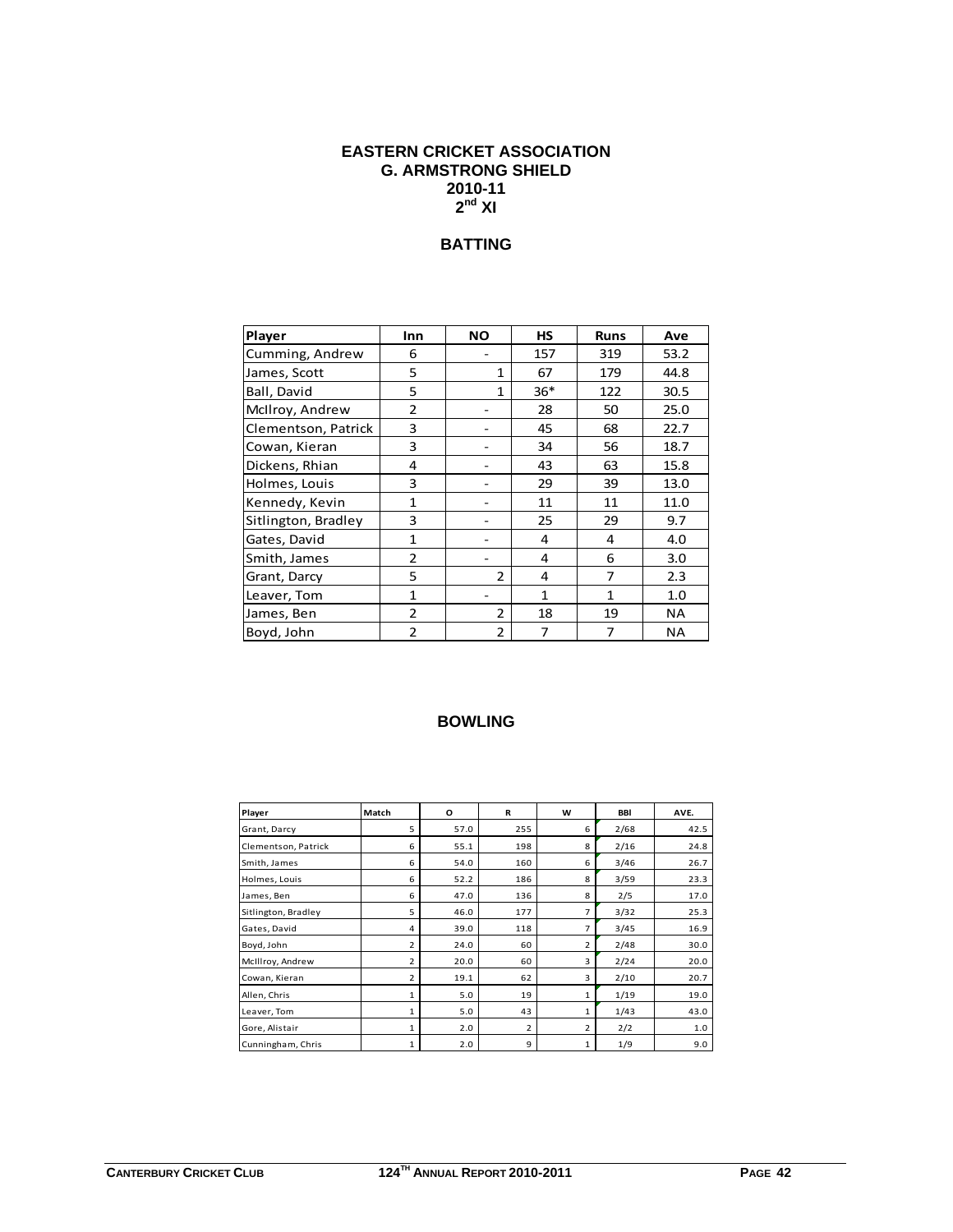#### **EASTERN CRICKET ASSOCIATION G. ARMSTRONG SHIELD 2010-11 2nd XI**

# **BATTING**

| Player              | <b>Inn</b>     | <b>NO</b>      | HS           | <b>Runs</b>  | Ave       |
|---------------------|----------------|----------------|--------------|--------------|-----------|
| Cumming, Andrew     | 6              |                | 157          | 319          | 53.2      |
| James, Scott        | 5              | $\mathbf{1}$   | 67           | 179          | 44.8      |
| Ball, David         | 5              | $\mathbf{1}$   | $36*$        | 122          | 30.5      |
| McIlroy, Andrew     | 2              |                | 28           | 50           | 25.0      |
| Clementson, Patrick | 3              |                | 45           | 68           | 22.7      |
| Cowan, Kieran       | 3              |                | 34           | 56           | 18.7      |
| Dickens, Rhian      | 4              |                | 43           | 63           | 15.8      |
| Holmes, Louis       | 3              |                | 29           | 39           | 13.0      |
| Kennedy, Kevin      | $\mathbf{1}$   |                | 11           | 11           | 11.0      |
| Sitlington, Bradley | 3              |                | 25           | 29           | 9.7       |
| Gates, David        | $\mathbf{1}$   |                | 4            | 4            | 4.0       |
| Smith, James        | $\overline{2}$ |                | 4            | 6            | 3.0       |
| Grant, Darcy        | 5              | $\overline{2}$ | 4            | 7            | 2.3       |
| Leaver, Tom         | $\mathbf{1}$   |                | $\mathbf{1}$ | $\mathbf{1}$ | 1.0       |
| James, Ben          | 2              | 2              | 18           | 19           | ΝA        |
| Boyd, John          | $\overline{2}$ | $\overline{2}$ | 7            | 7            | <b>NA</b> |

| Player              | Match | O    | R   | W              | BBI  | AVE. |
|---------------------|-------|------|-----|----------------|------|------|
| Grant, Darcy        | 5     | 57.0 | 255 | 6              | 2/68 | 42.5 |
| Clementson, Patrick | 6     | 55.1 | 198 | 8              | 2/16 | 24.8 |
| Smith, James        | 6     | 54.0 | 160 | 6              | 3/46 | 26.7 |
| Holmes, Louis       | 6     | 52.2 | 186 | 8              | 3/59 | 23.3 |
| James, Ben          | 6     | 47.0 | 136 | 8              | 2/5  | 17.0 |
| Sitlington, Bradley | 5     | 46.0 | 177 | 7              | 3/32 | 25.3 |
| Gates, David        | 4     | 39.0 | 118 | 7              | 3/45 | 16.9 |
| Boyd, John          | 2     | 24.0 | 60  | 2              | 2/48 | 30.0 |
| McIllroy, Andrew    | 2     | 20.0 | 60  | 3              | 2/24 | 20.0 |
| Cowan, Kieran       | 2     | 19.1 | 62  | 3              | 2/10 | 20.7 |
| Allen, Chris        | 1     | 5.0  | 19  | 1              | 1/19 | 19.0 |
| Leaver, Tom         | 1     | 5.0  | 43  | 1              | 1/43 | 43.0 |
| Gore, Alistair      | 1     | 2.0  | 2   | $\overline{2}$ | 2/2  | 1.0  |
| Cunningham, Chris   | 1     | 2.0  | 9   | $\mathbf{1}$   | 1/9  | 9.0  |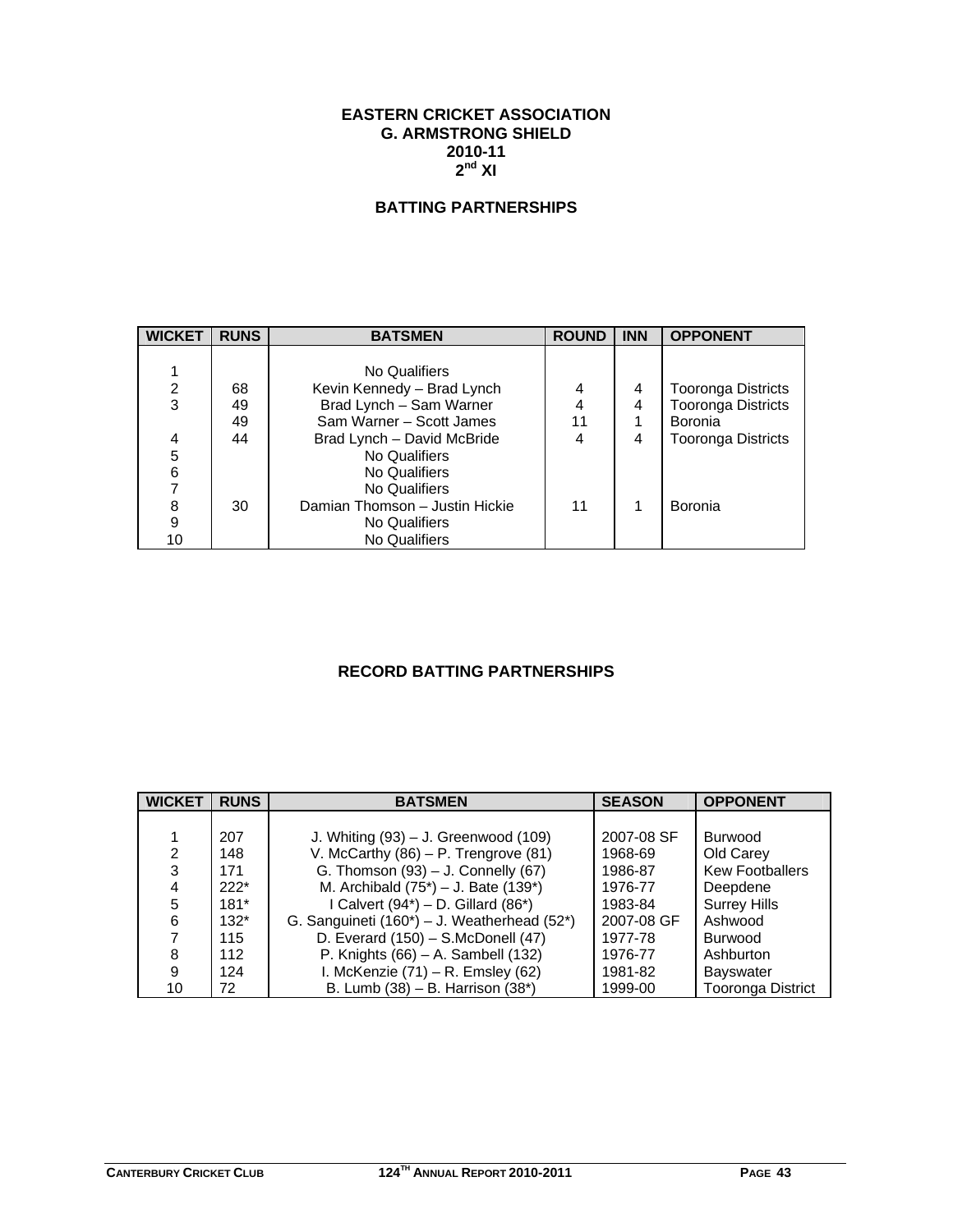#### **EASTERN CRICKET ASSOCIATION G. ARMSTRONG SHIELD 2010-11**   $2^{nd}$  XI

## **BATTING PARTNERSHIPS**

| <b>WICKET</b> | <b>RUNS</b> | <b>BATSMEN</b>                 | <b>ROUND</b> | <b>INN</b> | <b>OPPONENT</b>           |
|---------------|-------------|--------------------------------|--------------|------------|---------------------------|
|               |             |                                |              |            |                           |
|               |             | No Qualifiers                  |              |            |                           |
| $\frac{2}{3}$ | 68          | Kevin Kennedy - Brad Lynch     | 4            | 4          | <b>Tooronga Districts</b> |
|               | 49          | Brad Lynch - Sam Warner        | 4            | 4          | <b>Tooronga Districts</b> |
|               | 49          | Sam Warner - Scott James       | 11           | 1          | Boronia                   |
| 4             | 44          | Brad Lynch - David McBride     | 4            | 4          | <b>Tooronga Districts</b> |
| 5             |             | No Qualifiers                  |              |            |                           |
| 6             |             | No Qualifiers                  |              |            |                           |
|               |             | No Qualifiers                  |              |            |                           |
| 8             | 30          | Damian Thomson - Justin Hickie | 11           | 1          | Boronia                   |
| 9             |             | No Qualifiers                  |              |            |                           |
| 10            |             | No Qualifiers                  |              |            |                           |

## **RECORD BATTING PARTNERSHIPS**

| <b>WICKET</b> | <b>RUNS</b> | <b>BATSMEN</b>                              | <b>SEASON</b> | <b>OPPONENT</b>          |
|---------------|-------------|---------------------------------------------|---------------|--------------------------|
|               |             |                                             |               |                          |
|               | 207         | J. Whiting $(93) - J$ . Greenwood $(109)$   | 2007-08 SF    | <b>Burwood</b>           |
| 2             | 148         | V. McCarthy $(86)$ – P. Trengrove $(81)$    | 1968-69       | Old Carey                |
| 3             | 171         | G. Thomson (93) - J. Connelly (67)          | 1986-87       | <b>Kew Footballers</b>   |
| 4             | $222*$      | M. Archibald (75*) – J. Bate (139*)         | 1976-77       | Deepdene                 |
| 5             | $181*$      | I Calvert $(94^*)$ – D. Gillard $(86^*)$    | 1983-84       | <b>Surrey Hills</b>      |
| 6             | $132*$      | G. Sanguineti (160*) - J. Weatherhead (52*) | 2007-08 GF    | Ashwood                  |
|               | 115         | D. Everard $(150)$ – S.McDonell $(47)$      | 1977-78       | <b>Burwood</b>           |
| 8             | 112         | P. Knights $(66) - A$ . Sambell $(132)$     | 1976-77       | Ashburton                |
| 9             | 124         | I. McKenzie $(71)$ – R. Emsley $(62)$       | 1981-82       | <b>Bayswater</b>         |
| 10            | 72          | B. Lumb (38) - B. Harrison (38*)            | 1999-00       | <b>Tooronga District</b> |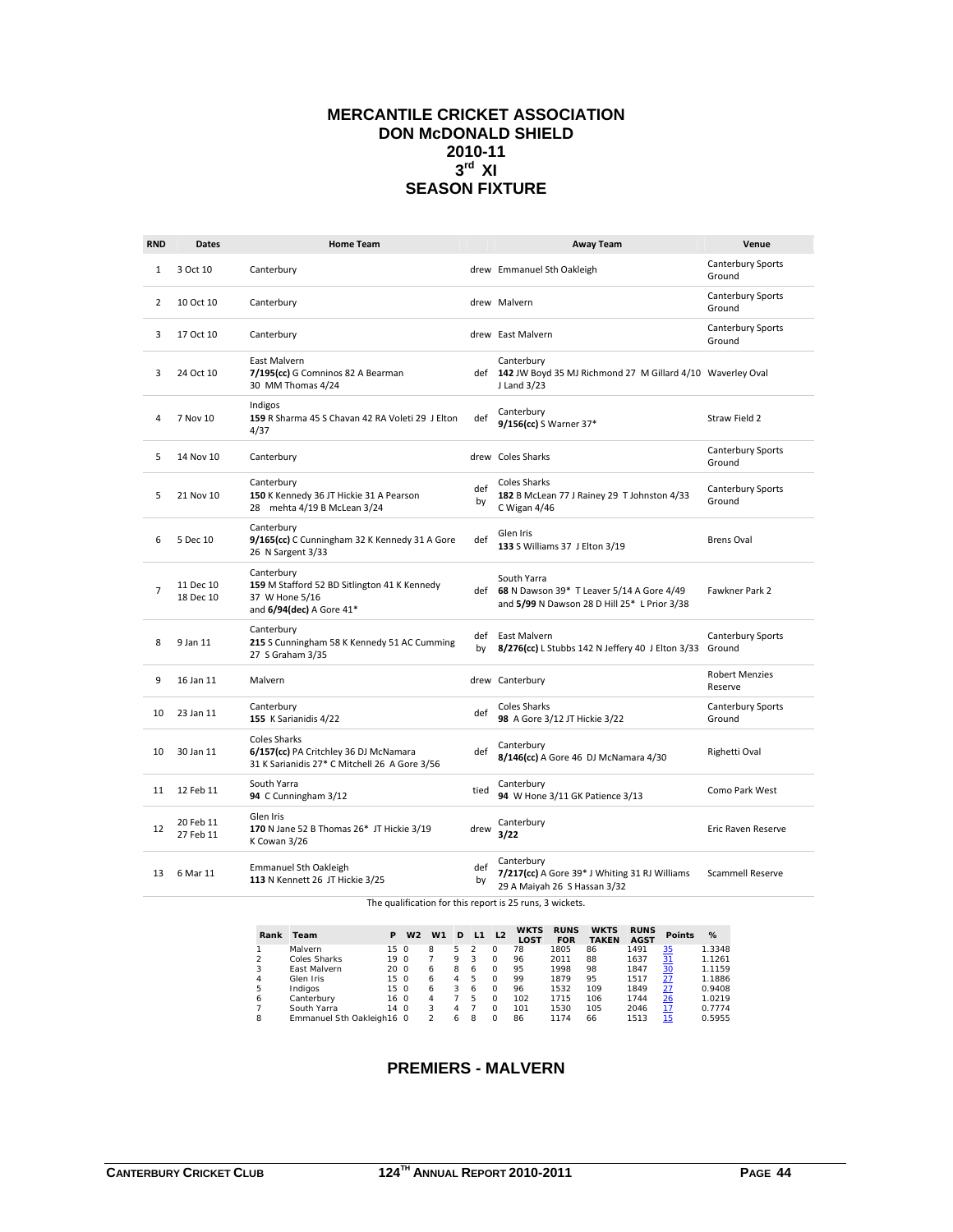#### **MERCANTILE CRICKET ASSOCIATION DON McDONALD SHIELD 2010-11**   $3^{rd}$  XI **SEASON FIXTURE**

| <b>RND</b> | Dates                  | <b>Home Team</b>                                                                                              |           | <b>Away Team</b>                                                                                         | Venue                              |
|------------|------------------------|---------------------------------------------------------------------------------------------------------------|-----------|----------------------------------------------------------------------------------------------------------|------------------------------------|
| 1          | 3 Oct 10               | Canterbury                                                                                                    |           | drew Emmanuel Sth Oakleigh                                                                               | Canterbury Sports<br>Ground        |
| 2          | 10 Oct 10              | Canterbury                                                                                                    |           | drew Malvern                                                                                             | <b>Canterbury Sports</b><br>Ground |
| 3          | 17 Oct 10              | Canterbury                                                                                                    |           | drew East Malvern                                                                                        | Canterbury Sports<br>Ground        |
| 3          | 24 Oct 10              | East Malvern<br>7/195(cc) G Comninos 82 A Bearman<br>30 MM Thomas 4/24                                        |           | Canterbury<br>def 142 JW Boyd 35 MJ Richmond 27 M Gillard 4/10 Waverley Oval<br>J Land 3/23              |                                    |
| 4          | 7 Nov 10               | Indigos<br>159 R Sharma 45 S Chavan 42 RA Voleti 29 J Elton<br>4/37                                           | def       | Canterbury<br>9/156(cc) S Warner 37*                                                                     | Straw Field 2                      |
| 5          | 14 Nov 10              | Canterbury                                                                                                    |           | drew Coles Sharks                                                                                        | Canterbury Sports<br>Ground        |
| 5          | 21 Nov 10              | Canterbury<br>150 K Kennedy 36 JT Hickie 31 A Pearson<br>28 mehta 4/19 B McLean 3/24                          | def<br>by | <b>Coles Sharks</b><br>182 B McLean 77 J Rainey 29 T Johnston 4/33<br>C Wigan 4/46                       | Canterbury Sports<br>Ground        |
| 6          | 5 Dec 10               | Canterbury<br>9/165(cc) C Cunningham 32 K Kennedy 31 A Gore<br>26 N Sargent 3/33                              | def       | Glen Iris<br>133 S Williams 37 J Elton 3/19                                                              | <b>Brens Oval</b>                  |
| 7          | 11 Dec 10<br>18 Dec 10 | Canterbury<br>159 M Stafford 52 BD Sitlington 41 K Kennedy<br>37 W Hone 5/16<br>and $6/94$ (dec) A Gore $41*$ | def       | South Yarra<br>68 N Dawson 39* T Leaver 5/14 A Gore 4/49<br>and 5/99 N Dawson 28 D Hill 25* L Prior 3/38 | Fawkner Park 2                     |
| 8          | 9 Jan 11               | Canterbury<br>215 S Cunningham 58 K Kennedy 51 AC Cumming<br>27 S Graham 3/35                                 | bv        | def East Malvern<br>8/276(cc) L Stubbs 142 N Jeffery 40 J Elton 3/33 Ground                              | Canterbury Sports                  |
| 9          | 16 Jan 11              | Malvern                                                                                                       |           | drew Canterbury                                                                                          | <b>Robert Menzies</b><br>Reserve   |
| 10         | 23 Jan 11              | Canterbury<br>155 K Sarianidis 4/22                                                                           | def       | Coles Sharks<br>98 A Gore 3/12 JT Hickie 3/22                                                            | Canterbury Sports<br>Ground        |
| 10         | 30 Jan 11              | <b>Coles Sharks</b><br>6/157(cc) PA Critchley 36 DJ McNamara<br>31 K Sarianidis 27* C Mitchell 26 A Gore 3/56 | def       | Canterbury<br>8/146(cc) A Gore 46 DJ McNamara 4/30                                                       | Righetti Oval                      |
| 11         | 12 Feb 11              | South Yarra<br>94 C Cunningham 3/12                                                                           | tied      | Canterbury<br>94 W Hone 3/11 GK Patience 3/13                                                            | Como Park West                     |
| 12         | 20 Feb 11<br>27 Feb 11 | Glen Iris<br>170 N Jane 52 B Thomas 26* JT Hickie 3/19<br>K Cowan 3/26                                        | drew      | Canterbury<br>3/22                                                                                       | Eric Raven Reserve                 |
| 13         | 6 Mar 11               | <b>Emmanuel Sth Oakleigh</b><br>113 N Kennett 26 JT Hickie 3/25                                               | def<br>by | Canterbury<br>7/217(cc) A Gore 39* J Whiting 31 RJ Williams<br>29 A Maiyah 26 S Hassan 3/32              | <b>Scammell Reserve</b>            |

The qualification for this report is 25 runs, 3 wickets.

| Rank | Team                      | Р               | W <sub>2</sub> | W <sub>1</sub> | D | L <sub>1</sub> | L <sub>2</sub> | <b>WKTS</b><br>LOST | <b>RUNS</b><br><b>FOR</b> | <b>WKTS</b><br><b>TAKEN</b> | <b>RUNS</b><br><b>AGST</b> | <b>Points</b> | %      |
|------|---------------------------|-----------------|----------------|----------------|---|----------------|----------------|---------------------|---------------------------|-----------------------------|----------------------------|---------------|--------|
|      | Malvern                   | 15 <sub>0</sub> |                | 8              | 5 |                |                | 78                  | 1805                      | 86                          | 1491                       | 35            | 1.3348 |
| 2    | Coles Sharks              | 19 O            |                |                | ٥ | 3              |                | 96                  | 2011                      | 88                          | 1637                       | 31            | 1.1261 |
| 3    | East Malvern              | 20 O            |                | ь              | 8 | 6              |                | 95                  | 1998                      | 98                          | 1847                       | 30            | 1.1159 |
| 4    | Glen Iris                 | 15 <sub>0</sub> |                | ь              | Δ | 5              |                | 99                  | 1879                      | 95                          | 1517                       | 27            | 1.1886 |
| 5    | Indigos                   | 15 <sub>0</sub> |                | b              | 3 | 6              | Ω              | 96                  | 1532                      | 109                         | 1849                       | 27            | 0.9408 |
| 6    | Canterbury                | 16 0            |                |                |   | 5              | $\Omega$       | 102                 | 1715                      | 106                         | 1744                       | 26            | 1.0219 |
|      | South Yarra               | 14 O            |                |                |   |                |                | 101                 | 1530                      | 105                         | 2046                       | 17            | 0.7774 |
| 8    | Emmanuel Sth Oakleigh16 0 |                 |                |                | ь | 8              |                | 86                  | 1174                      | 66                          | 1513                       | 15            | 0.5955 |

#### **PREMIERS - MALVERN**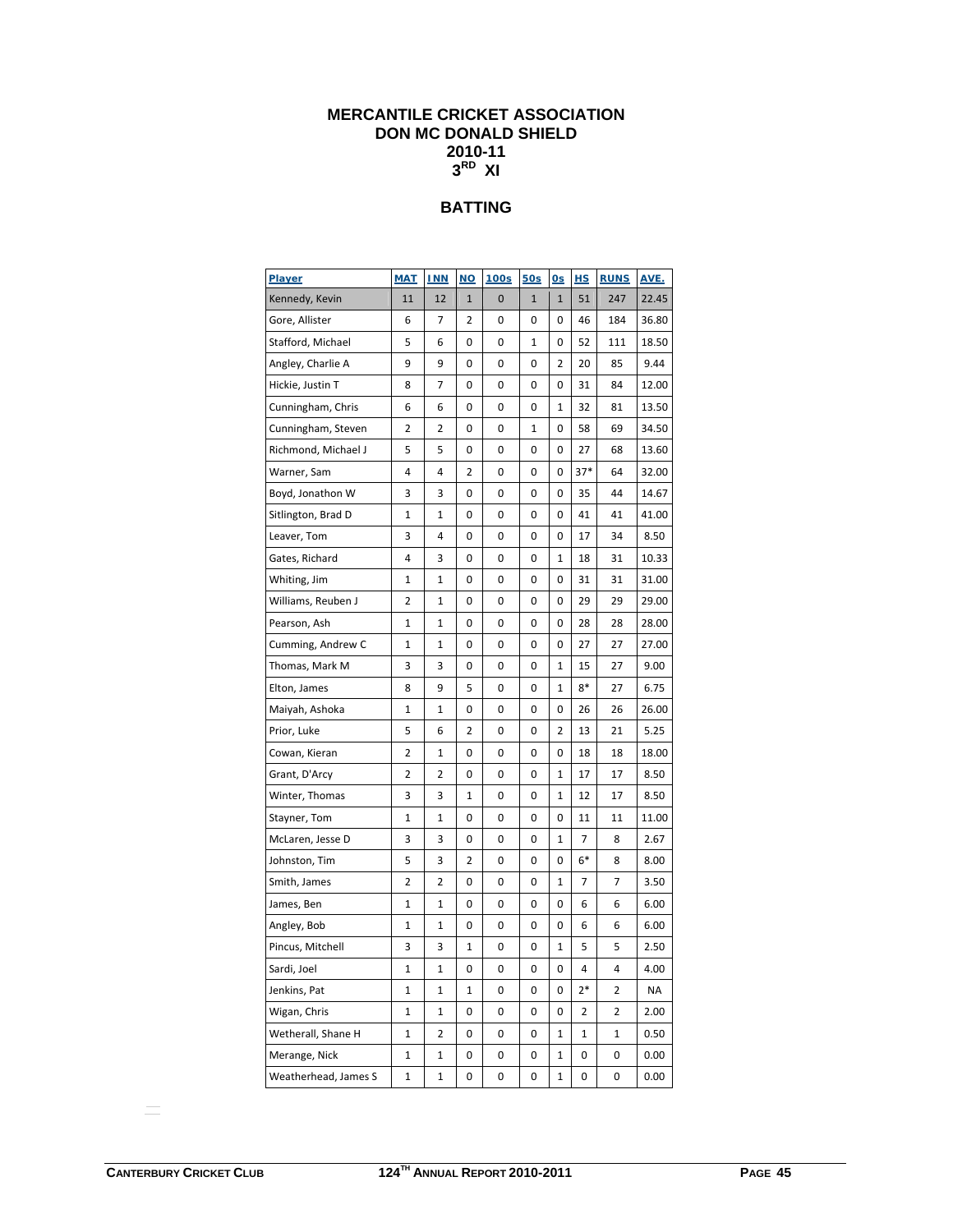## **MERCANTILE CRICKET ASSOCIATION DON MC DONALD SHIELD 2010-11 3RD XI**

# **BATTING**

| <b>Player</b>        | <b>MAT</b>     | <b>INN</b>   | <u>NO</u> | 100s     | 50s | <u>Os</u>    | <u>HS</u> | <b>RUNS</b> | AVE.  |
|----------------------|----------------|--------------|-----------|----------|-----|--------------|-----------|-------------|-------|
| Kennedy, Kevin       | 11             | 12           | 1         | $\bf{0}$ | 1   | $\mathbf{1}$ | 51        | 247         | 22.45 |
| Gore, Allister       | 6              | 7            | 2         | 0        | 0   | 0            | 46        | 184         | 36.80 |
| Stafford, Michael    | 5              | 6            | 0         | 0        | 1   | 0            | 52        | 111         | 18.50 |
| Angley, Charlie A    | 9              | 9            | 0         | 0        | 0   | 2            | 20        | 85          | 9.44  |
| Hickie, Justin T     | 8              | 7            | 0         | 0        | 0   | 0            | 31        | 84          | 12.00 |
| Cunningham, Chris    | 6              | 6            | 0         | 0        | 0   | 1            | 32        | 81          | 13.50 |
| Cunningham, Steven   | 2              | 2            | 0         | 0        | 1   | 0            | 58        | 69          | 34.50 |
| Richmond, Michael J  | 5              | 5            | 0         | 0        | 0   | 0            | 27        | 68          | 13.60 |
| Warner, Sam          | 4              | 4            | 2         | 0        | 0   | 0            | $37*$     | 64          | 32.00 |
| Boyd, Jonathon W     | 3              | 3            | 0         | 0        | 0   | 0            | 35        | 44          | 14.67 |
| Sitlington, Brad D   | $\mathbf{1}$   | 1            | 0         | 0        | 0   | 0            | 41        | 41          | 41.00 |
| Leaver, Tom          | 3              | 4            | 0         | 0        | 0   | 0            | 17        | 34          | 8.50  |
| Gates, Richard       | 4              | 3            | 0         | 0        | 0   | 1            | 18        | 31          | 10.33 |
| Whiting, Jim         | 1              | 1            | 0         | 0        | 0   | 0            | 31        | 31          | 31.00 |
| Williams, Reuben J   | $\overline{2}$ | 1            | 0         | 0        | 0   | 0            | 29        | 29          | 29.00 |
| Pearson, Ash         | $\mathbf 1$    | 1            | 0         | 0        | 0   | 0            | 28        | 28          | 28.00 |
| Cumming, Andrew C    | 1              | 1            | 0         | 0        | 0   | 0            | 27        | 27          | 27.00 |
| Thomas, Mark M       | 3              | 3            | 0         | 0        | 0   | 1            | 15        | 27          | 9.00  |
| Elton, James         | 8              | 9            | 5         | 0        | 0   | 1            | 8*        | 27          | 6.75  |
| Maiyah, Ashoka       | $\mathbf{1}$   | 1            | 0         | 0        | 0   | 0            | 26        | 26          | 26.00 |
| Prior, Luke          | 5              | 6            | 2         | 0        | 0   | 2            | 13        | 21          | 5.25  |
| Cowan, Kieran        | 2              | 1            | 0         | 0        | 0   | 0            | 18        | 18          | 18.00 |
| Grant, D'Arcy        | 2              | 2            | 0         | 0        | 0   | 1            | 17        | 17          | 8.50  |
| Winter, Thomas       | 3              | 3            | 1         | 0        | 0   | 1            | 12        | 17          | 8.50  |
| Stayner, Tom         | 1              | 1            | 0         | 0        | 0   | 0            | 11        | 11          | 11.00 |
| McLaren, Jesse D     | 3              | 3            | 0         | 0        | 0   | 1            | 7         | 8           | 2.67  |
| Johnston, Tim        | 5              | 3            | 2         | 0        | 0   | 0            | 6*        | 8           | 8.00  |
| Smith, James         | 2              | 2            | 0         | 0        | 0   | 1            | 7         | 7           | 3.50  |
| James, Ben           | 1              | 1            | 0         | 0        | 0   | 0            | 6         | 6           | 6.00  |
| Angley, Bob          | 1              | 1            | 0         | 0        | 0   | 0            | 6         | 6           | 6.00  |
| Pincus, Mitchell     | 3              | 3            | 1         | 0        | 0   | 1            | 5         | 5           | 2.50  |
| Sardi, Joel          | 1              | 1            | 0         | 0        | 0   | 0            | 4         | 4           | 4.00  |
| Jenkins, Pat         | 1              | $\mathbf{1}$ | 1         | 0        | 0   | 0            | $2*$      | 2           | NA    |
| Wigan, Chris         | $\mathbf{1}$   | $\mathbf{1}$ | 0         | 0        | 0   | 0            | 2         | 2           | 2.00  |
| Wetherall, Shane H   | $\mathbf{1}$   | 2            | 0         | 0        | 0   | 1            | 1         | 1           | 0.50  |
| Merange, Nick        | $\mathbf{1}$   | 1            | 0         | 0        | 0   | 1            | 0         | 0           | 0.00  |
| Weatherhead, James S | $\mathbf 1$    | 1            | 0         | 0        | 0   | 1            | 0         | 0           | 0.00  |

 $\equiv$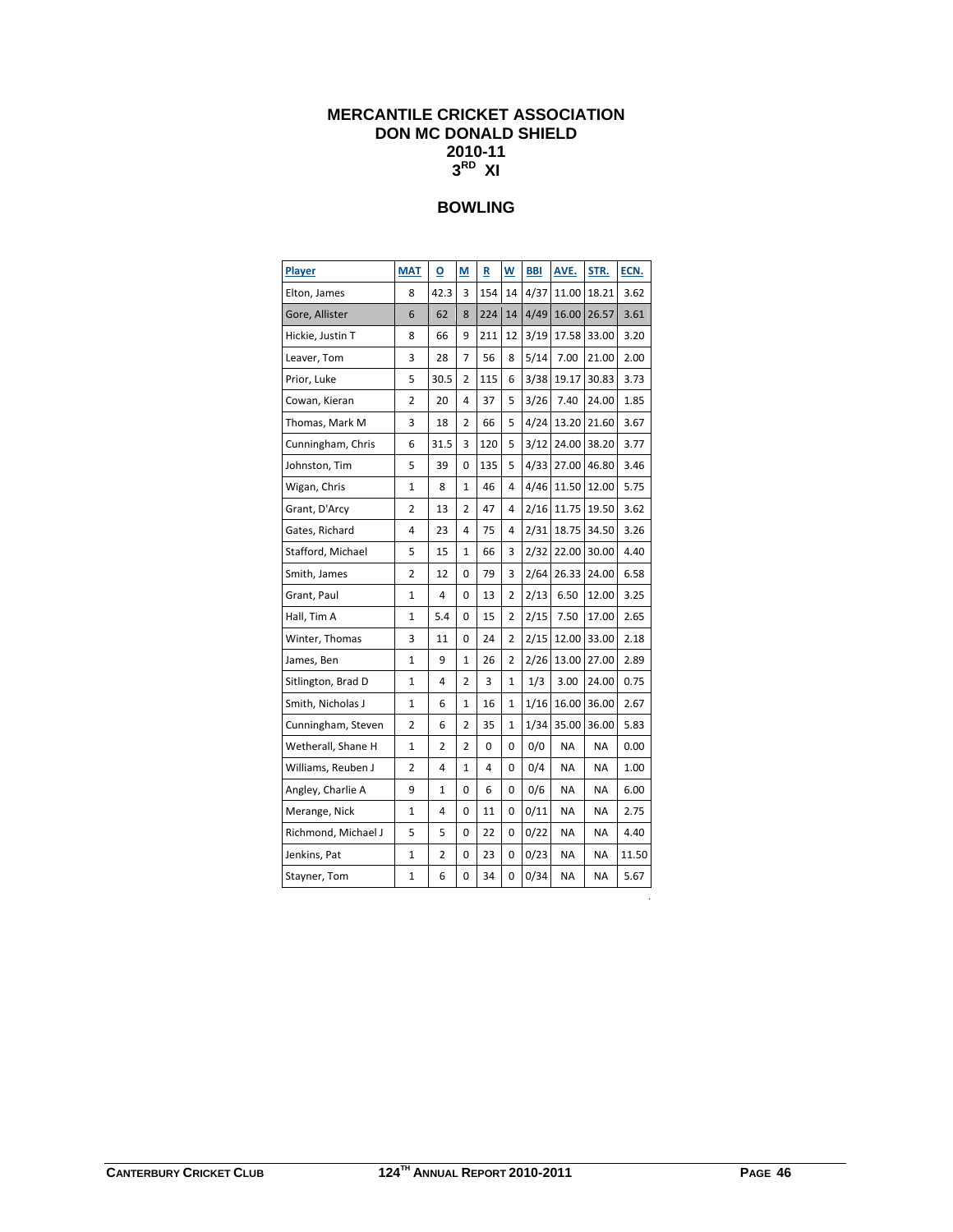## **MERCANTILE CRICKET ASSOCIATION DON MC DONALD SHIELD 2010-11 3RD XI**

# **BOWLING**

| <b>Player</b>       | <b>MAT</b>     | $\Omega$ | <u>M</u>       | $\overline{\mathbf{R}}$ | W  | <b>BBI</b> | AVE.      | STR.      | ECN.  |
|---------------------|----------------|----------|----------------|-------------------------|----|------------|-----------|-----------|-------|
| Elton, James        | 8              | 42.3     | 3              | 154                     | 14 | 4/37       | 11.00     | 18.21     | 3.62  |
| Gore, Allister      | 6              | 62       | 8              | 224                     | 14 | 4/49       | 16.00     | 26.57     | 3.61  |
| Hickie, Justin T    | 8              | 66       | 9              | 211                     | 12 | 3/19       | 17.58     | 33.00     | 3.20  |
| Leaver, Tom         | 3              | 28       | 7              | 56                      | 8  | 5/14       | 7.00      | 21.00     | 2.00  |
| Prior, Luke         | 5              | 30.5     | 2              | 115                     | 6  | 3/38       | 19.17     | 30.83     | 3.73  |
| Cowan, Kieran       | $\overline{2}$ | 20       | 4              | 37                      | 5  | 3/26       | 7.40      | 24.00     | 1.85  |
| Thomas, Mark M      | 3              | 18       | 2              | 66                      | 5  | 4/24       | 13.20     | 21.60     | 3.67  |
| Cunningham, Chris   | 6              | 31.5     | 3              | 120                     | 5  | 3/12       | 24.00     | 38.20     | 3.77  |
| Johnston, Tim       | 5              | 39       | 0              | 135                     | 5  | 4/33       | 27.00     | 46.80     | 3.46  |
| Wigan, Chris        | 1              | 8        | 1              | 46                      | 4  | 4/46       | 11.50     | 12.00     | 5.75  |
| Grant, D'Arcy       | 2              | 13       | 2              | 47                      | 4  | 2/16       | 11.75     | 19.50     | 3.62  |
| Gates, Richard      | 4              | 23       | 4              | 75                      | 4  | 2/31       | 18.75     | 34.50     | 3.26  |
| Stafford, Michael   | 5              | 15       | 1              | 66                      | 3  | 2/32       | 22.00     | 30.00     | 4.40  |
| Smith, James        | $\overline{2}$ | 12       | 0              | 79                      | 3  | 2/64       | 26.33     | 24.00     | 6.58  |
| Grant, Paul         | 1              | 4        | 0              | 13                      | 2  | 2/13       | 6.50      | 12.00     | 3.25  |
| Hall, Tim A         | $\mathbf{1}$   | 5.4      | 0              | 15                      | 2  | 2/15       | 7.50      | 17.00     | 2.65  |
| Winter, Thomas      | 3              | 11       | 0              | 24                      | 2  | 2/15       | 12.00     | 33.00     | 2.18  |
| James, Ben          | 1              | 9        | 1              | 26                      | 2  | 2/26       | 13.00     | 27.00     | 2.89  |
| Sitlington, Brad D  | 1              | 4        | 2              | 3                       | 1  | 1/3        | 3.00      | 24.00     | 0.75  |
| Smith, Nicholas J   | 1              | 6        | 1              | 16                      | 1  | 1/16       | 16.00     | 36.00     | 2.67  |
| Cunningham, Steven  | 2              | 6        | 2              | 35                      | 1  | 1/34       | 35.00     | 36.00     | 5.83  |
| Wetherall, Shane H  | 1              | 2        | $\overline{2}$ | 0                       | 0  | 0/0        | <b>NA</b> | <b>NA</b> | 0.00  |
| Williams, Reuben J  | $\overline{2}$ | 4        | 1              | 4                       | 0  | 0/4        | ΝA        | NA        | 1.00  |
| Angley, Charlie A   | 9              | 1        | 0              | 6                       | 0  | 0/6        | ΝA        | ΝA        | 6.00  |
| Merange, Nick       | 1              | 4        | 0              | 11                      | 0  | 0/11       | ΝA        | ΝA        | 2.75  |
| Richmond, Michael J | 5              | 5        | 0              | 22                      | 0  | 0/22       | ΝA        | ΝA        | 4.40  |
| Jenkins, Pat        | 1              | 2        | 0              | 23                      | 0  | 0/23       | ΝA        | ΝA        | 11.50 |
| Stayner, Tom        | $\mathbf 1$    | 6        | 0              | 34                      | 0  | 0/34       | NA        | <b>NA</b> | 5.67  |

.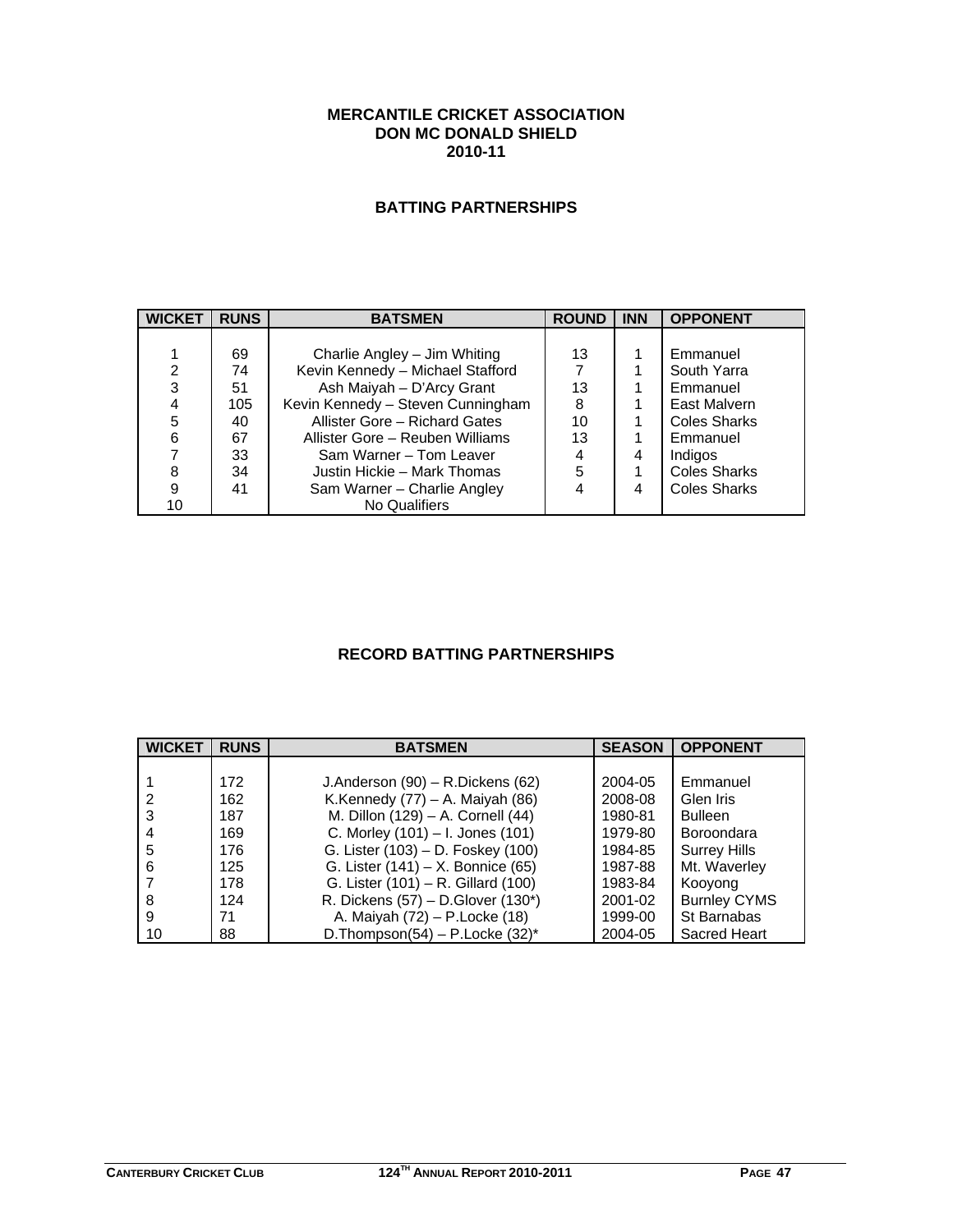#### **MERCANTILE CRICKET ASSOCIATION DON MC DONALD SHIELD 2010-11**

## **BATTING PARTNERSHIPS**

| <b>WICKET</b> | <b>RUNS</b> | <b>BATSMEN</b>                    | <b>ROUND</b> | <b>INN</b> | <b>OPPONENT</b>     |
|---------------|-------------|-----------------------------------|--------------|------------|---------------------|
|               |             |                                   |              |            |                     |
|               | 69          | Charlie Angley - Jim Whiting      | 13           |            | Emmanuel            |
| 2             | 74          | Kevin Kennedy - Michael Stafford  |              |            | South Yarra         |
| 3             | 51          | Ash Maiyah - D'Arcy Grant         | 13           |            | Emmanuel            |
| 4             | 105         | Kevin Kennedy - Steven Cunningham | 8            |            | East Malvern        |
| 5             | 40          | Allister Gore - Richard Gates     | 10           |            | <b>Coles Sharks</b> |
| 6             | 67          | Allister Gore - Reuben Williams   | 13           |            | Emmanuel            |
|               | 33          | Sam Warner - Tom Leaver           |              | 4          | Indigos             |
| 8             | 34          | Justin Hickie – Mark Thomas       | 5            |            | <b>Coles Sharks</b> |
| 9             | 41          | Sam Warner - Charlie Angley       |              | 4          | <b>Coles Sharks</b> |
| 10            |             | No Qualifiers                     |              |            |                     |

## **RECORD BATTING PARTNERSHIPS**

| <b>WICKET</b> | <b>RUNS</b> | <b>BATSMEN</b>                      | <b>SEASON</b> | <b>OPPONENT</b>     |
|---------------|-------------|-------------------------------------|---------------|---------------------|
|               |             |                                     |               |                     |
|               | 172         | J.Anderson (90) - R.Dickens (62)    | 2004-05       | Emmanuel            |
|               | 162         | K.Kennedy $(77)$ – A. Maiyah $(86)$ | 2008-08       | Glen Iris           |
|               | 187         | M. Dillon (129) - A. Cornell (44)   | 1980-81       | <b>Bulleen</b>      |
| 4             | 169         | C. Morley (101) - I. Jones (101)    | 1979-80       | Boroondara          |
| 5             | 176         | G. Lister (103) - D. Foskey (100)   | 1984-85       | <b>Surrey Hills</b> |
| 6             | 125         | G. Lister (141) – X. Bonnice (65)   | 1987-88       | Mt. Waverley        |
|               | 178         | G. Lister (101) - R. Gillard (100)  | 1983-84       | Kooyong             |
|               | 124         | R. Dickens (57) - D. Glover (130*)  | 2001-02       | <b>Burnley CYMS</b> |
| 9             | 71          | A. Maiyah (72) - P. Locke (18)      | 1999-00       | St Barnabas         |
| 10            | 88          | D. Thompson(54) – P. Locke $(32)^*$ | 2004-05       | Sacred Heart        |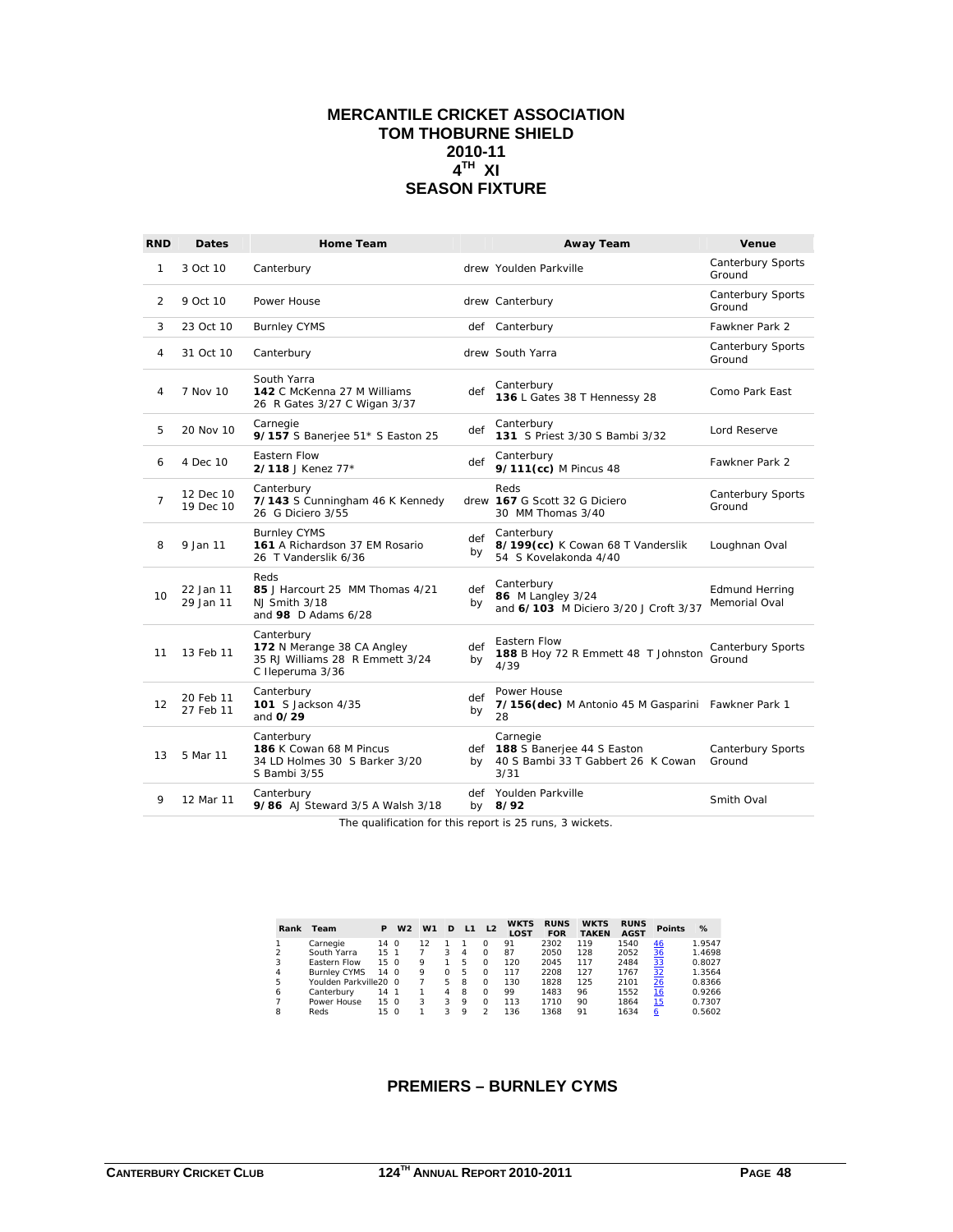#### **MERCANTILE CRICKET ASSOCIATION TOM THOBURNE SHIELD 2010-11 4TH XI SEASON FIXTURE**

| <b>RND</b>     | <b>Dates</b>           | <b>Home Team</b>                                                                                |           | <b>Away Team</b>                                                                     | Venue                                  |
|----------------|------------------------|-------------------------------------------------------------------------------------------------|-----------|--------------------------------------------------------------------------------------|----------------------------------------|
| $\mathbf{1}$   | 3 Oct 10               | Canterbury                                                                                      |           | drew Youlden Parkville                                                               | Canterbury Sports<br>Ground            |
| 2              | 9 Oct 10               | Power House                                                                                     |           | drew Canterbury                                                                      | Canterbury Sports<br>Ground            |
| 3              | 23 Oct 10              | <b>Burnley CYMS</b>                                                                             |           | def Canterbury                                                                       | Fawkner Park 2                         |
| 4              | 31 Oct 10              | Canterbury                                                                                      |           | drew South Yarra                                                                     | Canterbury Sports<br>Ground            |
| 4              | 7 Nov 10               | South Yarra<br>142 C McKenna 27 M Williams<br>26 R Gates 3/27 C Wigan 3/37                      | def       | Canterbury<br>136 L Gates 38 T Hennessy 28                                           | Como Park East                         |
| 5              | 20 Nov 10              | Carnegie<br>9/157 S Banerjee 51* S Easton 25                                                    | def       | Canterbury<br>131 S Priest 3/30 S Bambi 3/32                                         | Lord Reserve                           |
| 6              | 4 Dec 10               | Eastern Flow<br>$2/118$ J Kenez $77*$                                                           | def       | Canterbury<br>9/111(cc) M Pincus 48                                                  | Fawkner Park 2                         |
| $\overline{7}$ | 12 Dec 10<br>19 Dec 10 | Canterbury<br>7/143 S Cunningham 46 K Kennedy<br>26 G Diciero 3/55                              |           | Reds<br>drew 167 G Scott 32 G Diciero<br>30 MM Thomas 3/40                           | Canterbury Sports<br>Ground            |
| 8              | 9 Jan 11               | <b>Burnley CYMS</b><br>161 A Richardson 37 EM Rosario<br>26 T Vanderslik 6/36                   | def<br>by | Canterbury<br>8/199(cc) K Cowan 68 T Vanderslik<br>54 S Kovelakonda 4/40             | Loughnan Oval                          |
| 10             | 22 Jan 11<br>29 Jan 11 | Reds<br>85 J Harcourt 25 MM Thomas 4/21<br>NJ Smith 3/18<br>and $98$ D Adams $6/28$             | def<br>by | Canterbury<br>86 M Langley 3/24<br>and 6/103 M Diciero 3/20 J Croft 3/37             | <b>Edmund Herring</b><br>Memorial Oval |
| 11             | 13 Feb 11              | Canterbury<br>172 N Merange 38 CA Angley<br>35 RJ Williams 28 R Emmett 3/24<br>C Ileperuma 3/36 | def<br>by | <b>Eastern Flow</b><br>188 B Hoy 72 R Emmett 48 T Johnston<br>4/39                   | Canterbury Sports<br>Ground            |
| 12             | 20 Feb 11<br>27 Feb 11 | Canterbury<br>101 S Jackson 4/35<br>and $0/29$                                                  | def<br>by | Power House<br>7/156(dec) M Antonio 45 M Gasparini Fawkner Park 1<br>28              |                                        |
| 13             | 5 Mar 11               | Canterbury<br>186 K Cowan 68 M Pincus<br>34 LD Holmes 30 S Barker 3/20<br>S Bambi 3/55          | def<br>bv | Carnegie<br>188 S Banerjee 44 S Easton<br>40 S Bambi 33 T Gabbert 26 K Cowan<br>3/31 | Canterbury Sports<br>Ground            |
| 9              | 12 Mar 11              | Canterbury<br>9/86 AJ Steward 3/5 A Walsh 3/18                                                  | def<br>by | Youlden Parkville<br>8/92                                                            | Smith Oval                             |
|                |                        |                                                                                                 |           | The qualification for this report is 25 runs, 3 wickets.                             |                                        |

| Rank | Team                  | P               | W <sub>2</sub> | W <sub>1</sub> | D        | L1             | L <sub>2</sub> | <b>WKTS</b><br>LOST | <b>RUNS</b><br><b>FOR</b> | <b>WKTS</b><br><b>TAKEN</b> | <b>RUNS</b><br><b>AGST</b> | <b>Points</b> | %      |
|------|-----------------------|-----------------|----------------|----------------|----------|----------------|----------------|---------------------|---------------------------|-----------------------------|----------------------------|---------------|--------|
| 1    | Carnegie              | 14 0            |                | 12             | 1        |                | $\Omega$       | 91                  | 2302                      | 119                         | 1540                       | 46            | 1.9547 |
| 2    | South Yarra           | 15 <sub>1</sub> |                | 7              | 3        | $\overline{4}$ | $\Omega$       | 87                  | 2050                      | 128                         | 2052                       | 36            | 1.4698 |
| 3    | Eastern Flow          | 15 <sub>0</sub> |                | 9              | 1        | 5              | $\Omega$       | 120                 | 2045                      | 117                         | 2484                       | 33            | 0.8027 |
| 4    | <b>Burnley CYMS</b>   | 14 0            |                | 9              | $\Omega$ | 5              | $\Omega$       | 117                 | 2208                      | 127                         | 1767                       | 32            | 1.3564 |
| 5    | Youlden Parkville20 0 |                 |                | 7              | 5        | 8              | $\Omega$       | 130                 | 1828                      | 125                         | 2101                       | <u>26</u>     | 0.8366 |
| 6    | Canterbury            | 14              | $\overline{1}$ | 1              | 4        | 8              | $\Omega$       | 99                  | 1483                      | 96                          | 1552                       | <u>16</u>     | 0.9266 |
| 7    | Power House           | 15 0            |                | 3              | 3        | 9              | $\Omega$       | 113                 | 1710                      | 90                          | 1864                       | <u>15</u>     | 0.7307 |
| 8    | Reds                  | 15 0            |                | 1              | 3        | 9              | $\mathfrak{D}$ | 136                 | 1368                      | 91                          | 1634                       | <u>6</u>      | 0.5602 |

## **PREMIERS – BURNLEY CYMS**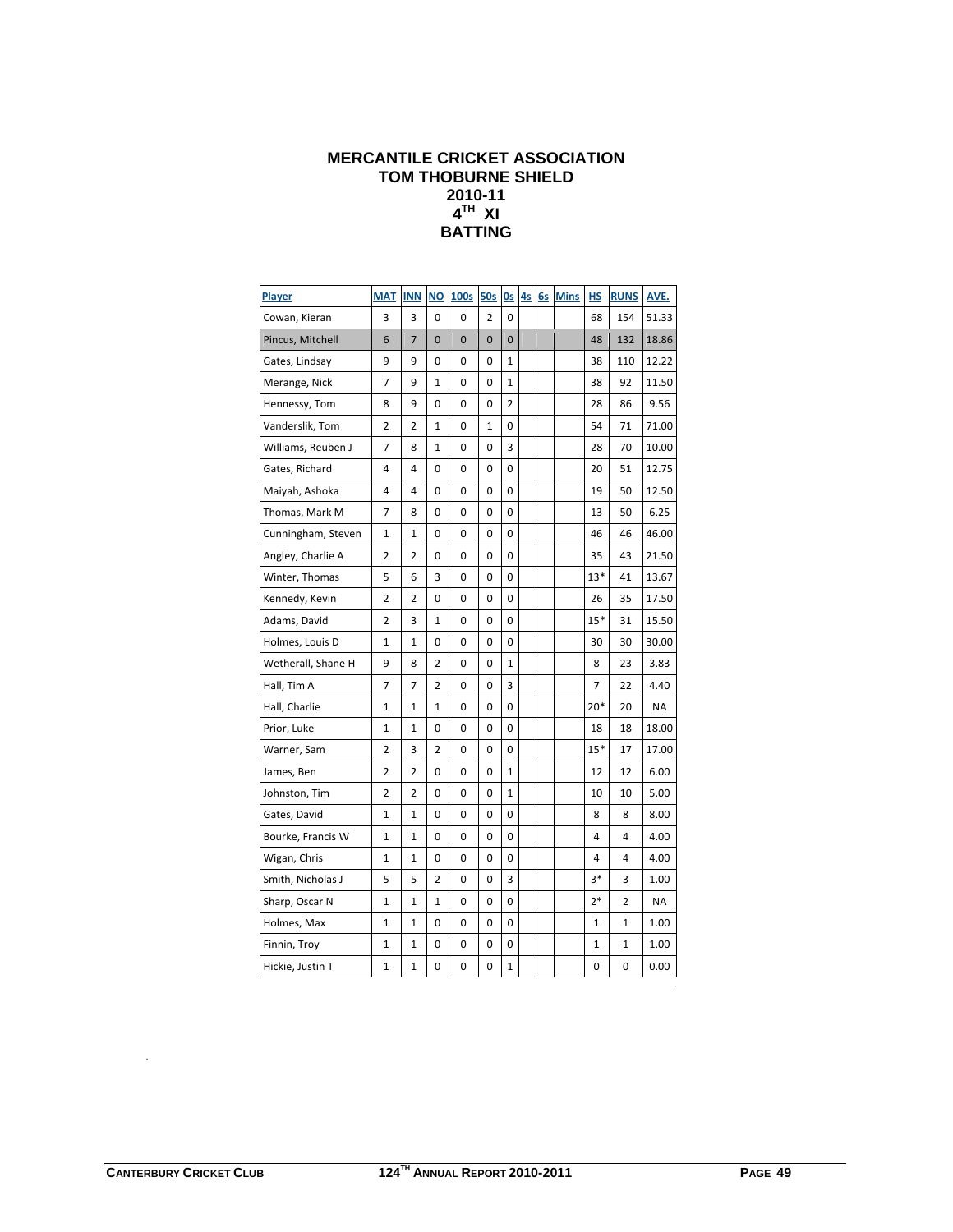#### **MERCANTILE CRICKET ASSOCIATION TOM THOBURNE SHIELD 2010-11 4TH XI BATTING**

| Player             | <b>MAT</b>     | <b>INN</b>     | <b>NO</b>    | <b>100s</b>  | <b>50s</b>     | 0s             | 4s | 6s | <b>Mins</b> | <b>HS</b>    | <b>RUNS</b>             | AVE.      |
|--------------------|----------------|----------------|--------------|--------------|----------------|----------------|----|----|-------------|--------------|-------------------------|-----------|
| Cowan, Kieran      | 3              | 3              | 0            | 0            | $\overline{2}$ | 0              |    |    |             | 68           | 154                     | 51.33     |
| Pincus, Mitchell   | 6              | 7              | 0            | $\mathbf{0}$ | $\overline{0}$ | $\overline{0}$ |    |    |             | 48           | 132                     | 18.86     |
| Gates, Lindsay     | 9              | 9              | 0            | 0            | 0              | 1              |    |    |             | 38           | 110                     | 12.22     |
| Merange, Nick      | 7              | 9              | 1            | 0            | 0              | $\mathbf{1}$   |    |    |             | 38           | 92                      | 11.50     |
| Hennessy, Tom      | 8              | 9              | 0            | 0            | 0              | $\overline{2}$ |    |    |             | 28           | 86                      | 9.56      |
| Vanderslik, Tom    | $\overline{2}$ | 2              | $\mathbf{1}$ | 0            | $\mathbf{1}$   | $\mathbf 0$    |    |    |             | 54           | 71                      | 71.00     |
| Williams, Reuben J | $\overline{7}$ | 8              | 1            | 0            | 0              | 3              |    |    |             | 28           | 70                      | 10.00     |
| Gates, Richard     | 4              | 4              | 0            | 0            | 0              | 0              |    |    |             | 20           | 51                      | 12.75     |
| Maiyah, Ashoka     | 4              | 4              | 0            | 0            | 0              | 0              |    |    |             | 19           | 50                      | 12.50     |
| Thomas, Mark M     | 7              | 8              | 0            | 0            | 0              | 0              |    |    |             | 13           | 50                      | 6.25      |
| Cunningham, Steven | 1              | 1              | 0            | 0            | 0              | 0              |    |    |             | 46           | 46                      | 46.00     |
| Angley, Charlie A  | 2              | 2              | 0            | 0            | 0              | 0              |    |    |             | 35           | 43                      | 21.50     |
| Winter, Thomas     | 5              | 6              | 3            | 0            | 0              | $\mathbf 0$    |    |    |             | $13*$        | 41                      | 13.67     |
| Kennedy, Kevin     | $\overline{2}$ | 2              | 0            | 0            | 0              | 0              |    |    |             | 26           | 35                      | 17.50     |
| Adams, David       | $\overline{2}$ | 3              | 1            | 0            | 0              | 0              |    |    |             | $15*$        | 31                      | 15.50     |
| Holmes, Louis D    | 1              | $\mathbf{1}$   | 0            | 0            | 0              | 0              |    |    |             | 30           | 30                      | 30.00     |
| Wetherall, Shane H | 9              | 8              | 2            | 0            | 0              | $\mathbf{1}$   |    |    |             | 8            | 23                      | 3.83      |
| Hall, Tim A        | 7              | 7              | 2            | 0            | 0              | 3              |    |    |             | 7            | 22                      | 4.40      |
| Hall, Charlie      | $\mathbf{1}$   | $\mathbf{1}$   | $\mathbf{1}$ | 0            | 0              | 0              |    |    |             | $20*$        | 20                      | <b>NA</b> |
| Prior, Luke        | 1              | 1              | 0            | 0            | 0              | 0              |    |    |             | 18           | 18                      | 18.00     |
| Warner, Sam        | $\overline{2}$ | 3              | 2            | 0            | 0              | 0              |    |    |             | $15*$        | 17                      | 17.00     |
| James, Ben         | $\overline{2}$ | $\overline{2}$ | 0            | 0            | 0              | $\mathbf{1}$   |    |    |             | 12           | 12                      | 6.00      |
| Johnston, Tim      | $\overline{2}$ | 2              | 0            | 0            | 0              | $\mathbf{1}$   |    |    |             | 10           | 10                      | 5.00      |
| Gates, David       | 1              | 1              | 0            | 0            | 0              | 0              |    |    |             | 8            | 8                       | 8.00      |
| Bourke, Francis W  | 1              | 1              | 0            | 0            | 0              | 0              |    |    |             | 4            | 4                       | 4.00      |
| Wigan, Chris       | $\mathbf{1}$   | $\mathbf{1}$   | 0            | 0            | 0              | 0              |    |    |             | 4            | 4                       | 4.00      |
| Smith, Nicholas J  | 5              | 5              | 2            | 0            | 0              | 3              |    |    |             | $3*$         | 3                       | 1.00      |
| Sharp, Oscar N     | 1              | $\mathbf{1}$   | $\mathbf{1}$ | 0            | 0              | 0              |    |    |             | $2*$         | $\overline{\mathbf{c}}$ | <b>NA</b> |
| Holmes, Max        | 1              | 1              | 0            | 0            | 0              | 0              |    |    |             | $\mathbf{1}$ | $\mathbf{1}$            | 1.00      |
| Finnin, Troy       | 1              | 1              | 0            | 0            | 0              | 0              |    |    |             | 1            | 1                       | 1.00      |
| Hickie, Justin T   | 1              | $\mathbf{1}$   | 0            | 0            | 0              | $\mathbf 1$    |    |    |             | 0            | 0                       | 0.00      |

.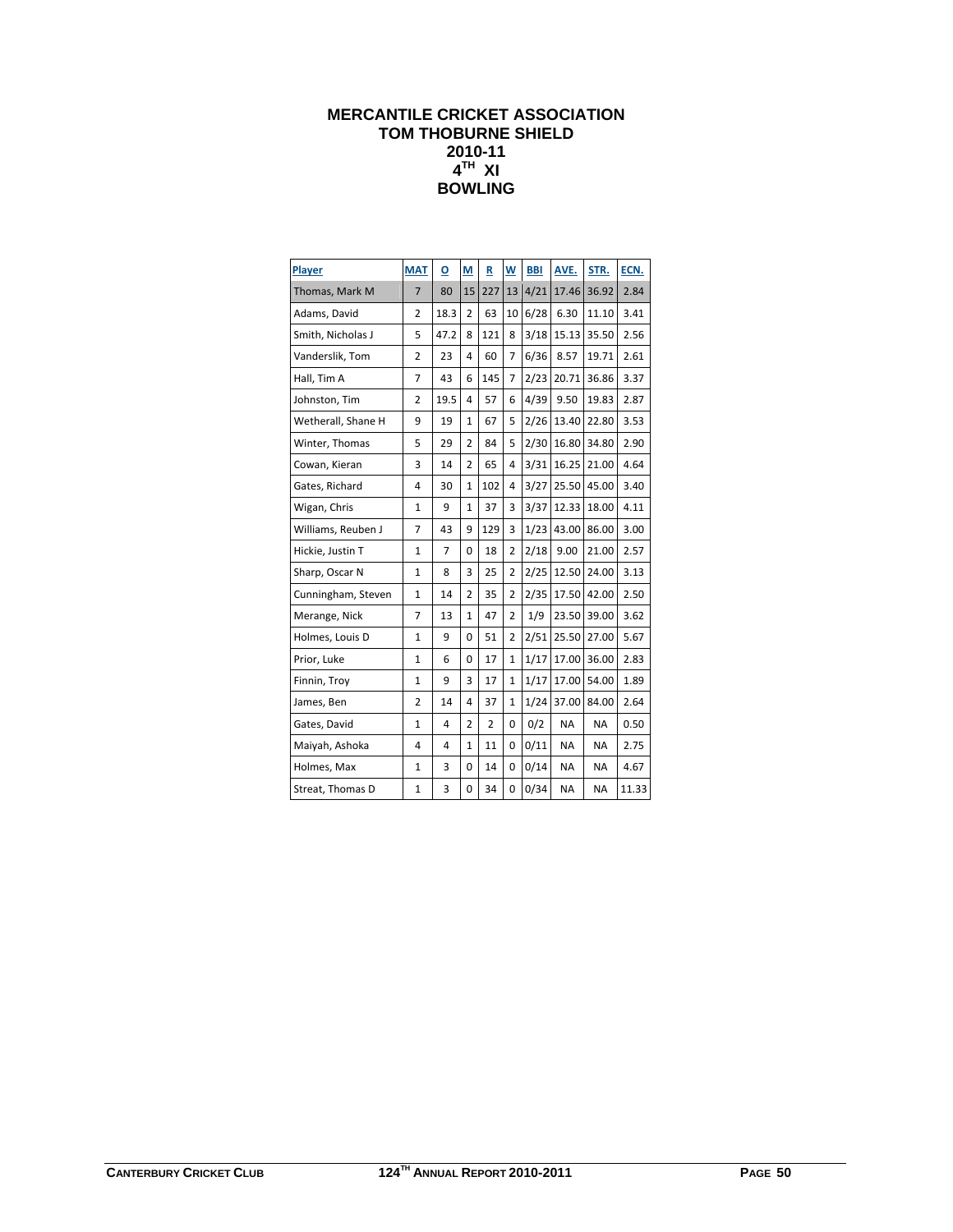## **MERCANTILE CRICKET ASSOCIATION TOM THOBURNE SHIELD 2010-11 4TH XI BOWLING**

| Player             | <b>MAT</b>     | О              | M              | R              | W              | <b>BBI</b> | AVE.      | STR.      | ECN.  |
|--------------------|----------------|----------------|----------------|----------------|----------------|------------|-----------|-----------|-------|
| Thomas, Mark M     | 7              | 80             | 15             | 227            | 13             | 4/21       | 17.46     | 36.92     | 2.84  |
| Adams, David       | $\overline{2}$ | 18.3           | $\overline{2}$ | 63             | 10             | 6/28       | 6.30      | 11.10     | 3.41  |
| Smith, Nicholas J  | 5              | 47.2           | 8              | 121            | 8              | 3/18       | 15.13     | 35.50     | 2.56  |
| Vanderslik, Tom    | $\overline{2}$ | 23             | 4              | 60             | 7              | 6/36       | 8.57      | 19.71     | 2.61  |
| Hall, Tim A        | $\overline{7}$ | 43             | 6              | 145            | $\overline{7}$ | 2/23       | 20.71     | 36.86     | 3.37  |
| Johnston, Tim      | $\overline{2}$ | 19.5           | 4              | 57             | 6              | 4/39       | 9.50      | 19.83     | 2.87  |
| Wetherall, Shane H | 9              | 19             | $\mathbf{1}$   | 67             | 5              | 2/26       | 13.40     | 22.80     | 3.53  |
| Winter, Thomas     | 5              | 29             | $\overline{2}$ | 84             | 5              | 2/30       | 16.80     | 34.80     | 2.90  |
| Cowan, Kieran      | 3              | 14             | $\overline{2}$ | 65             | 4              | 3/31       | 16.25     | 21.00     | 4.64  |
| Gates, Richard     | 4              | 30             | 1              | 102            | 4              | 3/27       | 25.50     | 45.00     | 3.40  |
| Wigan, Chris       | 1              | 9              | $\mathbf{1}$   | 37             | 3              | 3/37       | 12.33     | 18.00     | 4.11  |
| Williams, Reuben J | $\overline{7}$ | 43             | 9              | 129            | 3              | 1/23       | 43.00     | 86.00     | 3.00  |
| Hickie, Justin T   | $\mathbf{1}$   | $\overline{7}$ | 0              | 18             | $\overline{2}$ | 2/18       | 9.00      | 21.00     | 2.57  |
| Sharp, Oscar N     | $\mathbf{1}$   | 8              | 3              | 25             | $\overline{2}$ | 2/25       | 12.50     | 24.00     | 3.13  |
| Cunningham, Steven | $\mathbf{1}$   | 14             | $\overline{2}$ | 35             | $\overline{2}$ | 2/35       | 17.50     | 42.00     | 2.50  |
| Merange, Nick      | 7              | 13             | $\mathbf{1}$   | 47             | 2              | 1/9        | 23.50     | 39.00     | 3.62  |
| Holmes, Louis D    | $\mathbf{1}$   | 9              | 0              | 51             | 2              | 2/51       | 25.50     | 27.00     | 5.67  |
| Prior, Luke        | $\mathbf{1}$   | 6              | 0              | 17             | $\mathbf{1}$   | 1/17       | 17.00     | 36.00     | 2.83  |
| Finnin, Troy       | 1              | 9              | 3              | 17             | 1              | 1/17       | 17.00     | 54.00     | 1.89  |
| James, Ben         | 2              | 14             | 4              | 37             | 1              | 1/24       | 37.00     | 84.00     | 2.64  |
| Gates, David       | 1              | 4              | 2              | $\overline{2}$ | 0              | 0/2        | <b>NA</b> | <b>NA</b> | 0.50  |
| Maiyah, Ashoka     | 4              | 4              | $\mathbf{1}$   | 11             | 0              | 0/11       | <b>NA</b> | <b>NA</b> | 2.75  |
| Holmes, Max        | 1              | 3              | 0              | 14             | 0              | 0/14       | <b>NA</b> | <b>NA</b> | 4.67  |
| Streat, Thomas D   | $\mathbf{1}$   | 3              | 0              | 34             | 0              | 0/34       | <b>NA</b> | <b>NA</b> | 11.33 |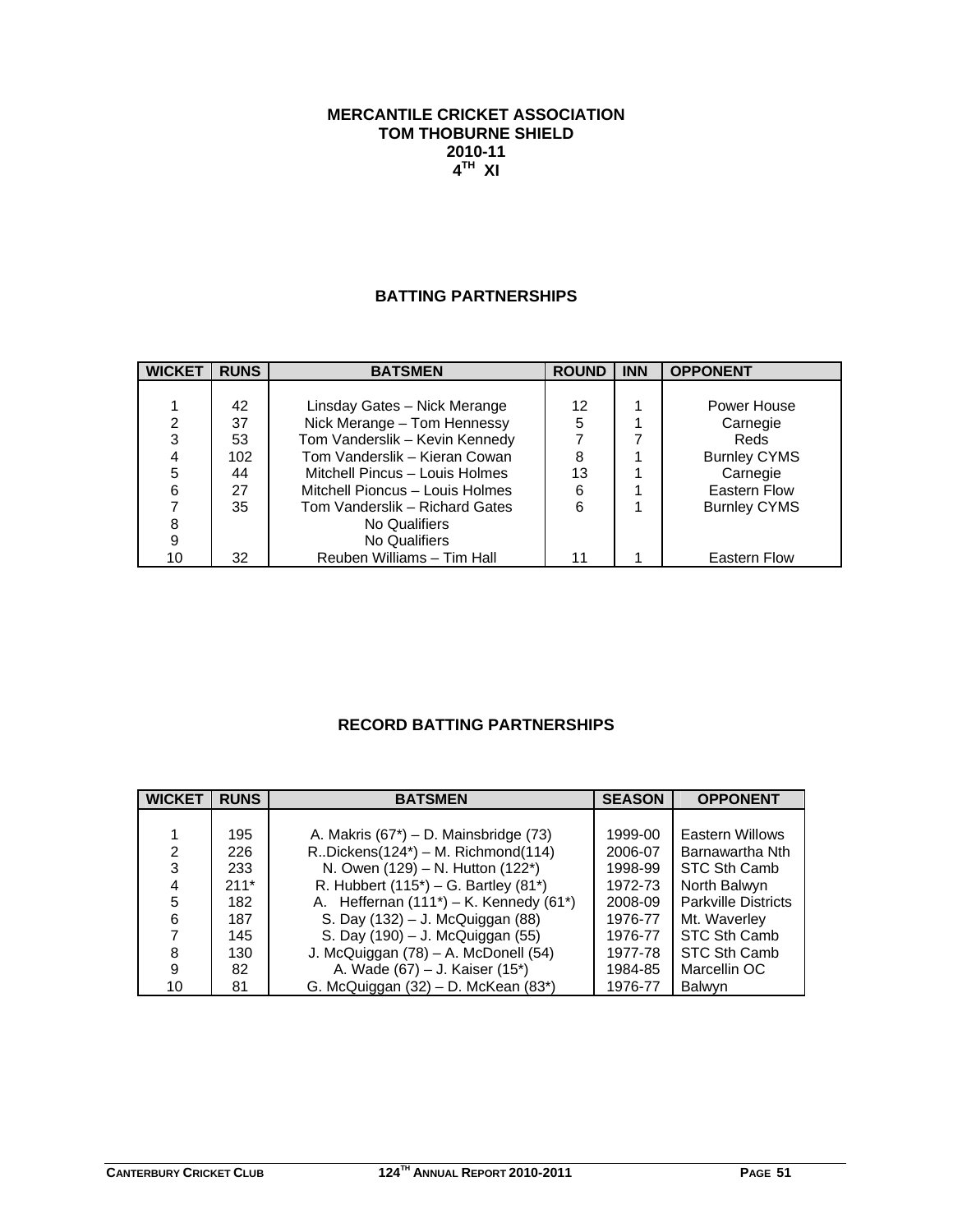#### **MERCANTILE CRICKET ASSOCIATION TOM THOBURNE SHIELD 2010-11 4TH XI**

#### **BATTING PARTNERSHIPS**

| <b>WICKET</b> | <b>RUNS</b> | <b>BATSMEN</b>                  | <b>ROUND</b> | <b>INN</b> | <b>OPPONENT</b>     |
|---------------|-------------|---------------------------------|--------------|------------|---------------------|
|               |             |                                 |              |            |                     |
|               | 42          | Linsday Gates - Nick Merange    | 12           |            | Power House         |
| 2             | 37          | Nick Merange - Tom Hennessy     | 5            |            | Carnegie            |
| 3             | 53          | Tom Vanderslik - Kevin Kennedy  |              |            | <b>Reds</b>         |
| 4             | 102         | Tom Vanderslik - Kieran Cowan   | 8            |            | <b>Burnley CYMS</b> |
| 5             | 44          | Mitchell Pincus - Louis Holmes  | 13           |            | Carnegie            |
| 6             | 27          | Mitchell Pioncus - Louis Holmes | 6            |            | <b>Eastern Flow</b> |
|               | 35          | Tom Vanderslik – Richard Gates  | 6            |            | <b>Burnley CYMS</b> |
| 8             |             | No Qualifiers                   |              |            |                     |
| 9             |             | No Qualifiers                   |              |            |                     |
| 10            | 32          | Reuben Williams - Tim Hall      | 11           |            | <b>Eastern Flow</b> |

## **RECORD BATTING PARTNERSHIPS**

| <b>WICKET</b>  | <b>RUNS</b> | <b>BATSMEN</b>                               | <b>SEASON</b> | <b>OPPONENT</b>            |
|----------------|-------------|----------------------------------------------|---------------|----------------------------|
|                |             |                                              |               |                            |
|                | 195         | A. Makris $(67^*)$ – D. Mainsbridge $(73)$   | 1999-00       | Eastern Willows            |
| $\overline{2}$ | 226         | $R.Dickens(124^*) - M. Richmond(114)$        | 2006-07       | Barnawartha Nth            |
| 3              | 233         | N. Owen (129) - N. Hutton (122*)             | 1998-99       | STC Sth Camb               |
| 4              | $211*$      | R. Hubbert $(115^*)$ – G. Bartley $(81^*)$   | 1972-73       | North Balwyn               |
| 5              | 182         | A. Heffernan $(111^*)$ – K. Kennedy $(61^*)$ | 2008-09       | <b>Parkville Districts</b> |
| 6              | 187         | S. Day (132) – J. McQuiggan (88)             | 1976-77       | Mt. Waverley               |
|                | 145         | S. Day (190) - J. McQuiggan (55)             | 1976-77       | STC Sth Camb               |
| 8              | 130         | J. McQuiggan (78) - A. McDonell (54)         | 1977-78       | STC Sth Camb               |
| 9              | 82          | A. Wade (67) – J. Kaiser (15*)               | 1984-85       | Marcellin OC               |
| 10             | 81          | G. McQuiggan (32) - D. McKean (83*)          | 1976-77       | <b>Balwyn</b>              |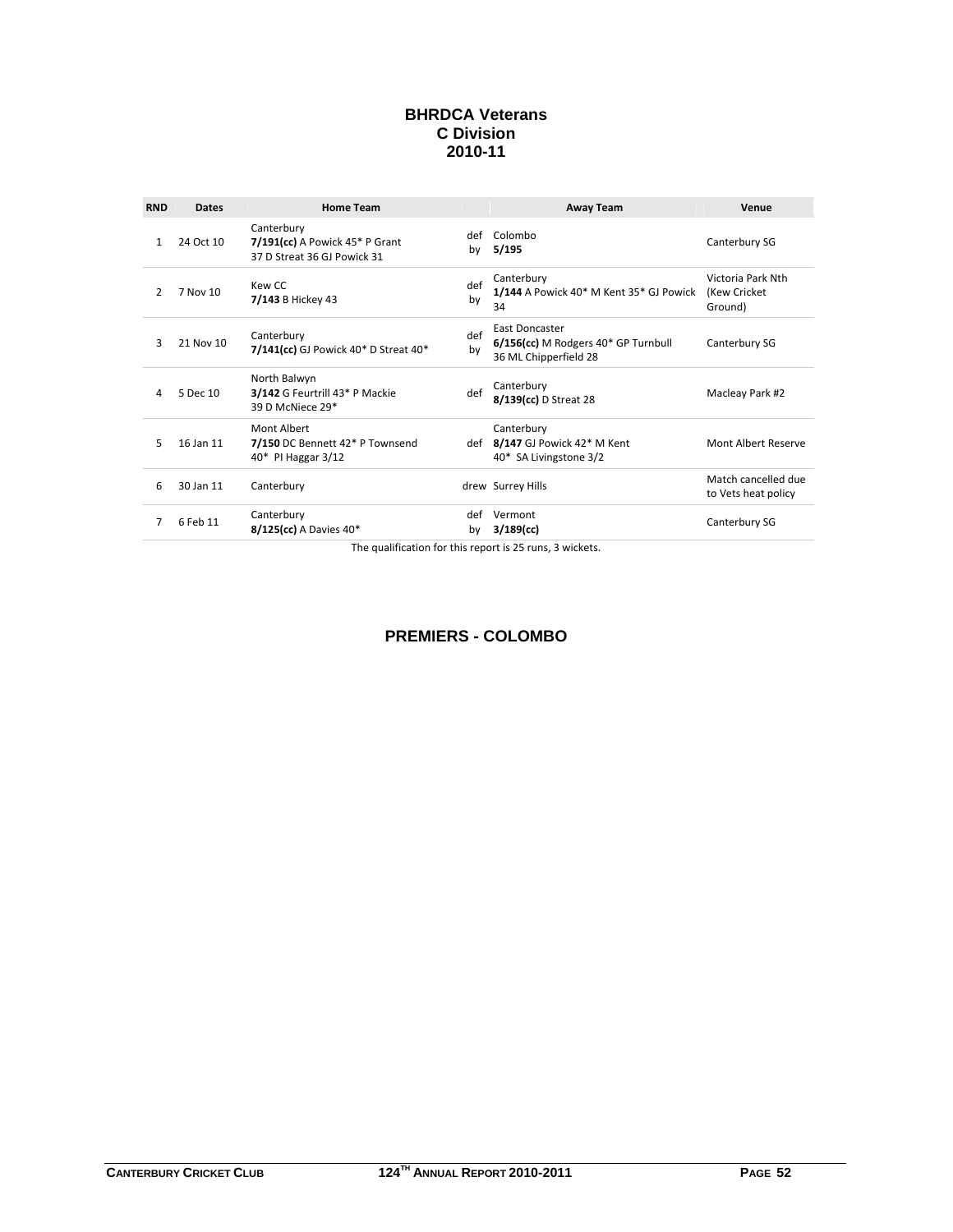### **BHRDCA Veterans C Division 2010-11**

| <b>RND</b>    | <b>Dates</b> | <b>Home Team</b>                                                               |           | <b>Away Team</b>                                                                      | Venue                                         |
|---------------|--------------|--------------------------------------------------------------------------------|-----------|---------------------------------------------------------------------------------------|-----------------------------------------------|
| 1             | 24 Oct 10    | Canterbury<br>$7/191$ (cc) A Powick 45* P Grant<br>37 D Streat 36 GJ Powick 31 | def<br>by | Colombo<br>5/195                                                                      | Canterbury SG                                 |
| $\mathcal{P}$ | 7 Nov 10     | Kew CC<br>7/143 B Hickey 43                                                    | def<br>by | Canterbury<br>1/144 A Powick 40* M Kent 35* GJ Powick<br>34                           | Victoria Park Nth<br>(Kew Cricket)<br>Ground) |
| 3             | 21 Nov 10    | Canterbury<br>7/141(cc) GJ Powick $40*$ D Streat $40*$                         | def<br>by | <b>East Doncaster</b><br>6/156(cc) M Rodgers 40* GP Turnbull<br>36 ML Chipperfield 28 | Canterbury SG                                 |
| 4             | 5 Dec 10     | North Balwyn<br>3/142 G Feurtrill 43* P Mackie<br>39 D McNiece 29*             | def       | Canterbury<br>8/139(cc) D Streat 28                                                   | Macleay Park #2                               |
| 5             | 16 Jan 11    | Mont Albert<br>7/150 DC Bennett 42* P Townsend<br>40* PI Haggar 3/12           |           | Canterbury<br>def 8/147 GJ Powick 42* M Kent<br>40* SA Livingstone 3/2                | Mont Albert Reserve                           |
| 6             | 30 Jan 11    | Canterbury                                                                     |           | drew Surrey Hills                                                                     | Match cancelled due<br>to Vets heat policy    |
| 7             | 6 Feb 11     | Canterbury<br>8/125(cc) A Davies 40*                                           | def<br>bγ | Vermont<br>$3/189$ (cc)                                                               | Canterbury SG                                 |

The qualification for this report is 25 runs, 3 wickets.

# **PREMIERS - COLOMBO**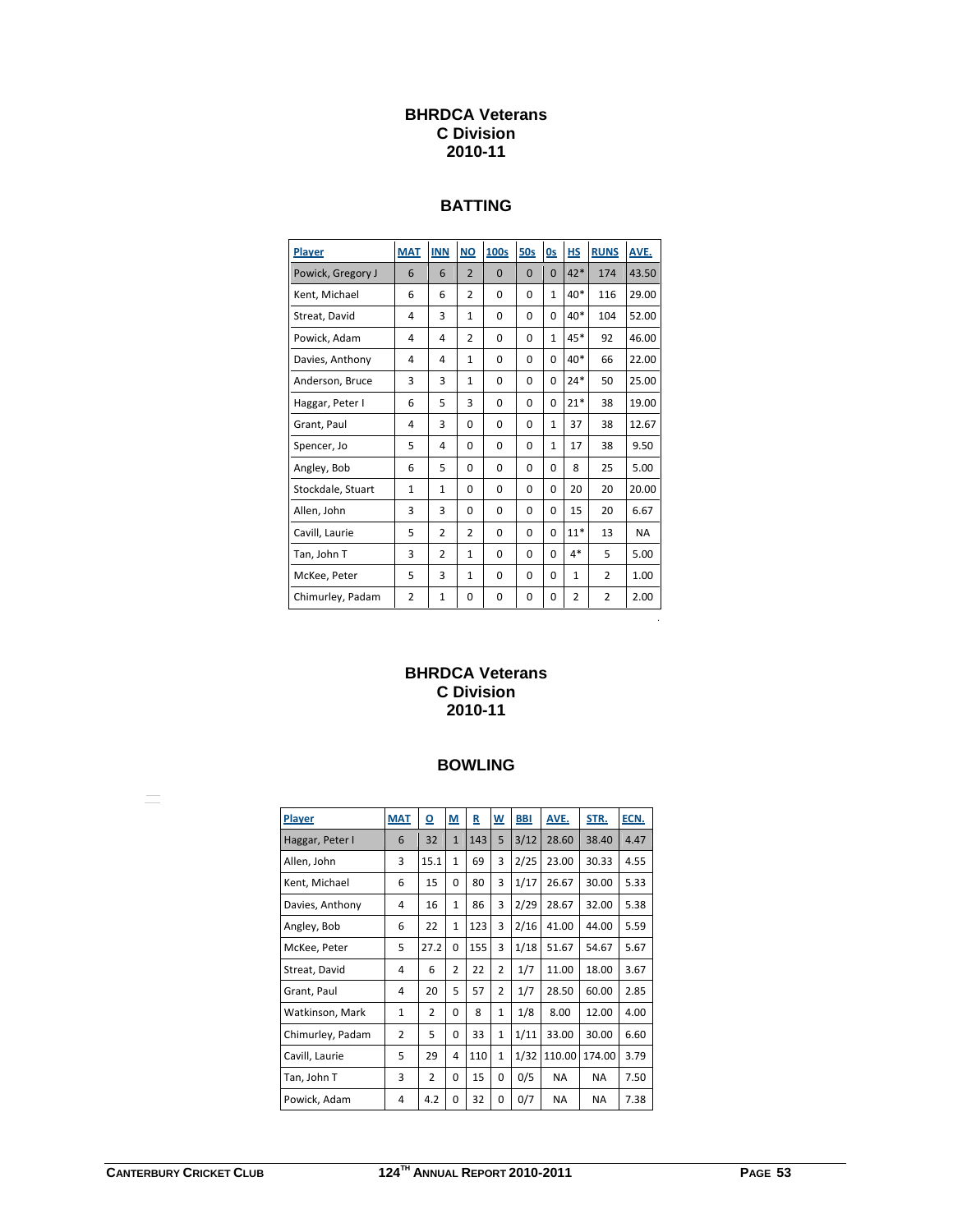## **BHRDCA Veterans C Division 2010-11**

# **BATTING**

| <b>Player</b>     | <b>MAT</b>     | <b>INN</b>     | <b>NO</b>      | 100s     | 50s      | 0s           | НS           | <b>RUNS</b>    | AVE.      |
|-------------------|----------------|----------------|----------------|----------|----------|--------------|--------------|----------------|-----------|
| Powick, Gregory J | 6              | 6              | $\overline{2}$ | $\Omega$ | $\Omega$ | $\Omega$     | $42*$        | 174            | 43.50     |
| Kent, Michael     | 6              | 6              | $\overline{2}$ | $\Omega$ | $\Omega$ | $\mathbf{1}$ | 40*          | 116            | 29.00     |
| Streat, David     | 4              | 3              | $\mathbf{1}$   | $\Omega$ | $\Omega$ | $\Omega$     | $40*$        | 104            | 52.00     |
| Powick, Adam      | 4              | 4              | 2              | $\Omega$ | $\Omega$ | $\mathbf{1}$ | 45*          | 92             | 46.00     |
| Davies, Anthony   | 4              | 4              | $\mathbf{1}$   | 0        | $\Omega$ | $\Omega$     | $40*$        | 66             | 22.00     |
| Anderson, Bruce   | 3              | 3              | $\mathbf{1}$   | $\Omega$ | $\Omega$ | $\Omega$     | $24*$        | 50             | 25.00     |
| Haggar, Peter I   | 6              | 5              | 3              | $\Omega$ | $\Omega$ | $\Omega$     | $21*$        | 38             | 19.00     |
| Grant, Paul       | 4              | 3              | $\Omega$       | 0        | $\Omega$ | $\mathbf{1}$ | 37           | 38             | 12.67     |
| Spencer, Jo       | 5              | 4              | $\Omega$       | $\Omega$ | $\Omega$ | $\mathbf{1}$ | 17           | 38             | 9.50      |
| Angley, Bob       | 6              | 5              | $\Omega$       | $\Omega$ | $\Omega$ | $\Omega$     | 8            | 25             | 5.00      |
| Stockdale, Stuart | $\mathbf{1}$   | $\mathbf{1}$   | 0              | 0        | 0        | $\Omega$     | 20           | 20             | 20.00     |
| Allen, John       | 3              | 3              | 0              | $\Omega$ | $\Omega$ | $\Omega$     | 15           | 20             | 6.67      |
| Cavill, Laurie    | 5              | $\overline{2}$ | $\overline{2}$ | $\Omega$ | $\Omega$ | $\Omega$     | $11*$        | 13             | <b>NA</b> |
| Tan, John T       | 3              | 2              | $\mathbf{1}$   | 0        | 0        | $\Omega$     | $4*$         | 5              | 5.00      |
| McKee, Peter      | 5              | 3              | $\mathbf{1}$   | $\Omega$ | $\Omega$ | 0            | $\mathbf{1}$ | $\overline{2}$ | 1.00      |
| Chimurley, Padam  | $\overline{2}$ | $\mathbf{1}$   | 0              | 0        | 0        | 0            | 2            | $\overline{2}$ | 2.00      |

## **BHRDCA Veterans C Division 2010-11**

.

## **BOWLING**

| Player           | <b>MAT</b> | $\overline{\mathbf{0}}$ | M              | $\mathbf R$ | $\mathsf{W}$   | <b>BBI</b> | AVE.      | STR.      | ECN. |
|------------------|------------|-------------------------|----------------|-------------|----------------|------------|-----------|-----------|------|
| Haggar, Peter I  | 6          | 32                      | $\mathbf{1}$   | 143         | 5              | 3/12       | 28.60     | 38.40     | 4.47 |
| Allen, John      | 3          | 15.1                    | $\mathbf{1}$   | 69          | 3              | 2/25       | 23.00     | 30.33     | 4.55 |
| Kent, Michael    | 6          | 15                      | $\Omega$       | 80          | 3              | 1/17       | 26.67     | 30.00     | 5.33 |
| Davies, Anthony  | 4          | 16                      | $\mathbf{1}$   | 86          | 3              | 2/29       | 28.67     | 32.00     | 5.38 |
| Angley, Bob      | 6          | 22                      | $\mathbf{1}$   | 123         | 3              | 2/16       | 41.00     | 44.00     | 5.59 |
| McKee, Peter     | 5          | 27.2                    | $\Omega$       | 155         | 3              | 1/18       | 51.67     | 54.67     | 5.67 |
| Streat, David    | 4          | 6                       | $\overline{2}$ | 22          | 2              | 1/7        | 11.00     | 18.00     | 3.67 |
| Grant, Paul      | 4          | 20                      | 5              | 57          | $\overline{2}$ | 1/7        | 28.50     | 60.00     | 2.85 |
| Watkinson, Mark  | 1          | 2                       | $\Omega$       | 8           | 1              | 1/8        | 8.00      | 12.00     | 4.00 |
| Chimurley, Padam | 2          | 5                       | $\Omega$       | 33          | $\mathbf{1}$   | 1/11       | 33.00     | 30.00     | 6.60 |
| Cavill, Laurie   | 5          | 29                      | 4              | 110         | 1              | 1/32       | 110.00    | 174.00    | 3.79 |
| Tan, John T      | 3          | $\overline{2}$          | $\Omega$       | 15          | 0              | 0/5        | <b>NA</b> | <b>NA</b> | 7.50 |
| Powick, Adam     | 4          | 4.2                     | $\Omega$       | 32          | 0              | 0/7        | <b>NA</b> | <b>NA</b> | 7.38 |
|                  |            |                         |                |             |                |            |           |           |      |

 $\equiv$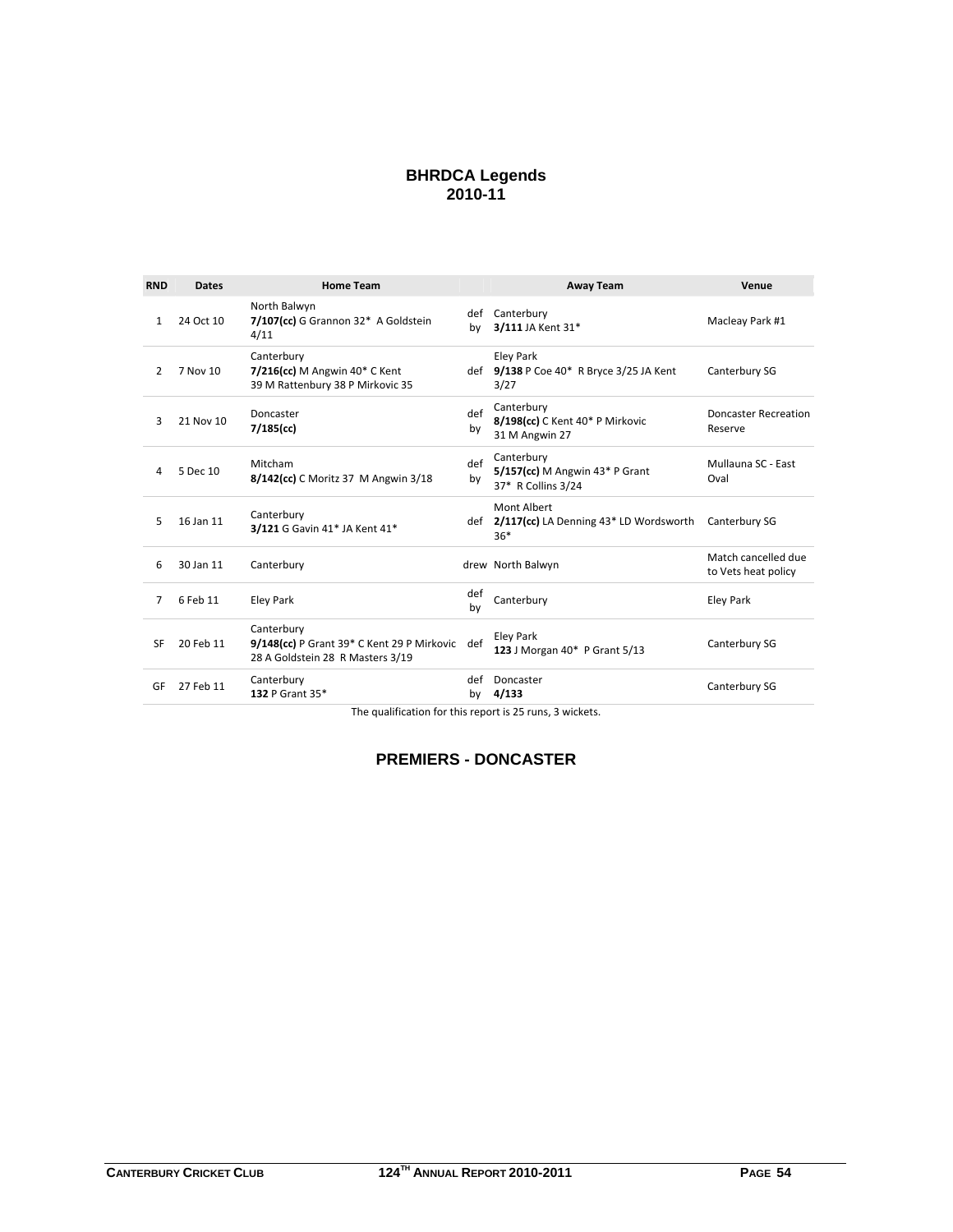#### **BHRDCA Legends 2010-11**

| <b>RND</b>     | <b>Dates</b> | <b>Home Team</b>                                                                                 |           | <b>Away Team</b>                                                      | Venue                                      |
|----------------|--------------|--------------------------------------------------------------------------------------------------|-----------|-----------------------------------------------------------------------|--------------------------------------------|
| $\mathbf{1}$   | 24 Oct 10    | North Balwyn<br>7/107(cc) G Grannon 32* A Goldstein<br>4/11                                      | def<br>bv | Canterbury<br>3/111 JA Kent 31*                                       | Macleay Park #1                            |
| 2              | 7 Nov 10     | Canterbury<br>$7/216$ (cc) M Angwin 40 $*$ C Kent<br>39 M Rattenbury 38 P Mirkovic 35            |           | Eley Park<br>def 9/138 P Coe 40* R Bryce 3/25 JA Kent<br>3/27         | Canterbury SG                              |
| 3              | 21 Nov 10    | Doncaster<br>$7/185$ (cc)                                                                        | def<br>by | Canterbury<br>8/198(cc) C Kent 40* P Mirkovic<br>31 M Angwin 27       | <b>Doncaster Recreation</b><br>Reserve     |
| 4              | 5 Dec 10     | Mitcham<br>8/142(cc) C Moritz 37 M Angwin 3/18                                                   | def<br>by | Canterbury<br>$5/157$ (cc) M Angwin 43* P Grant<br>37* R Collins 3/24 | Mullauna SC - East<br>Oval                 |
| 5              | 16 Jan 11    | Canterbury<br>3/121 G Gavin 41* JA Kent 41*                                                      |           | Mont Albert<br>def 2/117(cc) LA Denning 43* LD Wordsworth<br>$36*$    | Canterbury SG                              |
| 6              | 30 Jan 11    | Canterbury                                                                                       |           | drew North Balwyn                                                     | Match cancelled due<br>to Vets heat policy |
| $\overline{7}$ | 6 Feb 11     | <b>Eley Park</b>                                                                                 | def<br>by | Canterbury                                                            | Eley Park                                  |
| SF             | 20 Feb 11    | Canterbury<br>9/148(cc) P Grant 39* C Kent 29 P Mirkovic def<br>28 A Goldstein 28 R Masters 3/19 |           | Eley Park<br>123 J Morgan 40* P Grant 5/13                            | Canterbury SG                              |
| GF             | 27 Feb 11    | Canterbury<br>132 P Grant 35*                                                                    | def<br>by | Doncaster<br>4/133                                                    | Canterbury SG                              |

The qualification for this report is 25 runs, 3 wickets.

#### **PREMIERS - DONCASTER**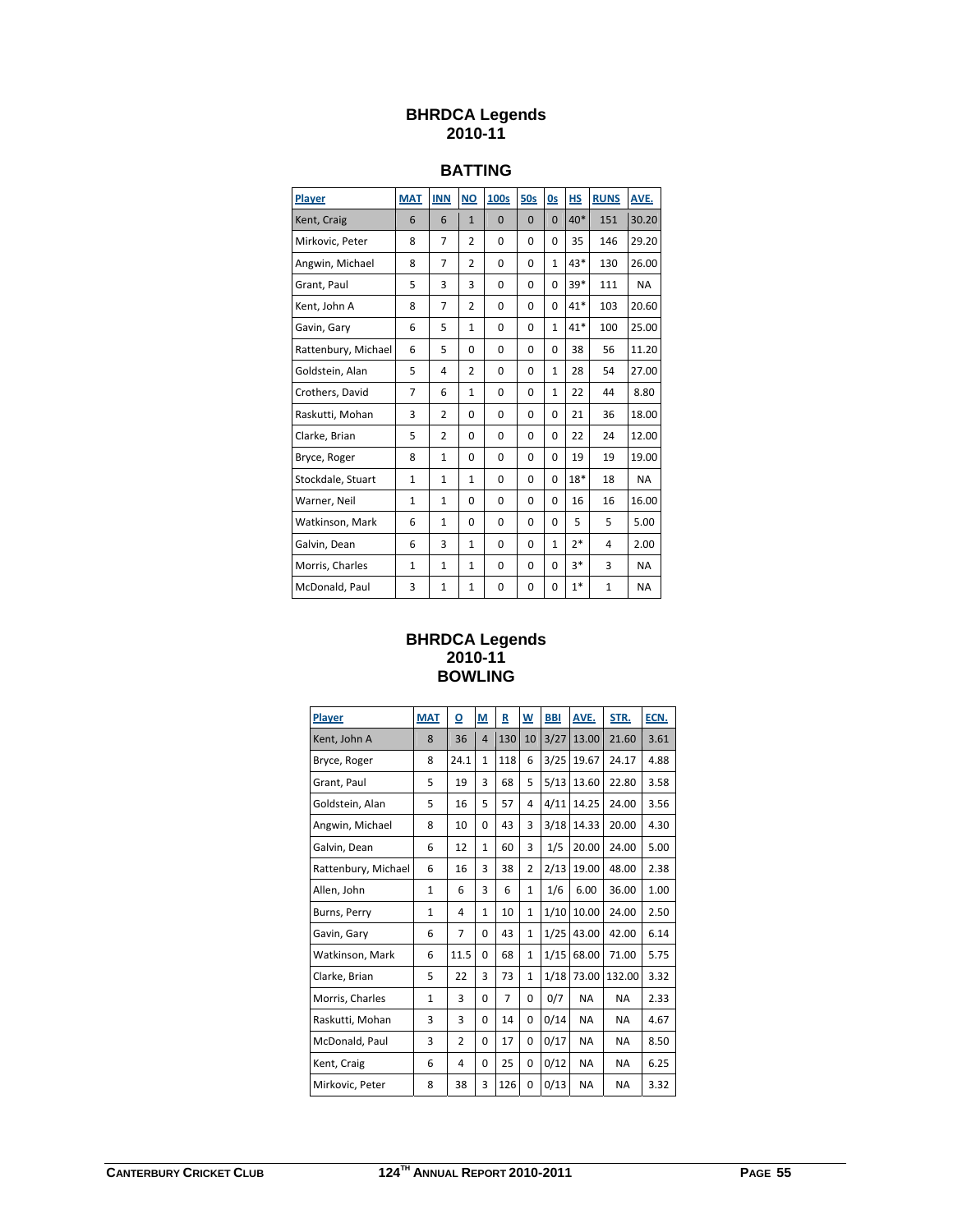# **BHRDCA Legends 2010-11**

## **BATTING**

| Player              | <b>MAT</b>     | <b>INN</b>     | <b>NO</b>      | 100s     | <b>50s</b> | <b>Os</b>    | <b>HS</b> | <b>RUNS</b> | AVE.      |
|---------------------|----------------|----------------|----------------|----------|------------|--------------|-----------|-------------|-----------|
| Kent, Craig         | 6              | 6              | $\mathbf{1}$   | $\Omega$ | $\Omega$   | $\Omega$     | $40*$     | 151         | 30.20     |
| Mirkovic, Peter     | 8              | 7              | $\overline{2}$ | 0        | 0          | 0            | 35        | 146         | 29.20     |
| Angwin, Michael     | 8              | $\overline{7}$ | 2              | 0        | 0          | $\mathbf{1}$ | 43*       | 130         | 26.00     |
| Grant, Paul         | 5              | 3              | 3              | $\Omega$ | 0          | 0            | 39*       | 111         | <b>NA</b> |
| Kent, John A        | 8              | $\overline{7}$ | $\overline{2}$ | 0        | 0          | 0            | $41*$     | 103         | 20.60     |
| Gavin, Gary         | 6              | 5              | $\mathbf{1}$   | 0        | 0          | $\mathbf{1}$ | $41*$     | 100         | 25.00     |
| Rattenbury, Michael | 6              | 5              | $\Omega$       | $\Omega$ | 0          | 0            | 38        | 56          | 11.20     |
| Goldstein, Alan     | 5              | 4              | $\overline{2}$ | $\Omega$ | 0          | $\mathbf{1}$ | 28        | 54          | 27.00     |
| Crothers, David     | $\overline{7}$ | 6              | $\mathbf{1}$   | 0        | 0          | $\mathbf{1}$ | 22        | 44          | 8.80      |
| Raskutti, Mohan     | 3              | $\overline{2}$ | $\Omega$       | 0        | 0          | 0            | 21        | 36          | 18.00     |
| Clarke, Brian       | 5              | $\overline{2}$ | $\Omega$       | $\Omega$ | 0          | 0            | 22        | 24          | 12.00     |
| Bryce, Roger        | 8              | $\mathbf{1}$   | 0              | 0        | 0          | 0            | 19        | 19          | 19.00     |
| Stockdale, Stuart   | 1              | $\mathbf{1}$   | $\mathbf{1}$   | 0        | 0          | 0            | $18*$     | 18          | <b>NA</b> |
| Warner, Neil        | 1              | $\mathbf{1}$   | $\Omega$       | 0        | 0          | 0            | 16        | 16          | 16.00     |
| Watkinson, Mark     | 6              | $\mathbf{1}$   | $\Omega$       | 0        | 0          | 0            | 5         | 5           | 5.00      |
| Galvin, Dean        | 6              | 3              | $\mathbf{1}$   | 0        | 0          | $\mathbf{1}$ | $2*$      | 4           | 2.00      |
| Morris, Charles     | 1              | $\mathbf{1}$   | $\mathbf{1}$   | 0        | 0          | 0            | $3*$      | 3           | <b>NA</b> |
| McDonald, Paul      | 3              | $\mathbf{1}$   | $\mathbf{1}$   | 0        | 0          | 0            | $1*$      | 1           | <b>NA</b> |

#### **BHRDCA Legends 2010-11 BOWLING**

| Player              | <b>MAT</b>   | ₫              | $\underline{\mathsf{M}}$ | R              | $\underline{\mathsf{W}}$ | <b>BBI</b> | AVE.      | STR.      | ECN. |
|---------------------|--------------|----------------|--------------------------|----------------|--------------------------|------------|-----------|-----------|------|
| Kent, John A        | 8            | 36             | 4                        | 130            | 10                       | 3/27       | 13.00     | 21.60     | 3.61 |
| Bryce, Roger        | 8            | 24.1           | $\mathbf{1}$             | 118            | 6                        | 3/25       | 19.67     | 24.17     | 4.88 |
| Grant, Paul         | 5            | 19             | 3                        | 68             | 5                        | 5/13       | 13.60     | 22.80     | 3.58 |
| Goldstein, Alan     | 5            | 16             | 5                        | 57             | 4                        | 4/11       | 14.25     | 24.00     | 3.56 |
| Angwin, Michael     | 8            | 10             | 0                        | 43             | 3                        | 3/18       | 14.33     | 20.00     | 4.30 |
| Galvin, Dean        | 6            | 12             | $\mathbf{1}$             | 60             | 3                        | 1/5        | 20.00     | 24.00     | 5.00 |
| Rattenbury, Michael | 6            | 16             | 3                        | 38             | $\overline{2}$           | 2/13       | 19.00     | 48.00     | 2.38 |
| Allen, John         | $\mathbf{1}$ | 6              | 3                        | 6              | $\mathbf{1}$             | 1/6        | 6.00      | 36.00     | 1.00 |
| Burns, Perry        | 1            | 4              | $\mathbf{1}$             | 10             | $\mathbf{1}$             | 1/10       | 10.00     | 24.00     | 2.50 |
| Gavin, Gary         | 6            | $\overline{7}$ | $\Omega$                 | 43             | $\mathbf{1}$             | 1/25       | 43.00     | 42.00     | 6.14 |
| Watkinson, Mark     | 6            | 11.5           | $\Omega$                 | 68             | $\mathbf{1}$             | 1/15       | 68.00     | 71.00     | 5.75 |
| Clarke, Brian       | 5            | 22             | 3                        | 73             | $\mathbf{1}$             | 1/18       | 73.00     | 132.00    | 3.32 |
| Morris, Charles     | $\mathbf{1}$ | 3              | $\Omega$                 | $\overline{7}$ | $\Omega$                 | 0/7        | <b>NA</b> | <b>NA</b> | 2.33 |
| Raskutti, Mohan     | 3            | 3              | 0                        | 14             | 0                        | 0/14       | <b>NA</b> | <b>NA</b> | 4.67 |
| McDonald, Paul      | 3            | $\overline{2}$ | $\Omega$                 | 17             | 0                        | 0/17       | <b>NA</b> | <b>NA</b> | 8.50 |
| Kent, Craig         | 6            | 4              | 0                        | 25             | 0                        | 0/12       | <b>NA</b> | <b>NA</b> | 6.25 |
| Mirkovic, Peter     | 8            | 38             | 3                        | 126            | 0                        | 0/13       | <b>NA</b> | <b>NA</b> | 3.32 |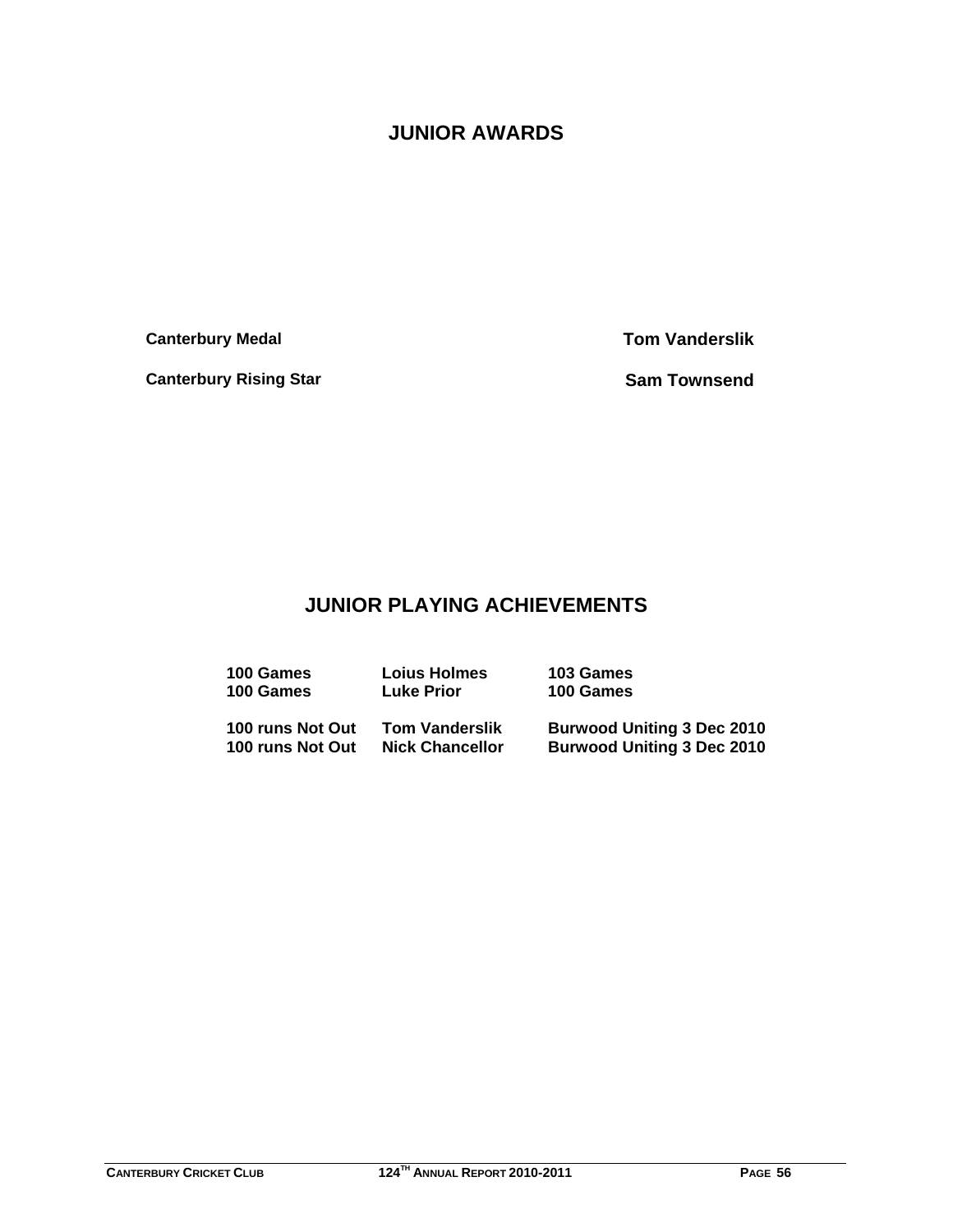# **JUNIOR AWARDS**

**Canterbury Medal Canterbury Medal Canterbury Medal Canterbury Medal Canterbury Medal Canterbury Medal Canterbury Medal Canterbury Medal Canterbury Medal Canterbury Medal Canterbury Medal Canterbury Medal Canterbury Medal** 

**Canterbury Rising Star Sam Townsend Canterbury Rising Star Sam Townsend Canterbury Rising Star Sam Townsend** 

# **JUNIOR PLAYING ACHIEVEMENTS**

| 100 Games        | <b>Loius Holmes</b>    | 103 Games                         |
|------------------|------------------------|-----------------------------------|
| 100 Games        | <b>Luke Prior</b>      | 100 Games                         |
|                  |                        |                                   |
| 100 runs Not Out | <b>Tom Vanderslik</b>  | <b>Burwood Uniting 3 Dec 2010</b> |
| 100 runs Not Out | <b>Nick Chancellor</b> | <b>Burwood Uniting 3 Dec 2010</b> |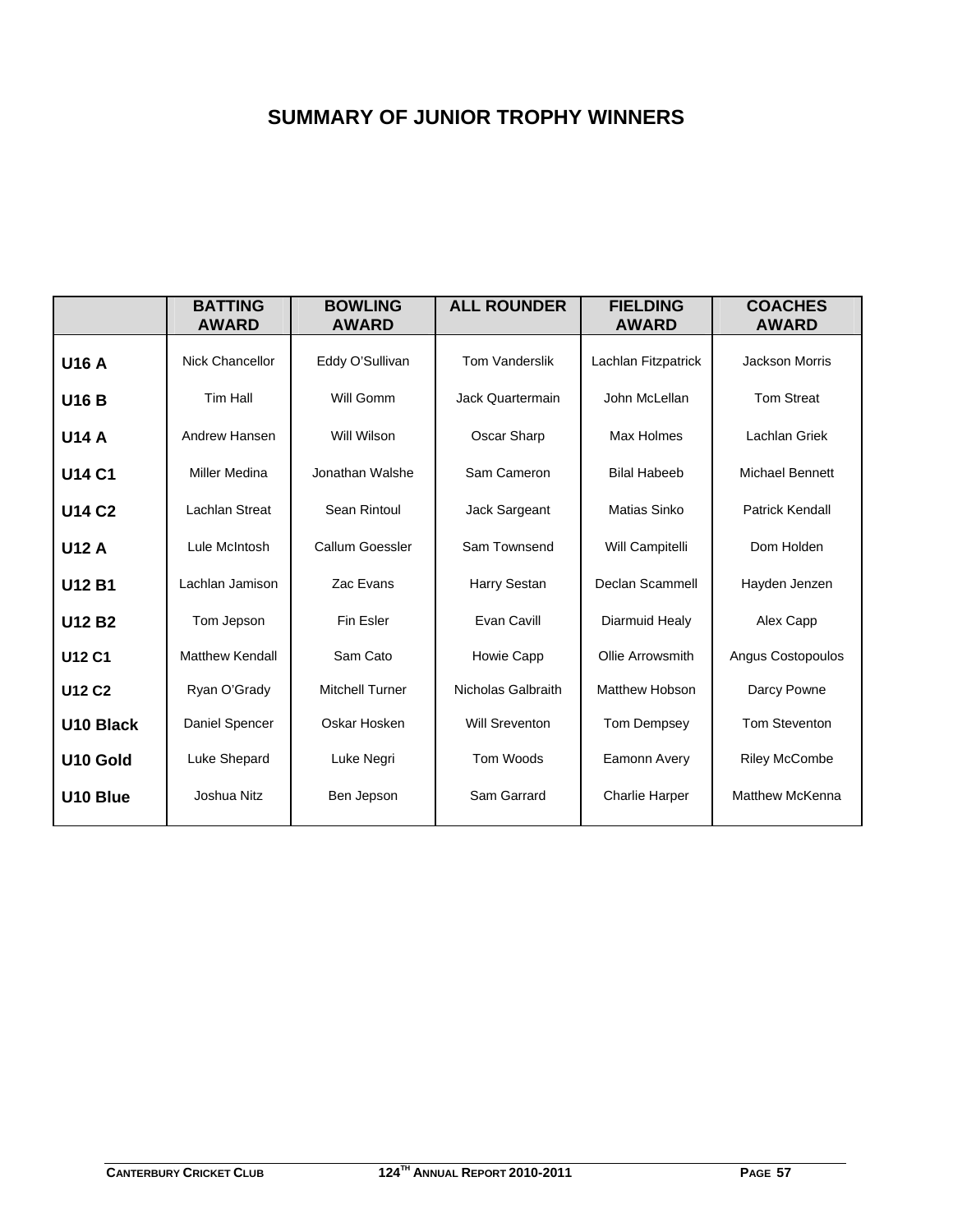# **SUMMARY OF JUNIOR TROPHY WINNERS**

|               | <b>BATTING</b><br><b>AWARD</b> | <b>BOWLING</b><br><b>AWARD</b> | <b>ALL ROUNDER</b>    | <b>FIELDING</b><br><b>AWARD</b> | <b>COACHES</b><br><b>AWARD</b> |
|---------------|--------------------------------|--------------------------------|-----------------------|---------------------------------|--------------------------------|
| <b>U16 A</b>  | <b>Nick Chancellor</b>         | Eddy O'Sullivan                | <b>Tom Vanderslik</b> | Lachlan Fitzpatrick             | <b>Jackson Morris</b>          |
| <b>U16B</b>   | Tim Hall                       | Will Gomm                      | Jack Quartermain      | John McLellan                   | <b>Tom Streat</b>              |
| <b>U14 A</b>  | Andrew Hansen                  | Will Wilson                    | Oscar Sharp           | <b>Max Holmes</b>               | Lachlan Griek                  |
| <b>U14 C1</b> | Miller Medina                  | Jonathan Walshe                | Sam Cameron           | <b>Bilal Habeeb</b>             | <b>Michael Bennett</b>         |
| <b>U14 C2</b> | <b>Lachlan Streat</b>          | Sean Rintoul                   | Jack Sargeant         | <b>Matias Sinko</b>             | <b>Patrick Kendall</b>         |
| <b>U12 A</b>  | Lule McIntosh                  | Callum Goessler                | Sam Townsend          | Will Campitelli                 | Dom Holden                     |
| <b>U12 B1</b> | Lachlan Jamison                | Zac Evans                      | <b>Harry Sestan</b>   | Declan Scammell                 | Hayden Jenzen                  |
| <b>U12 B2</b> | Tom Jepson                     | Fin Esler                      | Evan Cavill           | Diarmuid Healy                  | Alex Capp                      |
| <b>U12 C1</b> | <b>Matthew Kendall</b>         | Sam Cato                       | Howie Capp            | Ollie Arrowsmith                | Angus Costopoulos              |
| <b>U12 C2</b> | Ryan O'Grady                   | <b>Mitchell Turner</b>         | Nicholas Galbraith    | <b>Matthew Hobson</b>           | Darcy Powne                    |
| U10 Black     | Daniel Spencer                 | Oskar Hosken                   | <b>Will Sreventon</b> | Tom Dempsey                     | <b>Tom Steventon</b>           |
| U10 Gold      | Luke Shepard                   | Luke Negri                     | Tom Woods             | Eamonn Avery                    | <b>Riley McCombe</b>           |
| U10 Blue      | Joshua Nitz                    | Ben Jepson                     | Sam Garrard           | <b>Charlie Harper</b>           | Matthew McKenna                |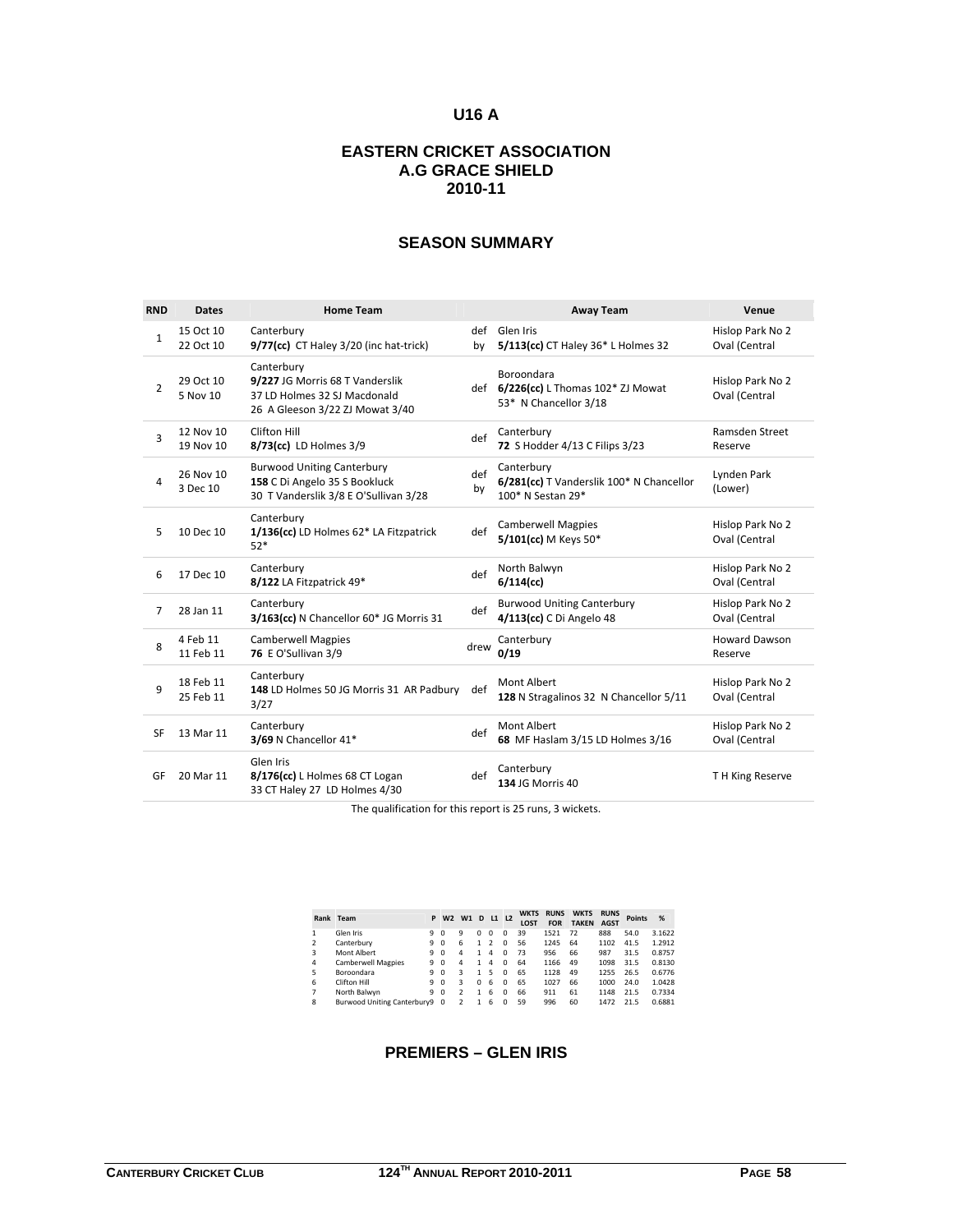# **U16 A**

## **EASTERN CRICKET ASSOCIATION A.G GRACE SHIELD 2010-11**

#### **SEASON SUMMARY**

| <b>RND</b>     | <b>Dates</b>           | <b>Home Team</b>                                                                                                 |           | <b>Away Team</b>                                                            | Venue                             |
|----------------|------------------------|------------------------------------------------------------------------------------------------------------------|-----------|-----------------------------------------------------------------------------|-----------------------------------|
| $\mathbf{1}$   | 15 Oct 10<br>22 Oct 10 | Canterbury<br>9/77(cc) CT Haley 3/20 (inc hat-trick)                                                             | by        | def Glen Iris<br>5/113(cc) CT Haley 36* L Holmes 32                         | Hislop Park No 2<br>Oval (Central |
| $\overline{2}$ | 29 Oct 10<br>5 Nov 10  | Canterbury<br>9/227 JG Morris 68 T Vanderslik<br>37 LD Holmes 32 SJ Macdonald<br>26 A Gleeson 3/22 ZJ Mowat 3/40 |           | Boroondara<br>def 6/226(cc) L Thomas 102* ZJ Mowat<br>53* N Chancellor 3/18 | Hislop Park No 2<br>Oval (Central |
| 3              | 12 Nov 10<br>19 Nov 10 | Clifton Hill<br>8/73(cc) LD Holmes 3/9                                                                           | def       | Canterbury<br>72 S Hodder 4/13 C Filips 3/23                                | Ramsden Street<br>Reserve         |
| 4              | 26 Nov 10<br>3 Dec 10  | <b>Burwood Uniting Canterbury</b><br>158 C Di Angelo 35 S Bookluck<br>30 T Vanderslik 3/8 E O'Sullivan 3/28      | def<br>by | Canterbury<br>6/281(cc) T Vanderslik 100* N Chancellor<br>100* N Sestan 29* | Lynden Park<br>(Lower)            |
| 5              | 10 Dec 10              | Canterbury<br>1/136(cc) LD Holmes 62* LA Fitzpatrick<br>$52*$                                                    | def       | <b>Camberwell Magpies</b><br>5/101(cc) M Keys 50*                           | Hislop Park No 2<br>Oval (Central |
| 6              | 17 Dec 10              | Canterbury<br>8/122 LA Fitzpatrick 49*                                                                           | def       | North Balwyn<br>$6/114$ (cc)                                                | Hislop Park No 2<br>Oval (Central |
| 7              | 28 Jan 11              | Canterbury<br>3/163(cc) N Chancellor 60* JG Morris 31                                                            | def       | <b>Burwood Uniting Canterbury</b><br>4/113(cc) C Di Angelo 48               | Hislop Park No 2<br>Oval (Central |
| 8              | 4 Feb 11<br>11 Feb 11  | <b>Camberwell Magpies</b><br><b>76 E O'Sullivan 3/9</b>                                                          | drew      | Canterbury<br>0/19                                                          | <b>Howard Dawson</b><br>Reserve   |
| 9              | 18 Feb 11<br>25 Feb 11 | Canterbury<br>148 LD Holmes 50 JG Morris 31 AR Padbury<br>3/27                                                   | def       | Mont Albert<br>128 N Stragalinos 32 N Chancellor 5/11                       | Hislop Park No 2<br>Oval (Central |
| SF             | 13 Mar 11              | Canterbury<br>3/69 N Chancellor 41*                                                                              | def       | Mont Albert<br>68 MF Haslam 3/15 LD Holmes 3/16                             | Hislop Park No 2<br>Oval (Central |
| GF             | 20 Mar 11              | Glen Iris<br>8/176(cc) L Holmes 68 CT Logan<br>33 CT Haley 27 LD Holmes 4/30                                     | def       | Canterbury<br><b>134 JG Morris 40</b>                                       | TH King Reserve                   |

The qualification for this report is 25 runs, 3 wickets.

|               |                             |   |                |               |          |           |          | <b>WKTS</b> | <b>RUNS</b> | <b>WKTS</b>  | <b>RUNS</b> |               |        |
|---------------|-----------------------------|---|----------------|---------------|----------|-----------|----------|-------------|-------------|--------------|-------------|---------------|--------|
|               | Rank Team                   | P | W <sub>2</sub> | W1            | D        | $L1$ $L2$ |          | <b>LOST</b> | <b>FOR</b>  | <b>TAKEN</b> | <b>AGST</b> | <b>Points</b> | %      |
|               | Glen Iris                   | 9 | $\Omega$       | 9             | $\Omega$ | $\Omega$  | $\Omega$ | 39          | 1521        | 72           | 888         | 54.0          | 3.1622 |
| $\mathfrak z$ | Canterbury                  | 9 | $\Omega$       | 6             | 1.       | 2         | $\Omega$ | 56          | 1245        | 64           | 1102        | 41.5          | 1.2912 |
| 3             | Mont Albert                 | 9 | $\Omega$       | 4             |          | 4         | $\Omega$ | 73          | 956         | 66           | 987         | 31.5          | 0.8757 |
| 4             | <b>Camberwell Magpies</b>   | ۹ | $\Omega$       | 4             | 1        | 4         | $\Omega$ | 64          | 1166        | 49           | 1098        | 31.5          | 0.8130 |
| 5             | Boroondara                  | 9 | $\Omega$       | 3             | 1        | 5         | $\Omega$ | 65          | 1128        | 49           | 1255        | 26.5          | 0.6776 |
| 6             | Clifton Hill                | 9 | $\Omega$       | 3             | $\Omega$ | 6         | $\Omega$ | 65          | 1027        | 66           | 1000        | 24.0          | 1.0428 |
| 7             | North Balwyn                | 9 | $\Omega$       |               |          | 6         | $\Omega$ | 66          | 911         | 61           | 1148        | 21.5          | 0.7334 |
| 8             | Burwood Uniting Canterbury9 |   | $\Omega$       | $\mathfrak z$ |          | 6         | $\Omega$ | 59          | 996         | 60           | 1472        | 21.5          | 0.6881 |
|               |                             |   |                |               |          |           |          |             |             |              |             |               |        |

## **PREMIERS – GLEN IRIS**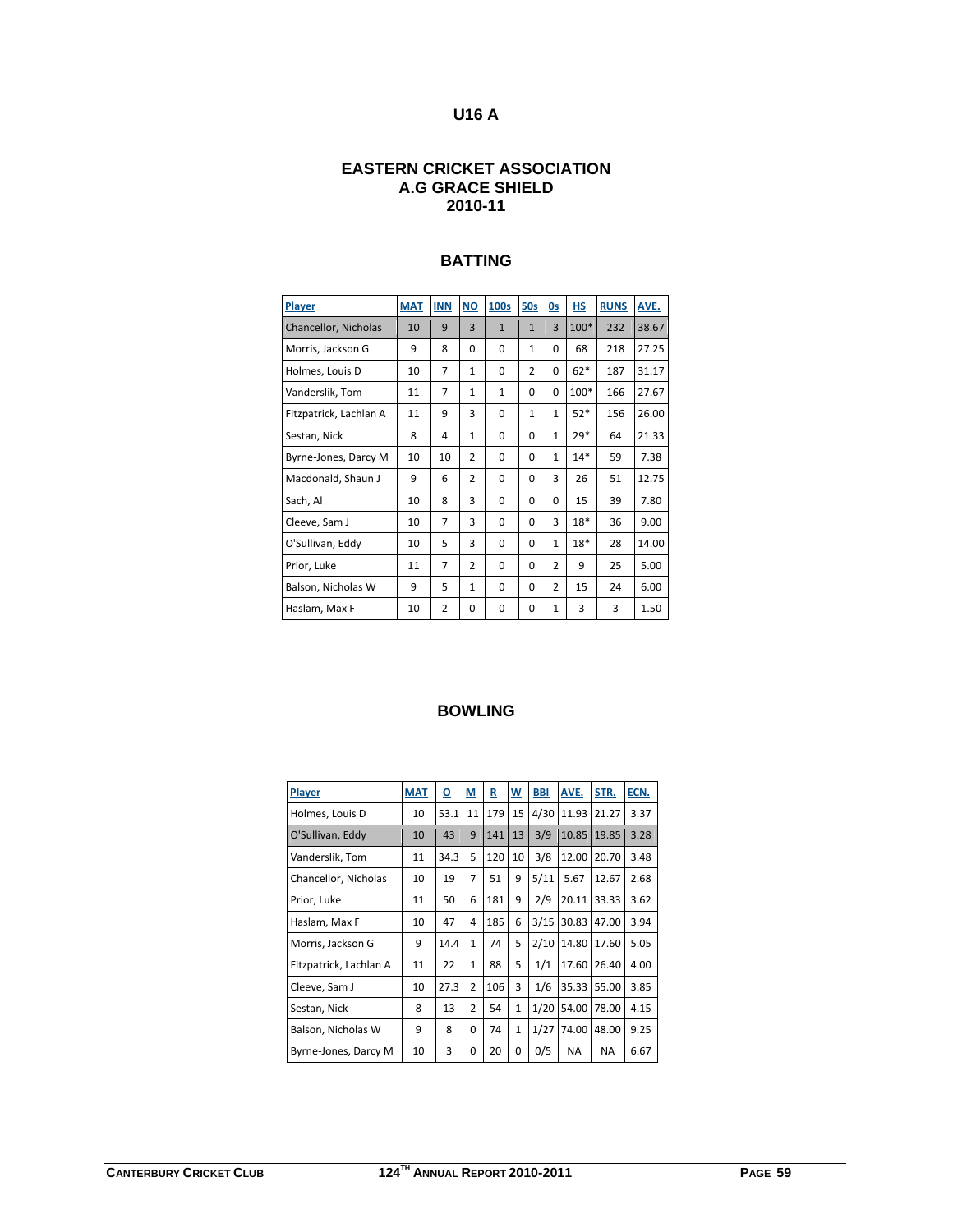# **U16 A**

#### **EASTERN CRICKET ASSOCIATION A.G GRACE SHIELD 2010-11**

| Player                 | <b>MAT</b> | <b>INN</b>     | $NO$           | 100s         | 50s            | 0s             | H.S    | <b>RUNS</b> | AVE.  |
|------------------------|------------|----------------|----------------|--------------|----------------|----------------|--------|-------------|-------|
| Chancellor, Nicholas   | 10         | 9              | 3              | $\mathbf{1}$ | $\mathbf{1}$   | 3              | $100*$ | 232         | 38.67 |
| Morris, Jackson G      | 9          | 8              | $\Omega$       | $\Omega$     | $\mathbf{1}$   | $\Omega$       | 68     | 218         | 27.25 |
| Holmes, Louis D        | 10         | 7              | $\mathbf{1}$   | $\Omega$     | $\overline{2}$ | $\Omega$       | $62*$  | 187         | 31.17 |
| Vanderslik, Tom        | 11         | 7              | $\mathbf{1}$   | $\mathbf{1}$ | $\Omega$       | $\Omega$       | $100*$ | 166         | 27.67 |
| Fitzpatrick, Lachlan A | 11         | 9              | 3              | 0            | $\mathbf{1}$   | $\mathbf{1}$   | $52*$  | 156         | 26.00 |
| Sestan, Nick           | 8          | 4              | $\mathbf{1}$   | 0            | $\Omega$       | $\mathbf{1}$   | $29*$  | 64          | 21.33 |
| Byrne-Jones, Darcy M   | 10         | 10             | $\overline{2}$ | $\Omega$     | $\Omega$       | $\mathbf{1}$   | $14*$  | 59          | 7.38  |
| Macdonald, Shaun J     | 9          | 6              | $\overline{2}$ | 0            | $\Omega$       | 3              | 26     | 51          | 12.75 |
| Sach, Al               | 10         | 8              | 3              | 0            | $\Omega$       | $\Omega$       | 15     | 39          | 7.80  |
| Cleeve, Sam J          | 10         | 7              | 3              | $\Omega$     | $\Omega$       | 3              | $18*$  | 36          | 9.00  |
| O'Sullivan, Eddy       | 10         | 5              | 3              | $\Omega$     | $\Omega$       | $\mathbf{1}$   | $18*$  | 28          | 14.00 |
| Prior, Luke            | 11         | $\overline{7}$ | $\overline{2}$ | 0            | 0              | $\overline{2}$ | 9      | 25          | 5.00  |
| Balson, Nicholas W     | 9          | 5              | $\mathbf{1}$   | $\Omega$     | $\Omega$       | $\overline{2}$ | 15     | 24          | 6.00  |
| Haslam, Max F          | 10         | $\overline{2}$ | $\Omega$       | $\Omega$     | 0              | $\mathbf{1}$   | 3      | 3           | 1.50  |

## **BATTING**

| <b>Player</b>          | <b>MAT</b> | ჲ    | М              | R   | $\mathsf{W}$ | <b>BBI</b> | AVE.      | STR.      | ECN. |
|------------------------|------------|------|----------------|-----|--------------|------------|-----------|-----------|------|
| Holmes, Louis D        | 10         | 53.1 | 11             | 179 | 15           | 4/30       | 11.93     | 21.27     | 3.37 |
| O'Sullivan, Eddy       | 10         | 43   | 9              | 141 | 13           | 3/9        | 10.85     | 19.85     | 3.28 |
| Vanderslik, Tom        | 11         | 34.3 | 5              | 120 | 10           | 3/8        | 12.00     | 20.70     | 3.48 |
| Chancellor, Nicholas   | 10         | 19   | 7              | 51  | 9            | 5/11       | 5.67      | 12.67     | 2.68 |
| Prior, Luke            | 11         | 50   | 6              | 181 | 9            | 2/9        | 20.11     | 33.33     | 3.62 |
| Haslam, Max F          | 10         | 47   | 4              | 185 | 6            | 3/15       | 30.83     | 47.00     | 3.94 |
| Morris, Jackson G      | 9          | 14.4 | $\mathbf{1}$   | 74  | 5            | 2/10       | 14.80     | 17.60     | 5.05 |
| Fitzpatrick, Lachlan A | 11         | 22   | $\mathbf{1}$   | 88  | 5            | 1/1        | 17.60     | 26.40     | 4.00 |
| Cleeve, Sam J          | 10         | 27.3 | $\overline{2}$ | 106 | 3            | 1/6        | 35.33     | 55.00     | 3.85 |
| Sestan, Nick           | 8          | 13   | $\overline{2}$ | 54  | $\mathbf{1}$ | 1/20       | 54.00     | 78.00     | 4.15 |
| Balson, Nicholas W     | 9          | 8    | 0              | 74  | $\mathbf{1}$ | 1/27       | 74.00     | 48.00     | 9.25 |
| Byrne-Jones, Darcy M   | 10         | 3    | 0              | 20  | 0            | 0/5        | <b>NA</b> | <b>NA</b> | 6.67 |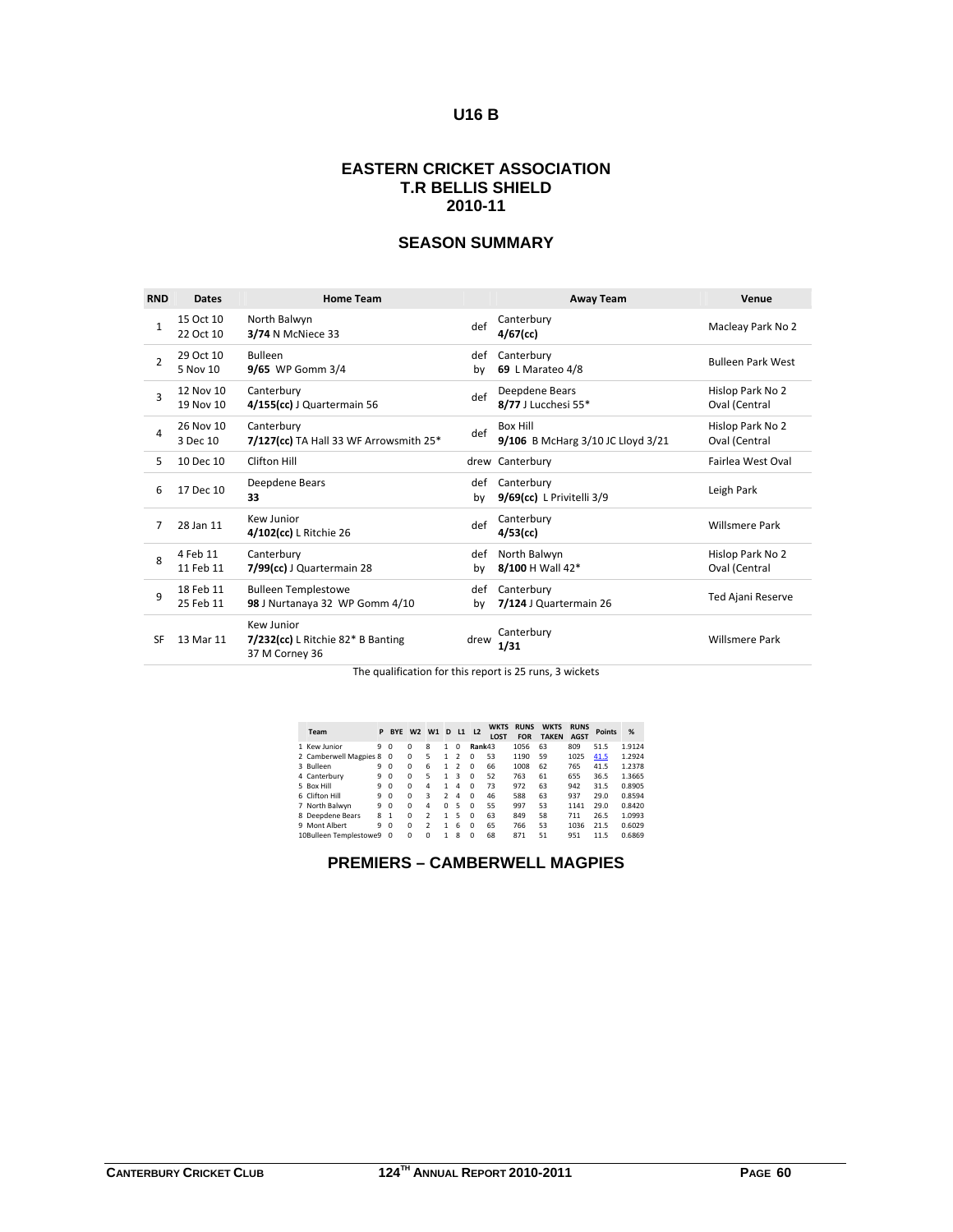#### **U16 B**

#### **EASTERN CRICKET ASSOCIATION T.R BELLIS SHIELD 2010-11**

# **SEASON SUMMARY**

| <b>RND</b>    | <b>Dates</b>           | <b>Home Team</b>                                                  |           | Away Team                                            | Venue                             |
|---------------|------------------------|-------------------------------------------------------------------|-----------|------------------------------------------------------|-----------------------------------|
| $\mathbf{1}$  | 15 Oct 10<br>22 Oct 10 | North Balwyn<br>3/74 N McNiece 33                                 | def       | Canterbury<br>$4/67$ (cc)                            | Macleay Park No 2                 |
| $\mathcal{P}$ | 29 Oct 10<br>5 Nov 10  | <b>Bulleen</b><br>9/65 WP Gomm 3/4                                | def<br>bv | Canterbury<br>69 L Marateo 4/8                       | <b>Bulleen Park West</b>          |
| $\mathbf{a}$  | 12 Nov 10<br>19 Nov 10 | Canterbury<br>4/155(cc) J Quartermain 56                          | def       | Deepdene Bears<br>8/77 J Lucchesi 55*                | Hislop Park No 2<br>Oval (Central |
| 4             | 26 Nov 10<br>3 Dec 10  | Canterbury<br>$7/127$ (cc) TA Hall 33 WF Arrowsmith 25*           | def       | <b>Box Hill</b><br>9/106 B McHarg 3/10 JC Lloyd 3/21 | Hislop Park No 2<br>Oval (Central |
| 5.            | 10 Dec 10              | Clifton Hill                                                      |           | drew Canterbury                                      | Fairlea West Oval                 |
| 6             | 17 Dec 10              | Deepdene Bears<br>33                                              | def<br>by | Canterbury<br>9/69(cc) L Privitelli 3/9              | Leigh Park                        |
| 7             | 28 Jan 11              | Kew Junior<br>4/102(cc) L Ritchie 26                              | def       | Canterbury<br>$4/53$ (cc)                            | <b>Willsmere Park</b>             |
| 8             | 4 Feb 11<br>11 Feb 11  | Canterbury<br>7/99(cc) J Quartermain 28                           | def<br>by | North Balwyn<br>8/100 H Wall 42*                     | Hislop Park No 2<br>Oval (Central |
| q             | 18 Feb 11<br>25 Feb 11 | <b>Bulleen Templestowe</b><br>98 J Nurtanaya 32 WP Gomm 4/10      | def<br>bv | Canterbury<br>7/124 J Quartermain 26                 | <b>Ted Ajani Reserve</b>          |
| SF            | 13 Mar 11              | Kew Junior<br>7/232(cc) L Ritchie 82* B Banting<br>37 M Corney 36 | drew      | Canterbury<br>1/31                                   | <b>Willsmere Park</b>             |

The qualification for this report is 25 runs, 3 wickets

| Team                   | P | <b>BYE</b>     | W <sub>2</sub> | W1             | D              | $11 \quad 12$  |          | <b>WKTS</b><br><b>LOST</b> | <b>RUNS</b><br><b>FOR</b> | <b>WKTS</b><br><b>TAKEN</b> | <b>RUNS</b><br><b>AGST</b> | <b>Points</b> | %      |
|------------------------|---|----------------|----------------|----------------|----------------|----------------|----------|----------------------------|---------------------------|-----------------------------|----------------------------|---------------|--------|
| 1 Kew Junior           | 9 | $\Omega$       | $\Omega$       | 8              | 1              | $\Omega$       | Rank43   |                            | 1056                      | 63                          | 809                        | 51.5          | 1.9124 |
| 2 Camberwell Magpies 8 |   | $\Omega$       | $\Omega$       | 5              | 1              | $\mathfrak z$  | $\Omega$ | 53                         | 1190                      | 59                          | 1025                       | 41.5          | 1.2924 |
| 3 Bulleen              | 9 | $\Omega$       | $\Omega$       | 6              | 1              | $\mathcal{P}$  | $\Omega$ | 66                         | 1008                      | 62                          | 765                        | 41.5          | 1.2378 |
| 4 Canterbury           | 9 | $\Omega$       | $\Omega$       | 5              | 1              | ঽ              | $\Omega$ | 52                         | 763                       | 61                          | 655                        | 36.5          | 1.3665 |
| 5 Box Hill             | 9 | $\Omega$       | $\Omega$       | 4              | 1              | $\overline{a}$ | $\Omega$ | 73                         | 972                       | 63                          | 942                        | 31.5          | 0.8905 |
| 6 Clifton Hill         | 9 | $\Omega$       | $\Omega$       | 3              | $\mathfrak{p}$ | 4              | $\Omega$ | 46                         | 588                       | 63                          | 937                        | 29.0          | 0.8594 |
| 7 North Balwyn         | 9 | $\Omega$       | $\Omega$       | 4              | $\Omega$       | 5              | $\Omega$ | 55                         | 997                       | 53                          | 1141                       | 29.0          | 0.8420 |
| 8 Deepdene Bears       | 8 | $\overline{1}$ | $\Omega$       | $\mathfrak{p}$ | 1              | 5              | $\Omega$ | 63                         | 849                       | 58                          | 711                        | 26.5          | 1.0993 |
| 9 Mont Albert          | ٩ | $\Omega$       | $\Omega$       | 2              | 1              | 6              | $\Omega$ | 65                         | 766                       | 53                          | 1036                       | 21.5          | 0.6029 |
| 10Bulleen Templestowe9 |   | $\Omega$       | $\Omega$       | $\Omega$       | 1              | 8              | $\Omega$ | 68                         | 871                       | 51                          | 951                        | 11.5          | 0.6869 |

**PREMIERS – CAMBERWELL MAGPIES**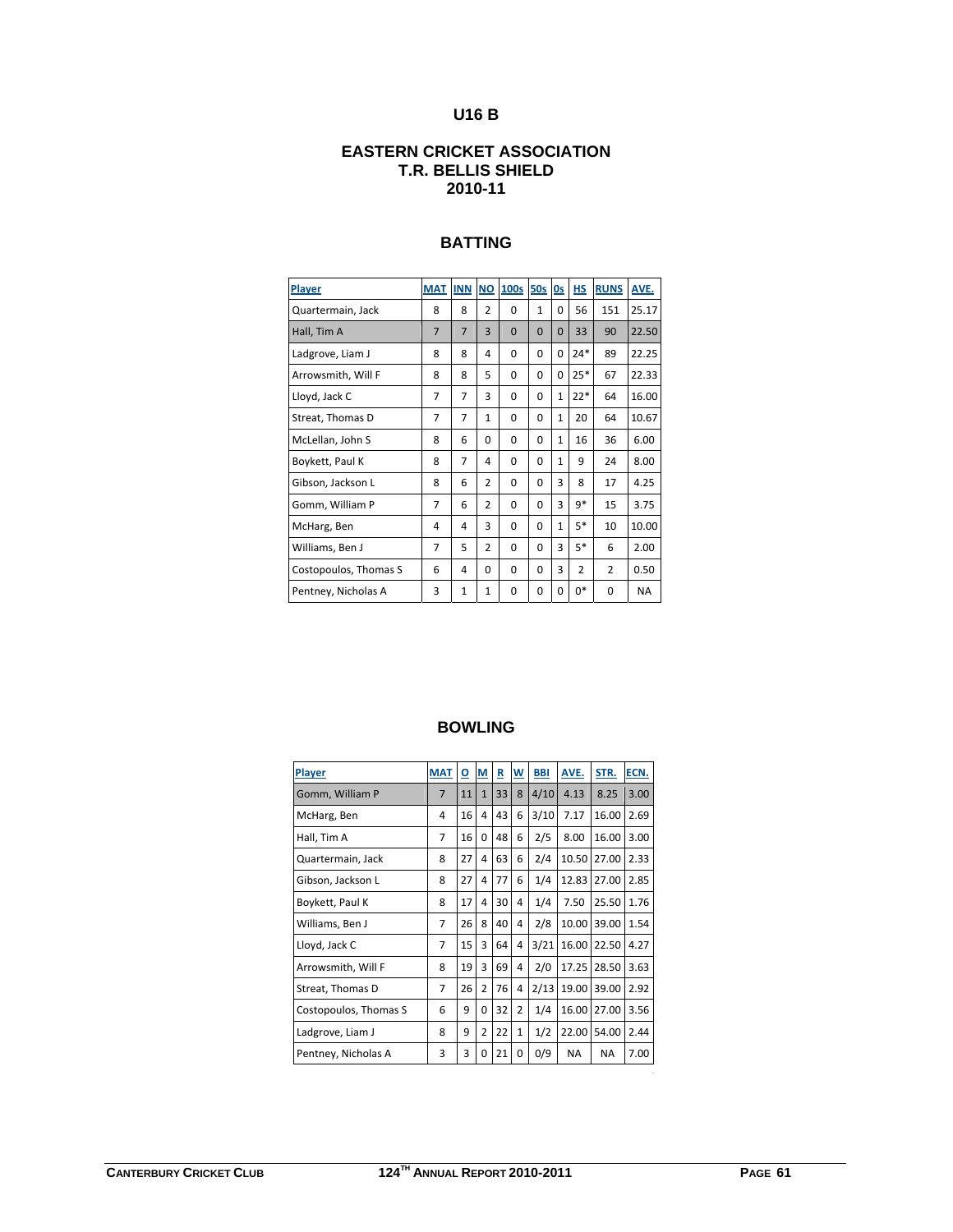# **U16 B**

#### **EASTERN CRICKET ASSOCIATION T.R. BELLIS SHIELD 2010-11**

| Player                | <b>MAT</b>     | <b>INN</b>     | <b>NO</b>      | 100s     | 50s          | 0s             | HS    | <b>RUNS</b>    | AVE.      |
|-----------------------|----------------|----------------|----------------|----------|--------------|----------------|-------|----------------|-----------|
| Quartermain, Jack     | 8              | 8              | $\overline{2}$ | $\Omega$ | $\mathbf{1}$ | $\Omega$       | 56    | 151            | 25.17     |
| Hall, Tim A           | $\overline{7}$ | $\overline{7}$ | 3              | $\Omega$ | $\Omega$     | $\overline{0}$ | 33    | 90             | 22.50     |
| Ladgrove, Liam J      | 8              | 8              | 4              | $\Omega$ | 0            | $\Omega$       | $24*$ | 89             | 22.25     |
| Arrowsmith, Will F    | 8              | 8              | 5              | $\Omega$ | 0            | $\Omega$       | $25*$ | 67             | 22.33     |
| Lloyd, Jack C         | 7              | $\overline{7}$ | 3              | 0        | 0            | $\mathbf{1}$   | $22*$ | 64             | 16.00     |
| Streat, Thomas D      | $\overline{7}$ | $\overline{7}$ | $\mathbf{1}$   | $\Omega$ | 0            | $\mathbf{1}$   | 20    | 64             | 10.67     |
| McLellan, John S      | 8              | 6              | $\Omega$       | 0        | $\Omega$     | $\mathbf{1}$   | 16    | 36             | 6.00      |
| Boykett, Paul K       | 8              | 7              | 4              | 0        | 0            | $\mathbf{1}$   | 9     | 24             | 8.00      |
| Gibson, Jackson L     | 8              | 6              | $\overline{2}$ | 0        | $\Omega$     | 3              | 8     | 17             | 4.25      |
| Gomm, William P       | $\overline{7}$ | 6              | $\overline{2}$ | $\Omega$ | $\Omega$     | 3              | $9*$  | 15             | 3.75      |
| McHarg, Ben           | 4              | 4              | 3              | 0        | $\Omega$     | $\mathbf{1}$   | $5*$  | 10             | 10.00     |
| Williams, Ben J       | $\overline{7}$ | 5              | $\overline{2}$ | 0        | 0            | 3              | $5*$  | 6              | 2.00      |
| Costopoulos, Thomas S | 6              | 4              | $\Omega$       | $\Omega$ | $\Omega$     | 3              | 2     | $\overline{2}$ | 0.50      |
| Pentney, Nicholas A   | 3              | $\mathbf{1}$   | $\mathbf{1}$   | $\Omega$ | 0            | 0              | $0*$  | $\Omega$       | <b>NA</b> |

## **BATTING**

| Player                | <b>MAT</b>     | ₫  | M              | R  | $\underline{\mathsf{W}}$ | <b>BBI</b> | AVE.  | STR.      | ECN. |
|-----------------------|----------------|----|----------------|----|--------------------------|------------|-------|-----------|------|
| Gomm, William P       | $\overline{7}$ | 11 | $\mathbf{1}$   | 33 | 8                        | 4/10       | 4.13  | 8.25      | 3.00 |
| McHarg, Ben           | 4              | 16 | 4              | 43 | 6                        | 3/10       | 7.17  | 16.00     | 2.69 |
| Hall, Tim A           | 7              | 16 | 0              | 48 | 6                        | 2/5        | 8.00  | 16.00     | 3.00 |
| Quartermain, Jack     | 8              | 27 | 4              | 63 | 6                        | 2/4        | 10.50 | 27.00     | 2.33 |
| Gibson, Jackson L     | 8              | 27 | 4              | 77 | 6                        | 1/4        | 12.83 | 27.00     | 2.85 |
| Boykett, Paul K       | 8              | 17 | 4              | 30 | 4                        | 1/4        | 7.50  | 25.50     | 1.76 |
| Williams, Ben J       | 7              | 26 | 8              | 40 | 4                        | 2/8        | 10.00 | 39.00     | 1.54 |
| Lloyd, Jack C         | $\overline{7}$ | 15 | 3              | 64 | 4                        | 3/21       | 16.00 | 22.50     | 4.27 |
| Arrowsmith, Will F    | 8              | 19 | 3              | 69 | 4                        | 2/0        | 17.25 | 28.50     | 3.63 |
| Streat, Thomas D      | 7              | 26 | $\overline{2}$ | 76 | 4                        | 2/13       | 19.00 | 39.00     | 2.92 |
| Costopoulos, Thomas S | 6              | 9  | 0              | 32 | 2                        | 1/4        | 16.00 | 27.00     | 3.56 |
| Ladgrove, Liam J      | 8              | 9  | 2              | 22 | 1                        | 1/2        | 22.00 | 54.00     | 2.44 |
| Pentney, Nicholas A   | 3              | 3  | 0              | 21 | 0                        | 0/9        | NA    | <b>NA</b> | 7.00 |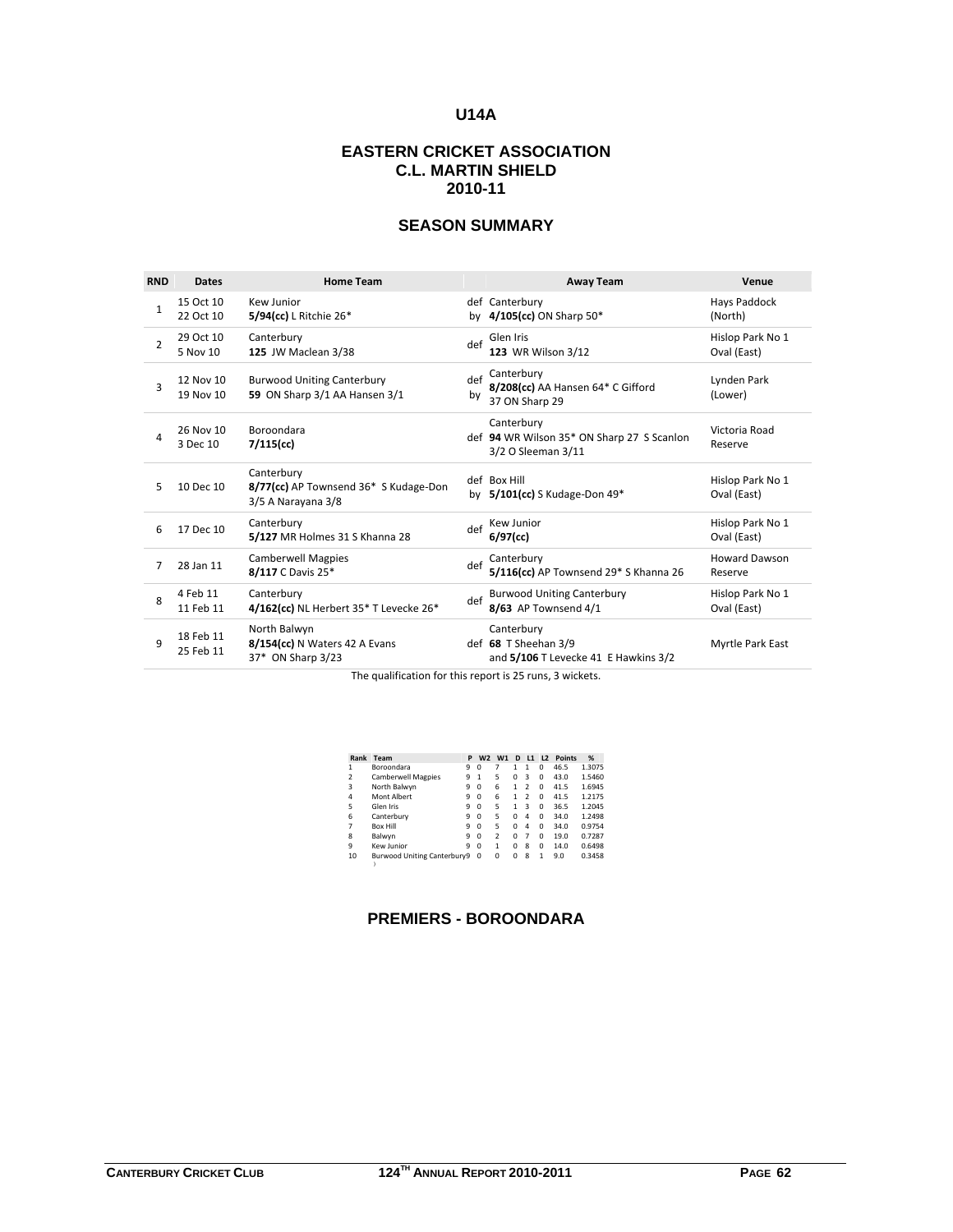## **U14A**

## **EASTERN CRICKET ASSOCIATION C.L. MARTIN SHIELD 2010-11**

## **SEASON SUMMARY**

| <b>RND</b>     | <b>Dates</b>           | <b>Home Team</b>                                                          |           | Away Team                                                                      | Venue                           |
|----------------|------------------------|---------------------------------------------------------------------------|-----------|--------------------------------------------------------------------------------|---------------------------------|
| $\mathbf{1}$   | 15 Oct 10<br>22 Oct 10 | Kew Junior<br>$5/94$ (cc) L Ritchie 26*                                   |           | def Canterbury<br>by $4/105$ (cc) ON Sharp 50*                                 | Hays Paddock<br>(North)         |
| $\overline{2}$ | 29 Oct 10<br>5 Nov 10  | Canterbury<br>125 JW Maclean 3/38                                         | def       | Glen Iris<br>123 WR Wilson 3/12                                                | Hislop Park No 1<br>Oval (East) |
| ξ              | 12 Nov 10<br>19 Nov 10 | <b>Burwood Uniting Canterbury</b><br>59 ON Sharp 3/1 AA Hansen 3/1        | def<br>by | Canterbury<br>8/208(cc) AA Hansen 64* C Gifford<br>37 ON Sharp 29              | Lynden Park<br>(Lower)          |
| 4              | 26 Nov 10<br>3 Dec 10  | Boroondara<br>$7/115$ (cc)                                                |           | Canterbury<br>def 94 WR Wilson 35* ON Sharp 27 S Scanlon<br>3/2 O Sleeman 3/11 | Victoria Road<br>Reserve        |
| 5              | 10 Dec 10              | Canterbury<br>8/77(cc) AP Townsend 36* S Kudage-Don<br>3/5 A Narayana 3/8 |           | def Box Hill<br>by $5/101$ (cc) S Kudage-Don 49*                               | Hislop Park No 1<br>Oval (East) |
| 6              | 17 Dec 10              | Canterbury<br><b>5/127</b> MR Holmes 31 S Khanna 28                       | def       | Kew Junior<br>$6/97$ (cc)                                                      | Hislop Park No 1<br>Oval (East) |
| 7              | 28 Jan 11              | <b>Camberwell Magpies</b><br>8/117 C Davis 25*                            | def       | Canterbury<br>5/116(cc) AP Townsend 29* S Khanna 26                            | <b>Howard Dawson</b><br>Reserve |
| 8              | 4 Feb 11<br>11 Feb 11  | Canterbury<br>4/162(cc) NL Herbert 35* T Levecke 26*                      | def       | <b>Burwood Uniting Canterbury</b><br>8/63 AP Townsend 4/1                      | Hislop Park No 1<br>Oval (East) |
| q              | 18 Feb 11<br>25 Feb 11 | North Balwyn<br>8/154(cc) N Waters 42 A Evans<br>37* ON Sharp 3/23        |           | Canterbury<br>def 68 T Sheehan 3/9<br>and 5/106 T Levecke 41 E Hawkins 3/2     | Myrtle Park East                |

The qualification for this report is 25 runs, 3 wickets.

| Rank           | Team                        | P | W <sub>2</sub> | W1                       | D        | L1            | L2 | <b>Points</b> | %      |
|----------------|-----------------------------|---|----------------|--------------------------|----------|---------------|----|---------------|--------|
| 1              | Boroondara                  | ٩ | 0              | 7                        | 1        | 1             | 0  | 46.5          | 1.3075 |
| $\overline{2}$ | <b>Camberwell Magpies</b>   | 9 | 1              | 5                        | $\Omega$ | 3             | 0  | 43.0          | 1.5460 |
| 3              | North Balwyn                | 9 | $\Omega$       | 6                        | 1        | $\mathfrak z$ | 0  | 41.5          | 1.6945 |
| 4              | Mont Albert                 | 9 | $\Omega$       | 6                        | 1        | $\mathfrak z$ | 0  | 41.5          | 1.2175 |
| 5              | Glen Iris                   | 9 | $\Omega$       | 5                        | 1        | 3             | 0  | 36.5          | 1.2045 |
| 6              | Canterbury                  | 9 | $\Omega$       | 5                        | $\Omega$ | 4             | 0  | 34.0          | 1.2498 |
| 7              | <b>Box Hill</b>             | 9 | $\Omega$       | 5                        | $\Omega$ | 4             | 0  | 34.0          | 0.9754 |
| 8              | Balwyn                      | 9 | $\Omega$       | $\overline{\phantom{a}}$ | $\Omega$ | 7             | 0  | 19.0          | 0.7287 |
| 9              | Kew Junior                  | 9 | $\Omega$       | 1                        | O        | 8             | 0  | 14.0          | 0.6498 |
| 10             | Burwood Uniting Canterbury9 |   | $\Omega$       | 0                        | $\Omega$ | 8             | 1  | 9.0           | 0.3458 |

## **PREMIERS - BOROONDARA**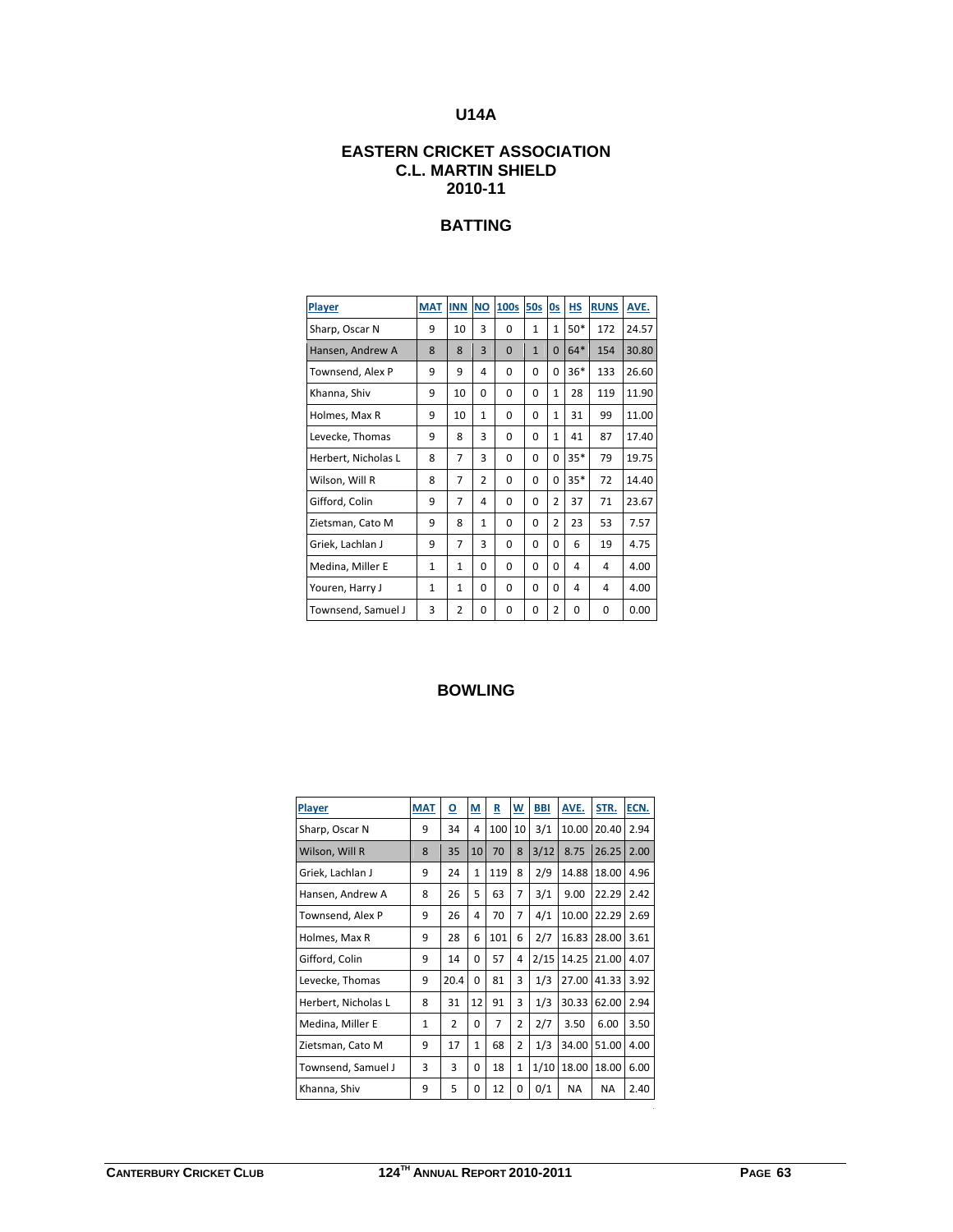# **U14A**

## **EASTERN CRICKET ASSOCIATION C.L. MARTIN SHIELD 2010-11**

# **BATTING**

| Player              | <b>MAT</b>   | <b>INN</b>     | <b>NO</b>      | <b>100s</b> | <b>50s</b>   | 0s           | HS    | <b>RUNS</b> | AVE.  |
|---------------------|--------------|----------------|----------------|-------------|--------------|--------------|-------|-------------|-------|
| Sharp, Oscar N      | 9            | 10             | з              | $\Omega$    | 1            | 1            | $50*$ | 172         | 24.57 |
| Hansen, Andrew A    | 8            | 8              | 3              | $\Omega$    | $\mathbf{1}$ | $\Omega$     | $64*$ | 154         | 30.80 |
| Townsend, Alex P    | 9            | 9              | 4              | $\Omega$    | 0            | 0            | $36*$ | 133         | 26.60 |
| Khanna, Shiv        | 9            | 10             | 0              | $\Omega$    | 0            | $\mathbf{1}$ | 28    | 119         | 11.90 |
| Holmes, Max R       | 9            | 10             | $\mathbf{1}$   | $\Omega$    | 0            | $\mathbf{1}$ | 31    | 99          | 11.00 |
| Levecke, Thomas     | 9            | 8              | 3              | $\Omega$    | 0            | 1            | 41    | 87          | 17.40 |
| Herbert, Nicholas L | 8            | $\overline{7}$ | 3              | $\Omega$    | 0            | 0            | $35*$ | 79          | 19.75 |
| Wilson, Will R      | 8            | 7              | $\overline{2}$ | $\Omega$    | 0            | $\Omega$     | $35*$ | 72          | 14.40 |
| Gifford, Colin      | 9            | 7              | 4              | $\Omega$    | 0            | 2            | 37    | 71          | 23.67 |
| Zietsman, Cato M    | 9            | 8              | $\mathbf{1}$   | $\Omega$    | 0            | 2            | 23    | 53          | 7.57  |
| Griek, Lachlan J    | 9            | 7              | 3              | $\Omega$    | 0            | O            | 6     | 19          | 4.75  |
| Medina, Miller E    | $\mathbf{1}$ | $\mathbf{1}$   | 0              | $\Omega$    | 0            | 0            | 4     | 4           | 4.00  |
| Youren, Harry J     | $\mathbf{1}$ | $\mathbf{1}$   | 0              | $\Omega$    | 0            | $\Omega$     | 4     | 4           | 4.00  |
| Townsend, Samuel J  | 3            | $\overline{2}$ | 0              | 0           | 0            | 2            | 0     | 0           | 0.00  |

| <b>Player</b>       | <b>MAT</b>   | ₫              | M            | R   | W              | <b>BBI</b> | AVE.      | STR.  | ECN. |
|---------------------|--------------|----------------|--------------|-----|----------------|------------|-----------|-------|------|
| Sharp, Oscar N      | 9            | 34             | 4            | 100 | 10             | 3/1        | 10.00     | 20.40 | 2.94 |
| Wilson, Will R      | 8            | 35             | 10           | 70  | 8              | 3/12       | 8.75      | 26.25 | 2.00 |
| Griek, Lachlan J    | 9            | 24             | $\mathbf{1}$ | 119 | 8              | 2/9        | 14.88     | 18.00 | 4.96 |
| Hansen, Andrew A    | 8            | 26             | 5            | 63  | 7              | 3/1        | 9.00      | 22.29 | 2.42 |
| Townsend, Alex P    | 9            | 26             | 4            | 70  | 7              | 4/1        | 10.00     | 22.29 | 2.69 |
| Holmes, Max R       | 9            | 28             | 6            | 101 | 6              | 2/7        | 16.83     | 28.00 | 3.61 |
| Gifford, Colin      | 9            | 14             | 0            | 57  | 4              | 2/15       | 14.25     | 21.00 | 4.07 |
| Levecke, Thomas     | 9            | 20.4           | 0            | 81  | 3              | 1/3        | 27.00     | 41.33 | 3.92 |
| Herbert, Nicholas L | 8            | 31             | 12           | 91  | 3              | 1/3        | 30.33     | 62.00 | 2.94 |
| Medina, Miller E    | $\mathbf{1}$ | $\overline{2}$ | $\Omega$     | 7   | $\overline{2}$ | 2/7        | 3.50      | 6.00  | 3.50 |
| Zietsman, Cato M    | 9            | 17             | $\mathbf{1}$ | 68  | $\overline{2}$ | 1/3        | 34.00     | 51.00 | 4.00 |
| Townsend, Samuel J  | 3            | 3              | 0            | 18  | 1              | 1/10       | 18.00     | 18.00 | 6.00 |
| Khanna, Shiv        | 9            | 5              | 0            | 12  | 0              | 0/1        | <b>NA</b> | NA    | 2.40 |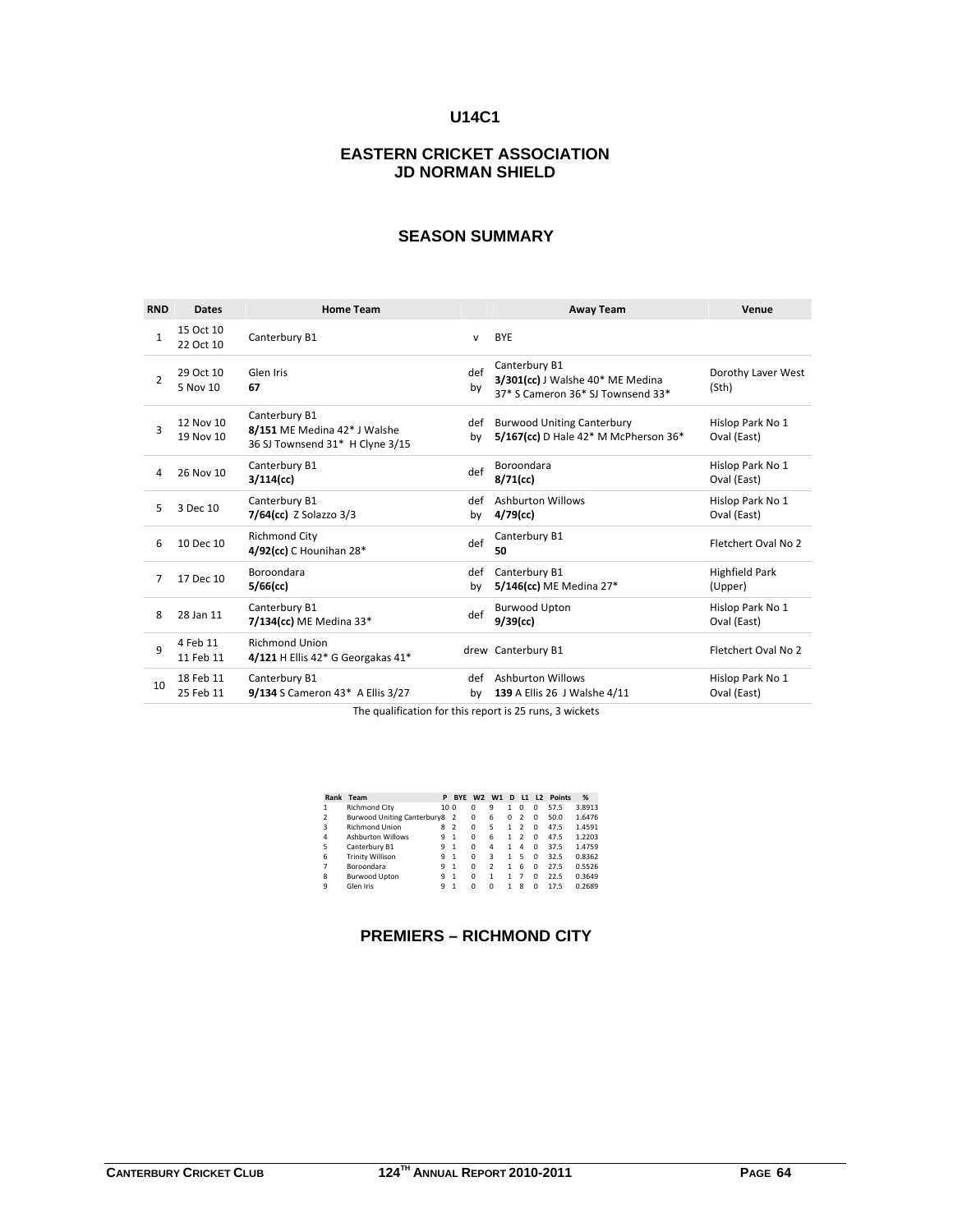## **EASTERN CRICKET ASSOCIATION JD NORMAN SHIELD**

## **SEASON SUMMARY**

| <b>RND</b>     | <b>Dates</b>           | <b>Home Team</b>                                                                 |              | <b>Away Team</b>                                                                       | Venue                            |
|----------------|------------------------|----------------------------------------------------------------------------------|--------------|----------------------------------------------------------------------------------------|----------------------------------|
| $\mathbf{1}$   | 15 Oct 10<br>22 Oct 10 | Canterbury B1                                                                    | $\mathsf{v}$ | <b>BYE</b>                                                                             |                                  |
| $\overline{2}$ | 29 Oct 10<br>5 Nov 10  | Glen Iris<br>67                                                                  | def<br>by    | Canterbury B1<br>3/301(cc) J Walshe 40* ME Medina<br>37* S Cameron 36* SJ Townsend 33* | Dorothy Laver West<br>(Sth)      |
| 3              | 12 Nov 10<br>19 Nov 10 | Canterbury B1<br>8/151 ME Medina 42* J Walshe<br>36 SJ Townsend 31* H Clyne 3/15 | def<br>bv    | <b>Burwood Uniting Canterbury</b><br>$5/167$ (cc) D Hale 42* M McPherson 36*           | Hislop Park No 1<br>Oval (East)  |
| 4              | 26 Nov 10              | Canterbury B1<br>$3/114$ (cc)                                                    | def          | Boroondara<br>$8/71$ (cc)                                                              | Hislop Park No 1<br>Oval (East)  |
| 5.             | 3 Dec 10               | Canterbury B1<br>$7/64$ (cc) Z Solazzo $3/3$                                     | def<br>by    | <b>Ashburton Willows</b><br>4/79(cc)                                                   | Hislop Park No 1<br>Oval (East)  |
| 6              | 10 Dec 10              | <b>Richmond City</b><br>4/92(cc) C Hounihan 28*                                  | def          | Canterbury B1<br>50                                                                    | Fletchert Oval No 2              |
| 7              | 17 Dec 10              | Boroondara<br>$5/66$ (cc)                                                        | bv           | def Canterbury B1<br>5/146(cc) ME Medina 27*                                           | <b>Highfield Park</b><br>(Upper) |
| 8              | 28 Jan 11              | Canterbury B1<br>7/134(cc) ME Medina 33*                                         | def          | <b>Burwood Upton</b><br>9/39(cc)                                                       | Hislop Park No 1<br>Oval (East)  |
| q              | 4 Feb 11<br>11 Feb 11  | <b>Richmond Union</b><br>4/121 H Ellis 42* G Georgakas 41*                       |              | drew Canterbury B1                                                                     | Fletchert Oval No 2              |
| 10             | 18 Feb 11<br>25 Feb 11 | Canterbury B1<br>9/134 S Cameron 43* A Ellis 3/27                                | def<br>bv    | <b>Ashburton Willows</b><br>139 A Ellis 26 J Walshe 4/11                               | Hislop Park No 1<br>Oval (East)  |

The qualification for this report is 25 runs, 3 wickets

| Rank           | Team                               | P               | <b>BYE</b>               | W <sub>2</sub> | W1             | D        | L1 L2                    |          | <b>Points</b> | %      |
|----------------|------------------------------------|-----------------|--------------------------|----------------|----------------|----------|--------------------------|----------|---------------|--------|
| 1              | <b>Richmond City</b>               | 10 <sub>0</sub> |                          | $\Omega$       | 9              | 1        | $\Omega$                 | $\Omega$ | 57.5          | 3.8913 |
| $\mathfrak{p}$ | <b>Burwood Uniting Canterbury8</b> |                 | $\overline{\phantom{a}}$ | $\Omega$       | 6              | $\Omega$ | $\mathfrak{p}$           | $\Omega$ | 50.0          | 1.6476 |
| 3              | <b>Richmond Union</b>              | 8               | $\overline{\phantom{a}}$ | $\Omega$       | 5              | 1        | $\overline{\phantom{a}}$ | $\Omega$ | 47.5          | 1.4591 |
| 4              | <b>Ashburton Willows</b>           | 9               | $\mathbf{1}$             | $\Omega$       | 6              | 1        | $\mathcal{P}$            | $\Omega$ | 47.5          | 1.2203 |
| 5              | Canterbury B1                      | 9               | $\mathbf{1}$             | $\Omega$       | 4              | 1        | 4                        | $\Omega$ | 37.5          | 1.4759 |
| 6              | <b>Trinity Willison</b>            | 9               | $\mathbf{1}$             | $\Omega$       | 3              | 1        | 5                        | $\Omega$ | 32.5          | 0.8362 |
| 7              | Boroondara                         | q               | $\mathbf{1}$             | $\Omega$       | $\mathfrak{p}$ | 1        | 6                        | $\Omega$ | 27.5          | 0.5526 |
| 8              | <b>Burwood Upton</b>               | 9               | $\mathbf{1}$             | $\Omega$       | 1              | 1        | 7                        | $\Omega$ | 22.5          | 0.3649 |
| 9              | Glen Iris                          | q               | $\mathbf{1}$             | $\Omega$       | $\Omega$       |          | 8                        | $\Omega$ | 17.5          | 0.2689 |

# **PREMIERS – RICHMOND CITY**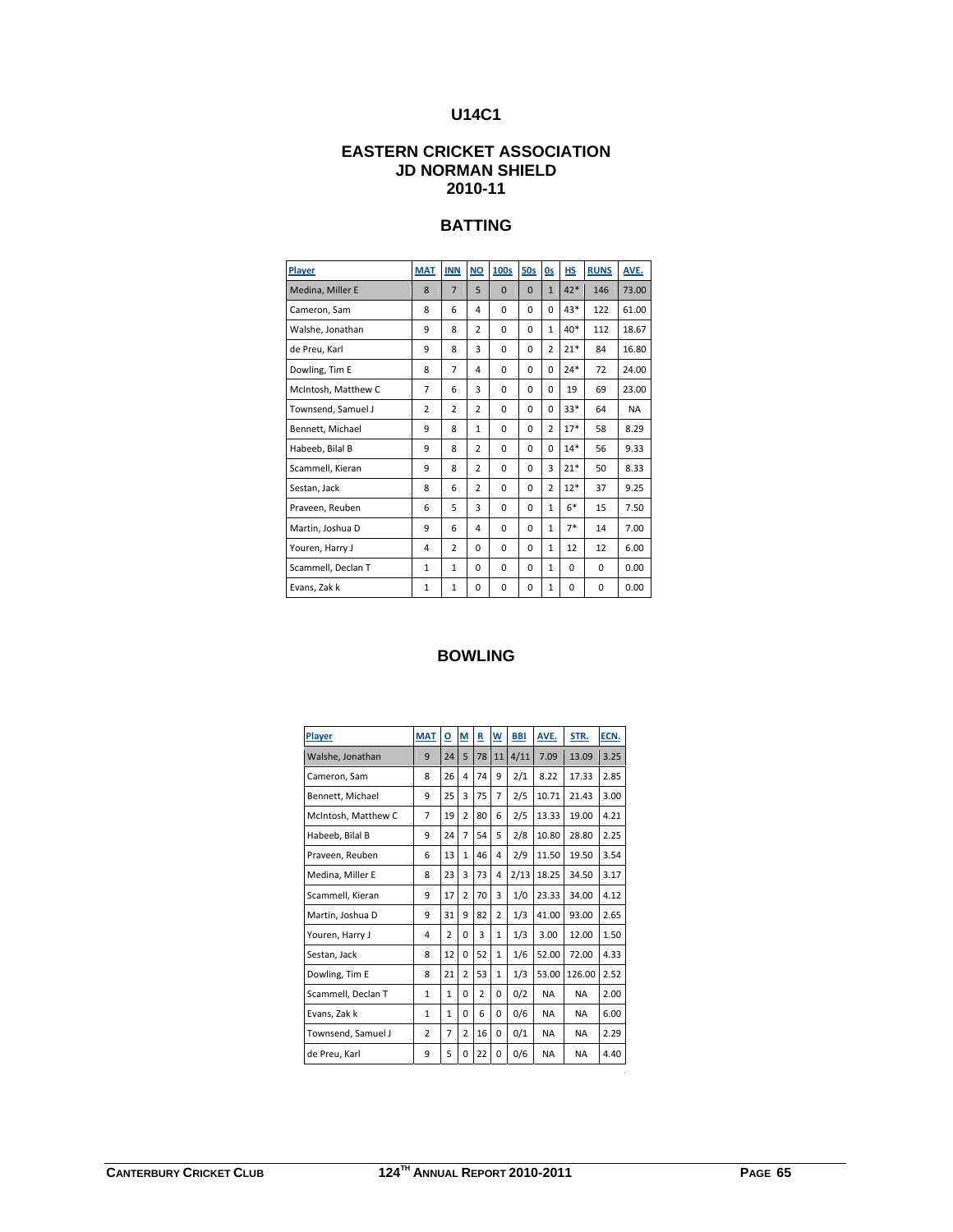## **EASTERN CRICKET ASSOCIATION JD NORMAN SHIELD 2010-11**

# **BATTING**

| Player              | <b>MAT</b>     | <b>INN</b>     | <b>NO</b>      | 100s     | 50s          | 0s             | H.S      | <b>RUNS</b> | AVE.      |
|---------------------|----------------|----------------|----------------|----------|--------------|----------------|----------|-------------|-----------|
| Medina, Miller E    | 8              | $\overline{7}$ | 5              | $\Omega$ | $\mathbf{0}$ | $\mathbf{1}$   | 42*      | 146         | 73.00     |
| Cameron, Sam        | 8              | 6              | 4              | $\Omega$ | $\Omega$     | 0              | 43*      | 122         | 61.00     |
| Walshe, Jonathan    | 9              | 8              | $\overline{2}$ | $\Omega$ | $\Omega$     | $\mathbf{1}$   | $40*$    | 112         | 18.67     |
| de Preu, Karl       | 9              | 8              | 3              | $\Omega$ | $\Omega$     | $\overline{2}$ | $21*$    | 84          | 16.80     |
| Dowling, Tim E      | 8              | 7              | 4              | 0        | $\Omega$     | 0              | $24*$    | 72          | 24.00     |
| McIntosh, Matthew C | $\overline{7}$ | 6              | 3              | $\Omega$ | $\Omega$     | 0              | 19       | 69          | 23.00     |
| Townsend, Samuel J  | $\overline{2}$ | $\overline{2}$ | 2              | $\Omega$ | $\Omega$     | 0              | $33*$    | 64          | <b>NA</b> |
| Bennett, Michael    | 9              | 8              | $\mathbf{1}$   | $\Omega$ | $\Omega$     | $\overline{2}$ | $17*$    | 58          | 8.29      |
| Habeeb, Bilal B     | 9              | 8              | $\overline{2}$ | $\Omega$ | $\Omega$     | 0              | $14*$    | 56          | 9.33      |
| Scammell, Kieran    | 9              | 8              | 2              | 0        | $\Omega$     | 3              | $21*$    | 50          | 8.33      |
| Sestan, Jack        | 8              | 6              | $\overline{2}$ | $\Omega$ | $\Omega$     | $\overline{2}$ | $12*$    | 37          | 9.25      |
| Praveen, Reuben     | 6              | 5              | 3              | $\Omega$ | $\Omega$     | $\mathbf{1}$   | $6*$     | 15          | 7.50      |
| Martin, Joshua D    | 9              | 6              | 4              | 0        | $\Omega$     | 1              | $7*$     | 14          | 7.00      |
| Youren, Harry J     | 4              | $\overline{2}$ | $\Omega$       | $\Omega$ | $\Omega$     | $\mathbf{1}$   | 12       | 12          | 6.00      |
| Scammell, Declan T  | 1              | 1              | $\Omega$       | $\Omega$ | $\Omega$     | 1              | $\Omega$ | 0           | 0.00      |
| Evans, Zak k        | $\mathbf{1}$   | 1              | $\Omega$       | 0        | $\Omega$     | 1              | $\Omega$ | 0           | 0.00      |

| Player              | <b>MAT</b>     | ₫              | M              | R  | W              | BBI  | AVE.      | STR.      | ECN. |
|---------------------|----------------|----------------|----------------|----|----------------|------|-----------|-----------|------|
| Walshe, Jonathan    | 9              | 24             | 5              | 78 | 11             | 4/11 | 7.09      | 13.09     | 3.25 |
| Cameron, Sam        | 8              | 26             | 4              | 74 | 9              | 2/1  | 8.22      | 17.33     | 2.85 |
| Bennett, Michael    | 9              | 25             | 3              | 75 | 7              | 2/5  | 10.71     | 21.43     | 3.00 |
| McIntosh, Matthew C | 7              | 19             | $\overline{2}$ | 80 | 6              | 2/5  | 13.33     | 19.00     | 4.21 |
| Habeeb, Bilal B     | 9              | 24             | 7              | 54 | 5              | 2/8  | 10.80     | 28.80     | 2.25 |
| Praveen, Reuben     | 6              | 13             | $\mathbf{1}$   | 46 | 4              | 2/9  | 11.50     | 19.50     | 3.54 |
| Medina, Miller E    | 8              | 23             | 3              | 73 | 4              | 2/13 | 18.25     | 34.50     | 3.17 |
| Scammell, Kieran    | 9              | 17             | $\overline{2}$ | 70 | 3              | 1/0  | 23.33     | 34.00     | 4.12 |
| Martin, Joshua D    | 9              | 31             | 9              | 82 | $\overline{2}$ | 1/3  | 41.00     | 93.00     | 2.65 |
| Youren, Harry J     | 4              | $\overline{2}$ | 0              | 3  | 1              | 1/3  | 3.00      | 12.00     | 1.50 |
| Sestan, Jack        | 8              | 12             | $\Omega$       | 52 | 1              | 1/6  | 52.00     | 72.00     | 4.33 |
| Dowling, Tim E      | 8              | 21             | $\overline{2}$ | 53 | $\mathbf{1}$   | 1/3  | 53.00     | 126.00    | 2.52 |
| Scammell, Declan T  | $\mathbf{1}$   | $\mathbf{1}$   | $\Omega$       | 2  | 0              | 0/2  | <b>NA</b> | <b>NA</b> | 2.00 |
| Evans, Zak k        | $\mathbf{1}$   | $\mathbf{1}$   | 0              | 6  | 0              | 0/6  | <b>NA</b> | <b>NA</b> | 6.00 |
| Townsend, Samuel J  | $\overline{2}$ | 7              | $\overline{2}$ | 16 | 0              | 0/1  | <b>NA</b> | <b>NA</b> | 2.29 |
| de Preu, Karl       | 9              | 5              | $\Omega$       | 22 | $\Omega$       | 0/6  | <b>NA</b> | <b>NA</b> | 4.40 |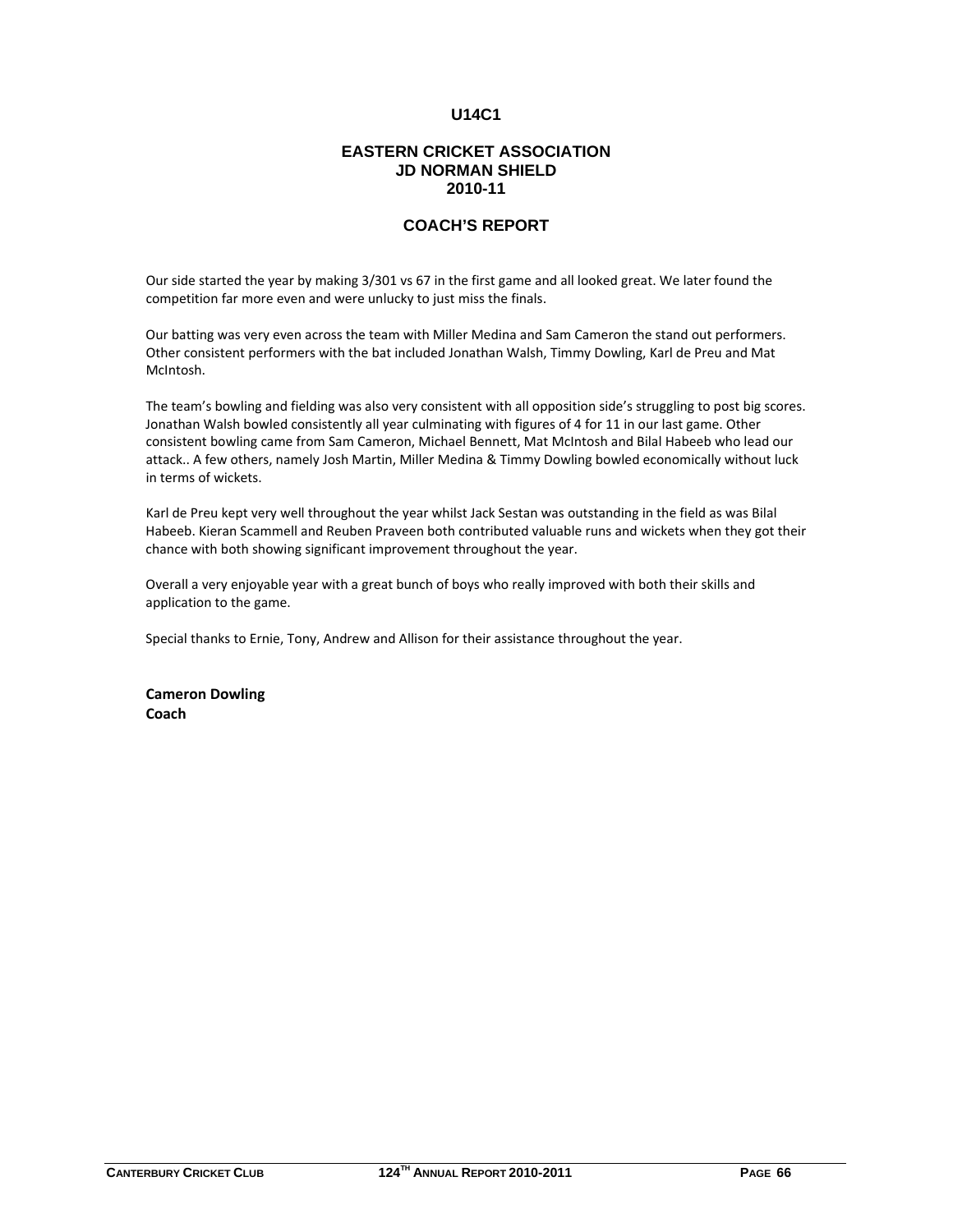#### **EASTERN CRICKET ASSOCIATION JD NORMAN SHIELD 2010-11**

#### **COACH'S REPORT**

Our side started the year by making 3/301 vs 67 in the first game and all looked great. We later found the competition far more even and were unlucky to just miss the finals.

Our batting was very even across the team with Miller Medina and Sam Cameron the stand out performers. Other consistent performers with the bat included Jonathan Walsh, Timmy Dowling, Karl de Preu and Mat McIntosh.

The team's bowling and fielding was also very consistent with all opposition side's struggling to post big scores. Jonathan Walsh bowled consistently all year culminating with figures of 4 for 11 in our last game. Other consistent bowling came from Sam Cameron, Michael Bennett, Mat McIntosh and Bilal Habeeb who lead our attack.. A few others, namely Josh Martin, Miller Medina & Timmy Dowling bowled economically without luck in terms of wickets.

Karl de Preu kept very well throughout the year whilst Jack Sestan was outstanding in the field as was Bilal Habeeb. Kieran Scammell and Reuben Praveen both contributed valuable runs and wickets when they got their chance with both showing significant improvement throughout the year.

Overall a very enjoyable year with a great bunch of boys who really improved with both their skills and application to the game.

Special thanks to Ernie, Tony, Andrew and Allison for their assistance throughout the year.

**Cameron Dowling Coach**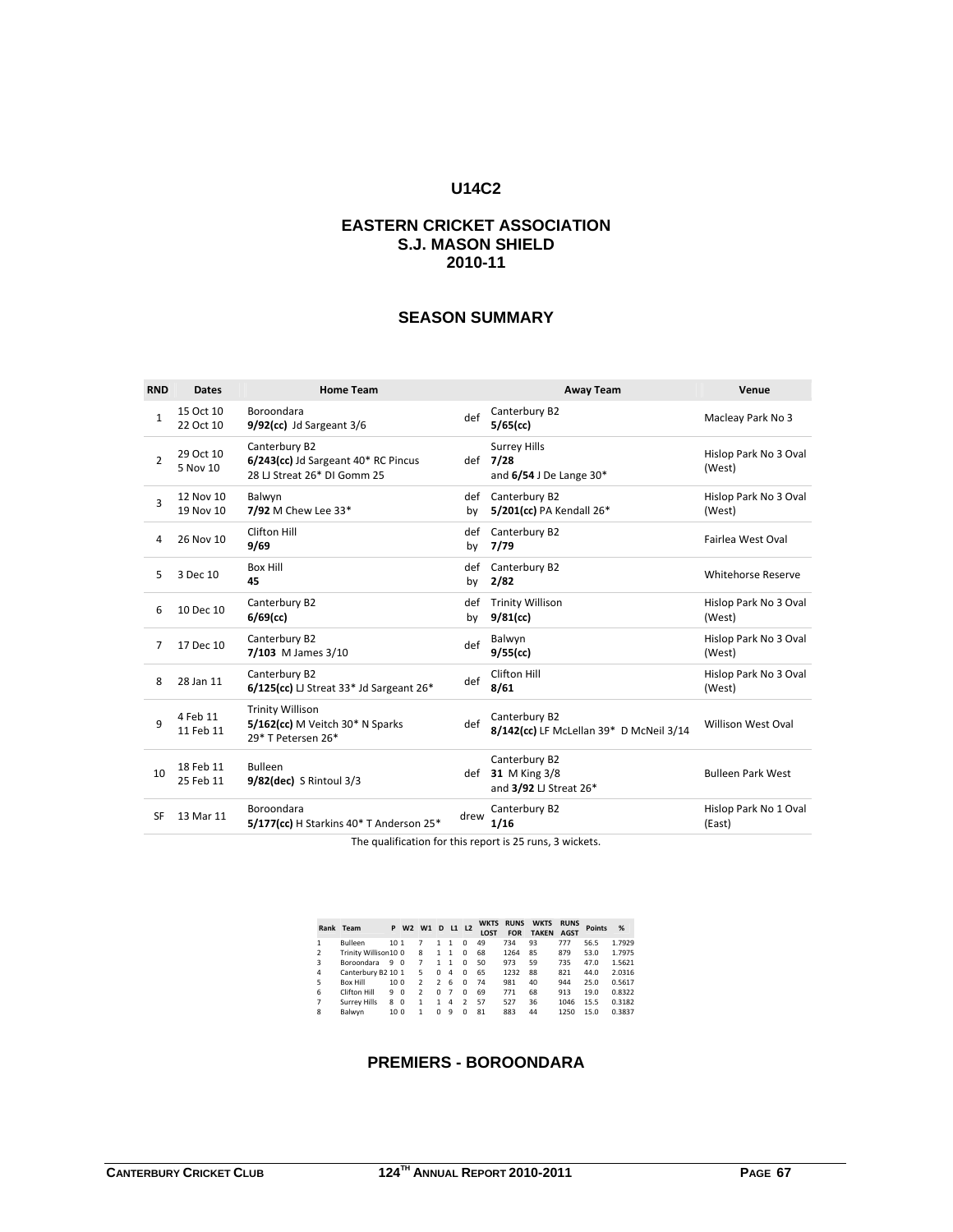### **EASTERN CRICKET ASSOCIATION S.J. MASON SHIELD 2010-11**

## **SEASON SUMMARY**

| <b>RND</b>    | <b>Dates</b>           | <b>Home Team</b>                                                                    |           | <b>Away Team</b>                                               | Venue                           |
|---------------|------------------------|-------------------------------------------------------------------------------------|-----------|----------------------------------------------------------------|---------------------------------|
| $\mathbf{1}$  | 15 Oct 10<br>22 Oct 10 | Boroondara<br>$9/92$ (cc) Jd Sargeant $3/6$                                         | def       | Canterbury B2<br>5/65(cc)                                      | Macleay Park No 3               |
| $\mathcal{P}$ | 29 Oct 10<br>5 Nov 10  | Canterbury B2<br>6/243(cc) Jd Sargeant 40* RC Pincus<br>28 LJ Streat 26* DJ Gomm 25 |           | <b>Surrey Hills</b><br>def 7/28<br>and $6/54$ J De Lange $30*$ | Hislop Park No 3 Oval<br>(West) |
| 3             | 12 Nov 10<br>19 Nov 10 | Balwyn<br>7/92 M Chew Lee 33*                                                       | def<br>bv | Canterbury B2<br>5/201(cc) PA Kendall 26*                      | Hislop Park No 3 Oval<br>(West) |
| 4             | 26 Nov 10              | Clifton Hill<br>9/69                                                                | def<br>by | Canterbury B2<br>7/79                                          | Fairlea West Oval               |
| 5.            | 3 Dec 10               | <b>Box Hill</b><br>45                                                               | def<br>by | Canterbury B2<br>2/82                                          | Whitehorse Reserve              |
| 6             | 10 Dec 10              | Canterbury B2<br>$6/69$ (cc)                                                        | def<br>by | <b>Trinity Willison</b><br>$9/81$ (cc)                         | Hislop Park No 3 Oval<br>(West) |
| 7             | 17 Dec 10              | Canterbury B2<br>7/103 M James 3/10                                                 | def       | Balwyn<br>$9/55$ (cc)                                          | Hislop Park No 3 Oval<br>(West) |
| 8             | 28 Jan 11              | Canterbury B2<br>$6/125$ (cc) LJ Streat 33* Jd Sargeant 26*                         | def       | <b>Clifton Hill</b><br>8/61                                    | Hislop Park No 3 Oval<br>(West) |
| q             | 4 Feb 11<br>11 Feb 11  | <b>Trinity Willison</b><br>5/162(cc) M Veitch 30* N Sparks<br>29* T Petersen 26*    | def       | Canterbury B2<br>8/142(cc) LF McLellan 39* D McNeil 3/14       | Willison West Oval              |
| 10            | 18 Feb 11<br>25 Feb 11 | <b>Bulleen</b><br>$9/82$ (dec) S Rintoul $3/3$                                      | def       | Canterbury B2<br>31 M King 3/8<br>and 3/92 LJ Streat 26*       | <b>Bulleen Park West</b>        |
| SF            | 13 Mar 11              | Boroondara<br>5/177(cc) H Starkins 40* T Anderson 25*                               | drew      | Canterbury B2<br>1/16                                          | Hislop Park No 1 Oval<br>(East) |

The qualification for this report is 25 runs, 3 wickets.

|                | Rank Team            | P    | W2 W1    |                          | D                        | L1 L2          |               | <b>WKTS</b><br><b>LOST</b> | <b>RUNS</b><br><b>FOR</b> | <b>WKTS</b><br><b>TAKEN</b> | <b>RUNS</b><br><b>AGST</b> | <b>Points</b> | %      |
|----------------|----------------------|------|----------|--------------------------|--------------------------|----------------|---------------|----------------------------|---------------------------|-----------------------------|----------------------------|---------------|--------|
| $\mathbf{1}$   | Bulleen              | 10 1 |          | 7                        | 1                        | 1              | Ω             | 49                         | 734                       | 93                          | 777                        | 56.5          | 1.7929 |
| $\overline{2}$ | Trinity Willison10 0 |      |          | 8                        | 1                        | 1              | $\Omega$      | 68                         | 1264                      | 85                          | 879                        | 53.0          | 1.7975 |
| 3              | Boroondara           | 9    | $\Omega$ | 7                        | 1.                       | 1              | $\Omega$      | 50                         | 973                       | 59                          | 735                        | 47.0          | 1.5621 |
| $\overline{4}$ | Canterbury B2 10 1   |      |          | 5                        | $\Omega$                 | $\overline{4}$ | $\Omega$      | 65                         | 1232                      | 88                          | 821                        | 44.0          | 2.0316 |
| 5              | <b>Box Hill</b>      | 10 0 |          | $\overline{\phantom{a}}$ | $\overline{\phantom{a}}$ | 6              | $\Omega$      | 74                         | 981                       | 40                          | 944                        | 25.0          | 0.5617 |
| 6              | Clifton Hill         | 9    | $\Omega$ | $\mathfrak{p}$           | $\Omega$                 | 7              | ŋ             | 69                         | 771                       | 68                          | 913                        | 19.0          | 0.8322 |
| $\overline{7}$ | Surrey Hills         | 8    | $\Omega$ | 1                        | 1                        | 4              | $\mathcal{P}$ | 57                         | 527                       | 36                          | 1046                       | 15.5          | 0.3182 |
| 8              | Balwyn               | 10 0 |          | 1                        | 0                        | 9              | $\Omega$      | 81                         | 883                       | 44                          | 1250                       | 15.0          | 0.3837 |

# **PREMIERS - BOROONDARA**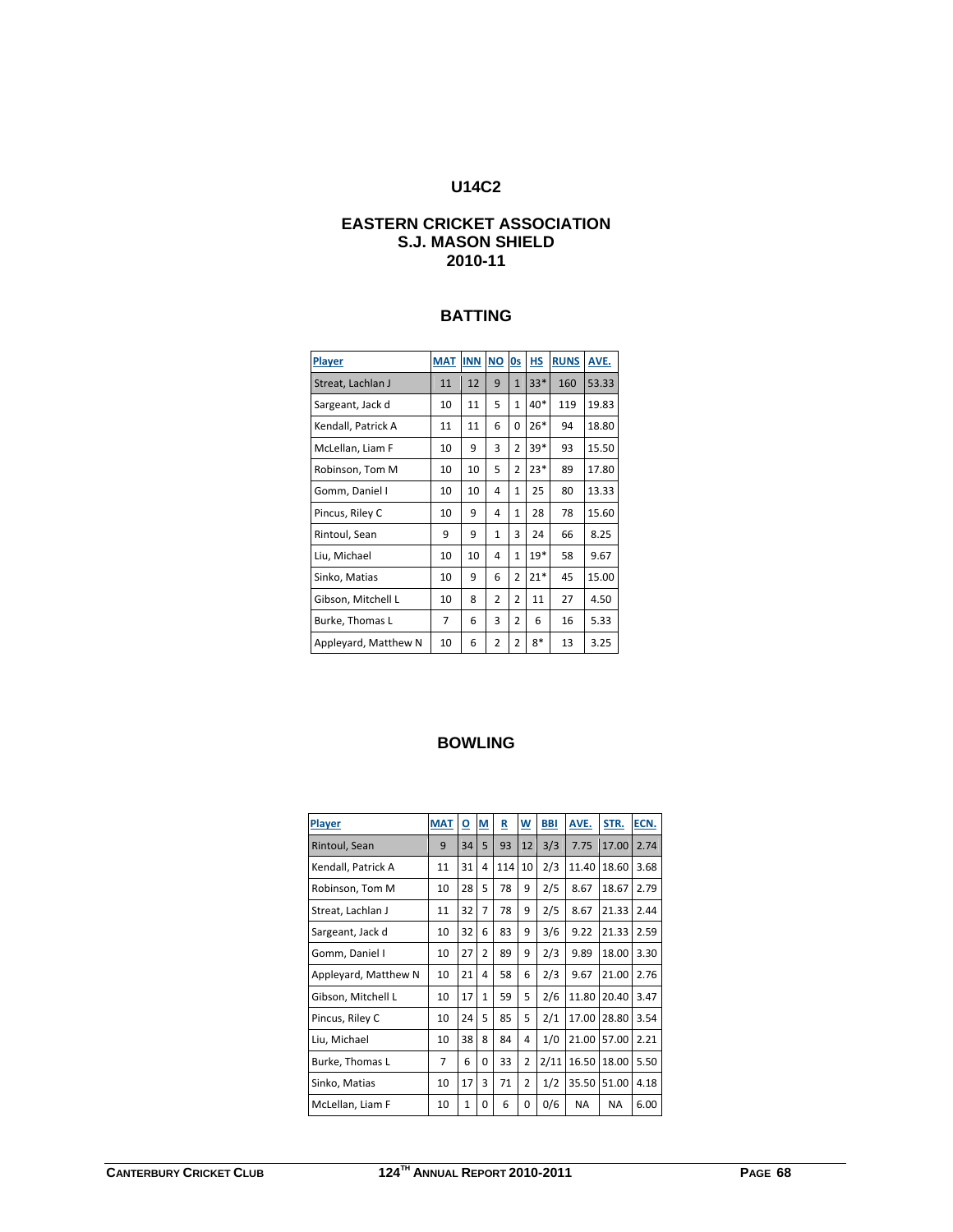#### **EASTERN CRICKET ASSOCIATION S.J. MASON SHIELD 2010-11**

## **BATTING**

| Player               | <b>MAT</b>     | <b>INN</b> | $NO$         | 0s             | HS    | <b>RUNS</b> | AVE.  |
|----------------------|----------------|------------|--------------|----------------|-------|-------------|-------|
| Streat, Lachlan J    | 11             | 12         | 9            | $\overline{1}$ | $33*$ | 160         | 53.33 |
| Sargeant, Jack d     | 10             | 11         | 5            | $\mathbf{1}$   | $40*$ | 119         | 19.83 |
| Kendall, Patrick A   | 11             | 11         | 6            | 0              | $26*$ | 94          | 18.80 |
| McLellan, Liam F     | 10             | 9          | 3            | $\overline{2}$ | 39*   | 93          | 15.50 |
| Robinson, Tom M      | 10             | 10         | 5            | $\overline{2}$ | $23*$ | 89          | 17.80 |
| Gomm, Daniel I       | 10             | 10         | 4            | $\mathbf{1}$   | 25    | 80          | 13.33 |
| Pincus, Riley C      | 10             | 9          | 4            | $\mathbf{1}$   | 28    | 78          | 15.60 |
| Rintoul, Sean        | 9              | 9          | $\mathbf{1}$ | 3              | 24    | 66          | 8.25  |
| Liu, Michael         | 10             | 10         | 4            | $\mathbf{1}$   | $19*$ | 58          | 9.67  |
| Sinko, Matias        | 10             | 9          | 6            | $\overline{2}$ | $21*$ | 45          | 15.00 |
| Gibson, Mitchell L   | 10             | 8          | 2            | $\overline{2}$ | 11    | 27          | 4.50  |
| Burke, Thomas L      | $\overline{7}$ | 6          | 3            | $\overline{2}$ | 6     | 16          | 5.33  |
| Appleyard, Matthew N | 10             | 6          | 2            | $\overline{2}$ | 8*    | 13          | 3.25  |

| Player               | <b>MAT</b> | ₫  | M             | R   | $\underline{\mathsf{w}}$ | <b>BBI</b> | AVE.      | STR.      | ECN. |
|----------------------|------------|----|---------------|-----|--------------------------|------------|-----------|-----------|------|
| Rintoul, Sean        | 9          | 34 | 5             | 93  | 12                       | 3/3        | 7.75      | 17.00     | 2.74 |
| Kendall, Patrick A   | 11         | 31 | 4             | 114 | 10                       | 2/3        | 11.40     | 18.60     | 3.68 |
| Robinson, Tom M      | 10         | 28 | 5             | 78  | 9                        | 2/5        | 8.67      | 18.67     | 2.79 |
| Streat, Lachlan J    | 11         | 32 | 7             | 78  | 9                        | 2/5        | 8.67      | 21.33     | 2.44 |
| Sargeant, Jack d     | 10         | 32 | 6             | 83  | 9                        | 3/6        | 9.22      | 21.33     | 2.59 |
| Gomm, Daniel I       | 10         | 27 | $\mathcal{P}$ | 89  | 9                        | 2/3        | 9.89      | 18.00     | 3.30 |
| Appleyard, Matthew N | 10         | 21 | 4             | 58  | 6                        | 2/3        | 9.67      | 21.00     | 2.76 |
| Gibson, Mitchell L   | 10         | 17 | 1             | 59  | 5                        | 2/6        | 11.80     | 20.40     | 3.47 |
| Pincus, Riley C      | 10         | 24 | 5             | 85  | 5                        | 2/1        | 17.00     | 28.80     | 3.54 |
| Liu, Michael         | 10         | 38 | 8             | 84  | 4                        | 1/0        | 21.00     | 57.00     | 2.21 |
| Burke, Thomas L      | 7          | 6  | 0             | 33  | $\overline{2}$           | 2/11       | 16.50     | 18.00     | 5.50 |
| Sinko, Matias        | 10         | 17 | 3             | 71  | $\overline{2}$           | 1/2        | 35.50     | 51.00     | 4.18 |
| McLellan, Liam F     | 10         | 1  | 0             | 6   | 0                        | 0/6        | <b>NA</b> | <b>NA</b> | 6.00 |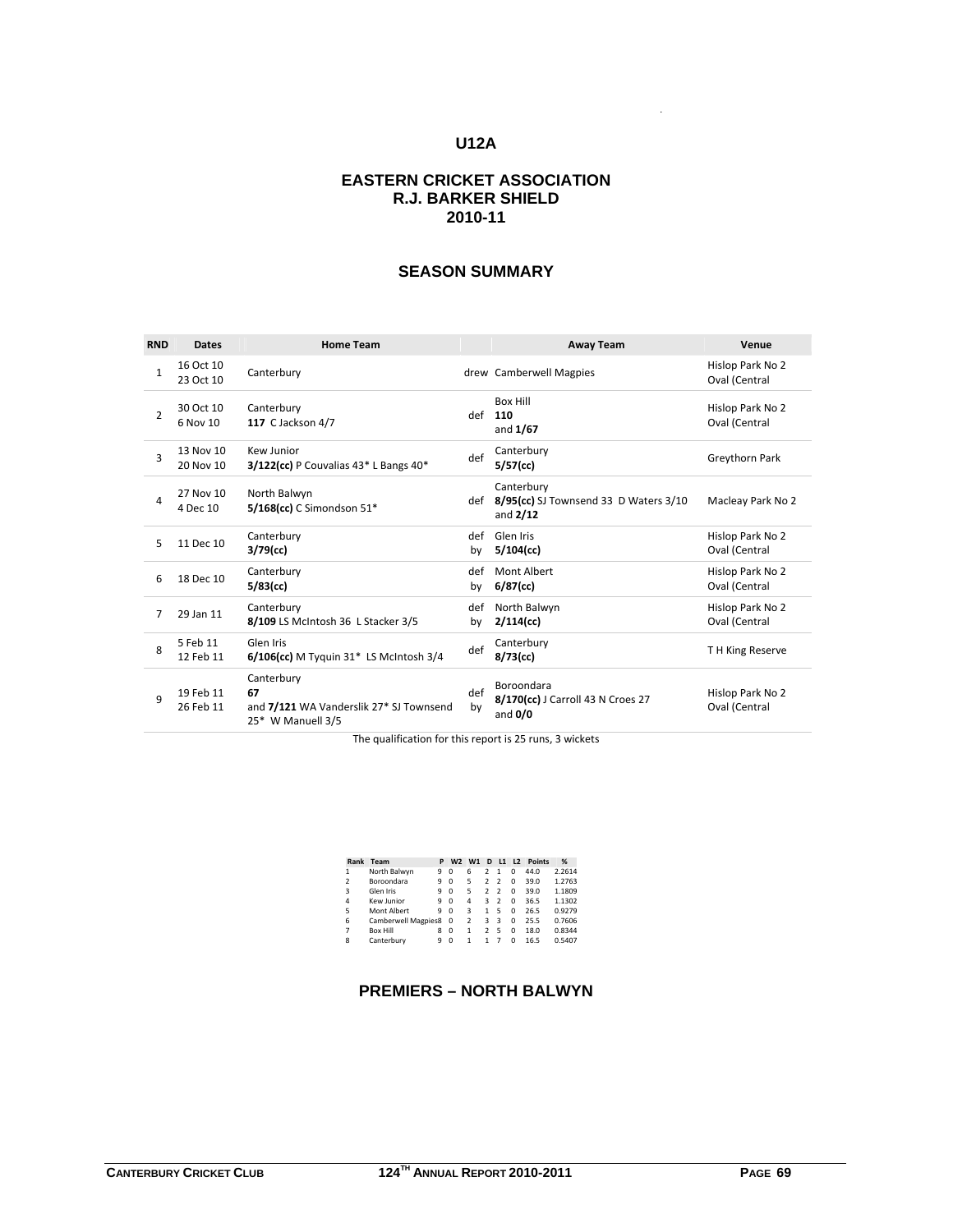# **U12A**

**.**

#### **EASTERN CRICKET ASSOCIATION R.J. BARKER SHIELD 2010-11**

#### **SEASON SUMMARY**

| <b>RND</b>     | <b>Dates</b>           | <b>Home Team</b>                                                                 |           | <b>Away Team</b>                                                      | Venue                             |
|----------------|------------------------|----------------------------------------------------------------------------------|-----------|-----------------------------------------------------------------------|-----------------------------------|
| $\mathbf{1}$   | 16 Oct 10<br>23 Oct 10 | Canterbury                                                                       |           | drew Camberwell Magpies                                               | Hislop Park No 2<br>Oval (Central |
| $\overline{2}$ | 30 Oct 10<br>6 Nov 10  | Canterbury<br>117 C Jackson 4/7                                                  | def       | <b>Box Hill</b><br>110<br>and $1/67$                                  | Hislop Park No 2<br>Oval (Central |
| 3              | 13 Nov 10<br>20 Nov 10 | Kew Junior<br>$3/122$ (cc) P Couvalias $43*$ L Bangs $40*$                       | def       | Canterbury<br>5/57(cc)                                                | Greythorn Park                    |
| 4              | 27 Nov 10<br>4 Dec 10  | North Balwyn<br>5/168(cc) C Simondson 51*                                        |           | Canterbury<br>def 8/95(cc) SJ Townsend 33 D Waters 3/10<br>and $2/12$ | Macleay Park No 2                 |
| 5.             | 11 Dec 10              | Canterbury<br>3/79(cc)                                                           | def<br>by | Glen Iris<br>5/104(cc)                                                | Hislop Park No 2<br>Oval (Central |
| 6              | 18 Dec 10              | Canterbury<br>$5/83$ (cc)                                                        | def<br>by | Mont Albert<br>6/87(cc)                                               | Hislop Park No 2<br>Oval (Central |
| 7              | 29 Jan 11              | Canterbury<br>8/109 LS McIntosh 36 L Stacker 3/5                                 | def<br>bγ | North Balwyn<br>$2/114$ (cc)                                          | Hislop Park No 2<br>Oval (Central |
| 8              | 5 Feb 11<br>12 Feb 11  | Glen Iris<br>$6/106$ (cc) M Tyquin 31* LS McIntosh 3/4                           | def       | Canterbury<br>$8/73$ (cc)                                             | T H King Reserve                  |
| q              | 19 Feb 11<br>26 Feb 11 | Canterbury<br>67<br>and 7/121 WA Vanderslik 27* SJ Townsend<br>25* W Manuell 3/5 | def<br>by | Boroondara<br>8/170(cc) J Carroll 43 N Croes 27<br>and $0/0$          | Hislop Park No 2<br>Oval (Central |

The qualification for this report is 25 runs, 3 wickets

| Rank           | Team                | P | W <sub>2</sub> | W1             |   | D 11 12        |          | <b>Points</b> | %      |
|----------------|---------------------|---|----------------|----------------|---|----------------|----------|---------------|--------|
| 1              | North Balwyn        | 9 | $\Omega$       | 6              |   | 1              | $\Omega$ | 44.0          | 2.2614 |
| 2              | Boroondara          | 9 | $\Omega$       | 5              |   | $\mathfrak{p}$ | $\Omega$ | 39.0          | 1.2763 |
| 3              | Glen Iris           | 9 | $\Omega$       | 5              |   | $\mathfrak{p}$ | $\Omega$ | 39.0          | 1.1809 |
| 4              | Kew Junior          | 9 | $\Omega$       | 4              | ર | $\mathfrak{p}$ | $\Omega$ | 36.5          | 1.1302 |
| 5              | Mont Albert         | q | $\Omega$       | 3              |   | ς              | $\Omega$ | 26.5          | 0.9279 |
| 6              | Camberwell Magpies8 |   | 0              | $\mathfrak{p}$ | ર | ર              | $\Omega$ | 25.5          | 0.7606 |
| $\overline{7}$ | <b>Box Hill</b>     | 8 | 0              | 1              |   | 5              | $\Omega$ | 18.0          | 0.8344 |
| 8              | Canterbury          | 9 | $\Omega$       | 1              |   | 7              | $\Omega$ | 16.5          | 0.5407 |

#### **PREMIERS – NORTH BALWYN**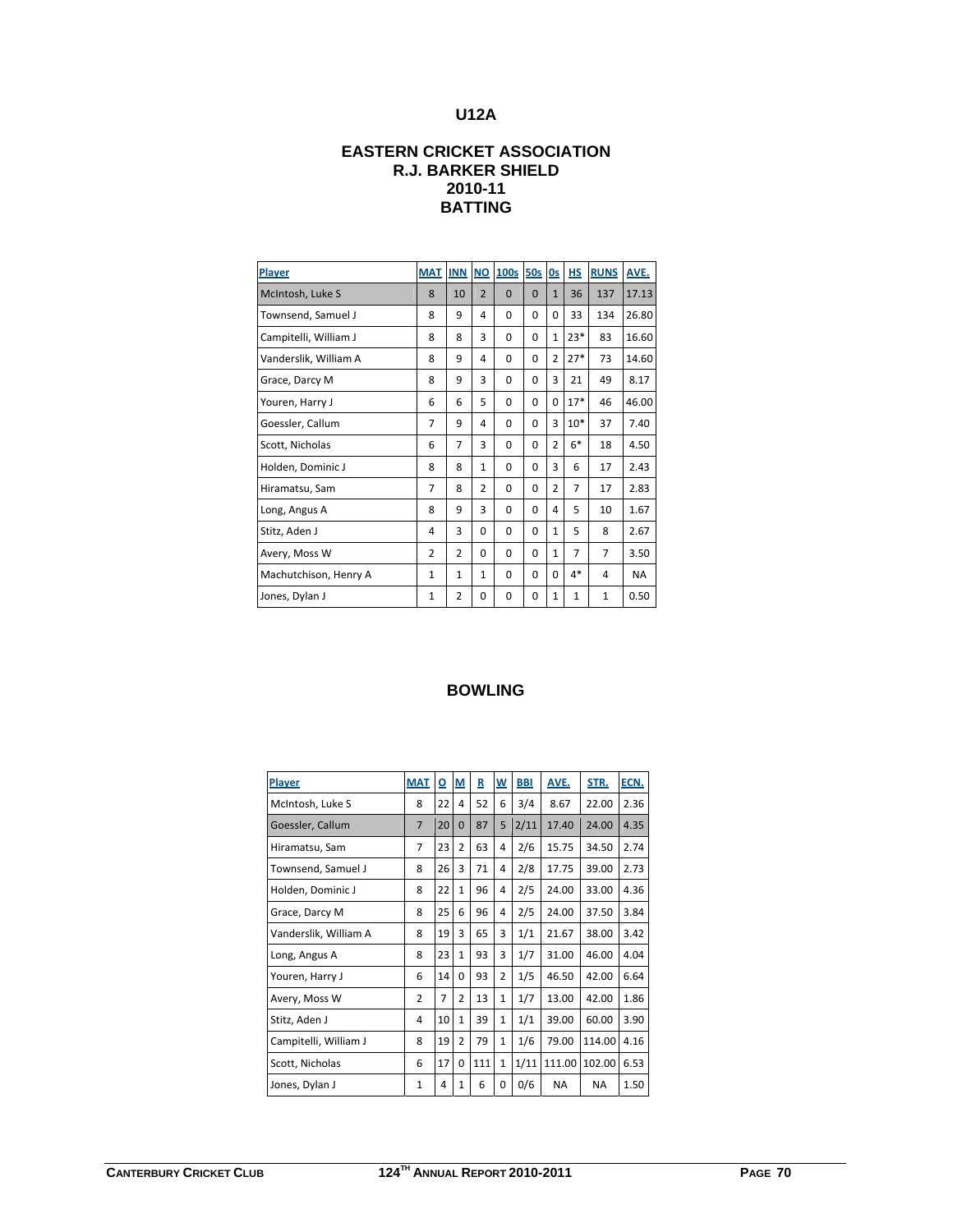# **U12A**

## **EASTERN CRICKET ASSOCIATION R.J. BARKER SHIELD 2010-11 BATTING**

| Player                | <b>MAT</b>     | <b>INN</b>     | $NO$           | 100s     | 50s      | 0s             | HS    | <b>RUNS</b>    | AVE.      |
|-----------------------|----------------|----------------|----------------|----------|----------|----------------|-------|----------------|-----------|
| McIntosh, Luke S      | 8              | 10             | $\overline{2}$ | $\Omega$ | $\Omega$ | $\mathbf{1}$   | 36    | 137            | 17.13     |
| Townsend, Samuel J    | 8              | 9              | 4              | $\Omega$ | $\Omega$ | $\Omega$       | 33    | 134            | 26.80     |
| Campitelli, William J | 8              | 8              | 3              | 0        | $\Omega$ | 1              | $23*$ | 83             | 16.60     |
| Vanderslik, William A | 8              | 9              | 4              | $\Omega$ | $\Omega$ | $\overline{2}$ | $27*$ | 73             | 14.60     |
| Grace, Darcy M        | 8              | 9              | 3              | $\Omega$ | 0        | 3              | 21    | 49             | 8.17      |
| Youren, Harry J       | 6              | 6              | 5              | 0        | 0        | 0              | $17*$ | 46             | 46.00     |
| Goessler, Callum      | $\overline{7}$ | 9              | 4              | $\Omega$ | $\Omega$ | 3              | $10*$ | 37             | 7.40      |
| Scott, Nicholas       | 6              | 7              | 3              | $\Omega$ | 0        | $\overline{2}$ | $6*$  | 18             | 4.50      |
| Holden, Dominic J     | 8              | 8              | $\mathbf{1}$   | $\Omega$ | 0        | 3              | 6     | 17             | 2.43      |
| Hiramatsu, Sam        | $\overline{7}$ | 8              | $\overline{2}$ | $\Omega$ | $\Omega$ | $\overline{2}$ | 7     | 17             | 2.83      |
| Long, Angus A         | 8              | 9              | 3              | $\Omega$ | 0        | 4              | 5     | 10             | 1.67      |
| Stitz, Aden J         | 4              | 3              | $\Omega$       | $\Omega$ | 0        | $\mathbf{1}$   | 5     | 8              | 2.67      |
| Avery, Moss W         | $\overline{2}$ | $\overline{2}$ | $\Omega$       | $\Omega$ | $\Omega$ | $\mathbf{1}$   | 7     | $\overline{7}$ | 3.50      |
| Machutchison, Henry A | 1              | $\mathbf{1}$   | $\mathbf{1}$   | $\Omega$ | $\Omega$ | $\Omega$       | $4*$  | 4              | <b>NA</b> |
| Jones, Dylan J        | $\mathbf{1}$   | 2              | 0              | $\Omega$ | 0        | $\mathbf{1}$   | 1     | $\mathbf{1}$   | 0.50      |

| Player                | <b>MAT</b>     | $\overline{\mathbf{o}}$ | M              | $\mathbf R$ | $\mathsf{W}$   | <b>BBI</b> | AVE.      | STR.   | ECN. |
|-----------------------|----------------|-------------------------|----------------|-------------|----------------|------------|-----------|--------|------|
| McIntosh, Luke S      | 8              | 22                      | 4              | 52          | 6              | 3/4        | 8.67      | 22.00  | 2.36 |
| Goessler, Callum      | $\overline{7}$ | 20                      | $\Omega$       | 87          | 5              | 2/11       | 17.40     | 24.00  | 4.35 |
| Hiramatsu, Sam        | $\overline{7}$ | 23                      | 2              | 63          | 4              | 2/6        | 15.75     | 34.50  | 2.74 |
| Townsend, Samuel J    | 8              | 26                      | 3              | 71          | 4              | 2/8        | 17.75     | 39.00  | 2.73 |
| Holden, Dominic J     | 8              | 22                      | $\mathbf{1}$   | 96          | 4              | 2/5        | 24.00     | 33.00  | 4.36 |
| Grace, Darcy M        | 8              | 25                      | 6              | 96          | 4              | 2/5        | 24.00     | 37.50  | 3.84 |
| Vanderslik, William A | 8              | 19                      | 3              | 65          | 3              | 1/1        | 21.67     | 38.00  | 3.42 |
| Long, Angus A         | 8              | 23                      | $\mathbf{1}$   | 93          | 3              | 1/7        | 31.00     | 46.00  | 4.04 |
| Youren, Harry J       | 6              | 14                      | 0              | 93          | $\overline{2}$ | 1/5        | 46.50     | 42.00  | 6.64 |
| Avery, Moss W         | $\overline{2}$ | $\overline{7}$          | $\overline{2}$ | 13          | $\mathbf{1}$   | 1/7        | 13.00     | 42.00  | 1.86 |
| Stitz, Aden J         | 4              | 10                      | $\mathbf{1}$   | 39          | $\mathbf{1}$   | 1/1        | 39.00     | 60.00  | 3.90 |
| Campitelli, William J | 8              | 19                      | $\overline{2}$ | 79          | $\mathbf{1}$   | 1/6        | 79.00     | 114.00 | 4.16 |
| Scott, Nicholas       | 6              | 17                      | 0              | 111         | $\mathbf{1}$   | 1/11       | 111.00    | 102.00 | 6.53 |
| Jones, Dylan J        | $\mathbf{1}$   | 4                       | 1              | 6           | 0              | 0/6        | <b>NA</b> | NA     | 1.50 |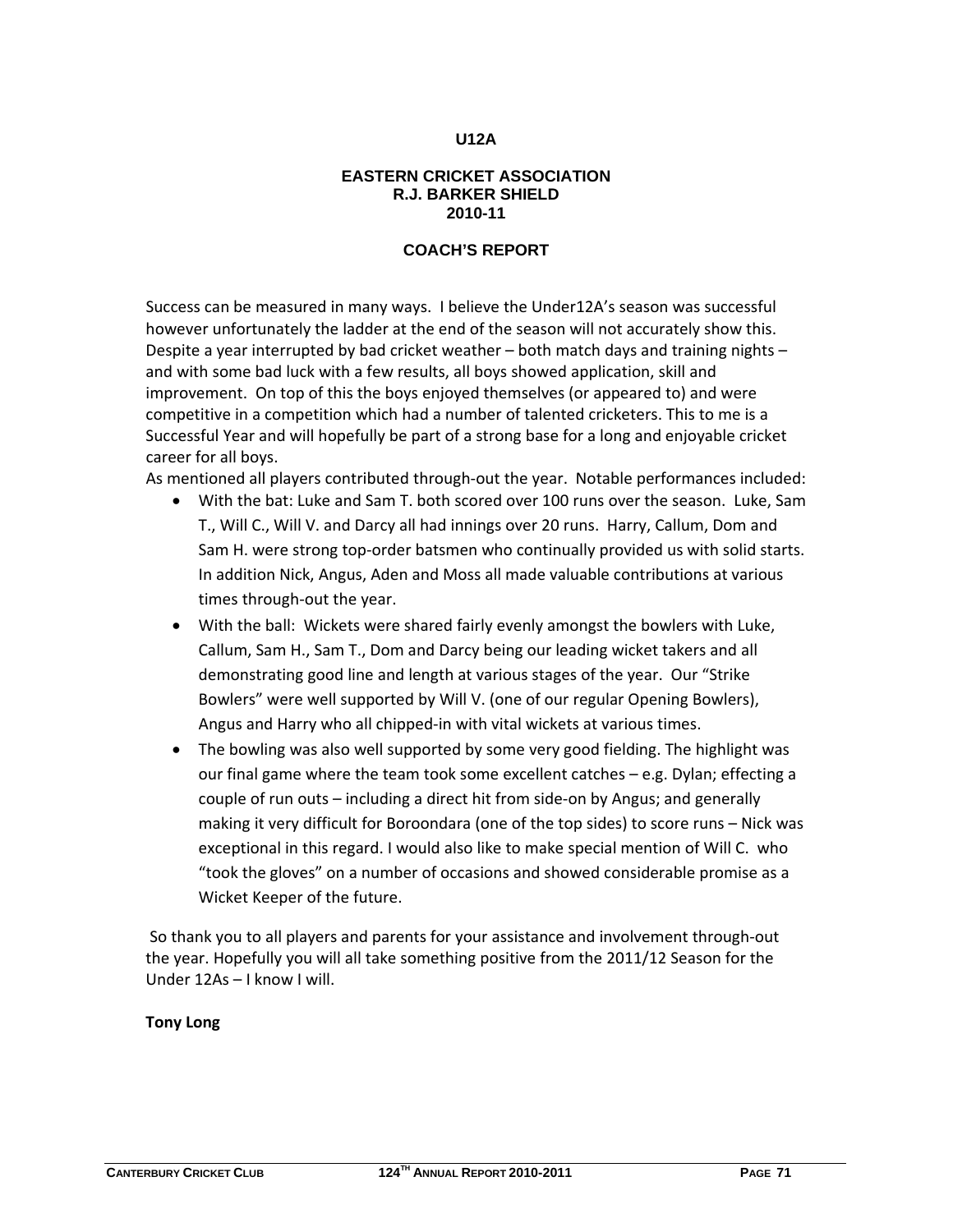#### **U12A**

#### **EASTERN CRICKET ASSOCIATION R.J. BARKER SHIELD 2010-11**

## **COACH'S REPORT**

Success can be measured in many ways. I believe the Under12A's season was successful however unfortunately the ladder at the end of the season will not accurately show this. Despite a year interrupted by bad cricket weather – both match days and training nights – and with some bad luck with a few results, all boys showed application, skill and improvement. On top of this the boys enjoyed themselves (or appeared to) and were competitive in a competition which had a number of talented cricketers. This to me is a Successful Year and will hopefully be part of a strong base for a long and enjoyable cricket career for all boys.

As mentioned all players contributed through-out the year. Notable performances included:

- With the bat: Luke and Sam T. both scored over 100 runs over the season. Luke, Sam T., Will C., Will V. and Darcy all had innings over 20 runs. Harry, Callum, Dom and Sam H. were strong top-order batsmen who continually provided us with solid starts. In addition Nick, Angus, Aden and Moss all made valuable contributions at various times through‐out the year.
- With the ball: Wickets were shared fairly evenly amongst the bowlers with Luke, Callum, Sam H., Sam T., Dom and Darcy being our leading wicket takers and all demonstrating good line and length at various stages of the year. Our "Strike Bowlers" were well supported by Will V. (one of our regular Opening Bowlers), Angus and Harry who all chipped‐in with vital wickets at various times.
- The bowling was also well supported by some very good fielding. The highlight was our final game where the team took some excellent catches – e.g. Dylan; effecting a couple of run outs – including a direct hit from side‐on by Angus; and generally making it very difficult for Boroondara (one of the top sides) to score runs – Nick was exceptional in this regard. I would also like to make special mention of Will C. who "took the gloves" on a number of occasions and showed considerable promise as a Wicket Keeper of the future.

So thank you to all players and parents for your assistance and involvement through‐out the year. Hopefully you will all take something positive from the 2011/12 Season for the Under 12As – I know I will.

#### **Tony Long**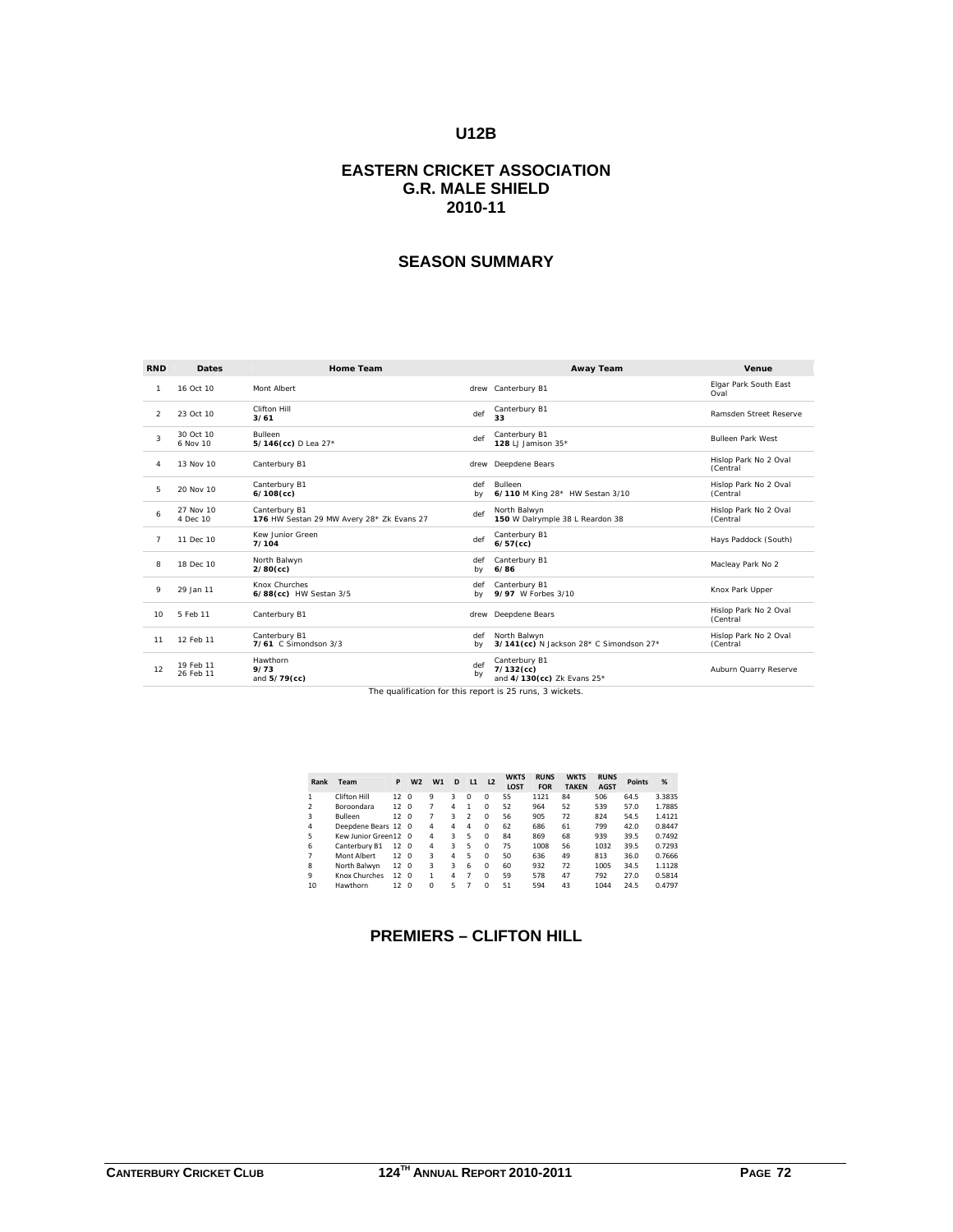## **U12B**

#### **EASTERN CRICKET ASSOCIATION G.R. MALE SHIELD 2010-11**

## **SEASON SUMMARY**

| <b>RND</b>     | <b>Dates</b>           | <b>Home Team</b>                                           |           | <b>Away Team</b>                                            | Venue                             |
|----------------|------------------------|------------------------------------------------------------|-----------|-------------------------------------------------------------|-----------------------------------|
|                | 16 Oct 10              | Mont Albert                                                |           | drew Canterbury B1                                          | Elgar Park South East<br>Oval     |
| $\mathcal{P}$  | 23 Oct 10              | Clifton Hill<br>3/61                                       | def       | Canterbury B1<br>33                                         | Ramsden Street Reserve            |
| 3              | 30 Oct 10<br>6 Nov 10  | <b>Bulleen</b><br>5/146(cc) D Lea 27*                      | def       | Canterbury B1<br>128 LJ Jamison 35*                         | <b>Bulleen Park West</b>          |
| 4              | 13 Nov 10              | Canterbury B1                                              |           | drew Deepdene Bears                                         | Hislop Park No 2 Oval<br>(Central |
| 5              | 20 Nov 10              | Canterbury B1<br>$6/108$ (cc)                              | def<br>bv | Bulleen<br>6/110 M King 28* HW Sestan 3/10                  | Hislop Park No 2 Oval<br>(Central |
| 6              | 27 Nov 10<br>4 Dec 10  | Canterbury B1<br>176 HW Sestan 29 MW Avery 28* Zk Evans 27 | def       | North Balwyn<br>150 W Dalrymple 38 L Reardon 38             | Hislop Park No 2 Oval<br>(Central |
| $\overline{7}$ | 11 Dec 10              | Kew Junior Green<br>7/104                                  | def       | Canterbury B1<br>$6/57$ (cc)                                | Hays Paddock (South)              |
| 8              | 18 Dec 10              | North Balwyn<br>$2/80$ (cc)                                | def<br>bv | Canterbury B1<br>6/86                                       | Macleay Park No 2                 |
| 9              | 29 Jan 11              | Knox Churches<br>6/88(cc) HW Sestan 3/5                    | def<br>bv | Canterbury B1<br>9/97 W Forbes 3/10                         | Knox Park Upper                   |
| 10             | 5 Feb 11               | Canterbury B1                                              |           | drew Deepdene Bears                                         | Hislop Park No 2 Oval<br>(Central |
| 11             | 12 Feb 11              | Canterbury B1<br>7/61 C Simondson 3/3                      | def<br>bv | North Balwyn<br>3/141(cc) N Jackson 28* C Simondson 27*     | Hislop Park No 2 Oval<br>(Central |
| 12             | 19 Feb 11<br>26 Feb 11 | Hawthorn<br>9/73<br>and 5/79(cc)                           | def<br>by | Canterbury B1<br>$7/132$ (cc)<br>and 4/130(cc) Zk Evans 25* | Auburn Quarry Reserve             |

The qualification for this report is 25 runs, 3 wickets.

| Rank           | Team                 | P               | W <sub>2</sub> | W <sub>1</sub> | D | L1             | L2       | <b>WKTS</b><br>LOST | <b>RUNS</b><br><b>FOR</b> | <b>WKTS</b><br><b>TAKEN</b> | <b>RUNS</b><br><b>AGST</b> | <b>Points</b> | %      |
|----------------|----------------------|-----------------|----------------|----------------|---|----------------|----------|---------------------|---------------------------|-----------------------------|----------------------------|---------------|--------|
|                | Clifton Hill         | 12              | $\Omega$       | 9              | 3 | $\Omega$       | 0        | 55                  | 1121                      | 84                          | 506                        | 64.5          | 3.3835 |
| $\mathfrak{p}$ | Boroondara           | 12 0            |                | 7              | 4 | 1              | $\Omega$ | 52                  | 964                       | 52                          | 539                        | 57.0          | 1.7885 |
| 3              | <b>Bulleen</b>       | 12 <sub>0</sub> |                |                | 3 | $\mathfrak{p}$ | $\Omega$ | 56                  | 905                       | 72                          | 824                        | 54.5          | 1.4121 |
| 4              | Deepdene Bears 12 0  |                 |                | 4              | 4 | 4              | $\Omega$ | 62                  | 686                       | 61                          | 799                        | 42.0          | 0.8447 |
| 5              | Kew Junior Green12 0 |                 |                | 4              | 3 | 5              | $\Omega$ | 84                  | 869                       | 68                          | 939                        | 39.5          | 0.7492 |
| 6              | Canterbury B1        | 12 0            |                | 4              | 3 | 5              | $\Omega$ | 75                  | 1008                      | 56                          | 1032                       | 39.5          | 0.7293 |
| 7              | Mont Albert          | 12 0            |                | 3              | 4 | 5              | $\Omega$ | 50                  | 636                       | 49                          | 813                        | 36.0          | 0.7666 |
| 8              | North Balwyn         | 12 0            |                | 3              | 3 | 6              | $\Omega$ | 60                  | 932                       | 72                          | 1005                       | 34.5          | 1.1128 |
| 9              | Knox Churches        | 12 <sub>0</sub> |                | 1              | 4 |                | $\Omega$ | 59                  | 578                       | 47                          | 792                        | 27.0          | 0.5814 |
| 10             | Hawthorn             | 12              | $\Omega$       | $\Omega$       | ς |                | $\Omega$ | 51                  | 594                       | 43                          | 1044                       | 24.5          | 0.4797 |

# **PREMIERS – CLIFTON HILL**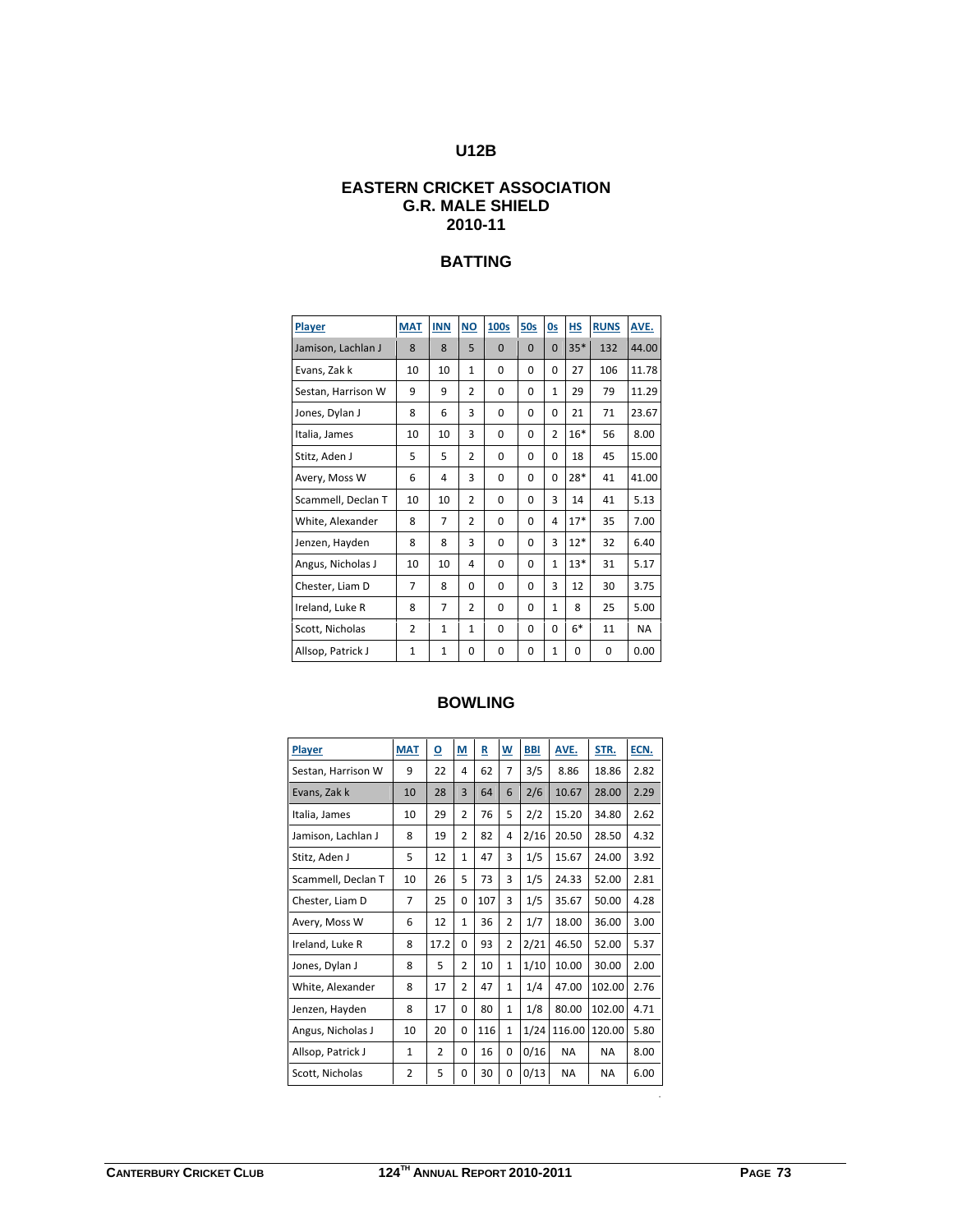# **U12B**

#### **EASTERN CRICKET ASSOCIATION G.R. MALE SHIELD 2010-11**

## **BATTING**

| Player             | <b>MAT</b>     | <b>INN</b>     | <b>NO</b>      | 100s     | <b>50s</b> | 0s           | HS    | <b>RUNS</b> | AVE.      |
|--------------------|----------------|----------------|----------------|----------|------------|--------------|-------|-------------|-----------|
| Jamison, Lachlan J | 8              | 8              | 5              | $\Omega$ | $\Omega$   | $\Omega$     | $35*$ | 132         | 44.00     |
| Evans, Zak k       | 10             | 10             | $\mathbf{1}$   | 0        | 0          | $\Omega$     | 27    | 106         | 11.78     |
| Sestan, Harrison W | 9              | 9              | $\overline{2}$ | $\Omega$ | $\Omega$   | $\mathbf{1}$ | 29    | 79          | 11.29     |
| Jones, Dylan J     | 8              | 6              | 3              | $\Omega$ | $\Omega$   | $\Omega$     | 21    | 71          | 23.67     |
| Italia, James      | 10             | 10             | 3              | 0        | $\Omega$   | 2            | $16*$ | 56          | 8.00      |
| Stitz, Aden J      | 5              | 5              | $\overline{2}$ | $\Omega$ | $\Omega$   | $\Omega$     | 18    | 45          | 15.00     |
| Avery, Moss W      | 6              | 4              | 3              | 0        | $\Omega$   | $\Omega$     | $28*$ | 41          | 41.00     |
| Scammell, Declan T | 10             | 10             | 2              | 0        | $\Omega$   | 3            | 14    | 41          | 5.13      |
| White, Alexander   | 8              | 7              | 2              | $\Omega$ | $\Omega$   | 4            | $17*$ | 35          | 7.00      |
| Jenzen, Hayden     | 8              | 8              | 3              | 0        | $\Omega$   | 3            | $12*$ | 32          | 6.40      |
| Angus, Nicholas J  | 10             | 10             | 4              | $\Omega$ | $\Omega$   | $\mathbf{1}$ | $13*$ | 31          | 5.17      |
| Chester, Liam D    | 7              | 8              | 0              | 0        | $\Omega$   | 3            | 12    | 30          | 3.75      |
| Ireland, Luke R    | 8              | $\overline{7}$ | $\overline{2}$ | 0        | $\Omega$   | $\mathbf{1}$ | 8     | 25          | 5.00      |
| Scott, Nicholas    | $\overline{2}$ | $\mathbf{1}$   | $\mathbf{1}$   | $\Omega$ | $\Omega$   | $\Omega$     | $6*$  | 11          | <b>NA</b> |
| Allsop, Patrick J  | $\mathbf{1}$   | 1              | 0              | 0        | 0          | $\mathbf{1}$ | 0     | 0           | 0.00      |

| Player             | <b>MAT</b>   | <u>o</u>       | M              | R   | W              | <b>BBI</b> | AVE.      | STR.   | ECN. |
|--------------------|--------------|----------------|----------------|-----|----------------|------------|-----------|--------|------|
| Sestan, Harrison W | 9            | 22             | 4              | 62  | $\overline{7}$ | 3/5        | 8.86      | 18.86  | 2.82 |
| Evans, Zak k       | 10           | 28             | 3              | 64  | 6              | 2/6        | 10.67     | 28.00  | 2.29 |
| Italia, James      | 10           | 29             | $\overline{2}$ | 76  | 5              | 2/2        | 15.20     | 34.80  | 2.62 |
| Jamison, Lachlan J | 8            | 19             | $\overline{2}$ | 82  | 4              | 2/16       | 20.50     | 28.50  | 4.32 |
| Stitz, Aden J      | 5            | 12             | $\mathbf{1}$   | 47  | 3              | 1/5        | 15.67     | 24.00  | 3.92 |
| Scammell, Declan T | 10           | 26             | 5              | 73  | 3              | 1/5        | 24.33     | 52.00  | 2.81 |
| Chester, Liam D    | 7            | 25             | 0              | 107 | 3              | 1/5        | 35.67     | 50.00  | 4.28 |
| Avery, Moss W      | 6            | 12             | $\mathbf{1}$   | 36  | $\overline{2}$ | 1/7        | 18.00     | 36.00  | 3.00 |
| Ireland, Luke R    | 8            | 17.2           | 0              | 93  | $\overline{2}$ | 2/21       | 46.50     | 52.00  | 5.37 |
| Jones, Dylan J     | 8            | 5              | $\overline{2}$ | 10  | 1              | 1/10       | 10.00     | 30.00  | 2.00 |
| White, Alexander   | 8            | 17             | $\overline{2}$ | 47  | $\mathbf{1}$   | 1/4        | 47.00     | 102.00 | 2.76 |
| Jenzen, Hayden     | 8            | 17             | $\Omega$       | 80  | $\mathbf{1}$   | 1/8        | 80.00     | 102.00 | 4.71 |
| Angus, Nicholas J  | 10           | 20             | 0              | 116 | $\mathbf{1}$   | 1/24       | 116.00    | 120.00 | 5.80 |
| Allsop, Patrick J  | $\mathbf{1}$ | $\overline{2}$ | 0              | 16  | $\Omega$       | 0/16       | NA.       | NA     | 8.00 |
| Scott, Nicholas    | 2            | 5              | 0              | 30  | 0              | 0/13       | <b>NA</b> | NA     | 6.00 |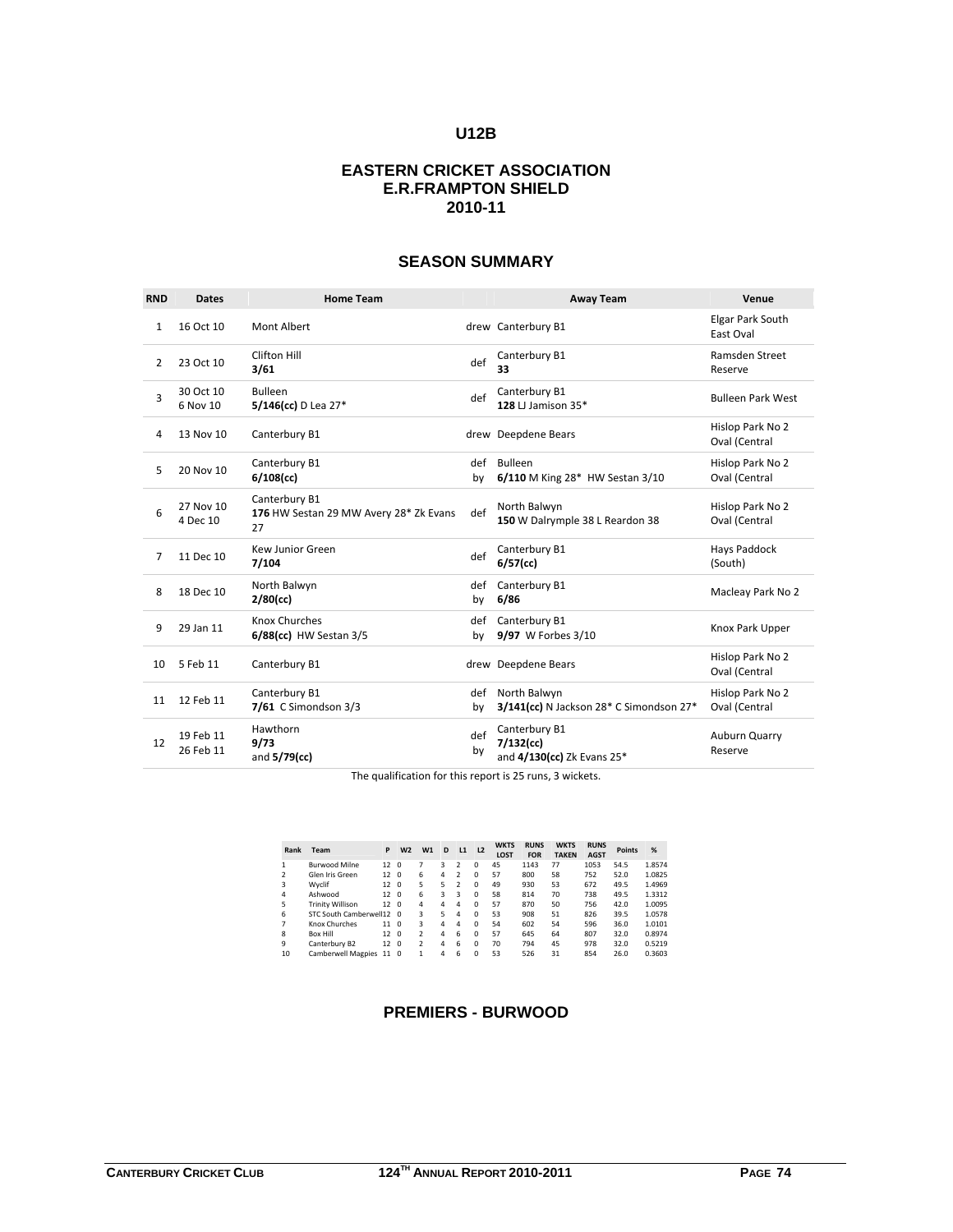#### **U12B**

#### **EASTERN CRICKET ASSOCIATION E.R.FRAMPTON SHIELD 2010-11**

## **SEASON SUMMARY**

| <b>RND</b> | <b>Dates</b>           | <b>Home Team</b>                                              |           | <b>Away Team</b>                                            | Venue                                |
|------------|------------------------|---------------------------------------------------------------|-----------|-------------------------------------------------------------|--------------------------------------|
| 1          | 16 Oct 10              | Mont Albert                                                   |           | drew Canterbury B1                                          | <b>Elgar Park South</b><br>East Oval |
| 2          | 23 Oct 10              | Clifton Hill<br>3/61                                          | def       | Canterbury B1<br>33                                         | Ramsden Street<br>Reserve            |
| 3          | 30 Oct 10<br>6 Nov 10  | Bulleen<br>5/146(cc) D Lea 27*                                | def       | Canterbury B1<br>128 LJ Jamison 35*                         | <b>Bulleen Park West</b>             |
| 4          | 13 Nov 10              | Canterbury B1                                                 |           | drew Deepdene Bears                                         | Hislop Park No 2<br>Oval (Central    |
| 5          | 20 Nov 10              | Canterbury B1<br>$6/108$ (cc)                                 | def<br>by | Bulleen<br>6/110 M King 28* HW Sestan 3/10                  | Hislop Park No 2<br>Oval (Central    |
| 6          | 27 Nov 10<br>4 Dec 10  | Canterbury B1<br>176 HW Sestan 29 MW Avery 28* Zk Evans<br>27 | def       | North Balwyn<br>150 W Dalrymple 38 L Reardon 38             | Hislop Park No 2<br>Oval (Central    |
| 7          | 11 Dec 10              | Kew Junior Green<br>7/104                                     | def       | Canterbury B1<br>$6/57$ (cc)                                | Hays Paddock<br>(South)              |
| 8          | 18 Dec 10              | North Balwyn<br>$2/80$ (cc)                                   | def<br>by | Canterbury B1<br>6/86                                       | Macleay Park No 2                    |
| 9          | 29 Jan 11              | Knox Churches<br>6/88(cc) HW Sestan 3/5                       | def<br>by | Canterbury B1<br>9/97 W Forbes 3/10                         | Knox Park Upper                      |
| 10         | 5 Feb 11               | Canterbury B1                                                 |           | drew Deepdene Bears                                         | Hislop Park No 2<br>Oval (Central    |
| 11         | 12 Feb 11              | Canterbury B1<br>7/61 C Simondson 3/3                         | def<br>by | North Balwyn<br>3/141(cc) N Jackson 28* C Simondson 27*     | Hislop Park No 2<br>Oval (Central    |
| 12         | 19 Feb 11<br>26 Feb 11 | Hawthorn<br>9/73<br>and 5/79(cc)                              | def<br>by | Canterbury B1<br>$7/132$ (cc)<br>and 4/130(cc) Zk Evans 25* | Auburn Quarry<br>Reserve             |

The qualification for this report is 25 runs, 3 wickets.

| Rank           | Team                      | P               | W <sub>2</sub> | W1                       | D | L1             | L <sub>2</sub> | <b>WKTS</b><br><b>LOST</b> | <b>RUNS</b><br><b>FOR</b> | <b>WKTS</b><br><b>TAKEN</b> | <b>RUNS</b><br><b>AGST</b> | <b>Points</b> | %      |
|----------------|---------------------------|-----------------|----------------|--------------------------|---|----------------|----------------|----------------------------|---------------------------|-----------------------------|----------------------------|---------------|--------|
| $\mathbf{1}$   | <b>Burwood Milne</b>      | 12              | $\Omega$       |                          | 3 | 2              | $\Omega$       | 45                         | 1143                      | 77                          | 1053                       | 54.5          | 1.8574 |
| $\overline{2}$ | Glen Iris Green           | 12 <sub>0</sub> |                | 6                        | 4 | $\mathfrak{p}$ | $\Omega$       | 57                         | 800                       | 58                          | 752                        | 52.0          | 1.0825 |
| 3              | Wyclif                    | 12 <sub>0</sub> |                | 5                        | 5 | $\mathfrak{p}$ | $\Omega$       | 49                         | 930                       | 53                          | 672                        | 49.5          | 1.4969 |
| 4              | Ashwood                   | 12 <sub>0</sub> |                | 6                        | 3 | 3              | $\Omega$       | 58                         | 814                       | 70                          | 738                        | 49.5          | 1.3312 |
| 5              | <b>Trinity Willison</b>   | 12 <sub>0</sub> |                | 4                        | 4 | 4              | $\Omega$       | 57                         | 870                       | 50                          | 756                        | 42.0          | 1.0095 |
| 6              | STC South Camberwell12 0  |                 |                | 3                        | 5 | 4              | $\Omega$       | 53                         | 908                       | 51                          | 826                        | 39.5          | 1.0578 |
| $\overline{7}$ | Knox Churches             | 11              | $\Omega$       | 3                        | 4 | 4              | $\Omega$       | 54                         | 602                       | 54                          | 596                        | 36.0          | 1.0101 |
| 8              | <b>Box Hill</b>           | 12 <sub>0</sub> |                | $\overline{\phantom{a}}$ | 4 | 6              | $\Omega$       | 57                         | 645                       | 64                          | 807                        | 32.0          | 0.8974 |
| 9              | Canterbury B2             | 12              | $\Omega$       | $\overline{\phantom{a}}$ | 4 | 6              | $\Omega$       | 70                         | 794                       | 45                          | 978                        | 32.0          | 0.5219 |
| 10             | <b>Camberwell Magpies</b> | 11              | $\Omega$       | 1                        | 4 | 6              | $\Omega$       | 53                         | 526                       | 31                          | 854                        | 26.0          | 0.3603 |

## **PREMIERS - BURWOOD**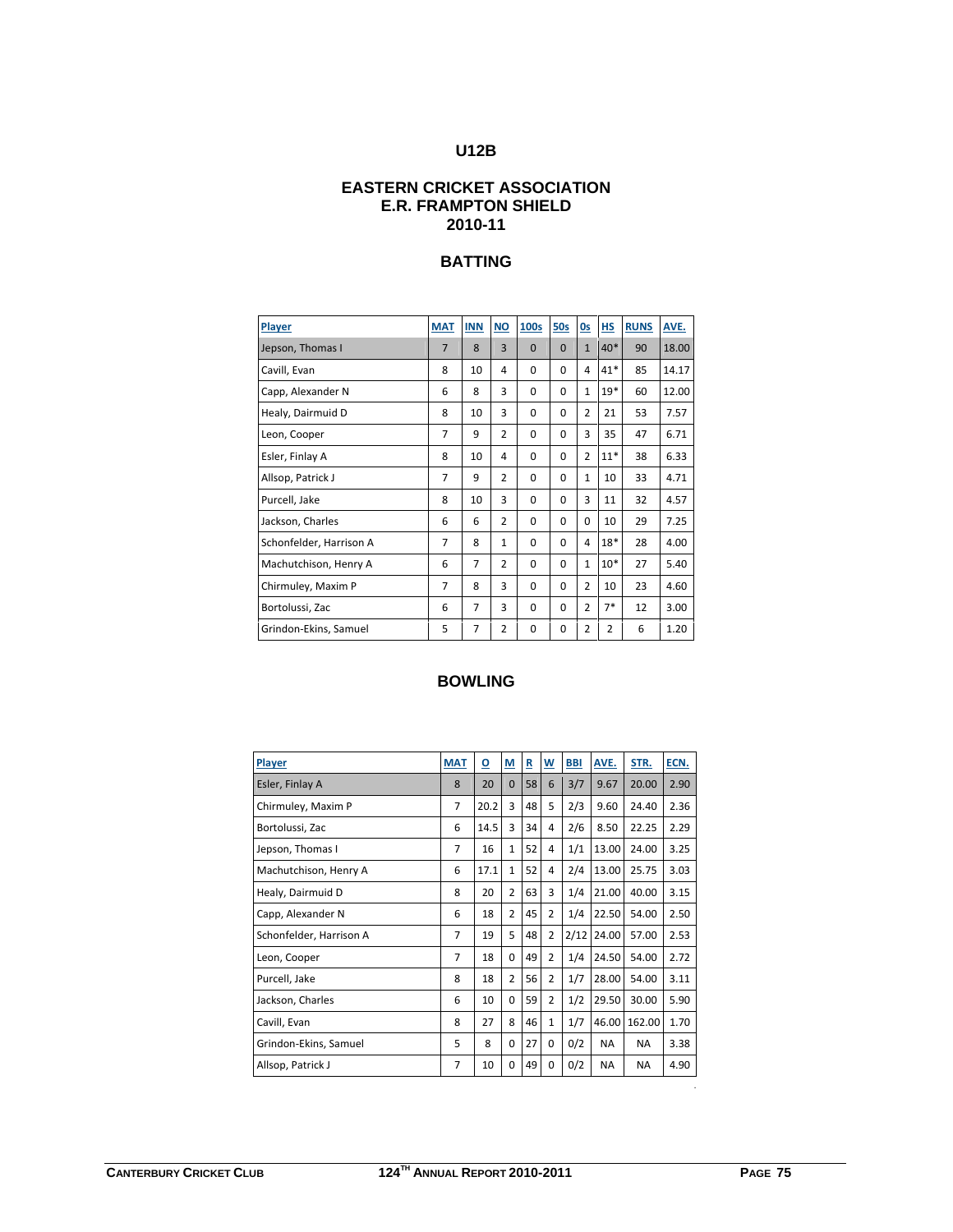## **U12B**

#### **EASTERN CRICKET ASSOCIATION E.R. FRAMPTON SHIELD 2010-11**

# **BATTING**

| <b>Player</b>           | <b>MAT</b>     | <b>INN</b>     | <b>NO</b>      | 100s     | <b>50s</b> | 0s             | <b>HS</b>      | <b>RUNS</b> | AVE.  |
|-------------------------|----------------|----------------|----------------|----------|------------|----------------|----------------|-------------|-------|
| Jepson, Thomas I        | $\overline{7}$ | 8              | 3              | $\Omega$ | $\Omega$   | $\mathbf{1}$   | $40*$          | 90          | 18.00 |
| Cavill, Evan            | 8              | 10             | 4              | $\Omega$ | $\Omega$   | 4              | $41*$          | 85          | 14.17 |
| Capp, Alexander N       | 6              | 8              | 3              | 0        | 0          | 1              | $19*$          | 60          | 12.00 |
| Healy, Dairmuid D       | 8              | 10             | 3              | $\Omega$ | $\Omega$   | $\overline{2}$ | 21             | 53          | 7.57  |
| Leon, Cooper            | $\overline{7}$ | 9              | $\overline{2}$ | $\Omega$ | $\Omega$   | 3              | 35             | 47          | 6.71  |
| Esler, Finlay A         | 8              | 10             | 4              | $\Omega$ | $\Omega$   | $\overline{2}$ | $11*$          | 38          | 6.33  |
| Allsop, Patrick J       | $\overline{7}$ | 9              | $\overline{2}$ | $\Omega$ | $\Omega$   | $\mathbf{1}$   | 10             | 33          | 4.71  |
| Purcell, Jake           | 8              | 10             | 3              | $\Omega$ | $\Omega$   | 3              | 11             | 32          | 4.57  |
| Jackson, Charles        | 6              | 6              | $\overline{2}$ | $\Omega$ | $\Omega$   | $\Omega$       | 10             | 29          | 7.25  |
| Schonfelder, Harrison A | 7              | 8              | $\mathbf{1}$   | $\Omega$ | $\Omega$   | 4              | $18*$          | 28          | 4.00  |
| Machutchison, Henry A   | 6              | $\overline{7}$ | $\overline{2}$ | $\Omega$ | $\Omega$   | $\mathbf{1}$   | $10*$          | 27          | 5.40  |
| Chirmuley, Maxim P      | $\overline{7}$ | 8              | 3              | $\Omega$ | $\Omega$   | $\overline{2}$ | 10             | 23          | 4.60  |
| Bortolussi, Zac         | 6              | $\overline{7}$ | 3              | $\Omega$ | $\Omega$   | $\overline{2}$ | $7*$           | 12          | 3.00  |
| Grindon-Ekins, Samuel   | 5              | $\overline{7}$ | $\overline{2}$ | $\Omega$ | $\Omega$   | $\overline{2}$ | $\overline{2}$ | 6           | 1.20  |

## **BOWLING**

| Player                  | <b>MAT</b>     | ₫    | $\underline{\mathsf{M}}$ | $\overline{\mathbf{R}}$ | $\underline{\mathsf{w}}$ | <b>BBI</b> | AVE.      | STR.   | ECN. |
|-------------------------|----------------|------|--------------------------|-------------------------|--------------------------|------------|-----------|--------|------|
| Esler, Finlay A         | 8              | 20   | $\Omega$                 | 58                      | 6                        | 3/7        | 9.67      | 20.00  | 2.90 |
| Chirmuley, Maxim P      | $\overline{7}$ | 20.2 | 3                        | 48                      | 5                        | 2/3        | 9.60      | 24.40  | 2.36 |
| Bortolussi, Zac         | 6              | 14.5 | 3                        | 34                      | 4                        | 2/6        | 8.50      | 22.25  | 2.29 |
| Jepson, Thomas I        | 7              | 16   | $\mathbf{1}$             | 52                      | 4                        | 1/1        | 13.00     | 24.00  | 3.25 |
| Machutchison, Henry A   | 6              | 17.1 | $\mathbf{1}$             | 52                      | 4                        | 2/4        | 13.00     | 25.75  | 3.03 |
| Healy, Dairmuid D       | 8              | 20   | 2                        | 63                      | 3                        | 1/4        | 21.00     | 40.00  | 3.15 |
| Capp, Alexander N       | 6              | 18   | $\overline{2}$           | 45                      | $\overline{2}$           | 1/4        | 22.50     | 54.00  | 2.50 |
| Schonfelder, Harrison A | 7              | 19   | 5                        | 48                      | $\overline{2}$           | 2/12       | 24.00     | 57.00  | 2.53 |
| Leon, Cooper            | $\overline{7}$ | 18   | $\Omega$                 | 49                      | 2                        | 1/4        | 24.50     | 54.00  | 2.72 |
| Purcell, Jake           | 8              | 18   | $\overline{2}$           | 56                      | $\overline{2}$           | 1/7        | 28.00     | 54.00  | 3.11 |
| Jackson, Charles        | 6              | 10   | 0                        | 59                      | $\overline{2}$           | 1/2        | 29.50     | 30.00  | 5.90 |
| Cavill, Evan            | 8              | 27   | 8                        | 46                      | 1                        | 1/7        | 46.00     | 162.00 | 1.70 |
| Grindon-Ekins, Samuel   | 5              | 8    | 0                        | 27                      | 0                        | 0/2        | NA        | NA     | 3.38 |
| Allsop, Patrick J       | $\overline{7}$ | 10   | 0                        | 49                      | 0                        | 0/2        | <b>NA</b> | NA     | 4.90 |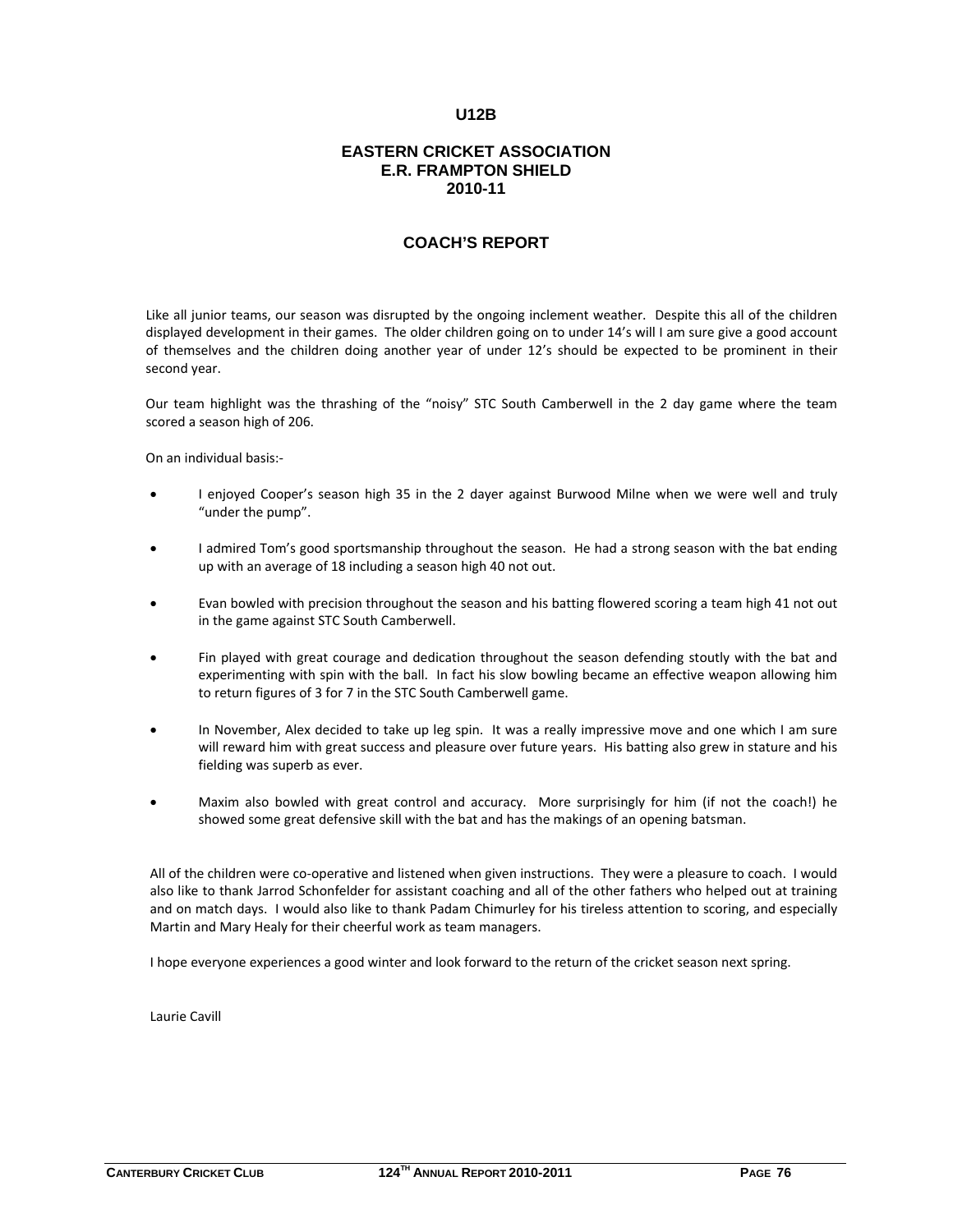#### **U12B**

#### **EASTERN CRICKET ASSOCIATION E.R. FRAMPTON SHIELD 2010-11**

#### **COACH'S REPORT**

Like all junior teams, our season was disrupted by the ongoing inclement weather. Despite this all of the children displayed development in their games. The older children going on to under 14's will I am sure give a good account of themselves and the children doing another year of under 12's should be expected to be prominent in their second year.

Our team highlight was the thrashing of the "noisy" STC South Camberwell in the 2 day game where the team scored a season high of 206.

On an individual basis:‐

- I enjoyed Cooper's season high 35 in the 2 dayer against Burwood Milne when we were well and truly "under the pump".
- I admired Tom's good sportsmanship throughout the season. He had a strong season with the bat ending up with an average of 18 including a season high 40 not out.
- Evan bowled with precision throughout the season and his batting flowered scoring a team high 41 not out in the game against STC South Camberwell.
- Fin played with great courage and dedication throughout the season defending stoutly with the bat and experimenting with spin with the ball. In fact his slow bowling became an effective weapon allowing him to return figures of 3 for 7 in the STC South Camberwell game.
- In November, Alex decided to take up leg spin. It was a really impressive move and one which I am sure will reward him with great success and pleasure over future years. His batting also grew in stature and his fielding was superb as ever.
- Maxim also bowled with great control and accuracy. More surprisingly for him (if not the coach!) he showed some great defensive skill with the bat and has the makings of an opening batsman.

All of the children were co‐operative and listened when given instructions. They were a pleasure to coach. I would also like to thank Jarrod Schonfelder for assistant coaching and all of the other fathers who helped out at training and on match days. I would also like to thank Padam Chimurley for his tireless attention to scoring, and especially Martin and Mary Healy for their cheerful work as team managers.

I hope everyone experiences a good winter and look forward to the return of the cricket season next spring.

Laurie Cavill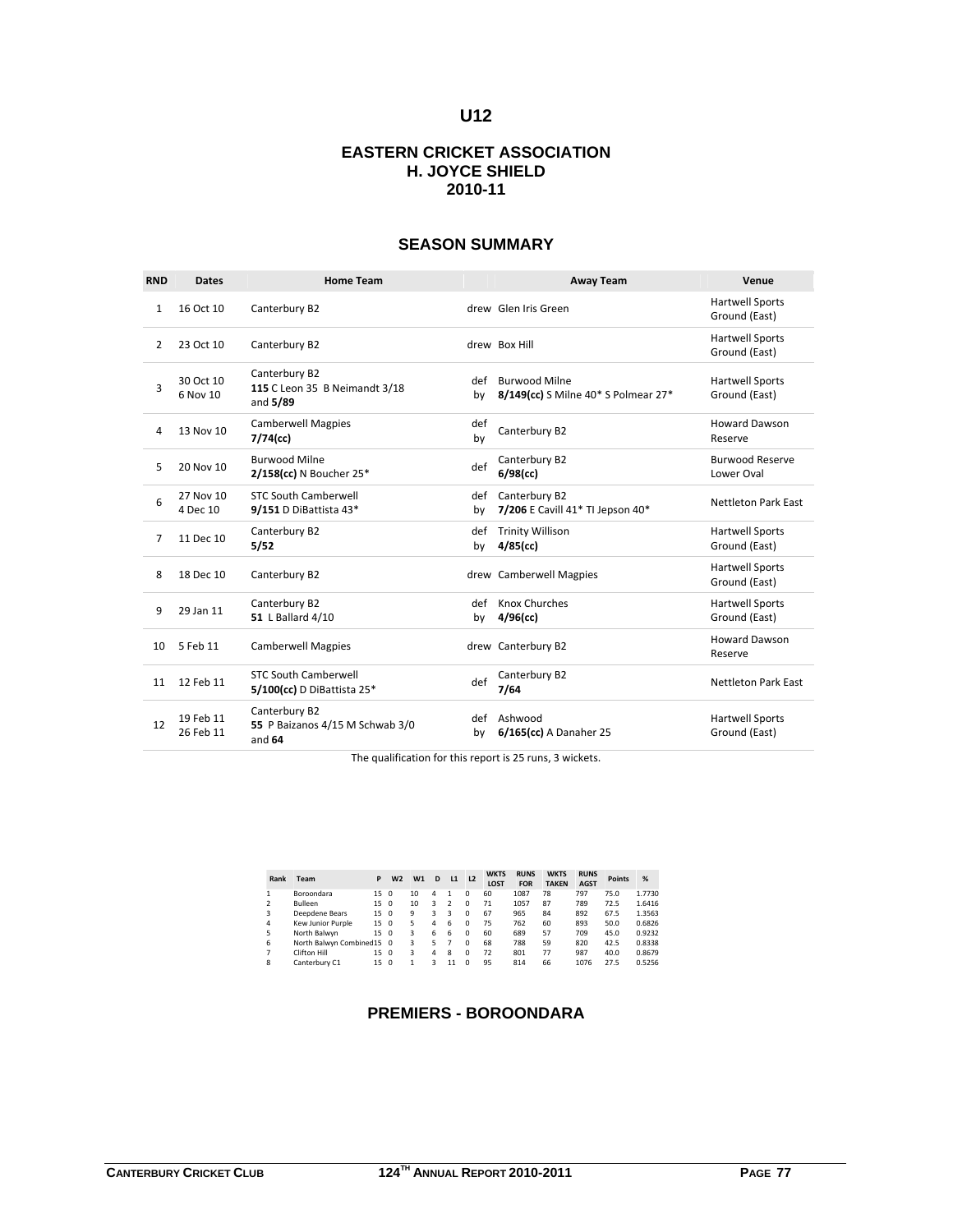#### **EASTERN CRICKET ASSOCIATION H. JOYCE SHIELD 2010-11**

#### **SEASON SUMMARY**

| <b>RND</b>     | <b>Dates</b>           | <b>Home Team</b>                                             |           | <b>Away Team</b>                                            | Venue                                   |
|----------------|------------------------|--------------------------------------------------------------|-----------|-------------------------------------------------------------|-----------------------------------------|
| 1              | 16 Oct 10              | Canterbury B2                                                |           | drew Glen Iris Green                                        | <b>Hartwell Sports</b><br>Ground (East) |
| $\overline{2}$ | 23 Oct 10              | Canterbury B2                                                |           | drew Box Hill                                               | <b>Hartwell Sports</b><br>Ground (East) |
| 3              | 30 Oct 10<br>6 Nov 10  | Canterbury B2<br>115 C Leon 35 B Neimandt 3/18<br>and 5/89   | def<br>bv | <b>Burwood Milne</b><br>8/149(cc) S Milne 40* S Polmear 27* | <b>Hartwell Sports</b><br>Ground (East) |
| 4              | 13 Nov 10              | <b>Camberwell Magpies</b><br>7/74(cc)                        | def<br>by | Canterbury B2                                               | <b>Howard Dawson</b><br>Reserve         |
| 5              | 20 Nov 10              | <b>Burwood Milne</b><br>2/158(cc) N Boucher 25*              | def       | Canterbury B2<br>$6/98$ (cc)                                | <b>Burwood Reserve</b><br>Lower Oval    |
| 6              | 27 Nov 10<br>4 Dec 10  | <b>STC South Camberwell</b><br>9/151 D DiBattista 43*        | def<br>by | Canterbury B2<br>7/206 E Cavill 41* TI Jepson 40*           | Nettleton Park East                     |
| 7              | 11 Dec 10              | Canterbury B2<br>5/52                                        | def<br>bv | <b>Trinity Willison</b><br>$4/85$ (cc)                      | <b>Hartwell Sports</b><br>Ground (East) |
| 8              | 18 Dec 10              | Canterbury B2                                                |           | drew Camberwell Magpies                                     | <b>Hartwell Sports</b><br>Ground (East) |
| 9              | 29 Jan 11              | Canterbury B2<br>51 L Ballard 4/10                           | def<br>by | Knox Churches<br>$4/96$ (cc)                                | <b>Hartwell Sports</b><br>Ground (East) |
| 10             | 5 Feb 11               | <b>Camberwell Magpies</b>                                    |           | drew Canterbury B2                                          | Howard Dawson<br>Reserve                |
| 11             | 12 Feb 11              | <b>STC South Camberwell</b><br>5/100(cc) D DiBattista 25*    | def       | Canterbury B2<br>7/64                                       | <b>Nettleton Park East</b>              |
| 12             | 19 Feb 11<br>26 Feb 11 | Canterbury B2<br>55 P Baizanos 4/15 M Schwab 3/0<br>and $64$ | def<br>by | Ashwood<br>6/165(cc) A Danaher 25                           | <b>Hartwell Sports</b><br>Ground (East) |

The qualification for this report is 25 runs, 3 wickets.

| Rank                     | Team                      | P    | W <sub>2</sub> | W <sub>1</sub> | D | L1             | L <sub>2</sub> | <b>WKTS</b><br><b>LOST</b> | <b>RUNS</b><br><b>FOR</b> | <b>WKTS</b><br><b>TAKEN</b> | <b>RUNS</b><br><b>AGST</b> | <b>Points</b> | %      |
|--------------------------|---------------------------|------|----------------|----------------|---|----------------|----------------|----------------------------|---------------------------|-----------------------------|----------------------------|---------------|--------|
| 1                        | Boroondara                | 15 0 |                | 10             | 4 | 1              | $\Omega$       | 60                         | 1087                      | 78                          | 797                        | 75.0          | 1.7730 |
| $\overline{\phantom{a}}$ | Bulleen                   | 15   | $\Omega$       | 10             | ર | $\mathfrak{p}$ | $\Omega$       | 71                         | 1057                      | 87                          | 789                        | 72.5          | 1.6416 |
| 3                        | Deepdene Bears            | 15 0 |                | 9              | 3 | 3              | $\Omega$       | 67                         | 965                       | 84                          | 892                        | 67.5          | 1.3563 |
| 4                        | Kew Junior Purple         | 15 0 |                | 5              | 4 | 6              | $\Omega$       | 75                         | 762                       | 60                          | 893                        | 50.0          | 0.6826 |
| 5                        | North Balwyn              | 15 0 |                | 3              | 6 | 6              | $\Omega$       | 60                         | 689                       | 57                          | 709                        | 45.0          | 0.9232 |
| 6                        | North Balwyn Combined15 0 |      |                | 3              | 5 |                | $\Omega$       | 68                         | 788                       | 59                          | 820                        | 42.5          | 0.8338 |
| $\overline{7}$           | Clifton Hill              | 15   | $\Omega$       | 3              | 4 | 8              | $\Omega$       | 72                         | 801                       | 77                          | 987                        | 40.0          | 0.8679 |
| 8                        | Canterbury C1             | 15 0 |                |                | ર | 11             | $\Omega$       | 95                         | 814                       | 66                          | 1076                       | 27.5          | 0.5256 |

# **PREMIERS - BOROONDARA**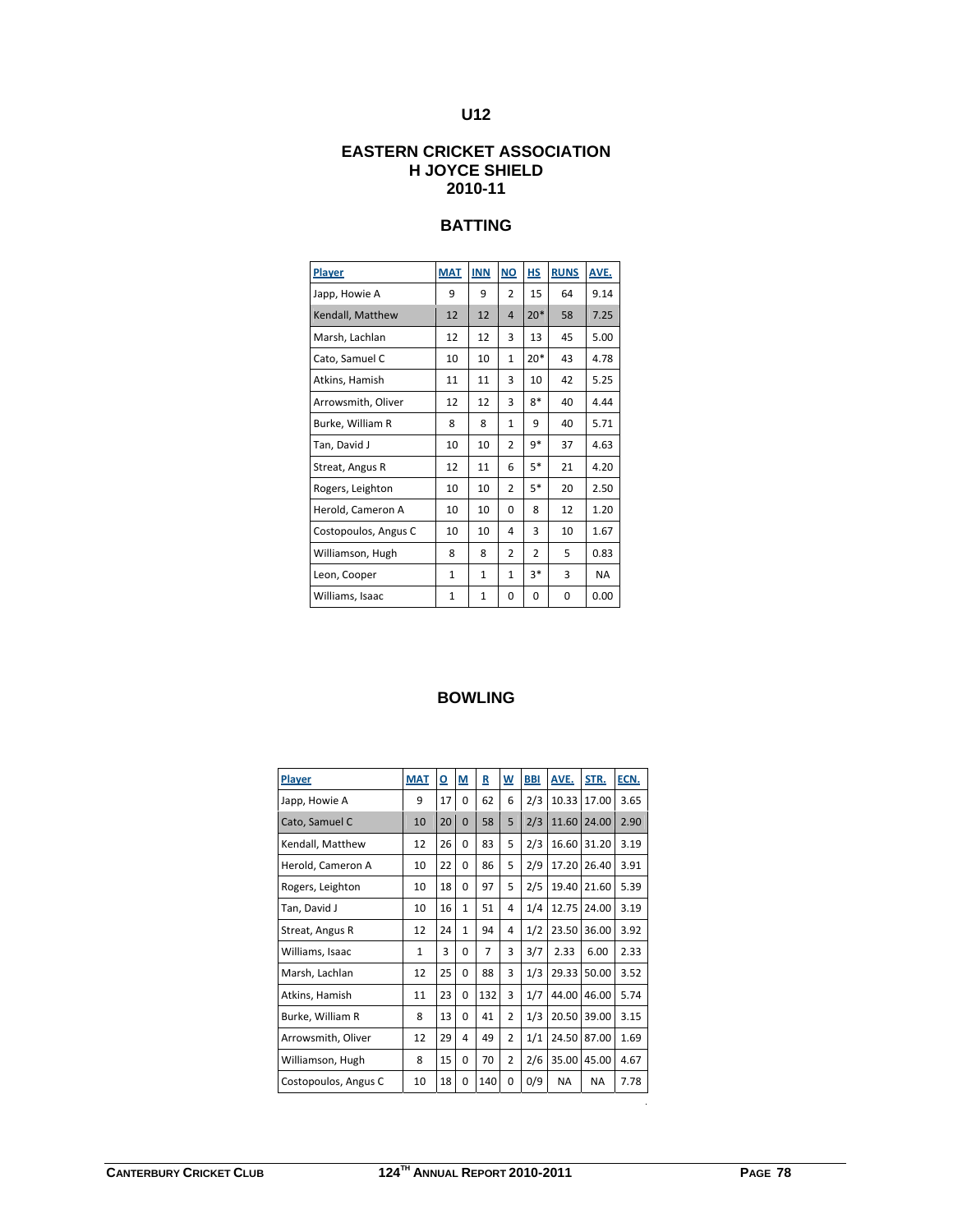## **EASTERN CRICKET ASSOCIATION H JOYCE SHIELD 2010-11**

## **BATTING**

| Player               | <b>MAT</b>   | <b>INN</b>   | <b>NO</b>      | <b>HS</b>      | <b>RUNS</b> | AVE.      |
|----------------------|--------------|--------------|----------------|----------------|-------------|-----------|
| Japp, Howie A        | 9            | 9            | $\overline{2}$ | 15             | 64          | 9.14      |
| Kendall, Matthew     | 12           | 12           | 4              | $20*$          | 58          | 7.25      |
| Marsh, Lachlan       | 12           | 12           | 3              | 13             | 45          | 5.00      |
| Cato, Samuel C       | 10           | 10           | $\mathbf{1}$   | $20*$          | 43          | 4.78      |
| Atkins, Hamish       | 11           | 11           | 3              | 10             | 42          | 5.25      |
| Arrowsmith, Oliver   | 12           | 12           | 3              | $8*$           | 40          | 4.44      |
| Burke, William R     | 8            | 8            | $\mathbf{1}$   | 9              | 40          | 5.71      |
| Tan, David J         | 10           | 10           | $\overline{2}$ | 9*             | 37          | 4.63      |
| Streat, Angus R      | 12           | 11           | 6              | 5*             | 21          | 4.20      |
| Rogers, Leighton     | 10           | 10           | $\overline{2}$ | 5*             | 20          | 2.50      |
| Herold, Cameron A    | 10           | 10           | $\Omega$       | 8              | 12          | 1.20      |
| Costopoulos, Angus C | 10           | 10           | 4              | 3              | 10          | 1.67      |
| Williamson, Hugh     | 8            | 8            | $\overline{2}$ | $\overline{2}$ | 5           | 0.83      |
| Leon, Cooper         | $\mathbf{1}$ | $\mathbf{1}$ | $\mathbf{1}$   | $3*$           | 3           | <b>NA</b> |
| Williams, Isaac      | 1            | 1            | 0              | $\Omega$       | 0           | 0.00      |

# **BOWLING**

| <b>Player</b>        | <b>MAT</b>   | ₫  | <u>M</u>     | R   | $\underline{\mathsf{w}}$ | <b>BBI</b> | AVE.      | STR.      | ECN. |
|----------------------|--------------|----|--------------|-----|--------------------------|------------|-----------|-----------|------|
| Japp, Howie A        | 9            | 17 | $\Omega$     | 62  | 6                        | 2/3        | 10.33     | 17.00     | 3.65 |
| Cato, Samuel C       | 10           | 20 | 0            | 58  | 5                        | 2/3        | 11.60     | 24.00     | 2.90 |
| Kendall, Matthew     | 12           | 26 | 0            | 83  | 5                        | 2/3        | 16.60     | 31.20     | 3.19 |
| Herold, Cameron A    | 10           | 22 | 0            | 86  | 5                        | 2/9        | 17.20     | 26.40     | 3.91 |
| Rogers, Leighton     | 10           | 18 | 0            | 97  | 5                        | 2/5        | 19.40     | 21.60     | 5.39 |
| Tan, David J         | 10           | 16 | $\mathbf{1}$ | 51  | 4                        | 1/4        | 12.75     | 24.00     | 3.19 |
| Streat, Angus R      | 12           | 24 | $\mathbf{1}$ | 94  | 4                        | 1/2        | 23.50     | 36.00     | 3.92 |
| Williams, Isaac      | $\mathbf{1}$ | 3  | 0            | 7   | 3                        | 3/7        | 2.33      | 6.00      | 2.33 |
| Marsh, Lachlan       | 12           | 25 | 0            | 88  | 3                        | 1/3        | 29.33     | 50.00     | 3.52 |
| Atkins, Hamish       | 11           | 23 | 0            | 132 | 3                        | 1/7        | 44.00     | 46.00     | 5.74 |
| Burke, William R     | 8            | 13 | 0            | 41  | 2                        | 1/3        | 20.50     | 39.00     | 3.15 |
| Arrowsmith, Oliver   | 12           | 29 | 4            | 49  | 2                        | 1/1        | 24.50     | 87.00     | 1.69 |
| Williamson, Hugh     | 8            | 15 | 0            | 70  | 2                        | 2/6        | 35.00     | 45.00     | 4.67 |
| Costopoulos, Angus C | 10           | 18 | 0            | 140 | $\Omega$                 | 0/9        | <b>NA</b> | <b>NA</b> | 7.78 |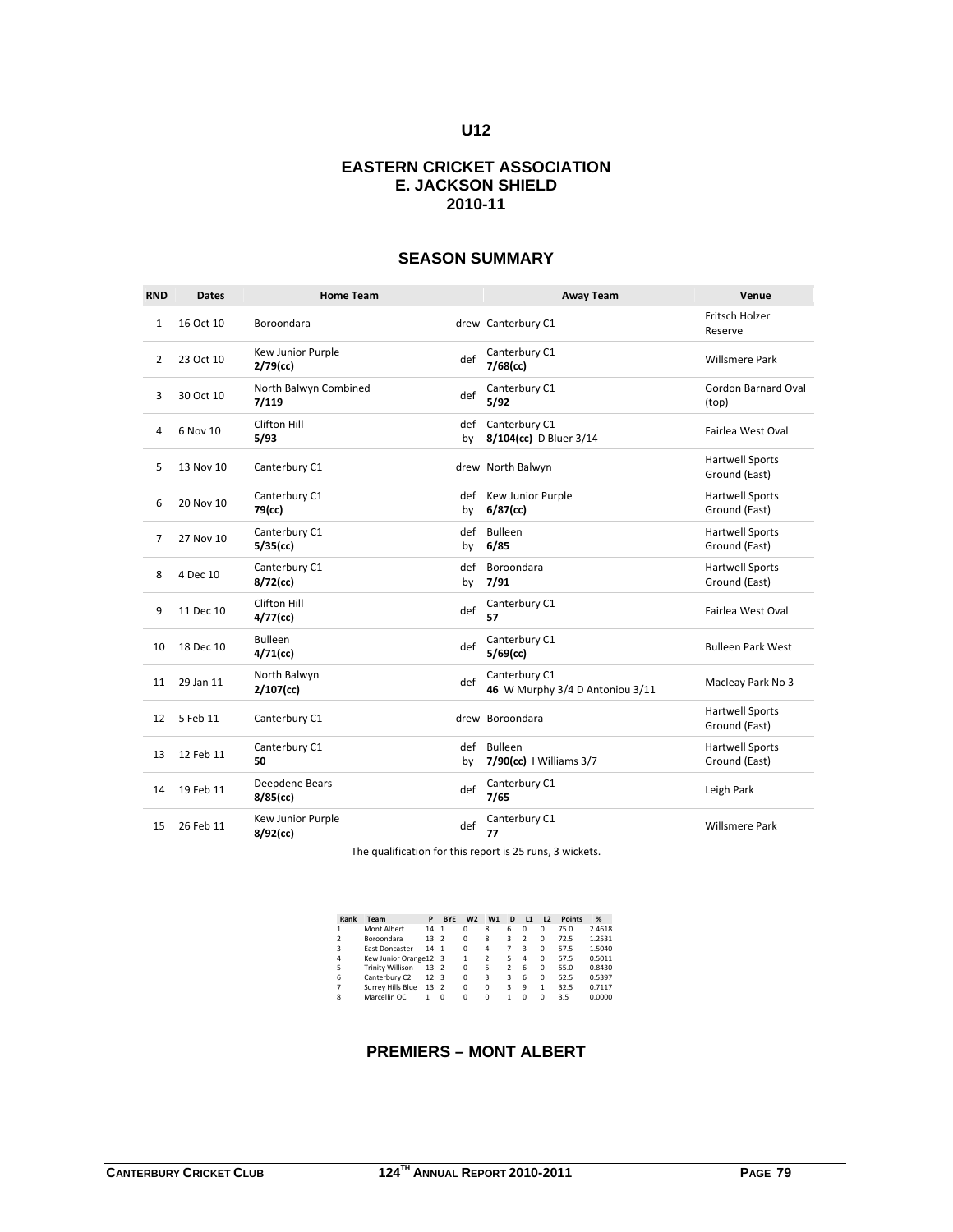#### **EASTERN CRICKET ASSOCIATION E. JACKSON SHIELD 2010-11**

| <b>RND</b>     | <b>Dates</b> | <b>Home Team</b>                 |           | <b>Away Team</b>                                 | Venue                                   |
|----------------|--------------|----------------------------------|-----------|--------------------------------------------------|-----------------------------------------|
| 1              | 16 Oct 10    | Boroondara                       |           | drew Canterbury C1                               | Fritsch Holzer<br>Reserve               |
| $\overline{2}$ | 23 Oct 10    | Kew Junior Purple<br>$2/79$ (cc) | def       | Canterbury C1<br>$7/68$ (cc)                     | <b>Willsmere Park</b>                   |
| 3              | 30 Oct 10    | North Balwyn Combined<br>7/119   | def       | Canterbury C1<br>5/92                            | Gordon Barnard Oval<br>(top)            |
| 4              | 6 Nov 10     | Clifton Hill<br>5/93             | def<br>by | Canterbury C1<br>8/104(cc) D Bluer 3/14          | Fairlea West Oval                       |
| 5              | 13 Nov 10    | Canterbury C1                    |           | drew North Balwyn                                | <b>Hartwell Sports</b><br>Ground (East) |
| 6              | 20 Nov 10    | Canterbury C1<br>79(cc)          | def<br>by | Kew Junior Purple<br>$6/87$ (cc)                 | <b>Hartwell Sports</b><br>Ground (East) |
| 7              | 27 Nov 10    | Canterbury C1<br>$5/35$ (cc)     | def<br>by | <b>Bulleen</b><br>6/85                           | <b>Hartwell Sports</b><br>Ground (East) |
| 8              | 4 Dec 10     | Canterbury C1<br>$8/72$ (cc)     | def<br>by | Boroondara<br>7/91                               | <b>Hartwell Sports</b><br>Ground (East) |
| 9              | 11 Dec 10    | Clifton Hill<br>4/77(cc)         | def       | Canterbury C1<br>57                              | Fairlea West Oval                       |
| 10             | 18 Dec 10    | <b>Bulleen</b><br>$4/71$ (cc)    | def       | Canterbury C1<br>5/69(cc)                        | <b>Bulleen Park West</b>                |
| 11             | 29 Jan 11    | North Balwyn<br>$2/107$ (cc)     | def       | Canterbury C1<br>46 W Murphy 3/4 D Antoniou 3/11 | Macleay Park No 3                       |
| 12             | 5 Feb 11     | Canterbury C1                    |           | drew Boroondara                                  | <b>Hartwell Sports</b><br>Ground (East) |
| 13             | 12 Feb 11    | Canterbury C1<br>50              | def<br>by | Bulleen<br>7/90(cc)   Williams 3/7               | <b>Hartwell Sports</b><br>Ground (East) |
| 14             | 19 Feb 11    | Deepdene Bears<br>$8/85$ (cc)    | def       | Canterbury C1<br>7/65                            | Leigh Park                              |
| 15             | 26 Feb 11    | Kew Junior Purple<br>$8/92$ (cc) | def       | Canterbury C1<br>77                              | <b>Willsmere Park</b>                   |

## **SEASON SUMMARY**

The qualification for this report is 25 runs, 3 wickets.

| Rank           | Team                    | P    | <b>BYE</b>   | W <sub>2</sub> | W1       | D | L1 | L2       | <b>Points</b> | %      |
|----------------|-------------------------|------|--------------|----------------|----------|---|----|----------|---------------|--------|
| $\mathbf{1}$   | Mont Albert             | 14   | $\mathbf{1}$ | $\Omega$       | 8        | 6 | 0  | $\Omega$ | 75.0          | 2.4618 |
| $\mathfrak{p}$ | Boroondara              | 13 2 |              | $\Omega$       | 8        | 3 | 2  | $\Omega$ | 72.5          | 1.2531 |
| 3              | East Doncaster          | 14 1 |              | $\Omega$       | 4        |   | ર  | $\Omega$ | 57.5          | 1.5040 |
| $\overline{4}$ | Kew Junior Orange12 3   |      |              |                |          |   | 4  | $\Omega$ | 57.5          | 0.5011 |
| 5              | <b>Trinity Willison</b> | 13 2 |              | $\Omega$       | 5        |   | 6  | $\Omega$ | 55.0          | 0.8430 |
| 6              | Canterbury C2           | 12 3 |              | $\Omega$       | 3        | २ | 6  | $\Omega$ | 52.5          | 0.5397 |
| $\overline{7}$ | Surrey Hills Blue       | 13 2 |              | 0              | $\Omega$ | ঽ | q  | 1        | 32.5          | 0.7117 |
| 8              | Marcellin OC            |      | 0            | 0              | 0        |   | n  | $\Omega$ | 3.5           | 0.0000 |

## **PREMIERS – MONT ALBERT**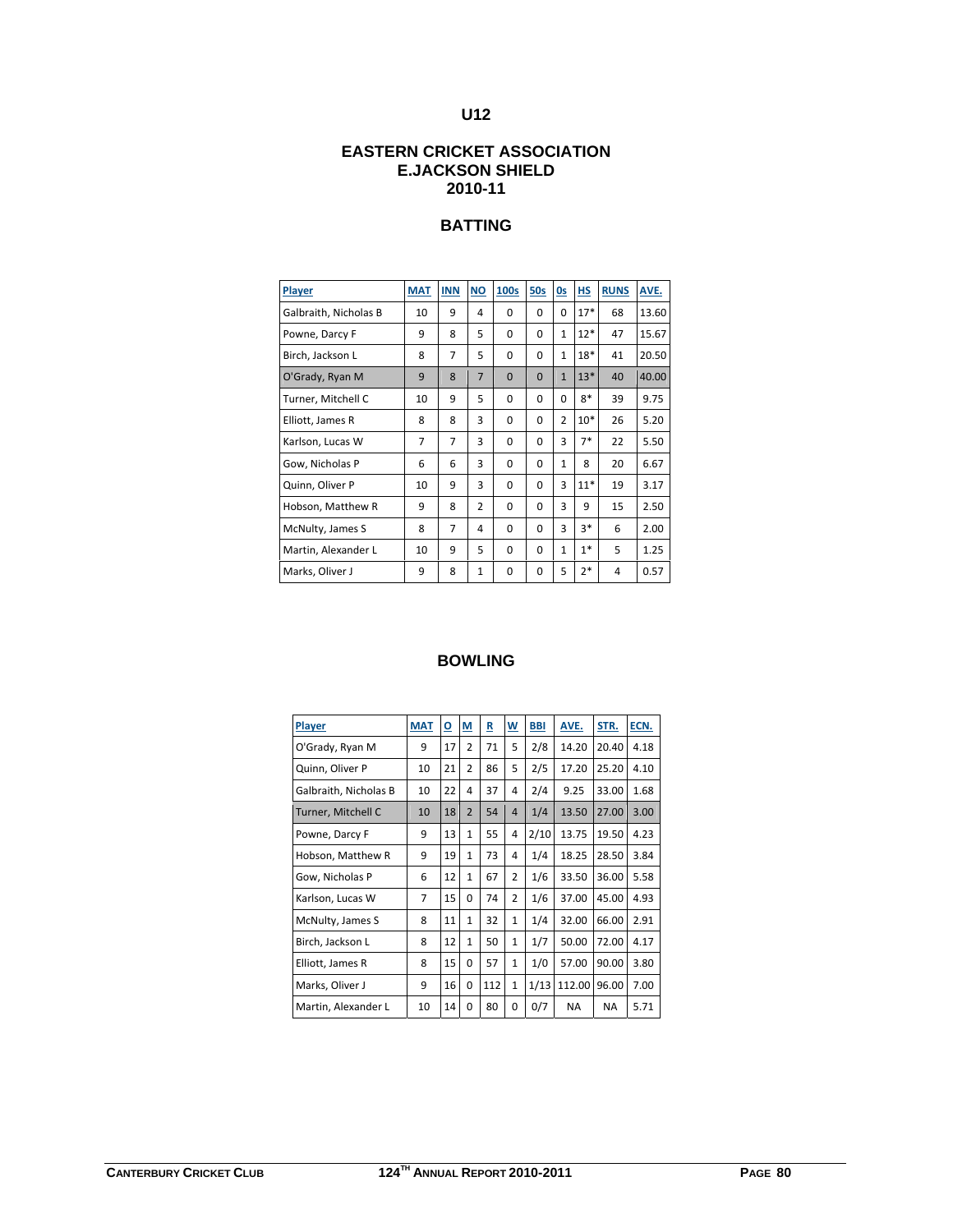### **EASTERN CRICKET ASSOCIATION E.JACKSON SHIELD 2010-11**

# **BATTING**

| Player                | <b>MAT</b>     | <b>INN</b>     | <b>NO</b>      | 100s     | <b>50s</b> | 0s           | HS    | <b>RUNS</b> | AVE.  |
|-----------------------|----------------|----------------|----------------|----------|------------|--------------|-------|-------------|-------|
| Galbraith, Nicholas B | 10             | 9              | 4              | $\Omega$ | 0          | $\Omega$     | $17*$ | 68          | 13.60 |
| Powne, Darcy F        | 9              | 8              | 5              | $\Omega$ | $\Omega$   | $\mathbf{1}$ | $12*$ | 47          | 15.67 |
| Birch, Jackson L      | 8              | $\overline{7}$ | 5              | $\Omega$ | 0          | $\mathbf{1}$ | $18*$ | 41          | 20.50 |
| O'Grady, Ryan M       | 9              | 8              | $\overline{7}$ | $\Omega$ | $\Omega$   | $\mathbf{1}$ | $13*$ | 40          | 40.00 |
| Turner, Mitchell C    | 10             | 9              | 5              | $\Omega$ | 0          | $\Omega$     | $8*$  | 39          | 9.75  |
| Elliott, James R      | 8              | 8              | 3              | $\Omega$ | 0          | 2            | $10*$ | 26          | 5.20  |
| Karlson, Lucas W      | $\overline{7}$ | $\overline{7}$ | 3              | $\Omega$ | $\Omega$   | 3            | $7*$  | 22          | 5.50  |
| Gow, Nicholas P       | 6              | 6              | 3              | $\Omega$ | $\Omega$   | $\mathbf{1}$ | 8     | 20          | 6.67  |
| Quinn, Oliver P       | 10             | 9              | 3              | $\Omega$ | $\Omega$   | 3            | $11*$ | 19          | 3.17  |
| Hobson, Matthew R     | 9              | 8              | $\overline{2}$ | $\Omega$ | 0          | 3            | 9     | 15          | 2.50  |
| McNulty, James S      | 8              | 7              | 4              | $\Omega$ | $\Omega$   | 3            | $3*$  | 6           | 2.00  |
| Martin, Alexander L   | 10             | 9              | 5              | $\Omega$ | $\Omega$   | $\mathbf{1}$ | $1*$  | 5           | 1.25  |
| Marks, Oliver J       | 9              | 8              | $\mathbf{1}$   | 0        | 0          | 5            | $2*$  | 4           | 0.57  |

## **BOWLING**

| Player                | <b>MAT</b>     | $\overline{\mathsf{o}}$ | <u>M</u>       | R   | $\underline{\mathsf{w}}$ | <b>BBI</b> | AVE.      | STR.      | ECN. |
|-----------------------|----------------|-------------------------|----------------|-----|--------------------------|------------|-----------|-----------|------|
| O'Grady, Ryan M       | 9              | 17                      | 2              | 71  | 5                        | 2/8        | 14.20     | 20.40     | 4.18 |
| Quinn, Oliver P       | 10             | 21                      | $\overline{2}$ | 86  | 5                        | 2/5        | 17.20     | 25.20     | 4.10 |
| Galbraith, Nicholas B | 10             | 22                      | 4              | 37  | 4                        | 2/4        | 9.25      | 33.00     | 1.68 |
| Turner, Mitchell C    | 10             | 18                      | $\overline{2}$ | 54  | 4                        | 1/4        | 13.50     | 27.00     | 3.00 |
| Powne, Darcy F        | 9              | 13                      | $\mathbf{1}$   | 55  | 4                        | 2/10       | 13.75     | 19.50     | 4.23 |
| Hobson, Matthew R     | 9              | 19                      | 1              | 73  | 4                        | 1/4        | 18.25     | 28.50     | 3.84 |
| Gow, Nicholas P       | 6              | 12                      | 1              | 67  | $\overline{2}$           | 1/6        | 33.50     | 36.00     | 5.58 |
| Karlson, Lucas W      | $\overline{7}$ | 15                      | $\Omega$       | 74  | 2                        | 1/6        | 37.00     | 45.00     | 4.93 |
| McNulty, James S      | 8              | 11                      | 1              | 32  | $\mathbf{1}$             | 1/4        | 32.00     | 66.00     | 2.91 |
| Birch, Jackson L      | 8              | 12                      | 1              | 50  | $\mathbf{1}$             | 1/7        | 50.00     | 72.00     | 4.17 |
| Elliott, James R      | 8              | 15                      | $\Omega$       | 57  | $\mathbf{1}$             | 1/0        | 57.00     | 90.00     | 3.80 |
| Marks, Oliver J       | 9              | 16                      | $\Omega$       | 112 | $\mathbf{1}$             | 1/13       | 112.00    | 96.00     | 7.00 |
| Martin, Alexander L   | 10             | 14                      | 0              | 80  | 0                        | 0/7        | <b>NA</b> | <b>NA</b> | 5.71 |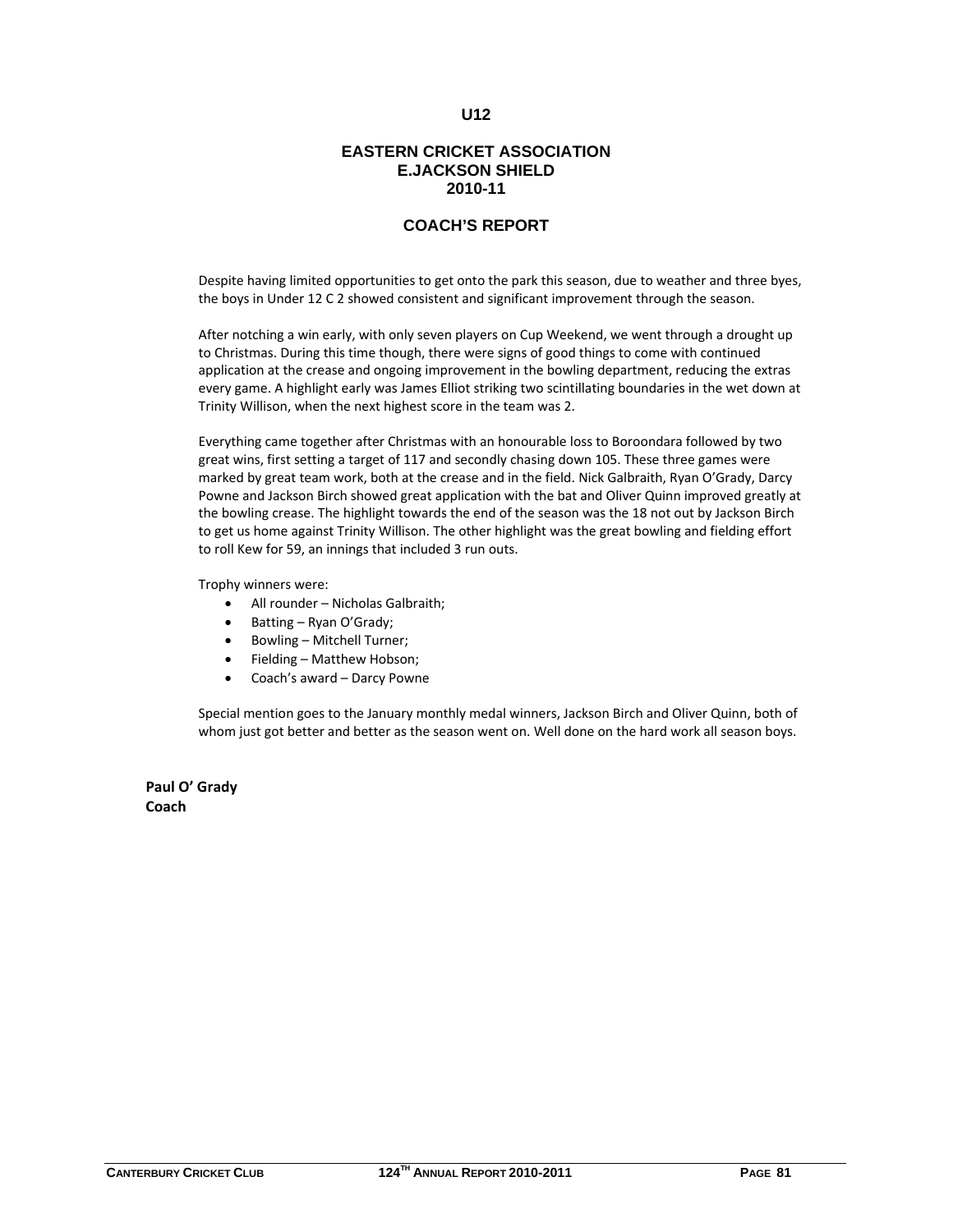#### **EASTERN CRICKET ASSOCIATION E.JACKSON SHIELD 2010-11**

#### **COACH'S REPORT**

Despite having limited opportunities to get onto the park this season, due to weather and three byes, the boys in Under 12 C 2 showed consistent and significant improvement through the season.

After notching a win early, with only seven players on Cup Weekend, we went through a drought up to Christmas. During this time though, there were signs of good things to come with continued application at the crease and ongoing improvement in the bowling department, reducing the extras every game. A highlight early was James Elliot striking two scintillating boundaries in the wet down at Trinity Willison, when the next highest score in the team was 2.

Everything came together after Christmas with an honourable loss to Boroondara followed by two great wins, first setting a target of 117 and secondly chasing down 105. These three games were marked by great team work, both at the crease and in the field. Nick Galbraith, Ryan O'Grady, Darcy Powne and Jackson Birch showed great application with the bat and Oliver Quinn improved greatly at the bowling crease. The highlight towards the end of the season was the 18 not out by Jackson Birch to get us home against Trinity Willison. The other highlight was the great bowling and fielding effort to roll Kew for 59, an innings that included 3 run outs.

Trophy winners were:

- All rounder Nicholas Galbraith;
- Batting Ryan O'Grady;
- Bowling Mitchell Turner;
- Fielding Matthew Hobson;
- Coach's award Darcy Powne

Special mention goes to the January monthly medal winners, Jackson Birch and Oliver Quinn, both of whom just got better and better as the season went on. Well done on the hard work all season boys.

**Paul O' Grady Coach**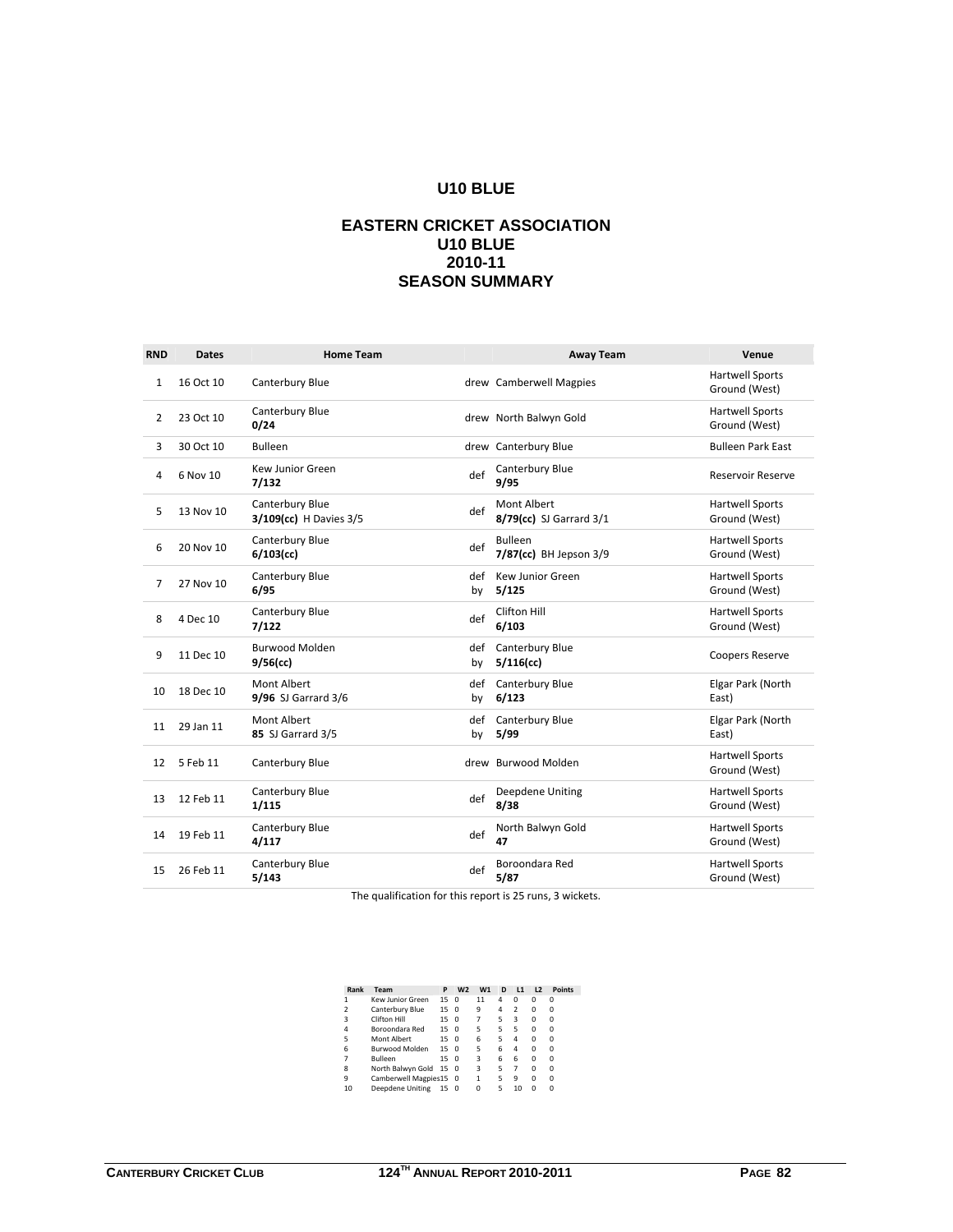# **U10 BLUE**

### **EASTERN CRICKET ASSOCIATION U10 BLUE 2010-11 SEASON SUMMARY**

| <b>RND</b>     | <b>Dates</b> | <b>Home Team</b>                          |           | <b>Away Team</b>                         | Venue                                   |
|----------------|--------------|-------------------------------------------|-----------|------------------------------------------|-----------------------------------------|
| 1              | 16 Oct 10    | Canterbury Blue                           |           | drew Camberwell Magpies                  | <b>Hartwell Sports</b><br>Ground (West) |
| 2              | 23 Oct 10    | Canterbury Blue<br>0/24                   |           | drew North Balwyn Gold                   | <b>Hartwell Sports</b><br>Ground (West) |
| 3              | 30 Oct 10    | <b>Bulleen</b>                            |           | drew Canterbury Blue                     | <b>Bulleen Park East</b>                |
| 4              | 6 Nov 10     | Kew Junior Green<br>7/132                 | def       | Canterbury Blue<br>9/95                  | Reservoir Reserve                       |
| 5              | 13 Nov 10    | Canterbury Blue<br>3/109(cc) H Davies 3/5 | def       | Mont Albert<br>8/79(cc) SJ Garrard 3/1   | <b>Hartwell Sports</b><br>Ground (West) |
| 6              | 20 Nov 10    | Canterbury Blue<br>$6/103$ (cc)           | def       | <b>Bulleen</b><br>7/87(cc) BH Jepson 3/9 | <b>Hartwell Sports</b><br>Ground (West) |
| $\overline{7}$ | 27 Nov 10    | Canterbury Blue<br>6/95                   | def<br>by | Kew Junior Green<br>5/125                | <b>Hartwell Sports</b><br>Ground (West) |
| 8              | 4 Dec 10     | Canterbury Blue<br>7/122                  | def       | Clifton Hill<br>6/103                    | <b>Hartwell Sports</b><br>Ground (West) |
| 9              | 11 Dec 10    | <b>Burwood Molden</b><br>9/56(cc)         | by        | def Canterbury Blue<br>$5/116$ (cc)      | <b>Coopers Reserve</b>                  |
| 10             | 18 Dec 10    | Mont Albert<br>9/96 SJ Garrard 3/6        | def<br>by | Canterbury Blue<br>6/123                 | Elgar Park (North<br>East)              |
| 11             | 29 Jan 11    | Mont Albert<br>85 SJ Garrard 3/5          | def<br>by | Canterbury Blue<br>5/99                  | Elgar Park (North<br>East)              |
| 12             | 5 Feb 11     | Canterbury Blue                           |           | drew Burwood Molden                      | <b>Hartwell Sports</b><br>Ground (West) |
| 13             | 12 Feb 11    | Canterbury Blue<br>1/115                  | def       | Deepdene Uniting<br>8/38                 | <b>Hartwell Sports</b><br>Ground (West) |
| 14             | 19 Feb 11    | Canterbury Blue<br>4/117                  | def       | North Balwyn Gold<br>47                  | <b>Hartwell Sports</b><br>Ground (West) |
| 15             | 26 Feb 11    | Canterbury Blue<br>5/143                  | def       | Boroondara Red<br>5/87                   | <b>Hartwell Sports</b><br>Ground (West) |

The qualification for this report is 25 runs, 3 wickets.

| Rank          | Team                   | P  | W <sub>2</sub> | W <sub>1</sub> | D | L1                       | L2 | <b>Points</b> |
|---------------|------------------------|----|----------------|----------------|---|--------------------------|----|---------------|
| 1             | Kew Junior Green       | 15 | $\Omega$       | 11             | 4 | 0                        | 0  | O             |
| $\mathfrak z$ | Canterbury Blue        | 15 | Ω              | 9              | 4 | $\overline{\phantom{a}}$ | 0  | Ω             |
| 3             | Clifton Hill           | 15 | Ω              | 7              | 5 | 3                        | 0  | O             |
| 4             | Boroondara Red         | 15 | $\Omega$       | 5              | 5 | 5                        | 0  | O             |
| 5             | Mont Albert            | 15 | $\Omega$       | 6              | 5 | 4                        | 0  | O             |
| 6             | <b>Burwood Molden</b>  | 15 | Ω              | 5              | 6 | 4                        | 0  | Ω             |
| 7             | <b>Bulleen</b>         | 15 | $\Omega$       | 3              | 6 | 6                        | 0  | O             |
| 8             | North Balwyn Gold 15   |    | $\Omega$       | 3              | 5 | 7                        | 0  | O             |
| 9             | Camberwell Magpies15 0 |    |                | 1              | 5 | ٩                        | 0  | O             |
| 10            | Deepdene Uniting       | 15 | Ω              | 0              | 5 | 10                       | n  | Ω             |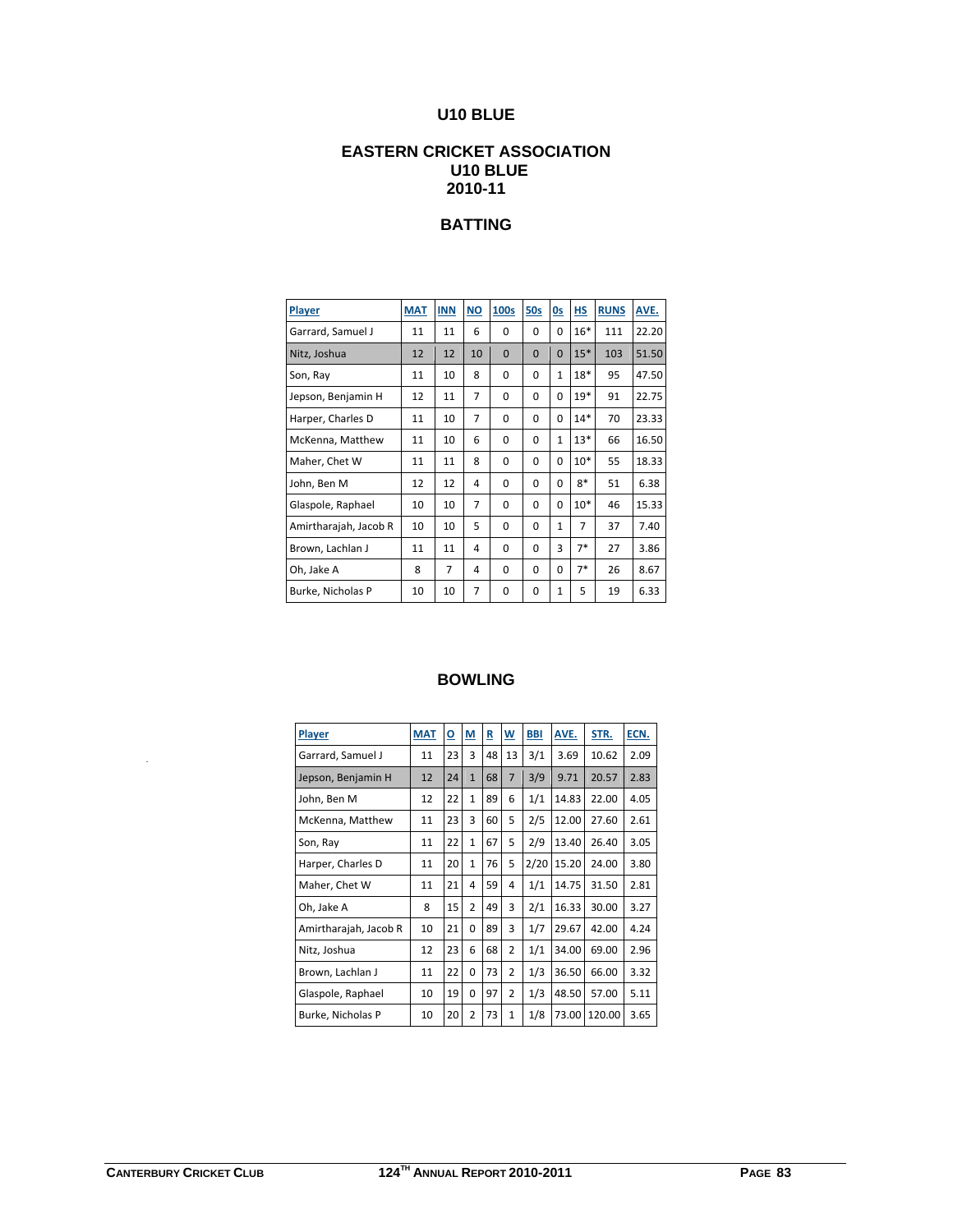## **U10 BLUE**

### **EASTERN CRICKET ASSOCIATION U10 BLUE 2010-11**

## **BATTING**

| Player                | <b>MAT</b> | <b>INN</b> | <b>NO</b>      | 100s     | <b>50s</b> | <u>Os</u>    | HS    | <b>RUNS</b> | AVE.  |
|-----------------------|------------|------------|----------------|----------|------------|--------------|-------|-------------|-------|
| Garrard, Samuel J     | 11         | 11         | 6              | 0        | $\Omega$   | 0            | $16*$ | 111         | 22.20 |
| Nitz, Joshua          | 12         | 12         | 10             | $\Omega$ | $\Omega$   | $\Omega$     | $15*$ | 103         | 51.50 |
| Son, Ray              | 11         | 10         | 8              | 0        | $\Omega$   | 1            | $18*$ | 95          | 47.50 |
| Jepson, Benjamin H    | 12         | 11         | $\overline{7}$ | 0        | $\Omega$   | 0            | $19*$ | 91          | 22.75 |
| Harper, Charles D     | 11         | 10         | $\overline{7}$ | 0        | $\Omega$   | 0            | $14*$ | 70          | 23.33 |
| McKenna, Matthew      | 11         | 10         | 6              | 0        | $\Omega$   | $\mathbf{1}$ | $13*$ | 66          | 16.50 |
| Maher, Chet W         | 11         | 11         | 8              | 0        | $\Omega$   | 0            | $10*$ | 55          | 18.33 |
| John, Ben M           | 12         | 12         | 4              | 0        | $\Omega$   | 0            | $8*$  | 51          | 6.38  |
| Glaspole, Raphael     | 10         | 10         | $\overline{7}$ | 0        | $\Omega$   | 0            | $10*$ | 46          | 15.33 |
| Amirtharajah, Jacob R | 10         | 10         | 5              | 0        | $\Omega$   | $\mathbf{1}$ | 7     | 37          | 7.40  |
| Brown, Lachlan J      | 11         | 11         | 4              | 0        | $\Omega$   | 3            | $7*$  | 27          | 3.86  |
| Oh, Jake A            | 8          | 7          | 4              | 0        | $\Omega$   | 0            | $7*$  | 26          | 8.67  |
| Burke, Nicholas P     | 10         | 10         | $\overline{7}$ | 0        | $\Omega$   | 1            | 5     | 19          | 6.33  |

### **BOWLING**

| Player                | <b>MAT</b> | $\overline{\mathsf{o}}$ | M              | R  | $\overline{\mathsf{w}}$ | <b>BBI</b> | AVE.  | STR.   | ECN. |
|-----------------------|------------|-------------------------|----------------|----|-------------------------|------------|-------|--------|------|
| Garrard, Samuel J     | 11         | 23                      | 3              | 48 | 13                      | 3/1        | 3.69  | 10.62  | 2.09 |
| Jepson, Benjamin H    | 12         | 24                      | $\mathbf{1}$   | 68 | $\overline{7}$          | 3/9        | 9.71  | 20.57  | 2.83 |
| John, Ben M           | 12         | 22                      | $\mathbf{1}$   | 89 | 6                       | 1/1        | 14.83 | 22.00  | 4.05 |
| McKenna, Matthew      | 11         | 23                      | 3              | 60 | 5                       | 2/5        | 12.00 | 27.60  | 2.61 |
| Son, Ray              | 11         | 22                      | $\mathbf{1}$   | 67 | 5                       | 2/9        | 13.40 | 26.40  | 3.05 |
| Harper, Charles D     | 11         | 20                      | $\mathbf{1}$   | 76 | 5                       | 2/20       | 15.20 | 24.00  | 3.80 |
| Maher, Chet W         | 11         | 21                      | 4              | 59 | 4                       | 1/1        | 14.75 | 31.50  | 2.81 |
| Oh, Jake A            | 8          | 15                      | $\overline{2}$ | 49 | 3                       | 2/1        | 16.33 | 30.00  | 3.27 |
| Amirtharajah, Jacob R | 10         | 21                      | $\Omega$       | 89 | 3                       | 1/7        | 29.67 | 42.00  | 4.24 |
| Nitz, Joshua          | 12         | 23                      | 6              | 68 | $\overline{2}$          | 1/1        | 34.00 | 69.00  | 2.96 |
| Brown, Lachlan J      | 11         | 22                      | $\Omega$       | 73 | $\overline{2}$          | 1/3        | 36.50 | 66.00  | 3.32 |
| Glaspole, Raphael     | 10         | 19                      | $\Omega$       | 97 | $\overline{2}$          | 1/3        | 48.50 | 57.00  | 5.11 |
| Burke, Nicholas P     | 10         | 20                      | $\overline{2}$ | 73 | $\mathbf{1}$            | 1/8        | 73.00 | 120.00 | 3.65 |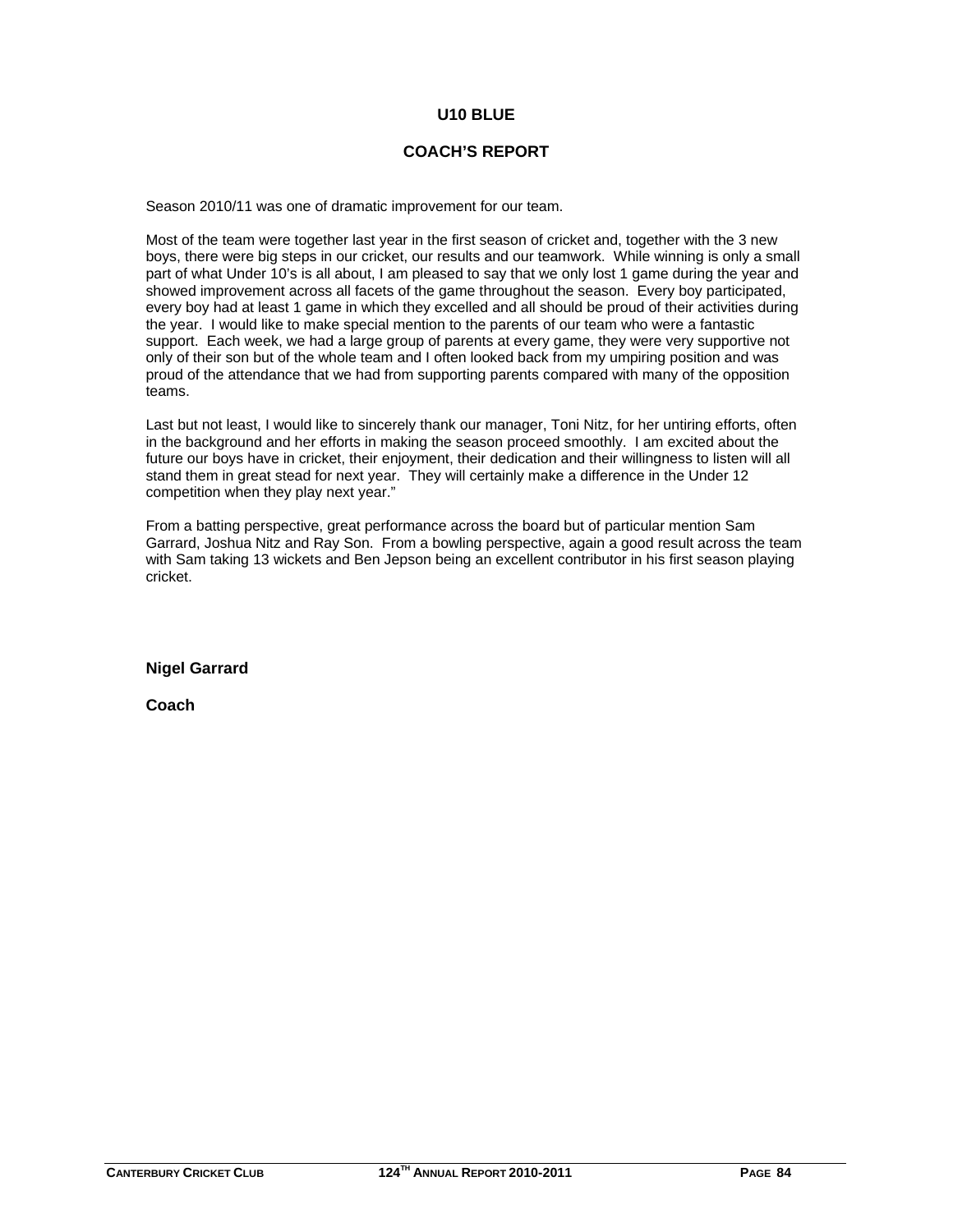#### **U10 BLUE**

#### **COACH'S REPORT**

Season 2010/11 was one of dramatic improvement for our team.

Most of the team were together last year in the first season of cricket and, together with the 3 new boys, there were big steps in our cricket, our results and our teamwork. While winning is only a small part of what Under 10's is all about, I am pleased to say that we only lost 1 game during the year and showed improvement across all facets of the game throughout the season. Every boy participated, every boy had at least 1 game in which they excelled and all should be proud of their activities during the year. I would like to make special mention to the parents of our team who were a fantastic support. Each week, we had a large group of parents at every game, they were very supportive not only of their son but of the whole team and I often looked back from my umpiring position and was proud of the attendance that we had from supporting parents compared with many of the opposition teams.

Last but not least, I would like to sincerely thank our manager, Toni Nitz, for her untiring efforts, often in the background and her efforts in making the season proceed smoothly. I am excited about the future our boys have in cricket, their enjoyment, their dedication and their willingness to listen will all stand them in great stead for next year. They will certainly make a difference in the Under 12 competition when they play next year."

From a batting perspective, great performance across the board but of particular mention Sam Garrard, Joshua Nitz and Ray Son. From a bowling perspective, again a good result across the team with Sam taking 13 wickets and Ben Jepson being an excellent contributor in his first season playing cricket.

**Nigel Garrard** 

**Coach**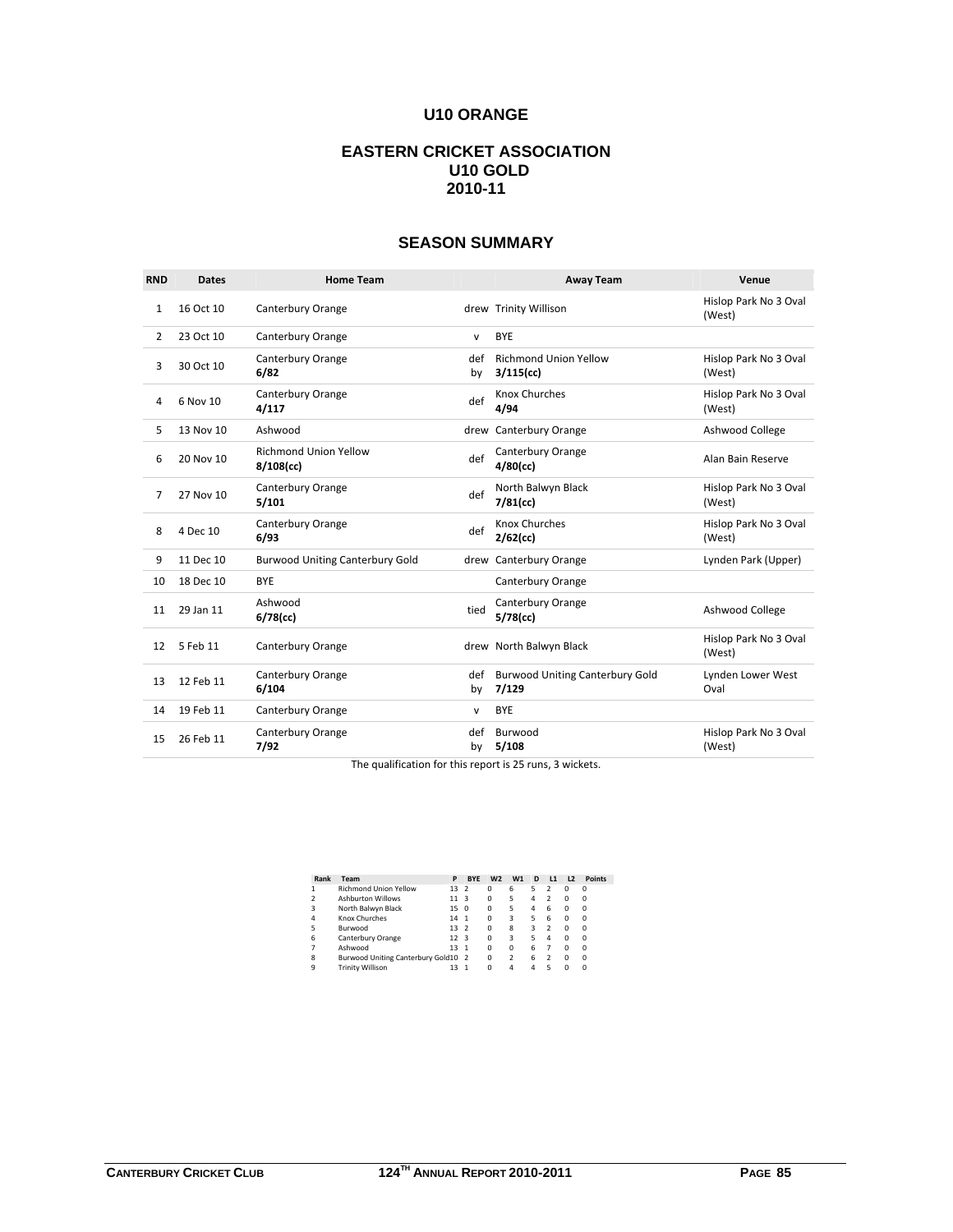## **U10 ORANGE**

### **EASTERN CRICKET ASSOCIATION U10 GOLD 2010-11**

#### **SEASON SUMMARY**

| <b>RND</b>     | <b>Dates</b> | <b>Home Team</b>                             |              | <b>Away Team</b>                             | Venue                           |
|----------------|--------------|----------------------------------------------|--------------|----------------------------------------------|---------------------------------|
| 1              | 16 Oct 10    | Canterbury Orange                            |              | drew Trinity Willison                        | Hislop Park No 3 Oval<br>(West) |
| $\overline{2}$ | 23 Oct 10    | Canterbury Orange                            | $\mathsf{v}$ | <b>BYE</b>                                   |                                 |
| 3              | 30 Oct 10    | Canterbury Orange<br>6/82                    | def<br>by    | <b>Richmond Union Yellow</b><br>$3/115$ (cc) | Hislop Park No 3 Oval<br>(West) |
| 4              | 6 Nov 10     | Canterbury Orange<br>4/117                   | def          | Knox Churches<br>4/94                        | Hislop Park No 3 Oval<br>(West) |
| 5              | 13 Nov 10    | Ashwood                                      |              | drew Canterbury Orange                       | Ashwood College                 |
| 6              | 20 Nov 10    | <b>Richmond Union Yellow</b><br>$8/108$ (cc) | def          | Canterbury Orange<br>$4/80$ (cc)             | Alan Bain Reserve               |
| 7              | 27 Nov 10    | Canterbury Orange<br>5/101                   | def          | North Balwyn Black<br>$7/81$ (cc)            | Hislop Park No 3 Oval<br>(West) |
| 8              | 4 Dec 10     | Canterbury Orange<br>6/93                    | def          | Knox Churches<br>$2/62$ (cc)                 | Hislop Park No 3 Oval<br>(West) |
| 9              | 11 Dec 10    | <b>Burwood Uniting Canterbury Gold</b>       |              | drew Canterbury Orange                       | Lynden Park (Upper)             |
| 10             | 18 Dec 10    | <b>BYE</b>                                   |              | Canterbury Orange                            |                                 |
| 11             | 29 Jan 11    | Ashwood<br>$6/78$ (cc)                       | tied         | Canterbury Orange<br>$5/78$ (cc)             | Ashwood College                 |
| 12             | 5 Feb 11     | Canterbury Orange                            |              | drew North Balwyn Black                      | Hislop Park No 3 Oval<br>(West) |
| 13             | 12 Feb 11    | Canterbury Orange<br>6/104                   | by           | def Burwood Uniting Canterbury Gold<br>7/129 | Lynden Lower West<br>Oval       |
| 14             | 19 Feb 11    | Canterbury Orange                            | v            | <b>BYE</b>                                   |                                 |
| 15             | 26 Feb 11    | Canterbury Orange<br>7/92                    | def<br>by    | Burwood<br>5/108                             | Hislop Park No 3 Oval<br>(West) |

The qualification for this report is 25 runs, 3 wickets.

| Rank           | Team                                | P               | <b>BYE</b>     | W <sub>2</sub> | W <sub>1</sub> | D | L1 | L2       | <b>Points</b> |
|----------------|-------------------------------------|-----------------|----------------|----------------|----------------|---|----|----------|---------------|
| 1              | <b>Richmond Union Yellow</b>        | 13              | $\overline{2}$ | $\Omega$       | 6              |   |    | $\Omega$ | 0             |
| $\overline{2}$ | <b>Ashburton Willows</b>            | 11              | 3              | $\Omega$       | 5              | 4 | 2  | 0        | 0             |
| 3              | North Balwyn Black                  | 15              | $\Omega$       | $\Omega$       | 5              | 4 | 6  | 0        | 0             |
| $\overline{a}$ | Knox Churches                       | 14              | -1             | $\Omega$       | 3              | 5 | 6  | 0        | 0             |
| 5              | Burwood                             | 13              | $\overline{2}$ | $\Omega$       | 8              | 3 | 2  | 0        | 0             |
| 6              | Canterbury Orange                   | 12 <sup>3</sup> |                | $\Omega$       | 3              | 5 | 4  | 0        | 0             |
|                | Ashwood                             | 13              | -1             | $\Omega$       | $\Omega$       | 6 |    | 0        | 0             |
| 8              | Burwood Uniting Canterbury Gold10 2 |                 |                | $\Omega$       | 2              | 6 |    | 0        | 0             |
| ٩              | <b>Trinity Willison</b>             | 13              |                | n              | 4              |   |    |          | 0             |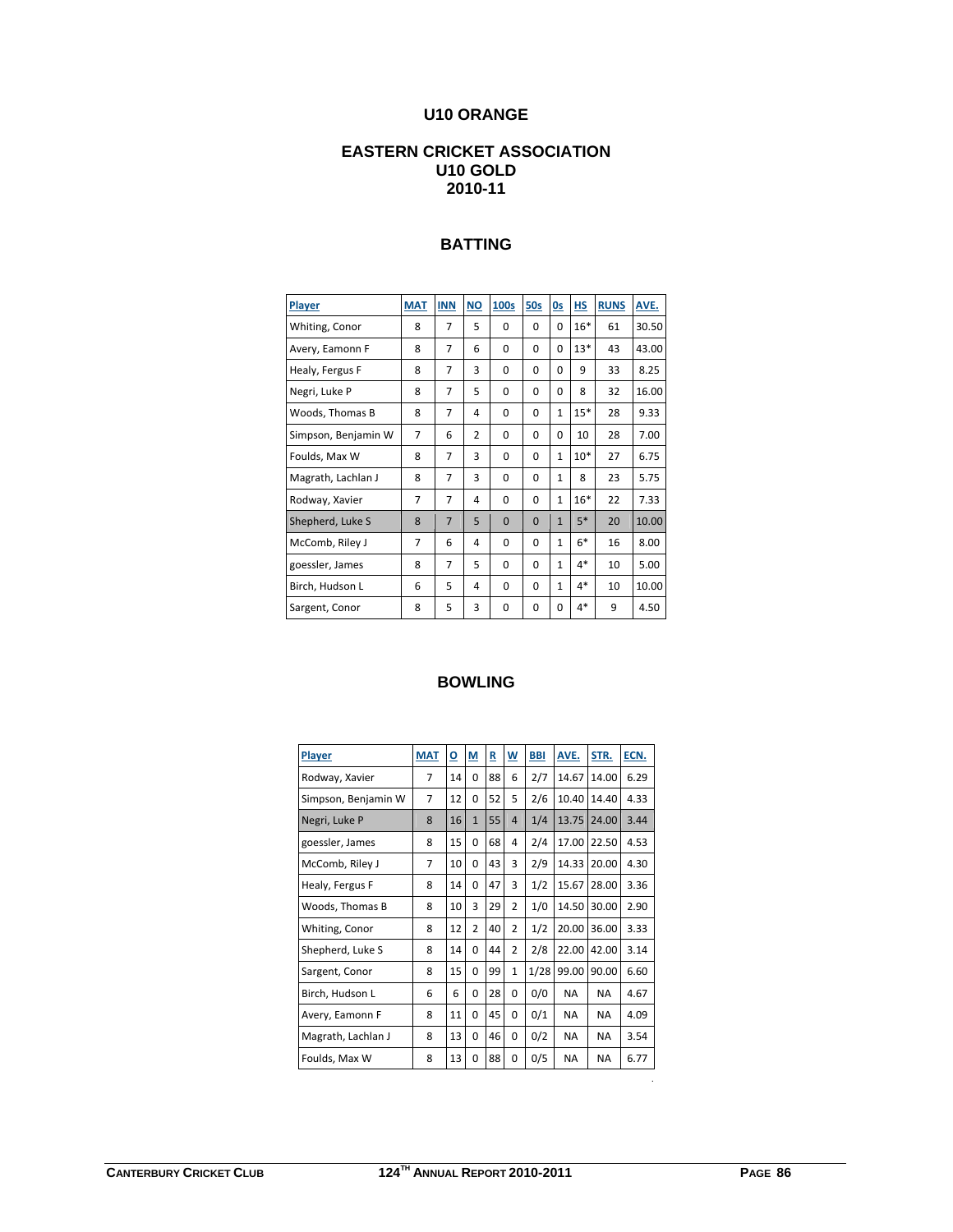# **U10 ORANGE**

### **EASTERN CRICKET ASSOCIATION U10 GOLD 2010-11**

#### **BATTING**

| Player              | <b>MAT</b>     | <b>INN</b>     | ΝO             | 100s     | 50s      | 0s           | <u>HS</u> | <b>RUNS</b> | AVE.  |
|---------------------|----------------|----------------|----------------|----------|----------|--------------|-----------|-------------|-------|
| Whiting, Conor      | 8              | 7              | 5              | $\Omega$ | 0        | $\Omega$     | $16*$     | 61          | 30.50 |
| Avery, Eamonn F     | 8              | $\overline{7}$ | 6              | $\Omega$ | 0        | $\Omega$     | $13*$     | 43          | 43.00 |
| Healy, Fergus F     | 8              | $\overline{7}$ | 3              | $\Omega$ | $\Omega$ | $\Omega$     | 9         | 33          | 8.25  |
| Negri, Luke P       | 8              | 7              | 5              | $\Omega$ | 0        | $\Omega$     | 8         | 32          | 16.00 |
| Woods, Thomas B     | 8              | 7              | 4              | $\Omega$ | $\Omega$ | $\mathbf{1}$ | $15*$     | 28          | 9.33  |
| Simpson, Benjamin W | $\overline{7}$ | 6              | $\overline{2}$ | $\Omega$ | 0        | $\Omega$     | 10        | 28          | 7.00  |
| Foulds, Max W       | 8              | $\overline{7}$ | 3              | $\Omega$ | $\Omega$ | $\mathbf{1}$ | $10*$     | 27          | 6.75  |
| Magrath, Lachlan J  | 8              | $\overline{7}$ | 3              | $\Omega$ | 0        | $\mathbf{1}$ | 8         | 23          | 5.75  |
| Rodway, Xavier      | $\overline{7}$ | $\overline{7}$ | 4              | $\Omega$ | $\Omega$ | $\mathbf{1}$ | $16*$     | 22          | 7.33  |
| Shepherd, Luke S    | 8              | $\overline{7}$ | 5              | $\Omega$ | $\Omega$ | $\mathbf{1}$ | $5*$      | 20          | 10.00 |
| McComb, Riley J     | $\overline{7}$ | 6              | 4              | $\Omega$ | $\Omega$ | $\mathbf{1}$ | $6*$      | 16          | 8.00  |
| goessler, James     | 8              | $\overline{7}$ | 5              | $\Omega$ | $\Omega$ | $\mathbf{1}$ | $4*$      | 10          | 5.00  |
| Birch, Hudson L     | 6              | 5              | 4              | $\Omega$ | $\Omega$ | $\mathbf{1}$ | $4*$      | 10          | 10.00 |
| Sargent, Conor      | 8              | 5              | 3              | $\Omega$ | $\Omega$ | 0            | $4*$      | 9           | 4.50  |

#### **BOWLING**

| Player              | <b>MAT</b>     | <u>0</u> | $\underline{\mathsf{M}}$ | R  | <u>w</u>       | <b>BBI</b> | AVE.      | STR.      | ECN. |
|---------------------|----------------|----------|--------------------------|----|----------------|------------|-----------|-----------|------|
| Rodway, Xavier      | 7              | 14       | $\Omega$                 | 88 | 6              | 2/7        | 14.67     | 14.00     | 6.29 |
| Simpson, Benjamin W | $\overline{7}$ | 12       | $\Omega$                 | 52 | 5              | 2/6        | 10.40     | 14.40     | 4.33 |
| Negri, Luke P       | 8              | 16       | $\mathbf{1}$             | 55 | $\overline{4}$ | 1/4        | 13.75     | 24.00     | 3.44 |
| goessler, James     | 8              | 15       | $\Omega$                 | 68 | 4              | 2/4        | 17.00     | 22.50     | 4.53 |
| McComb, Riley J     | 7              | 10       | $\Omega$                 | 43 | 3              | 2/9        | 14.33     | 20.00     | 4.30 |
| Healy, Fergus F     | 8              | 14       | $\Omega$                 | 47 | 3              | 1/2        | 15.67     | 28.00     | 3.36 |
| Woods, Thomas B     | 8              | 10       | 3                        | 29 | $\overline{2}$ | 1/0        | 14.50     | 30.00     | 2.90 |
| Whiting, Conor      | 8              | 12       | $\overline{2}$           | 40 | $\overline{2}$ | 1/2        | 20.00     | 36.00     | 3.33 |
| Shepherd, Luke S    | 8              | 14       | 0                        | 44 | $\overline{2}$ | 2/8        | 22.00     | 42.00     | 3.14 |
| Sargent, Conor      | 8              | 15       | $\Omega$                 | 99 | $\mathbf{1}$   | 1/28       | 99.00     | 90.00     | 6.60 |
| Birch, Hudson L     | 6              | 6        | $\Omega$                 | 28 | 0              | 0/0        | <b>NA</b> | <b>NA</b> | 4.67 |
| Avery, Eamonn F     | 8              | 11       | $\Omega$                 | 45 | 0              | 0/1        | <b>NA</b> | <b>NA</b> | 4.09 |
| Magrath, Lachlan J  | 8              | 13       | $\Omega$                 | 46 | 0              | 0/2        | NA        | <b>NA</b> | 3.54 |
| Foulds, Max W       | 8              | 13       | $\Omega$                 | 88 | 0              | 0/5        | <b>NA</b> | <b>NA</b> | 6.77 |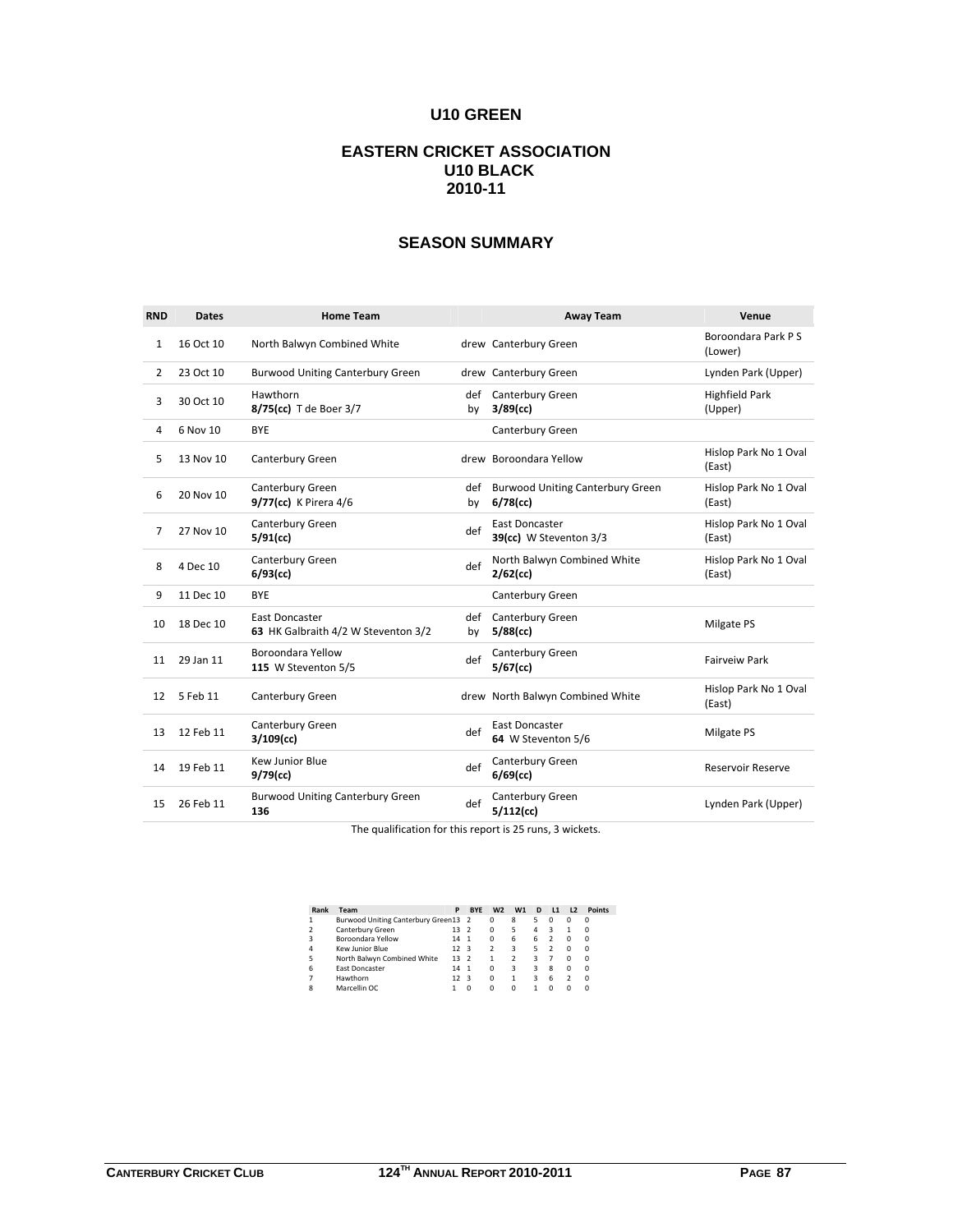#### **U10 GREEN**

### **EASTERN CRICKET ASSOCIATION U10 BLACK 2010-11**

## **SEASON SUMMARY**

| <b>RND</b>   | <b>Dates</b> | <b>Home Team</b>                                      |           | <b>Away Team</b>                                       | Venue                            |
|--------------|--------------|-------------------------------------------------------|-----------|--------------------------------------------------------|----------------------------------|
| $\mathbf{1}$ | 16 Oct 10    | North Balwyn Combined White                           |           | drew Canterbury Green                                  | Boroondara Park P S<br>(Lower)   |
| 2            | 23 Oct 10    | <b>Burwood Uniting Canterbury Green</b>               |           | drew Canterbury Green                                  | Lynden Park (Upper)              |
| 3            | 30 Oct 10    | Hawthorn<br>8/75(cc) T de Boer 3/7                    | def<br>by | Canterbury Green<br>$3/89$ (cc)                        | <b>Highfield Park</b><br>(Upper) |
| 4            | 6 Nov 10     | <b>BYE</b>                                            |           | Canterbury Green                                       |                                  |
| 5            | 13 Nov 10    | Canterbury Green                                      |           | drew Boroondara Yellow                                 | Hislop Park No 1 Oval<br>(East)  |
| 6            | 20 Nov 10    | Canterbury Green<br>9/77(cc) K Pirera 4/6             | def<br>by | <b>Burwood Uniting Canterbury Green</b><br>$6/78$ (cc) | Hislop Park No 1 Oval<br>(East)  |
| 7            | 27 Nov 10    | Canterbury Green<br>$5/91$ (cc)                       | def       | East Doncaster<br>39(cc) W Steventon 3/3               | Hislop Park No 1 Oval<br>(East)  |
| 8            | 4 Dec 10     | Canterbury Green<br>$6/93$ (cc)                       | def       | North Balwyn Combined White<br>$2/62$ (cc)             | Hislop Park No 1 Oval<br>(East)  |
| 9            | 11 Dec 10    | <b>BYE</b>                                            |           | Canterbury Green                                       |                                  |
| 10           | 18 Dec 10    | East Doncaster<br>63 HK Galbraith 4/2 W Steventon 3/2 | def<br>by | Canterbury Green<br>$5/88$ (cc)                        | Milgate PS                       |
| 11           | 29 Jan 11    | Boroondara Yellow<br>115 W Steventon 5/5              | def       | Canterbury Green<br>$5/67$ (cc)                        | <b>Fairveiw Park</b>             |
| 12           | 5 Feb 11     | Canterbury Green                                      |           | drew North Balwyn Combined White                       | Hislop Park No 1 Oval<br>(East)  |
| 13           | 12 Feb 11    | Canterbury Green<br>$3/109$ (cc)                      | def       | East Doncaster<br>64 W Steventon 5/6                   | Milgate PS                       |
| 14           | 19 Feb 11    | Kew Junior Blue<br>$9/79$ (cc)                        | def       | Canterbury Green<br>$6/69$ (cc)                        | <b>Reservoir Reserve</b>         |
| 15           | 26 Feb 11    | <b>Burwood Uniting Canterbury Green</b><br>136        | def       | Canterbury Green<br>$5/112$ (cc)                       | Lynden Park (Upper)              |

The qualification for this report is 25 runs, 3 wickets.

|                             |    | <b>BYE</b> | W <sub>2</sub>                                                                                                         | W1 | D | L1 | L2       | <b>Points</b> |
|-----------------------------|----|------------|------------------------------------------------------------------------------------------------------------------------|----|---|----|----------|---------------|
|                             |    |            | 0                                                                                                                      | 8  | 5 | 0  | 0        | Ω             |
| Canterbury Green            | 13 |            | $\Omega$                                                                                                               | 5  | 4 | 3  |          | Ω             |
| Boroondara Yellow           | 14 |            | $\Omega$                                                                                                               | 6  | 6 | 2  | $\Omega$ | Ω             |
| Kew Junior Blue             |    |            | $\mathfrak z$                                                                                                          | 3  | 5 | 2  | $\Omega$ | Ω             |
| North Balwyn Combined White |    |            | 1                                                                                                                      |    | 3 |    | $\Omega$ | Ω             |
| <b>Fast Doncaster</b>       | 14 |            | $\Omega$                                                                                                               | 3  | 3 | 8  | $\Omega$ | 0             |
| Hawthorn                    |    |            | $\Omega$                                                                                                               |    | 3 | 6  | 2        | Ω             |
| Marcellin OC                |    | O          | $\Omega$                                                                                                               | 0  |   | O  | 0        | 0             |
|                             |    |            | Burwood Uniting Canterbury Green13 2<br>$\overline{2}$<br>$\mathbf{1}$<br>$12 \quad 3$<br>13 2<br>$\mathbf{1}$<br>12 3 |    |   |    |          |               |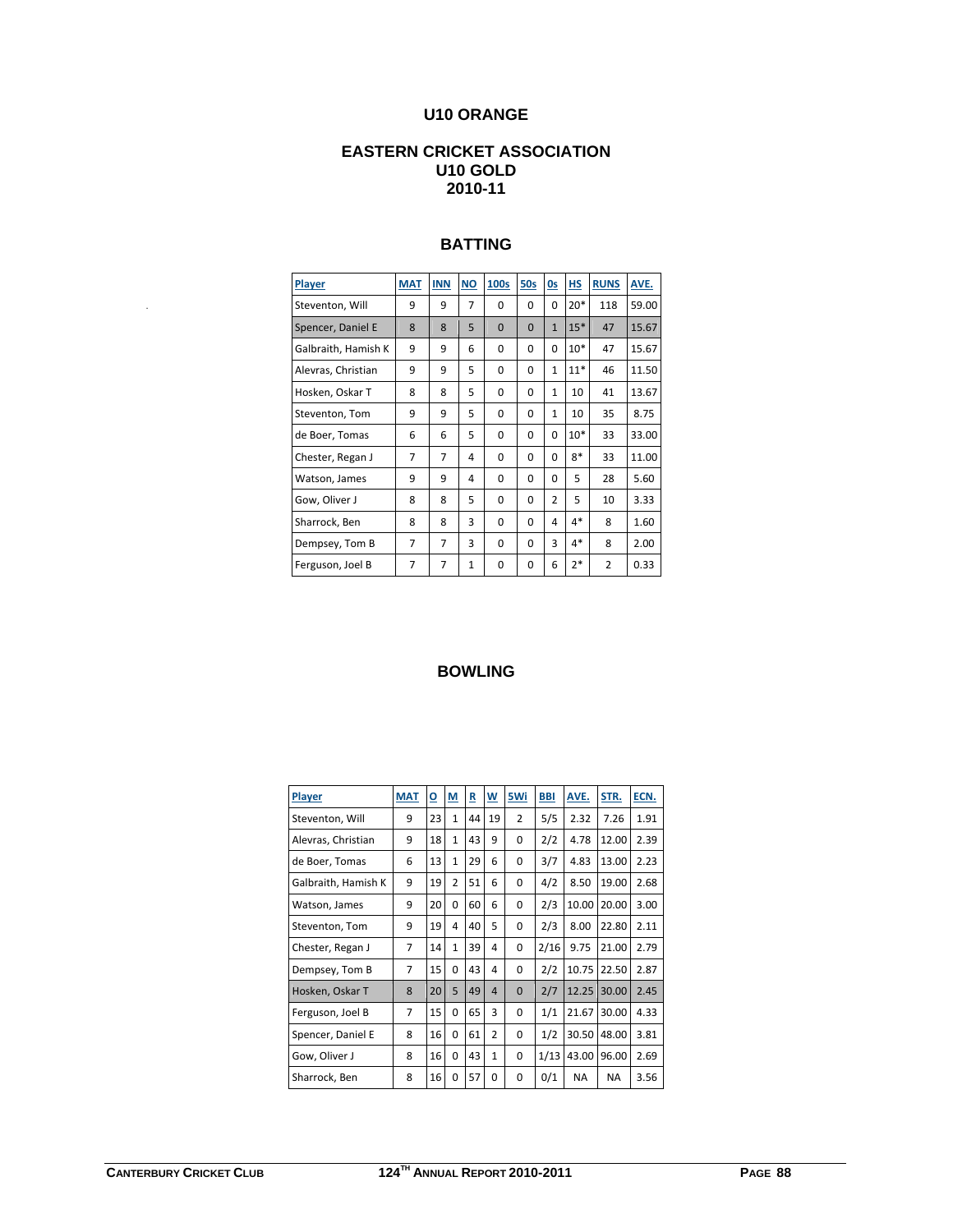# **U10 ORANGE**

### **EASTERN CRICKET ASSOCIATION U10 GOLD 2010-11**

## **BATTING**

| <b>Player</b>       | <b>MAT</b>     | <b>INN</b> | <b>NO</b>      | 100s         | 50s          | <u>Os</u>     | <b>HS</b> | <b>RUNS</b>    | AVE.  |
|---------------------|----------------|------------|----------------|--------------|--------------|---------------|-----------|----------------|-------|
| Steventon, Will     | 9              | 9          | $\overline{7}$ | $\Omega$     | $\Omega$     | 0             | $20*$     | 118            | 59.00 |
| Spencer, Daniel E   | 8              | 8          | 5              | $\Omega$     | $\Omega$     | $\mathbf{1}$  | $15*$     | 47             | 15.67 |
| Galbraith, Hamish K | 9              | 9          | 6              | $\Omega$     | $\Omega$     | 0             | $10*$     | 47             | 15.67 |
| Alevras, Christian  | 9              | 9          | 5              | $\Omega$     | $\Omega$     | 1             | $11*$     | 46             | 11.50 |
| Hosken, Oskar T     | 8              | 8          | 5              | $\Omega$     | $\Omega$     | 1             | 10        | 41             | 13.67 |
| Steventon, Tom      | 9              | 9          | 5              | $\Omega$     | $\Omega$     | 1             | 10        | 35             | 8.75  |
| de Boer, Tomas      | 6              | 6          | 5              | $\Omega$     | $\Omega$     | 0             | $10*$     | 33             | 33.00 |
| Chester, Regan J    | 7              | 7          | 4              | $\Omega$     | $\Omega$     | 0             | $8*$      | 33             | 11.00 |
| Watson, James       | 9              | 9          | 4              | $\Omega$     | $\Omega$     | <sup>0</sup>  | 5         | 28             | 5.60  |
| Gow, Oliver J       | 8              | 8          | 5              | <sup>0</sup> | <sup>0</sup> | $\mathcal{P}$ | 5         | 10             | 3.33  |
| Sharrock, Ben       | 8              | 8          | 3              | $\Omega$     | $\Omega$     | 4             | $4*$      | 8              | 1.60  |
| Dempsey, Tom B      | $\overline{7}$ | 7          | 3              | $\Omega$     | $\Omega$     | з             | 4*        | 8              | 2.00  |
| Ferguson, Joel B    | $\overline{7}$ | 7          | $\mathbf{1}$   | 0            | $\Omega$     | 6             | $2*$      | $\overline{2}$ | 0.33  |

#### **BOWLING**

| Player              | <b>MAT</b>     | ₫  | M            | R  | W              | 5Wi            | <b>BBI</b> | AVE.      | STR.      | ECN. |
|---------------------|----------------|----|--------------|----|----------------|----------------|------------|-----------|-----------|------|
| Steventon, Will     | 9              | 23 | 1            | 44 | 19             | $\overline{2}$ | 5/5        | 2.32      | 7.26      | 1.91 |
| Alevras, Christian  | 9              | 18 | $\mathbf{1}$ | 43 | 9              | $\Omega$       | 2/2        | 4.78      | 12.00     | 2.39 |
| de Boer, Tomas      | 6              | 13 | $\mathbf{1}$ | 29 | 6              | $\Omega$       | 3/7        | 4.83      | 13.00     | 2.23 |
| Galbraith, Hamish K | 9              | 19 | 2            | 51 | 6              | $\Omega$       | 4/2        | 8.50      | 19.00     | 2.68 |
| Watson, James       | 9              | 20 | 0            | 60 | 6              | $\Omega$       | 2/3        | 10.00     | 20.00     | 3.00 |
| Steventon, Tom      | 9              | 19 | 4            | 40 | 5              | $\Omega$       | 2/3        | 8.00      | 22.80     | 2.11 |
| Chester, Regan J    | 7              | 14 | $\mathbf{1}$ | 39 | 4              | $\Omega$       | 2/16       | 9.75      | 21.00     | 2.79 |
| Dempsey, Tom B      | $\overline{7}$ | 15 | $\Omega$     | 43 | 4              | $\Omega$       | 2/2        | 10.75     | 22.50     | 2.87 |
| Hosken, Oskar T     | 8              | 20 | 5            | 49 | $\overline{a}$ | $\Omega$       | 2/7        | 12.25     | 30.00     | 2.45 |
| Ferguson, Joel B    | 7              | 15 | 0            | 65 | 3              | $\Omega$       | 1/1        | 21.67     | 30.00     | 4.33 |
| Spencer, Daniel E   | 8              | 16 | 0            | 61 | $\overline{2}$ | $\Omega$       | 1/2        | 30.50     | 48.00     | 3.81 |
| Gow, Oliver J       | 8              | 16 | 0            | 43 | $\mathbf{1}$   | $\Omega$       | 1/13       | 43.00     | 96.00     | 2.69 |
| Sharrock, Ben       | 8              | 16 | 0            | 57 | $\Omega$       | $\Omega$       | 0/1        | <b>NA</b> | <b>NA</b> | 3.56 |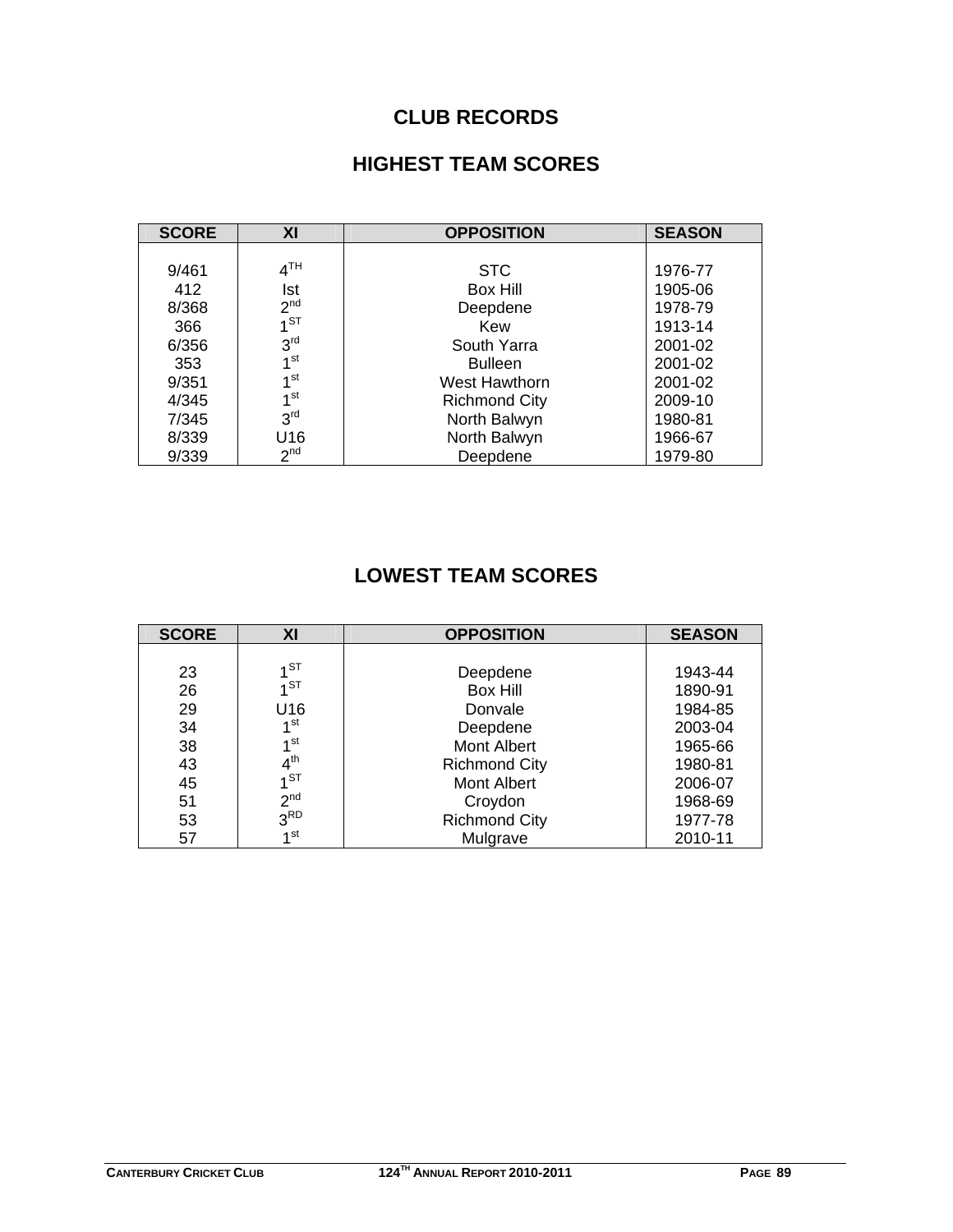# **CLUB RECORDS**

# **HIGHEST TEAM SCORES**

| <b>SCORE</b> | XI              | <b>OPPOSITION</b>    | <b>SEASON</b> |
|--------------|-----------------|----------------------|---------------|
|              |                 |                      |               |
| 9/461        | 4 <sup>TH</sup> | <b>STC</b>           | 1976-77       |
| 412          | Ist             | <b>Box Hill</b>      | 1905-06       |
| 8/368        | 2 <sup>nd</sup> | Deepdene             | 1978-79       |
| 366          | 4ST             | Kew                  | 1913-14       |
| 6/356        | 3 <sup>rd</sup> | South Yarra          | 2001-02       |
| 353          | 1 <sub>st</sub> | <b>Bulleen</b>       | 2001-02       |
| 9/351        | 1 <sub>st</sub> | West Hawthorn        | 2001-02       |
| 4/345        | 1 <sup>st</sup> | <b>Richmond City</b> | 2009-10       |
| 7/345        | 3 <sup>rd</sup> | North Balwyn         | 1980-81       |
| 8/339        | U16             | North Balwyn         | 1966-67       |
| 9/339        | 2 <sup>nd</sup> | Deepdene             | 1979-80       |

# **LOWEST TEAM SCORES**

| <b>SCORE</b> | XI              | <b>OPPOSITION</b>    | <b>SEASON</b> |
|--------------|-----------------|----------------------|---------------|
| 23           | $11$ ST         | Deepdene             | 1943-44       |
| 26           | $1^{\text{ST}}$ | <b>Box Hill</b>      | 1890-91       |
| 29           | U16             | Donvale              | 1984-85       |
| 34           | 1 <sup>st</sup> | Deepdene             | 2003-04       |
| 38           | 1 <sup>st</sup> | <b>Mont Albert</b>   | 1965-66       |
| 43           | 4 <sup>th</sup> | <b>Richmond City</b> | 1980-81       |
| 45           | 1 <sub>ST</sub> | Mont Albert          | 2006-07       |
| 51           | 2 <sup>nd</sup> | Croydon              | 1968-69       |
| 53           | 3 <sup>RD</sup> | <b>Richmond City</b> | 1977-78       |
| 57           | 1 <sup>st</sup> | Mulgrave             | 2010-11       |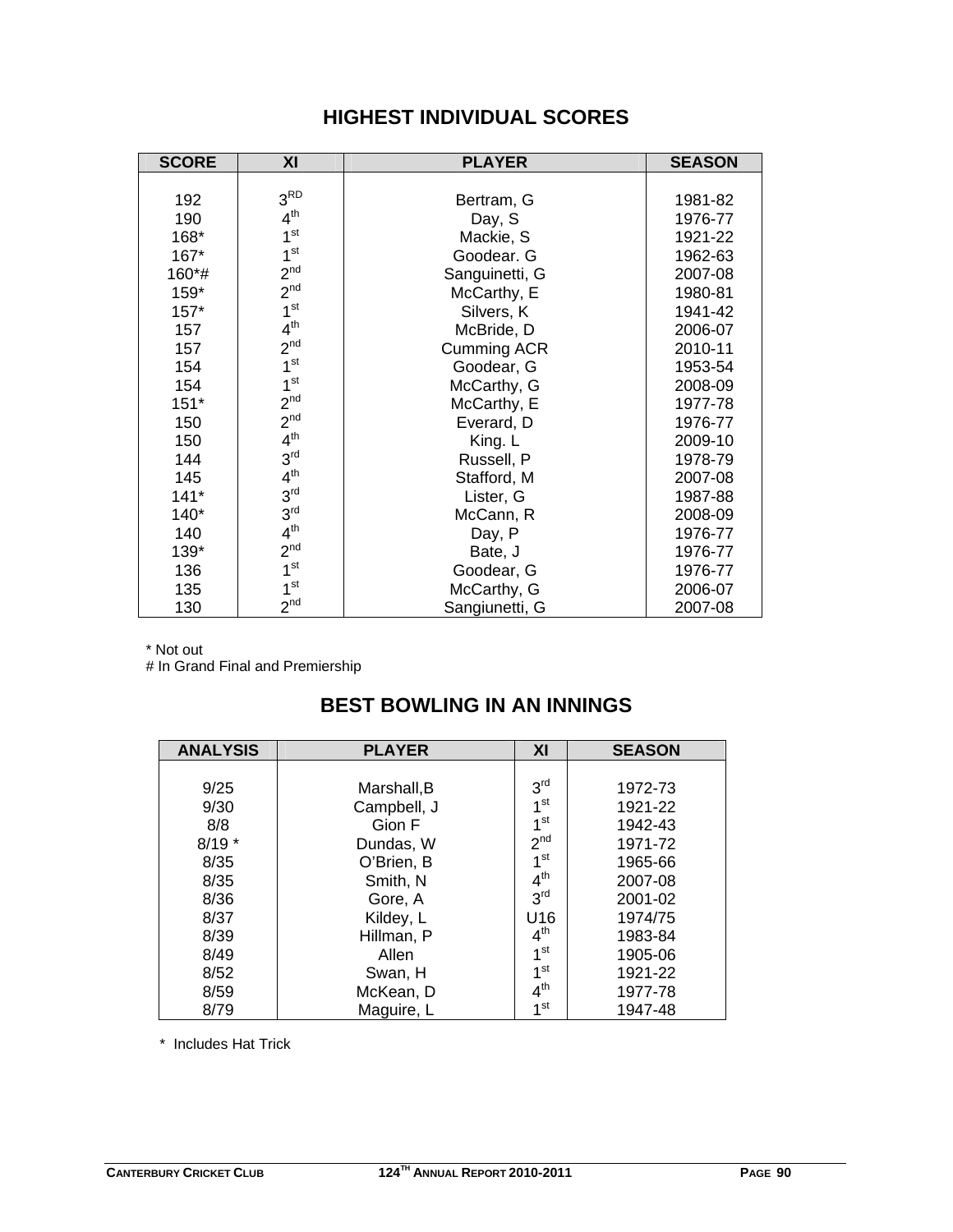| <b>SCORE</b> | XI              | <b>PLAYER</b>      | <b>SEASON</b> |
|--------------|-----------------|--------------------|---------------|
|              |                 |                    |               |
| 192          | 3 <sup>RD</sup> | Bertram, G         | 1981-82       |
| 190          | 4 <sup>th</sup> | Day, S             | 1976-77       |
| 168*         | 1 <sup>st</sup> | Mackie, S          | 1921-22       |
| $167*$       | 1 <sup>st</sup> | Goodear. G         | 1962-63       |
| 160*#        | 2 <sup>nd</sup> | Sanguinetti, G     | 2007-08       |
| 159*         | 2 <sup>nd</sup> | McCarthy, E        | 1980-81       |
| $157*$       | 1 <sup>st</sup> | Silvers, K         | 1941-42       |
| 157          | 4 <sup>th</sup> | McBride, D         | 2006-07       |
| 157          | 2 <sub>nd</sub> | <b>Cumming ACR</b> | 2010-11       |
| 154          | 1 <sup>st</sup> | Goodear, G         | 1953-54       |
| 154          | 1 <sup>st</sup> | McCarthy, G        | 2008-09       |
| $151*$       | 2 <sup>nd</sup> | McCarthy, E        | 1977-78       |
| 150          | 2 <sup>nd</sup> | Everard, D         | 1976-77       |
| 150          | 4 <sup>th</sup> | King. L            | 2009-10       |
| 144          | 3 <sup>rd</sup> | Russell, P         | 1978-79       |
| 145          | 4 <sup>th</sup> | Stafford, M        | 2007-08       |
| $141*$       | 3 <sup>rd</sup> | Lister, G          | 1987-88       |
| $140*$       | 3 <sup>rd</sup> | McCann, R          | 2008-09       |
| 140          | 4 <sup>th</sup> | Day, P             | 1976-77       |
| 139*         | 2 <sup>nd</sup> | Bate, J            | 1976-77       |
| 136          | 1 <sup>st</sup> | Goodear, G         | 1976-77       |
| 135          | 1 <sup>st</sup> | McCarthy, G        | 2006-07       |
| 130          | 2 <sup>nd</sup> | Sangiunetti, G     | 2007-08       |

# **HIGHEST INDIVIDUAL SCORES**

\* Not out

# In Grand Final and Premiership

# **BEST BOWLING IN AN INNINGS**

| <b>ANALYSIS</b> | <b>PLAYER</b> | XI              | <b>SEASON</b> |
|-----------------|---------------|-----------------|---------------|
|                 |               |                 |               |
| 9/25            | Marshall, B   | 3 <sup>rd</sup> | 1972-73       |
| 9/30            | Campbell, J   | 1 <sup>st</sup> | 1921-22       |
| 8/8             | Gion F        | 1 <sup>st</sup> | 1942-43       |
| $8/19*$         | Dundas, W     | 2 <sub>nd</sub> | 1971-72       |
| 8/35            | O'Brien, B    | 1 <sup>st</sup> | 1965-66       |
| 8/35            | Smith, N      | $4^{\text{th}}$ | 2007-08       |
| 8/36            | Gore, A       | 3 <sup>rd</sup> | 2001-02       |
| 8/37            | Kildey, L     | U <sub>16</sub> | 1974/75       |
| 8/39            | Hillman, P    | $4^{\text{th}}$ | 1983-84       |
| 8/49            | Allen         | 1 <sup>st</sup> | 1905-06       |
| 8/52            | Swan, H       | 1 <sup>st</sup> | 1921-22       |
| 8/59            | McKean, D     | $4^{\text{th}}$ | 1977-78       |
| 8/79            | Maguire, L    | 1 <sub>st</sub> | 1947-48       |

\* Includes Hat Trick